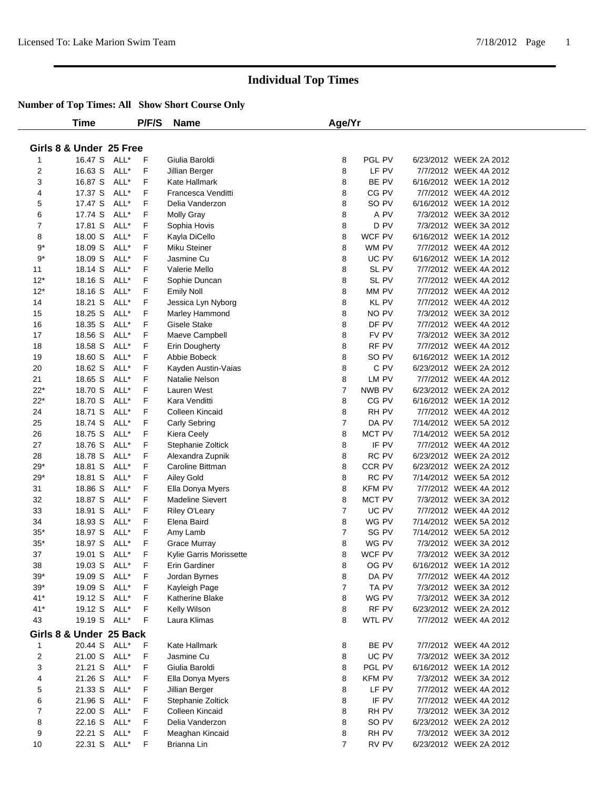|             | Time                    |      | P/F/S       | <b>Name</b>             | Age/Yr         |               |                        |  |
|-------------|-------------------------|------|-------------|-------------------------|----------------|---------------|------------------------|--|
|             |                         |      |             |                         |                |               |                        |  |
|             | Girls 8 & Under 25 Free |      |             |                         |                |               |                        |  |
| 1           | 16.47 S ALL*            |      | $\mathsf F$ | Giulia Baroldi          | 8              | PGL PV        | 6/23/2012 WEEK 2A 2012 |  |
| 2           | 16.63 S                 | ALL* | F           | Jillian Berger          | 8              | LF PV         | 7/7/2012 WEEK 4A 2012  |  |
| 3           | 16.87 S                 | ALL* | F           | Kate Hallmark           | 8              | BE PV         | 6/16/2012 WEEK 1A 2012 |  |
| 4           | 17.37 S ALL*            |      | F           | Francesca Venditti      | 8              | CG PV         | 7/7/2012 WEEK 4A 2012  |  |
| 5           | 17.47 S                 | ALL* | F           | Delia Vanderzon         | 8              | SO PV         | 6/16/2012 WEEK 1A 2012 |  |
| 6           | 17.74 S                 | ALL* | F           | <b>Molly Gray</b>       | 8              | A PV          | 7/3/2012 WEEK 3A 2012  |  |
| 7           | 17.81 S                 | ALL* | F           | Sophia Hovis            | 8              | D PV          | 7/3/2012 WEEK 3A 2012  |  |
| 8           | 18.00 S                 | ALL* | F           | Kayla DiCello           | 8              | WCF PV        | 6/16/2012 WEEK 1A 2012 |  |
| $9*$        | 18.09 S                 | ALL* | F           | Miku Steiner            | 8              | WM PV         | 7/7/2012 WEEK 4A 2012  |  |
| $9^{\ast}$  | 18.09 S                 | ALL* | F           | Jasmine Cu              | 8              | UC PV         | 6/16/2012 WEEK 1A 2012 |  |
|             |                         | ALL* | F           | Valerie Mello           | 8              | SL PV         | 7/7/2012 WEEK 4A 2012  |  |
| 11          | 18.14 S                 |      |             |                         |                |               |                        |  |
| $12*$       | 18.16 S                 | ALL* | F           | Sophie Duncan           | 8              | SL PV         | 7/7/2012 WEEK 4A 2012  |  |
| $12*$       | 18.16 S                 | ALL* | F           | <b>Emily Noll</b>       | 8              | MM PV         | 7/7/2012 WEEK 4A 2012  |  |
| 14          | 18.21 S                 | ALL* | F           | Jessica Lyn Nyborg      | 8              | KL PV         | 7/7/2012 WEEK 4A 2012  |  |
| 15          | 18.25 S                 | ALL* | F           | Marley Hammond          | 8              | NO PV         | 7/3/2012 WEEK 3A 2012  |  |
| 16          | 18.35 S                 | ALL* | F           | <b>Gisele Stake</b>     | 8              | DF PV         | 7/7/2012 WEEK 4A 2012  |  |
| 17          | 18.56 S                 | ALL* | F           | Maeve Campbell          | 8              | FV PV         | 7/3/2012 WEEK 3A 2012  |  |
| 18          | 18.58 S                 | ALL* | F           | Erin Dougherty          | 8              | RF PV         | 7/7/2012 WEEK 4A 2012  |  |
| 19          | 18.60 S                 | ALL* | F           | Abbie Bobeck            | 8              | SO PV         | 6/16/2012 WEEK 1A 2012 |  |
| 20          | 18.62 S                 | ALL* | F           | Kayden Austin-Vaias     | 8              | C PV          | 6/23/2012 WEEK 2A 2012 |  |
| 21          | 18.65 S                 | ALL* | F           | Natalie Nelson          | 8              | LM PV         | 7/7/2012 WEEK 4A 2012  |  |
| $22*$       | 18.70 S                 | ALL* | F           | Lauren West             | $\overline{7}$ | NWB PV        | 6/23/2012 WEEK 2A 2012 |  |
| $22*$       | 18.70 S                 | ALL* | F           | Kara Venditti           | 8              | CG PV         | 6/16/2012 WEEK 1A 2012 |  |
| 24          | 18.71 S                 | ALL* | F           | Colleen Kincaid         | 8              | RH PV         | 7/7/2012 WEEK 4A 2012  |  |
| 25          | 18.74 S                 | ALL* | F           | Carly Sebring           | $\overline{7}$ | DA PV         | 7/14/2012 WEEK 5A 2012 |  |
| 26          | 18.75 S                 | ALL* | F           | Kiera Ceely             | 8              | MCT PV        | 7/14/2012 WEEK 5A 2012 |  |
| 27          | 18.76 S                 | ALL* | F           | Stephanie Zoltick       | 8              | IF PV         | 7/7/2012 WEEK 4A 2012  |  |
| 28          | 18.78 S                 | ALL* | F           | Alexandra Zupnik        | 8              | RC PV         | 6/23/2012 WEEK 2A 2012 |  |
| $29*$       | 18.81 S                 | ALL* | F           | Caroline Bittman        | 8              | CCR PV        | 6/23/2012 WEEK 2A 2012 |  |
| $29*$       | 18.81 S                 | ALL* | F           | Ailey Gold              | 8              | RC PV         | 7/14/2012 WEEK 5A 2012 |  |
| 31          | 18.86 S                 | ALL* | F           | Ella Donya Myers        | 8              | KFM PV        | 7/7/2012 WEEK 4A 2012  |  |
| 32          | 18.87 S                 | ALL* | F           | <b>Madeline Sievert</b> | 8              | MCT PV        | 7/3/2012 WEEK 3A 2012  |  |
| 33          | 18.91 S                 | ALL* | F           | Riley O'Leary           | $\overline{7}$ | UC PV         | 7/7/2012 WEEK 4A 2012  |  |
| 34          | 18.93 S                 | ALL* | F           | Elena Baird             | 8              | WG PV         | 7/14/2012 WEEK 5A 2012 |  |
| $35*$       | 18.97 S                 | ALL* | F           | Amy Lamb                | $\overline{7}$ | SG PV         | 7/14/2012 WEEK 5A 2012 |  |
| $35^{\ast}$ | 18.97 S                 | ALL* | F           | <b>Grace Murray</b>     | 8              | WG PV         | 7/3/2012 WEEK 3A 2012  |  |
| 37          | 19.01 S ALL*            |      | F           | Kylie Garris Morissette | 8              | WCF PV        | 7/3/2012 WEEK 3A 2012  |  |
| 38          | 19.03 S ALL*            |      | F           | Erin Gardiner           | 8              | OG PV         | 6/16/2012 WEEK 1A 2012 |  |
| 39*         | 19.09 S ALL*            |      | F           | Jordan Byrnes           | 8              | DA PV         | 7/7/2012 WEEK 4A 2012  |  |
| $39*$       | 19.09 S ALL*            |      | F           | Kayleigh Page           | 7              | TA PV         | 7/3/2012 WEEK 3A 2012  |  |
| $41*$       | 19.12 S ALL*            |      | F           | Katherine Blake         | 8              | WG PV         | 7/3/2012 WEEK 3A 2012  |  |
| $41*$       | 19.12 S ALL*            |      | F           | Kelly Wilson            | 8              | RF PV         | 6/23/2012 WEEK 2A 2012 |  |
| 43          | 19.19 S ALL*            |      | F           | Laura Klimas            | 8              | WTL PV        | 7/7/2012 WEEK 4A 2012  |  |
|             | Girls 8 & Under 25 Back |      |             |                         |                |               |                        |  |
|             |                         |      |             |                         |                |               |                        |  |
| 1           | 20.44 S ALL*            |      | F           | Kate Hallmark           | 8              | BE PV         | 7/7/2012 WEEK 4A 2012  |  |
| 2           | 21.00 S ALL*            |      | F           | Jasmine Cu              | 8              | UC PV         | 7/3/2012 WEEK 3A 2012  |  |
| 3           | 21.21 S                 | ALL* | F           | Giulia Baroldi          | 8              | PGL PV        | 6/16/2012 WEEK 1A 2012 |  |
| 4           | 21.26 S                 | ALL* | F           | Ella Donya Myers        | 8              | <b>KFM PV</b> | 7/3/2012 WEEK 3A 2012  |  |
| 5           | 21.33 S                 | ALL* | F           | Jillian Berger          | 8              | LF PV         | 7/7/2012 WEEK 4A 2012  |  |
| 6           | 21.96 S                 | ALL* | F           | Stephanie Zoltick       | 8              | IF PV         | 7/7/2012 WEEK 4A 2012  |  |
| 7           | 22.00 S                 | ALL* | F           | Colleen Kincaid         | 8              | RH PV         | 7/3/2012 WEEK 3A 2012  |  |
| 8           | 22.16 S ALL*            |      | F           | Delia Vanderzon         | 8              | SO PV         | 6/23/2012 WEEK 2A 2012 |  |
| 9           | 22.21 S                 | ALL* | F           | Meaghan Kincaid         | 8              | RH PV         | 7/3/2012 WEEK 3A 2012  |  |
| 10          | 22.31 S ALL*            |      | F           | Brianna Lin             | $\overline{7}$ | RV PV         | 6/23/2012 WEEK 2A 2012 |  |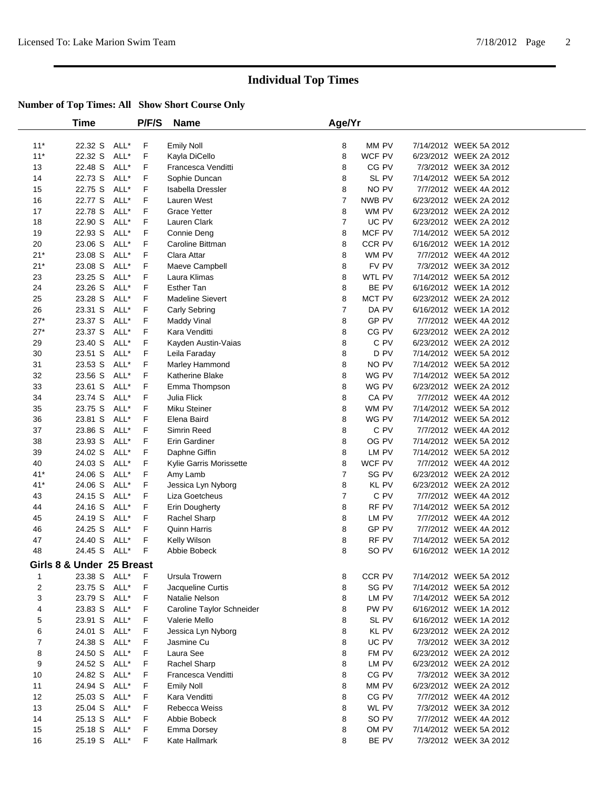|                | Time                      |      | P/F/S | <b>Name</b>               | Age/Yr         |        |                        |  |
|----------------|---------------------------|------|-------|---------------------------|----------------|--------|------------------------|--|
| $11*$          | 22.32 S                   | ALL* | F     | <b>Emily Noll</b>         | 8              | MM PV  | 7/14/2012 WEEK 5A 2012 |  |
| $11*$          | 22.32 S                   | ALL* | F     | Kayla DiCello             | 8              | WCF PV | 6/23/2012 WEEK 2A 2012 |  |
| 13             | 22.48 S                   | ALL* | F     | Francesca Venditti        | 8              | CG PV  | 7/3/2012 WEEK 3A 2012  |  |
| 14             | 22.73 S                   | ALL* | F     | Sophie Duncan             | 8              | SL PV  | 7/14/2012 WEEK 5A 2012 |  |
| 15             | 22.75 S                   | ALL* | F     | Isabella Dressler         | 8              | NO PV  | 7/7/2012 WEEK 4A 2012  |  |
| 16             | 22.77 S                   | ALL* | F.    | Lauren West               | $\overline{7}$ | NWB PV | 6/23/2012 WEEK 2A 2012 |  |
| 17             | 22.78 S                   | ALL* | F.    | <b>Grace Yetter</b>       | 8              | WM PV  | 6/23/2012 WEEK 2A 2012 |  |
| 18             | 22.90 S                   | ALL* | F     | Lauren Clark              | $\overline{7}$ | UC PV  | 6/23/2012 WEEK 2A 2012 |  |
| 19             | 22.93 S                   | ALL* | F     | Connie Deng               | 8              | MCF PV | 7/14/2012 WEEK 5A 2012 |  |
| 20             | 23.06 S                   | ALL* | F     | Caroline Bittman          | 8              | CCR PV | 6/16/2012 WEEK 1A 2012 |  |
| $21*$          | 23.08 S                   | ALL* | F     | Clara Attar               | 8              | WM PV  | 7/7/2012 WEEK 4A 2012  |  |
| $21*$          | 23.08 S                   | ALL* | F     | Maeve Campbell            | 8              | FV PV  | 7/3/2012 WEEK 3A 2012  |  |
| 23             | 23.25 S                   | ALL* | F     | Laura Klimas              | 8              | WTL PV | 7/14/2012 WEEK 5A 2012 |  |
| 24             | 23.26 S                   | ALL* | F     | <b>Esther Tan</b>         | 8              | BE PV  | 6/16/2012 WEEK 1A 2012 |  |
| 25             | 23.28 S                   | ALL* | F     | <b>Madeline Sievert</b>   | 8              | MCT PV | 6/23/2012 WEEK 2A 2012 |  |
| 26             | 23.31 S                   | ALL* | F     | Carly Sebring             | $\overline{7}$ | DA PV  | 6/16/2012 WEEK 1A 2012 |  |
| $27*$          | 23.37 S                   | ALL* | F     | Maddy Vinal               | 8              | GP PV  | 7/7/2012 WEEK 4A 2012  |  |
| $27*$          | 23.37 S                   | ALL* | F.    | Kara Venditti             | 8              | CG PV  | 6/23/2012 WEEK 2A 2012 |  |
| 29             | 23.40 S                   | ALL* | F     | Kayden Austin-Vaias       | 8              | C PV   | 6/23/2012 WEEK 2A 2012 |  |
| 30             | 23.51 S                   | ALL* | F     | Leila Faraday             | 8              | D PV   | 7/14/2012 WEEK 5A 2012 |  |
| 31             | 23.53 S                   | ALL* | F     | Marley Hammond            | 8              | NO PV  | 7/14/2012 WEEK 5A 2012 |  |
| 32             | 23.56 S                   | ALL* | F     | Katherine Blake           | 8              | WG PV  | 7/14/2012 WEEK 5A 2012 |  |
| 33             | 23.61 S                   | ALL* | F     | Emma Thompson             | 8              | WG PV  | 6/23/2012 WEEK 2A 2012 |  |
| 34             | 23.74 S                   | ALL* | F     | Julia Flick               | 8              | CA PV  | 7/7/2012 WEEK 4A 2012  |  |
| 35             | 23.75 S                   | ALL* | F     | Miku Steiner              | 8              | WM PV  | 7/14/2012 WEEK 5A 2012 |  |
| 36             | 23.81 S                   | ALL* | F     | Elena Baird               | 8              | WG PV  | 7/14/2012 WEEK 5A 2012 |  |
| 37             | 23.86 S                   | ALL* | F     | Simrin Reed               | 8              | C PV   | 7/7/2012 WEEK 4A 2012  |  |
| 38             | 23.93 S                   | ALL* | F     | Erin Gardiner             | 8              | OG PV  | 7/14/2012 WEEK 5A 2012 |  |
| 39             | 24.02 S                   | ALL* | F     | Daphne Giffin             | 8              | LM PV  | 7/14/2012 WEEK 5A 2012 |  |
| 40             | 24.03 S                   | ALL* | F     | Kylie Garris Morissette   | 8              | WCF PV | 7/7/2012 WEEK 4A 2012  |  |
| $41*$          | 24.06 S                   | ALL* | F     | Amy Lamb                  | $\overline{7}$ | SG PV  | 6/23/2012 WEEK 2A 2012 |  |
| $41*$          | 24.06 S                   | ALL* | F     | Jessica Lyn Nyborg        | 8              | KL PV  | 6/23/2012 WEEK 2A 2012 |  |
| 43             | 24.15 S                   | ALL* | F     | Liza Goetcheus            | $\overline{7}$ | C PV   | 7/7/2012 WEEK 4A 2012  |  |
| 44             | 24.16 S                   | ALL* | F     | Erin Dougherty            | 8              | RF PV  | 7/14/2012 WEEK 5A 2012 |  |
| 45             | 24.19 S                   | ALL* | F     | Rachel Sharp              | 8              | LM PV  | 7/7/2012 WEEK 4A 2012  |  |
| 46             | 24.25 S                   | ALL* | F     | Quinn Harris              | 8              | GP PV  | 7/7/2012 WEEK 4A 2012  |  |
| 47             | 24.40 S                   | ALL* | F     | Kelly Wilson              | 8              | RF PV  | 7/14/2012 WEEK 5A 2012 |  |
| 48             | 24.45 S                   | ALL* | F     | Abbie Bobeck              | 8              | SO PV  | 6/16/2012 WEEK 1A 2012 |  |
|                | Girls 8 & Under 25 Breast |      |       |                           |                |        |                        |  |
| 1              | 23.38 S ALL*              |      | F.    | Ursula Trowern            | 8              | CCR PV | 7/14/2012 WEEK 5A 2012 |  |
| $\overline{c}$ | 23.75 S                   | ALL* | F     | Jacqueline Curtis         | 8              | SG PV  | 7/14/2012 WEEK 5A 2012 |  |
| 3              | 23.79 S                   | ALL* | F     | Natalie Nelson            | 8              | LM PV  | 7/14/2012 WEEK 5A 2012 |  |
| 4              | 23.83 S                   | ALL* | F     | Caroline Taylor Schneider | 8              | PW PV  | 6/16/2012 WEEK 1A 2012 |  |
| 5              | 23.91 S                   | ALL* | F     | Valerie Mello             | 8              | SL PV  | 6/16/2012 WEEK 1A 2012 |  |
| 6              | 24.01 S                   | ALL* | F     | Jessica Lyn Nyborg        | 8              | KL PV  | 6/23/2012 WEEK 2A 2012 |  |
| 7              | 24.38 S                   | ALL* | F     | Jasmine Cu                | 8              | UC PV  | 7/3/2012 WEEK 3A 2012  |  |
| 8              | 24.50 S                   | ALL* | F     | Laura See                 | 8              | FM PV  | 6/23/2012 WEEK 2A 2012 |  |
| 9              | 24.52 S                   | ALL* | F     | Rachel Sharp              | 8              | LM PV  | 6/23/2012 WEEK 2A 2012 |  |
| 10             | 24.82 S                   | ALL* | F     | Francesca Venditti        | 8              | CG PV  | 7/3/2012 WEEK 3A 2012  |  |
| 11             | 24.94 S                   | ALL* | F     | <b>Emily Noll</b>         | 8              | MM PV  | 6/23/2012 WEEK 2A 2012 |  |
| 12             | 25.03 S                   | ALL* | F     | Kara Venditti             | 8              | CG PV  | 7/7/2012 WEEK 4A 2012  |  |
| 13             | 25.04 S                   | ALL* | F     | Rebecca Weiss             | 8              | WL PV  | 7/3/2012 WEEK 3A 2012  |  |
| 14             | 25.13 S                   | ALL* | F     | Abbie Bobeck              | 8              | SO PV  | 7/7/2012 WEEK 4A 2012  |  |
| 15             | 25.18 S                   | ALL* | F     | <b>Emma Dorsey</b>        | 8              | OM PV  | 7/14/2012 WEEK 5A 2012 |  |
| 16             | 25.19 S                   | ALL* | F.    | Kate Hallmark             | 8              | BE PV  | 7/3/2012 WEEK 3A 2012  |  |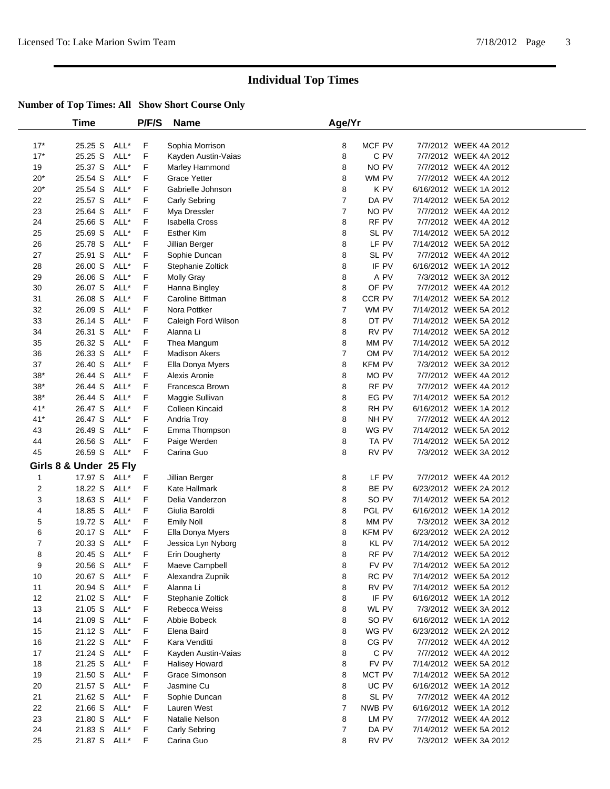|                  | <b>Time</b>            |      | P/F/S | Name                  | Age/Yr         |               |                        |  |
|------------------|------------------------|------|-------|-----------------------|----------------|---------------|------------------------|--|
| $17*$            | 25.25 S                | ALL* | F     | Sophia Morrison       | 8              | MCF PV        | 7/7/2012 WEEK 4A 2012  |  |
| $17*$            | 25.25 S                | ALL* | F     | Kayden Austin-Vaias   | 8              | C PV          | 7/7/2012 WEEK 4A 2012  |  |
| 19               | 25.37 S                | ALL* | F     | Marley Hammond        | 8              | NO PV         | 7/7/2012 WEEK 4A 2012  |  |
| $20*$            | 25.54 S                | ALL* | F     | <b>Grace Yetter</b>   | 8              | WM PV         | 7/7/2012 WEEK 4A 2012  |  |
| $20*$            | 25.54 S                | ALL* | F     | Gabrielle Johnson     | 8              | K PV          | 6/16/2012 WEEK 1A 2012 |  |
| 22               | 25.57 S                | ALL* | F     | Carly Sebring         | $\overline{7}$ | DA PV         | 7/14/2012 WEEK 5A 2012 |  |
| 23               | 25.64 S                | ALL* | F     | Mya Dressler          | $\overline{7}$ | NO PV         | 7/7/2012 WEEK 4A 2012  |  |
| 24               | 25.66 S                | ALL* | F     | <b>Isabella Cross</b> | 8              | RF PV         | 7/7/2012 WEEK 4A 2012  |  |
| 25               | 25.69 S                | ALL* | F     | <b>Esther Kim</b>     | 8              | SL PV         | 7/14/2012 WEEK 5A 2012 |  |
| 26               | 25.78 S                | ALL* | F     | Jillian Berger        | 8              | LF PV         | 7/14/2012 WEEK 5A 2012 |  |
| 27               | 25.91 S                | ALL* | F     | Sophie Duncan         | 8              | SL PV         | 7/7/2012 WEEK 4A 2012  |  |
| 28               | 26.00 S                | ALL* | F     | Stephanie Zoltick     | 8              | IF PV         | 6/16/2012 WEEK 1A 2012 |  |
| 29               | 26.06 S                | ALL* | F     | <b>Molly Gray</b>     | 8              | A PV          | 7/3/2012 WEEK 3A 2012  |  |
| 30               | 26.07 S                | ALL* | F     | Hanna Bingley         | 8              | OF PV         | 7/7/2012 WEEK 4A 2012  |  |
| 31               | 26.08 S                | ALL* | F     | Caroline Bittman      | 8              | CCR PV        | 7/14/2012 WEEK 5A 2012 |  |
| 32               | 26.09 S                | ALL* | F     | Nora Pottker          | $\overline{7}$ | WM PV         | 7/14/2012 WEEK 5A 2012 |  |
| 33               | 26.14 S                | ALL* | F     | Caleigh Ford Wilson   | 8              | DT PV         | 7/14/2012 WEEK 5A 2012 |  |
| 34               | 26.31 S                | ALL* | F     | Alanna Li             | 8              | RV PV         | 7/14/2012 WEEK 5A 2012 |  |
| 35               | 26.32 S                | ALL* | F     | Thea Mangum           | 8              | MM PV         | 7/14/2012 WEEK 5A 2012 |  |
| 36               | 26.33 S                | ALL* | F     | <b>Madison Akers</b>  | $\overline{7}$ | OM PV         | 7/14/2012 WEEK 5A 2012 |  |
| 37               | 26.40 S                | ALL* | F     | Ella Donya Myers      | 8              | <b>KFM PV</b> | 7/3/2012 WEEK 3A 2012  |  |
| $38^{\ast}$      | 26.44 S                | ALL* | F     | Alexis Aronie         | 8              | MO PV         | 7/7/2012 WEEK 4A 2012  |  |
| $38*$            | 26.44 S                | ALL* | F     | Francesca Brown       | 8              | RF PV         | 7/7/2012 WEEK 4A 2012  |  |
| $38^{\ast}$      | 26.44 S                | ALL* | F     | Maggie Sullivan       | 8              | EG PV         | 7/14/2012 WEEK 5A 2012 |  |
| $41*$            | 26.47 S                | ALL* | F     | Colleen Kincaid       | 8              | RH PV         | 6/16/2012 WEEK 1A 2012 |  |
| $41*$            | 26.47 S                | ALL* | F     | Andria Troy           | 8              | NH PV         | 7/7/2012 WEEK 4A 2012  |  |
| 43               | 26.49 S                | ALL* | F     | Emma Thompson         | 8              | WG PV         | 7/14/2012 WEEK 5A 2012 |  |
| 44               | 26.56 S                | ALL* | F     | Paige Werden          | 8              | TA PV         | 7/14/2012 WEEK 5A 2012 |  |
| 45               | 26.59 S ALL*           |      | F     | Carina Guo            | 8              | RV PV         | 7/3/2012 WEEK 3A 2012  |  |
|                  | Girls 8 & Under 25 Fly |      |       |                       |                |               |                        |  |
| $\mathbf{1}$     | 17.97 S ALL*           |      | F.    | Jillian Berger        | 8              | LF PV         | 7/7/2012 WEEK 4A 2012  |  |
| 2                | 18.22 S                | ALL* | F     | Kate Hallmark         | 8              | BE PV         | 6/23/2012 WEEK 2A 2012 |  |
| 3                | 18.63 S                | ALL* | F     | Delia Vanderzon       | 8              | SO PV         | 7/14/2012 WEEK 5A 2012 |  |
| 4                | 18.85 S                | ALL* | F     | Giulia Baroldi        | 8              | PGL PV        | 6/16/2012 WEEK 1A 2012 |  |
| 5                | 19.72 S                | ALL* | F     | <b>Emily Noll</b>     | 8              | MM PV         | 7/3/2012 WEEK 3A 2012  |  |
| 6                | 20.17 S                | ALL* | F     | Ella Donya Myers      | 8              | <b>KFM PV</b> | 6/23/2012 WEEK 2A 2012 |  |
| $\boldsymbol{7}$ | 20.33 S                | ALL* | F     | Jessica Lyn Nyborg    | 8              | KL PV         | 7/14/2012 WEEK 5A 2012 |  |
| 8                | 20.45 S                | ALL* | F     | Erin Dougherty        | 8              | RF PV         | 7/14/2012 WEEK 5A 2012 |  |
| 9                | 20.56 S ALL*           |      | F     | Maeve Campbell        | 8              | FV PV         | 7/14/2012 WEEK 5A 2012 |  |
| 10               | 20.67 S ALL*           |      | F     | Alexandra Zupnik      | 8              | RC PV         | 7/14/2012 WEEK 5A 2012 |  |
| 11               | 20.94 S ALL*           |      | F     | Alanna Li             | 8              | RV PV         | 7/14/2012 WEEK 5A 2012 |  |
| 12               | 21.02 S                | ALL* | F     | Stephanie Zoltick     | 8              | IF PV         | 6/16/2012 WEEK 1A 2012 |  |
| 13               | 21.05 S                | ALL* | F     | Rebecca Weiss         | 8              | WL PV         | 7/3/2012 WEEK 3A 2012  |  |
| 14               | 21.09 S                | ALL* | F     | Abbie Bobeck          | 8              | SO PV         | 6/16/2012 WEEK 1A 2012 |  |
| 15               | 21.12 S ALL*           |      | F     | Elena Baird           | 8              | WG PV         | 6/23/2012 WEEK 2A 2012 |  |
| 16               | 21.22 S ALL*           |      | F     | Kara Venditti         | 8              | CG PV         | 7/7/2012 WEEK 4A 2012  |  |
| 17               | 21.24 S                | ALL* | F     | Kayden Austin-Vaias   | 8              | C PV          | 7/7/2012 WEEK 4A 2012  |  |
| 18               | 21.25 S                | ALL* | F     | <b>Halisey Howard</b> | 8              | FV PV         | 7/14/2012 WEEK 5A 2012 |  |
| 19               | 21.50 S                | ALL* | F     | Grace Simonson        | 8              | MCT PV        | 7/14/2012 WEEK 5A 2012 |  |
| 20               | 21.57 S                | ALL* | F     | Jasmine Cu            | 8              | UC PV         | 6/16/2012 WEEK 1A 2012 |  |
| 21               | 21.62 S                | ALL* | F     | Sophie Duncan         | 8              | SL PV         | 7/7/2012 WEEK 4A 2012  |  |
| 22               | 21.66 S ALL*           |      | F     | Lauren West           | 7              | NWB PV        | 6/16/2012 WEEK 1A 2012 |  |
| 23               | 21.80 S                | ALL* | F     | Natalie Nelson        | 8              | LM PV         | 7/7/2012 WEEK 4A 2012  |  |
| 24               | 21.83 S                | ALL* | F     | Carly Sebring         | 7              | DA PV         | 7/14/2012 WEEK 5A 2012 |  |
| 25               | 21.87 S ALL*           |      | F     | Carina Guo            | 8              | RV PV         | 7/3/2012 WEEK 3A 2012  |  |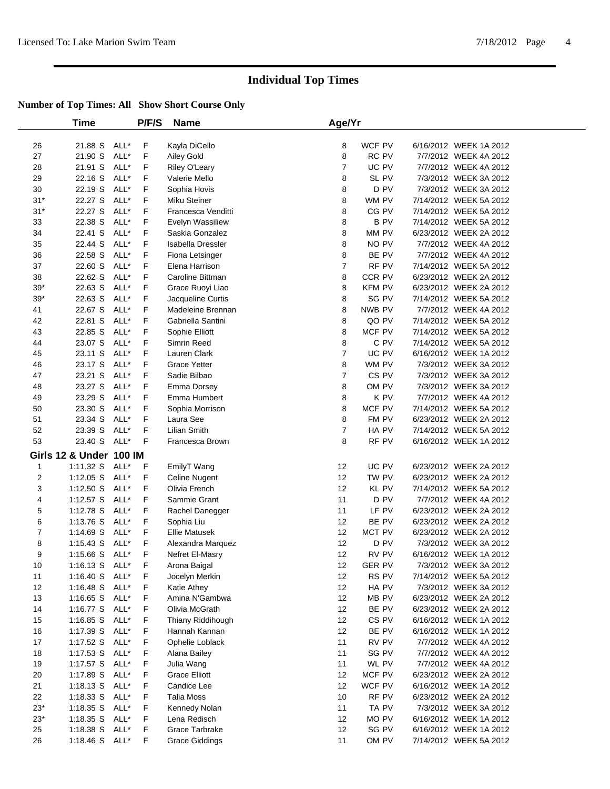|                         | <b>Time</b>             |      | P/F/S | <b>Name</b>           | Age/Yr         |               |                        |  |
|-------------------------|-------------------------|------|-------|-----------------------|----------------|---------------|------------------------|--|
| 26                      | 21.88 S ALL*            |      | F     | Kayla DiCello         | 8              | WCF PV        | 6/16/2012 WEEK 1A 2012 |  |
| 27                      | 21.90 S                 | ALL* | F     | Ailey Gold            | 8              | RC PV         | 7/7/2012 WEEK 4A 2012  |  |
| 28                      | 21.91 S                 | ALL* | F     | Riley O'Leary         | $\overline{7}$ | UC PV         | 7/7/2012 WEEK 4A 2012  |  |
| 29                      | 22.16 S                 | ALL* | F     | Valerie Mello         | 8              | SL PV         | 7/3/2012 WEEK 3A 2012  |  |
| 30                      | 22.19 S                 | ALL* | F     | Sophia Hovis          | 8              | D PV          | 7/3/2012 WEEK 3A 2012  |  |
| $31*$                   | 22.27 S                 | ALL* | F     | Miku Steiner          | 8              | WM PV         | 7/14/2012 WEEK 5A 2012 |  |
| $31*$                   | 22.27 S ALL*            |      | F     | Francesca Venditti    | 8              | CG PV         | 7/14/2012 WEEK 5A 2012 |  |
| 33                      | 22.38 S                 | ALL* | F     | Evelyn Wassiliew      | 8              | B PV          | 7/14/2012 WEEK 5A 2012 |  |
| 34                      | 22.41 S                 | ALL* | F     | Saskia Gonzalez       | 8              | MM PV         | 6/23/2012 WEEK 2A 2012 |  |
| 35                      | 22.44 S                 | ALL* | F     | Isabella Dressler     | 8              | NO PV         | 7/7/2012 WEEK 4A 2012  |  |
| 36                      | 22.58 S                 | ALL* | F     | Fiona Letsinger       | 8              | BE PV         | 7/7/2012 WEEK 4A 2012  |  |
| 37                      | 22.60 S                 | ALL* | F     | Elena Harrison        | $\overline{7}$ | RF PV         | 7/14/2012 WEEK 5A 2012 |  |
| 38                      | 22.62 S                 | ALL* | F     | Caroline Bittman      | 8              | CCR PV        | 6/23/2012 WEEK 2A 2012 |  |
| $39*$                   | 22.63 S                 | ALL* | F     | Grace Ruoyi Liao      | 8              | KFM PV        | 6/23/2012 WEEK 2A 2012 |  |
| $39*$                   | 22.63 S                 | ALL* | F     | Jacqueline Curtis     | 8              | SG PV         | 7/14/2012 WEEK 5A 2012 |  |
| 41                      | 22.67 S                 | ALL* | F     | Madeleine Brennan     | 8              | NWB PV        | 7/7/2012 WEEK 4A 2012  |  |
| 42                      | 22.81 S                 | ALL* | F     | Gabriella Santini     | 8              | QO PV         | 7/14/2012 WEEK 5A 2012 |  |
| 43                      | 22.85 S                 | ALL* | F     | Sophie Elliott        | 8              | MCF PV        | 7/14/2012 WEEK 5A 2012 |  |
| 44                      | 23.07 S                 | ALL* | F     | Simrin Reed           | 8              | C PV          | 7/14/2012 WEEK 5A 2012 |  |
| 45                      | 23.11 S                 | ALL* | F     | Lauren Clark          | $\overline{7}$ | UC PV         | 6/16/2012 WEEK 1A 2012 |  |
| 46                      | 23.17 S                 | ALL* | F     | <b>Grace Yetter</b>   | 8              | WM PV         | 7/3/2012 WEEK 3A 2012  |  |
| 47                      | 23.21 S                 | ALL* | F     | Sadie Bilbao          | $\overline{7}$ | CS PV         | 7/3/2012 WEEK 3A 2012  |  |
| 48                      | 23.27 S                 | ALL* | F     | Emma Dorsey           | 8              | OM PV         | 7/3/2012 WEEK 3A 2012  |  |
| 49                      | 23.29 S                 | ALL* | F     | Emma Humbert          | 8              | K PV          | 7/7/2012 WEEK 4A 2012  |  |
| 50                      | 23.30 S                 | ALL* | F     | Sophia Morrison       | 8              | MCF PV        | 7/14/2012 WEEK 5A 2012 |  |
| 51                      | 23.34 S                 | ALL* | F     | Laura See             | 8              | FM PV         | 6/23/2012 WEEK 2A 2012 |  |
| 52                      | 23.39 S                 | ALL* | F     | <b>Lilian Smith</b>   | $\overline{7}$ | HA PV         | 7/14/2012 WEEK 5A 2012 |  |
| 53                      | 23.40 S                 | ALL* | F     | Francesca Brown       | 8              | RF PV         | 6/16/2012 WEEK 1A 2012 |  |
|                         | Girls 12 & Under 100 IM |      |       |                       |                |               |                        |  |
| $\mathbf{1}$            | $1:11.32$ S             | ALL* | F     | EmilyT Wang           | 12             | UC PV         | 6/23/2012 WEEK 2A 2012 |  |
| $\overline{\mathbf{c}}$ | $1:12.05$ S             | ALL* | F     | Celine Nugent         | 12             | TW PV         | 6/23/2012 WEEK 2A 2012 |  |
| 3                       | 1:12.50 S               | ALL* | F     | Olivia French         | 12             | KL PV         | 7/14/2012 WEEK 5A 2012 |  |
| 4                       | 1:12.57 S               | ALL* | F     | Sammie Grant          | 11             | D PV          | 7/7/2012 WEEK 4A 2012  |  |
| 5                       | 1:12.78 S               | ALL* | F     | Rachel Danegger       | 11             | LF PV         | 6/23/2012 WEEK 2A 2012 |  |
| 6                       | 1:13.76 S               | ALL* | F     | Sophia Liu            | 12             | BE PV         | 6/23/2012 WEEK 2A 2012 |  |
| 7                       | 1:14.69 S               | ALL* | F     | <b>Ellie Matusek</b>  | 12             | MCT PV        | 6/23/2012 WEEK 2A 2012 |  |
| 8                       | $1:15.43$ S             | ALL* | F     | Alexandra Marquez     | 12             | D PV          | 7/3/2012 WEEK 3A 2012  |  |
| 9                       | 1:15.66 S               | ALL* | F     | Nefret El-Masry       | 12             | RV PV         | 6/16/2012 WEEK 1A 2012 |  |
| 10                      | 1:16.13 S ALL*          |      | F     | Arona Baigal          | 12             | <b>GER PV</b> | 7/3/2012 WEEK 3A 2012  |  |
| 11                      | 1:16.40 S $ALL^*$       |      | F     | Jocelyn Merkin        | 12             | RS PV         | 7/14/2012 WEEK 5A 2012 |  |
| 12                      | 1:16.48 S ALL*          |      | F.    | Katie Athey           | 12             | HA PV         | 7/3/2012 WEEK 3A 2012  |  |
| 13                      | 1:16.65 S ALL*          |      | F     | Amina N'Gambwa        | 12             | MB PV         | 6/23/2012 WEEK 2A 2012 |  |
| 14                      | 1:16.77 S ALL*          |      | F     | Olivia McGrath        | 12             | BE PV         | 6/23/2012 WEEK 2A 2012 |  |
| 15                      | $1:16.85$ S             | ALL* | F     | Thiany Riddihough     | 12             | CS PV         | 6/16/2012 WEEK 1A 2012 |  |
| 16                      | 1:17.39 S ALL*          |      | F     | Hannah Kannan         | 12             | BE PV         | 6/16/2012 WEEK 1A 2012 |  |
| 17                      | 1:17.52 S ALL*          |      | F     | Ophelie Loblack       | 11             | RV PV         | 7/7/2012 WEEK 4A 2012  |  |
| 18                      | $1:17.53$ S             | ALL* | F     | Alana Bailey          | 11             | SG PV         | 7/7/2012 WEEK 4A 2012  |  |
| 19                      | 1:17.57 S ALL*          |      | F     | Julia Wang            | 11             | WL PV         | 7/7/2012 WEEK 4A 2012  |  |
| 20                      | 1:17.89 S               | ALL* | F     | <b>Grace Elliott</b>  | 12             | MCF PV        | 6/23/2012 WEEK 2A 2012 |  |
| 21                      | $1:18.13$ S             | ALL* | F     | Candice Lee           | 12             | WCF PV        | 6/16/2012 WEEK 1A 2012 |  |
| 22                      | 1:18.33 S               | ALL* | F     | Talia Moss            | 10             | RF PV         | 6/23/2012 WEEK 2A 2012 |  |
| $23*$                   | $1:18.35$ S             | ALL* | F     | Kennedy Nolan         | 11             | TA PV         | 7/3/2012 WEEK 3A 2012  |  |
| $23*$                   | $1:18.35$ S             | ALL* | F     | Lena Redisch          | 12             | MO PV         | 6/16/2012 WEEK 1A 2012 |  |
| 25                      | 1:18.38 S               | ALL* | F     | Grace Tarbrake        | 12             | SG PV         | 6/16/2012 WEEK 1A 2012 |  |
| 26                      | 1:18.46 S ALL*          |      | F     | <b>Grace Giddings</b> | 11             | OM PV         | 7/14/2012 WEEK 5A 2012 |  |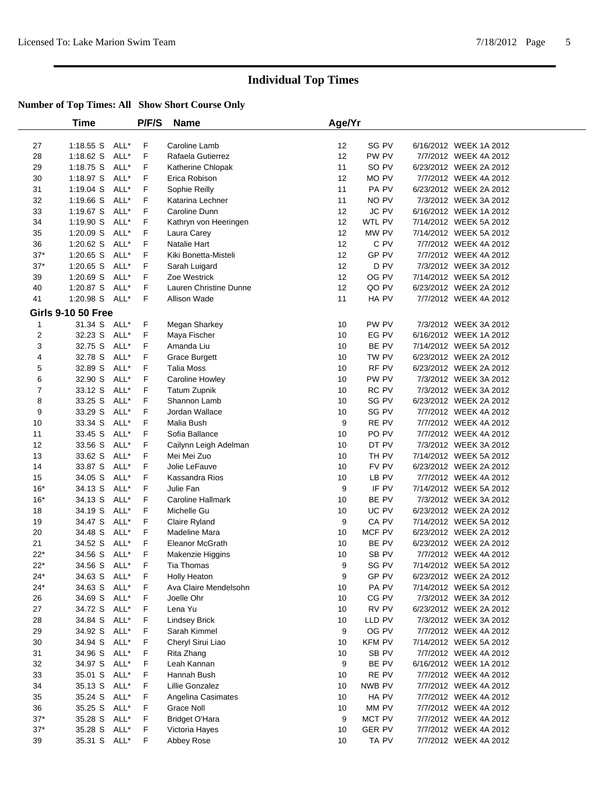|                         | <b>Time</b>               |      | P/F/S | <b>Name</b>              | Age/Yr |               |                        |  |
|-------------------------|---------------------------|------|-------|--------------------------|--------|---------------|------------------------|--|
| 27                      | 1:18.55 S ALL*            |      | F     | Caroline Lamb            | 12     | SG PV         | 6/16/2012 WEEK 1A 2012 |  |
| 28                      | $1:18.62$ S               | ALL* | F     | Rafaela Gutierrez        | 12     | PW PV         | 7/7/2012 WEEK 4A 2012  |  |
| 29                      | $1:18.75$ S               | ALL* | F     | Katherine Chlopak        | 11     | SO PV         | 6/23/2012 WEEK 2A 2012 |  |
| 30                      | 1:18.97 S ALL*            |      | F     | Erica Robison            | 12     | MO PV         | 7/7/2012 WEEK 4A 2012  |  |
| 31                      | $1:19.04$ S               | ALL* | F     | Sophie Reilly            | 11     | PA PV         | 6/23/2012 WEEK 2A 2012 |  |
| 32                      | $1:19.66$ S               | ALL* | F     | Katarina Lechner         | 11     | NO PV         | 7/3/2012 WEEK 3A 2012  |  |
| 33                      | 1:19.67 S ALL*            |      | F     | Caroline Dunn            | 12     | JC PV         | 6/16/2012 WEEK 1A 2012 |  |
| 34                      | 1:19.90 S                 | ALL* | F     | Kathryn von Heeringen    | 12     | WTL PV        | 7/14/2012 WEEK 5A 2012 |  |
| 35                      | $1:20.09$ S               | ALL* | F     | Laura Carey              | 12     | MW PV         | 7/14/2012 WEEK 5A 2012 |  |
| 36                      | $1:20.62$ S               | ALL* | F     | Natalie Hart             | 12     | C PV          | 7/7/2012 WEEK 4A 2012  |  |
| $37*$                   | $1:20.65$ S               | ALL* | F     | Kiki Bonetta-Misteli     | 12     | GP PV         | 7/7/2012 WEEK 4A 2012  |  |
| $37*$                   | $1:20.65$ S               | ALL* | F     | Sarah Luigard            | 12     | D PV          | 7/3/2012 WEEK 3A 2012  |  |
| 39                      | 1:20.69 S                 | ALL* | F     | Zoe Westrick             | 12     | OG PV         | 7/14/2012 WEEK 5A 2012 |  |
| 40                      | $1:20.87$ S               | ALL* | F     | Lauren Christine Dunne   | 12     | QO PV         | 6/23/2012 WEEK 2A 2012 |  |
| 41                      | 1:20.98 S ALL*            |      | F     | Allison Wade             | 11     | HA PV         | 7/7/2012 WEEK 4A 2012  |  |
|                         | <b>Girls 9-10 50 Free</b> |      |       |                          |        |               |                        |  |
| 1                       | 31.34 S ALL*              |      | F     | Megan Sharkey            | 10     | PW PV         | 7/3/2012 WEEK 3A 2012  |  |
| $\overline{\mathbf{c}}$ | 32.23 S                   | ALL* | F     | Maya Fischer             | 10     | EG PV         | 6/16/2012 WEEK 1A 2012 |  |
| 3                       | 32.75 S                   | ALL* | F     | Amanda Liu               | 10     | BE PV         | 7/14/2012 WEEK 5A 2012 |  |
| 4                       | 32.78 S                   | ALL* | F     | <b>Grace Burgett</b>     | 10     | TW PV         | 6/23/2012 WEEK 2A 2012 |  |
| 5                       | 32.89 S                   | ALL* | F     | Talia Moss               | 10     | RF PV         | 6/23/2012 WEEK 2A 2012 |  |
| 6                       | 32.90 S                   | ALL* | F     | Caroline Howley          | 10     | PW PV         | 7/3/2012 WEEK 3A 2012  |  |
| 7                       | 33.12 S                   | ALL* | F     | <b>Tatum Zupnik</b>      | 10     | RC PV         | 7/3/2012 WEEK 3A 2012  |  |
| 8                       | 33.25 S                   | ALL* | F     | Shannon Lamb             | 10     | SG PV         | 6/23/2012 WEEK 2A 2012 |  |
| 9                       | 33.29 S                   | ALL* | F     | Jordan Wallace           | 10     | SG PV         | 7/7/2012 WEEK 4A 2012  |  |
| 10                      | 33.34 S                   | ALL* | F     | Malia Bush               | 9      | RE PV         | 7/7/2012 WEEK 4A 2012  |  |
| 11                      | 33.45 S                   | ALL* | F     | Sofia Ballance           | 10     | PO PV         | 7/7/2012 WEEK 4A 2012  |  |
| 12                      | 33.56 S                   | ALL* | F     | Cailynn Leigh Adelman    | 10     | DT PV         | 7/3/2012 WEEK 3A 2012  |  |
| 13                      | 33.62 S                   | ALL* | F     | Mei Mei Zuo              | 10     | TH PV         | 7/14/2012 WEEK 5A 2012 |  |
| 14                      | 33.87 S                   | ALL* | F     | Jolie LeFauve            | 10     | FV PV         | 6/23/2012 WEEK 2A 2012 |  |
| 15                      | 34.05 S                   | ALL* | F     | Kassandra Rios           | 10     | LB PV         | 7/7/2012 WEEK 4A 2012  |  |
| $16*$                   | 34.13 S                   | ALL* | F     | Julie Fan                | 9      | IF PV         | 7/14/2012 WEEK 5A 2012 |  |
| $16*$                   | 34.13 S                   | ALL* | F     | <b>Caroline Hallmark</b> | 10     | BE PV         | 7/3/2012 WEEK 3A 2012  |  |
| 18                      | 34.19 S                   | ALL* | F     | Michelle Gu              | 10     | UC PV         | 6/23/2012 WEEK 2A 2012 |  |
| 19                      | 34.47 S                   | ALL* | F     | Claire Ryland            | 9      | CA PV         | 7/14/2012 WEEK 5A 2012 |  |
| 20                      | 34.48 S                   | ALL* | F     | Madeline Mara            | 10     | MCF PV        | 6/23/2012 WEEK 2A 2012 |  |
| 21                      | 34.52 S                   | ALL* | F     | Eleanor McGrath          | 10     | BE PV         | 6/23/2012 WEEK 2A 2012 |  |
| $22*$                   | 34.56 S ALL*              |      | F     | Makenzie Higgins         | 10     | SB PV         | 7/7/2012 WEEK 4A 2012  |  |
| $22*$                   | 34.56 S ALL*              |      | F     | Tia Thomas               | 9      | SG PV         | 7/14/2012 WEEK 5A 2012 |  |
| 24*                     | 34.63 S ALL*              |      | F     | <b>Holly Heaton</b>      | 9      | GP PV         | 6/23/2012 WEEK 2A 2012 |  |
| $24*$                   | 34.63 S ALL*              |      | F     | Ava Claire Mendelsohn    | 10     | PA PV         | 7/14/2012 WEEK 5A 2012 |  |
| 26                      | 34.69 S                   | ALL* | F     | Joelle Ohr               | 10     | CG PV         | 7/3/2012 WEEK 3A 2012  |  |
| 27                      | 34.72 S ALL*              |      | F     | Lena Yu                  | 10     | RV PV         | 6/23/2012 WEEK 2A 2012 |  |
| 28                      | 34.84 S                   | ALL* | F     | <b>Lindsey Brick</b>     | 10     | LLD PV        | 7/3/2012 WEEK 3A 2012  |  |
| 29                      | 34.92 S                   | ALL* | F     | Sarah Kimmel             | 9      | OG PV         | 7/7/2012 WEEK 4A 2012  |  |
| 30                      | 34.94 S                   | ALL* | F     | Cheryl Sirui Liao        | 10     | <b>KFM PV</b> | 7/14/2012 WEEK 5A 2012 |  |
| 31                      | 34.96 S                   | ALL* | F     | Rita Zhang               | 10     | SB PV         | 7/7/2012 WEEK 4A 2012  |  |
| 32                      | 34.97 S                   | ALL* | F     | Leah Kannan              | 9      | BE PV         | 6/16/2012 WEEK 1A 2012 |  |
| 33                      | 35.01 S                   | ALL* | F     | Hannah Bush              | 10     | RE PV         | 7/7/2012 WEEK 4A 2012  |  |
| 34                      | 35.13 S                   | ALL* | F     | Lillie Gonzalez          | 10     | NWB PV        | 7/7/2012 WEEK 4A 2012  |  |
| 35                      | 35.24 S                   | ALL* | F     | Angelina Casimates       | 10     | HA PV         | 7/7/2012 WEEK 4A 2012  |  |
| 36                      | 35.25 S ALL*              |      | F     | Grace Noll               | 10     | MM PV         | 7/7/2012 WEEK 4A 2012  |  |
| $37*$                   | 35.28 S                   | ALL* | F     | <b>Bridget O'Hara</b>    | 9      | MCT PV        | 7/7/2012 WEEK 4A 2012  |  |
| $37*$                   | 35.28 S                   | ALL* | F     | Victoria Hayes           | 10     | <b>GER PV</b> | 7/7/2012 WEEK 4A 2012  |  |
| 39                      | 35.31 S ALL*              |      | F     | Abbey Rose               | 10     | TA PV         | 7/7/2012 WEEK 4A 2012  |  |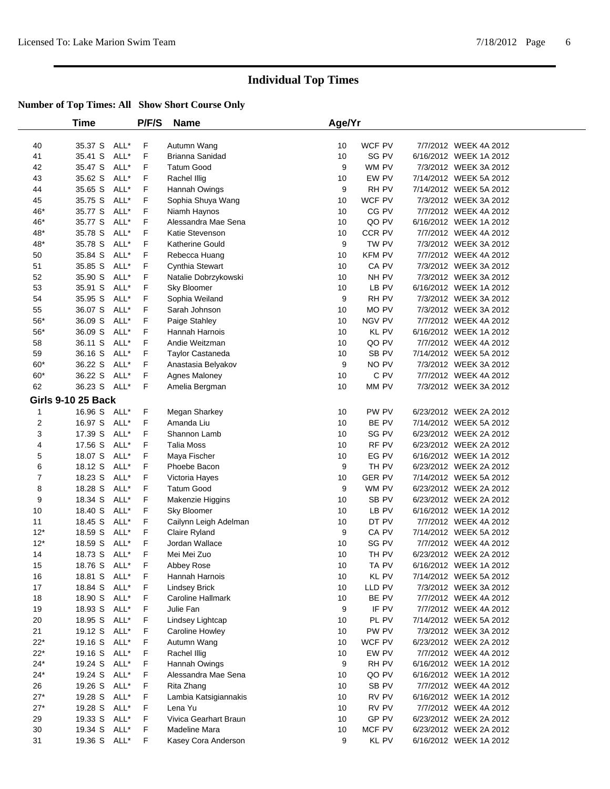|                | <b>Time</b>               |      | P/F/S       | <b>Name</b>              | Age/Yr |               |                        |  |
|----------------|---------------------------|------|-------------|--------------------------|--------|---------------|------------------------|--|
| 40             | 35.37 S                   | ALL* | F           | Autumn Wang              | 10     | WCF PV        | 7/7/2012 WEEK 4A 2012  |  |
| 41             | 35.41 S                   | ALL* | F           | Brianna Sanidad          | 10     | SG PV         | 6/16/2012 WEEK 1A 2012 |  |
| 42             | 35.47 S                   | ALL* | F           | <b>Tatum Good</b>        | 9      | WM PV         | 7/3/2012 WEEK 3A 2012  |  |
| 43             | 35.62 S                   | ALL* | F           | Rachel Illig             | 10     | EW PV         | 7/14/2012 WEEK 5A 2012 |  |
| 44             | 35.65 S                   | ALL* | F           | Hannah Owings            | 9      | RH PV         | 7/14/2012 WEEK 5A 2012 |  |
| 45             | 35.75 S                   | ALL* | F           | Sophia Shuya Wang        | 10     | WCF PV        | 7/3/2012 WEEK 3A 2012  |  |
| 46*            | 35.77 S                   | ALL* | F           | Niamh Haynos             | 10     | CG PV         | 7/7/2012 WEEK 4A 2012  |  |
| 46*            | 35.77 S                   | ALL* | F           | Alessandra Mae Sena      | 10     | QO PV         | 6/16/2012 WEEK 1A 2012 |  |
| $48*$          | 35.78 S                   | ALL* | F           | Katie Stevenson          | 10     | CCR PV        | 7/7/2012 WEEK 4A 2012  |  |
| 48*            | 35.78 S                   | ALL* | F           | <b>Katherine Gould</b>   | 9      | TW PV         | 7/3/2012 WEEK 3A 2012  |  |
| 50             | 35.84 S                   | ALL* | F           | Rebecca Huang            | 10     | <b>KFM PV</b> | 7/7/2012 WEEK 4A 2012  |  |
| 51             | 35.85 S                   | ALL* | F           | Cynthia Stewart          | 10     | CA PV         | 7/3/2012 WEEK 3A 2012  |  |
| 52             | 35.90 S                   | ALL* | F           | Natalie Dobrzykowski     | 10     | NH PV         | 7/3/2012 WEEK 3A 2012  |  |
| 53             | 35.91 S                   | ALL* | F           | Sky Bloomer              | 10     | LB PV         | 6/16/2012 WEEK 1A 2012 |  |
| 54             | 35.95 S                   | ALL* | F           | Sophia Weiland           | 9      | RH PV         | 7/3/2012 WEEK 3A 2012  |  |
| 55             | 36.07 S                   | ALL* | F           | Sarah Johnson            | 10     | MO PV         | 7/3/2012 WEEK 3A 2012  |  |
| $56*$          | 36.09 S                   | ALL* | F           | Paige Stahley            | 10     | NGV PV        | 7/7/2012 WEEK 4A 2012  |  |
| $56*$          | 36.09 S                   | ALL* | F           | Hannah Harnois           | 10     | <b>KL PV</b>  | 6/16/2012 WEEK 1A 2012 |  |
| 58             | 36.11 S                   | ALL* | F           | Andie Weitzman           | 10     | QO PV         | 7/7/2012 WEEK 4A 2012  |  |
| 59             | 36.16 S                   | ALL* | F           | <b>Taylor Castaneda</b>  | 10     | SB PV         | 7/14/2012 WEEK 5A 2012 |  |
| $60*$          | 36.22 S                   | ALL* | F           | Anastasia Belyakov       | 9      | NO PV         | 7/3/2012 WEEK 3A 2012  |  |
| $60*$          | 36.22 S                   | ALL* | F           | Agnes Maloney            | 10     | C PV          | 7/7/2012 WEEK 4A 2012  |  |
| 62             | 36.23 S                   | ALL* | F           | Amelia Bergman           | 10     | MM PV         | 7/3/2012 WEEK 3A 2012  |  |
|                | <b>Girls 9-10 25 Back</b> |      |             |                          |        |               |                        |  |
| 1              | 16.96 S ALL*              |      | F           | Megan Sharkey            | 10     | PW PV         | 6/23/2012 WEEK 2A 2012 |  |
| 2              | 16.97 S                   | ALL* | F           | Amanda Liu               | 10     | BE PV         | 7/14/2012 WEEK 5A 2012 |  |
| 3              | 17.39 S                   | ALL* | F           | Shannon Lamb             | 10     | SG PV         | 6/23/2012 WEEK 2A 2012 |  |
| 4              | 17.56 S                   | ALL* | F           | <b>Talia Moss</b>        | 10     | RF PV         | 6/23/2012 WEEK 2A 2012 |  |
| 5              | 18.07 S                   | ALL* | F           | Maya Fischer             | 10     | EG PV         | 6/16/2012 WEEK 1A 2012 |  |
| 6              | 18.12 S                   | ALL* | F           | Phoebe Bacon             | 9      | TH PV         | 6/23/2012 WEEK 2A 2012 |  |
| $\overline{7}$ | 18.23 S                   | ALL* | F           | Victoria Hayes           | 10     | <b>GER PV</b> | 7/14/2012 WEEK 5A 2012 |  |
| 8              | 18.28 S                   | ALL* | F           | <b>Tatum Good</b>        | 9      | WM PV         | 6/23/2012 WEEK 2A 2012 |  |
| 9              | 18.34 S                   | ALL* | F           | Makenzie Higgins         | 10     | SB PV         | 6/23/2012 WEEK 2A 2012 |  |
| 10             | 18.40 S                   | ALL* | F           | Sky Bloomer              | 10     | LB PV         | 6/16/2012 WEEK 1A 2012 |  |
| 11             | 18.45 S                   | ALL* | F           | Cailynn Leigh Adelman    | 10     | DT PV         | 7/7/2012 WEEK 4A 2012  |  |
| $12*$          | 18.59 S                   | ALL* | F           | Claire Ryland            | 9      | CA PV         | 7/14/2012 WEEK 5A 2012 |  |
| $12*$          | 18.59 S                   | ALL* | F           | Jordan Wallace           | 10     | SG PV         | 7/7/2012 WEEK 4A 2012  |  |
| 14             | 18.73 S                   | ALL* | F           | Mei Mei Zuo              | 10     | TH PV         | 6/23/2012 WEEK 2A 2012 |  |
| 15             | 18.76 S ALL*              |      | F           | Abbey Rose               | 10     | TA PV         | 6/16/2012 WEEK 1A 2012 |  |
| 16             | 18.81 S ALL*              |      | F           | Hannah Harnois           | 10     | KL PV         | 7/14/2012 WEEK 5A 2012 |  |
| 17             | 18.84 S ALL*              |      | F           | <b>Lindsey Brick</b>     | 10     | LLD PV        | 7/3/2012 WEEK 3A 2012  |  |
| 18             | 18.90 S                   | ALL* | F           | <b>Caroline Hallmark</b> | 10     | BE PV         | 7/7/2012 WEEK 4A 2012  |  |
| 19             | 18.93 S ALL*              |      | F           | Julie Fan                | 9      | IF PV         | 7/7/2012 WEEK 4A 2012  |  |
| $20\,$         | 18.95 S                   | ALL* | F           | Lindsey Lightcap         | 10     | PL PV         | 7/14/2012 WEEK 5A 2012 |  |
| 21             | 19.12 S                   | ALL* | F           | Caroline Howley          | 10     | PW PV         | 7/3/2012 WEEK 3A 2012  |  |
| $22*$          | 19.16 S                   | ALL* | F           | Autumn Wang              | 10     | WCF PV        | 6/23/2012 WEEK 2A 2012 |  |
| $22*$          | 19.16 S                   | ALL* | F           | Rachel Illig             | 10     | EW PV         | 7/7/2012 WEEK 4A 2012  |  |
| $24*$          | 19.24 S                   | ALL* | F           | Hannah Owings            | 9      | RH PV         | 6/16/2012 WEEK 1A 2012 |  |
| $24*$          | 19.24 S                   | ALL* | F           | Alessandra Mae Sena      | 10     | QO PV         | 6/16/2012 WEEK 1A 2012 |  |
| 26             | 19.26 S                   | ALL* | F           | Rita Zhang               | 10     | SB PV         | 7/7/2012 WEEK 4A 2012  |  |
| $27*$          | 19.28 S                   | ALL* | F           | Lambia Katsigiannakis    | 10     | RV PV         | 6/16/2012 WEEK 1A 2012 |  |
| $27*$          | 19.28 S                   | ALL* | F           | Lena Yu                  | 10     | RV PV         | 7/7/2012 WEEK 4A 2012  |  |
| 29             | 19.33 S                   | ALL* | F           | Vivica Gearhart Braun    | 10     | GP PV         | 6/23/2012 WEEK 2A 2012 |  |
| 30             | 19.34 S                   | ALL* | F           | Madeline Mara            | 10     | MCF PV        | 6/23/2012 WEEK 2A 2012 |  |
| 31             | 19.36 S ALL*              |      | $\mathsf F$ | Kasey Cora Anderson      | 9      | KL PV         | 6/16/2012 WEEK 1A 2012 |  |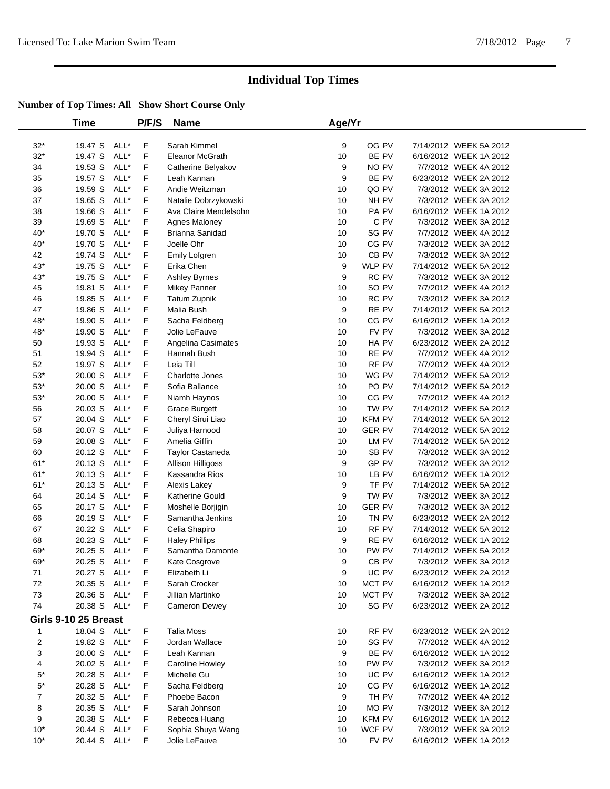|                | <b>Time</b>          |      | P/F/S | <b>Name</b>              | Age/Yr |                  |                        |
|----------------|----------------------|------|-------|--------------------------|--------|------------------|------------------------|
| $32*$          | 19.47 S              | ALL* | F     | Sarah Kimmel             | 9      | OG PV            | 7/14/2012 WEEK 5A 2012 |
| $32*$          | 19.47 S              | ALL* | F     | <b>Eleanor McGrath</b>   | 10     | BE PV            | 6/16/2012 WEEK 1A 2012 |
| 34             | 19.53 S              | ALL* | F     | Catherine Belyakov       | 9      | NO PV            | 7/7/2012 WEEK 4A 2012  |
| 35             | 19.57 S              | ALL* | F     | Leah Kannan              | 9      | BE PV            | 6/23/2012 WEEK 2A 2012 |
| 36             | 19.59 S              | ALL* | F     | Andie Weitzman           | 10     | QO PV            | 7/3/2012 WEEK 3A 2012  |
| 37             | 19.65 S              | ALL* | F     | Natalie Dobrzykowski     | 10     | NH PV            | 7/3/2012 WEEK 3A 2012  |
| 38             | 19.66 S              | ALL* | F     | Ava Claire Mendelsohn    | 10     | PA PV            | 6/16/2012 WEEK 1A 2012 |
| 39             | 19.69 S              | ALL* | F     | Agnes Maloney            | 10     | C PV             | 7/3/2012 WEEK 3A 2012  |
| $40*$          | 19.70 S              | ALL* | F     | Brianna Sanidad          | 10     | SG PV            | 7/7/2012 WEEK 4A 2012  |
| $40^{\star}$   | 19.70 S              | ALL* | F     | Joelle Ohr               | 10     | CG PV            | 7/3/2012 WEEK 3A 2012  |
| 42             | 19.74 S              | ALL* | F     | Emily Lofgren            | 10     | CB PV            | 7/3/2012 WEEK 3A 2012  |
| $43*$          | 19.75 S              | ALL* | F     | Erika Chen               | 9      | WLP PV           | 7/14/2012 WEEK 5A 2012 |
| $43*$          | 19.75 S              | ALL* | F     | Ashley Byrnes            | 9      | RC PV            | 7/3/2012 WEEK 3A 2012  |
| 45             | 19.81 S              | ALL* | F     | Mikey Panner             | 10     | SO PV            | 7/7/2012 WEEK 4A 2012  |
| 46             | 19.85 S              | ALL* | F     | Tatum Zupnik             | 10     | RC PV            | 7/3/2012 WEEK 3A 2012  |
| 47             | 19.86 S              | ALL* | F     | Malia Bush               | 9      | RE PV            | 7/14/2012 WEEK 5A 2012 |
| 48*            | 19.90 S              | ALL* | F     | Sacha Feldberg           | 10     | CG PV            | 6/16/2012 WEEK 1A 2012 |
| $48*$          | 19.90 S              | ALL* | F     | Jolie LeFauve            | 10     | FV PV            | 7/3/2012 WEEK 3A 2012  |
| 50             | 19.93 S              | ALL* | F     | Angelina Casimates       | 10     | HA PV            | 6/23/2012 WEEK 2A 2012 |
| 51             | 19.94 S              | ALL* | F     | Hannah Bush              | 10     | RE PV            | 7/7/2012 WEEK 4A 2012  |
| 52             | 19.97 S              | ALL* | F     | Leia Till                | 10     | RF PV            | 7/7/2012 WEEK 4A 2012  |
| $53^{\ast}$    | 20.00 S              | ALL* | F     | Charlotte Jones          | 10     | WG PV            | 7/14/2012 WEEK 5A 2012 |
| $53^{\ast}$    | 20.00 S              | ALL* | F     | Sofia Ballance           | 10     | PO PV            | 7/14/2012 WEEK 5A 2012 |
| $53^{\ast}$    | 20.00 S              | ALL* | F     | Niamh Haynos             | 10     | CG PV            | 7/7/2012 WEEK 4A 2012  |
| 56             | 20.03 S              | ALL* | F     | <b>Grace Burgett</b>     | 10     | TW PV            | 7/14/2012 WEEK 5A 2012 |
| 57             | 20.04 S              | ALL* | F     | Cheryl Sirui Liao        | 10     | <b>KFM PV</b>    | 7/14/2012 WEEK 5A 2012 |
| 58             | 20.07 S              | ALL* | F     | Juliya Harnood           | 10     | <b>GER PV</b>    | 7/14/2012 WEEK 5A 2012 |
| 59             | 20.08 S              | ALL* | F     | Amelia Giffin            | 10     | LM PV            | 7/14/2012 WEEK 5A 2012 |
| 60             | 20.12 S              | ALL* | F     | Taylor Castaneda         | 10     | SB <sub>PV</sub> | 7/3/2012 WEEK 3A 2012  |
| $61*$          | 20.13 S              | ALL* | F     | <b>Allison Hilligoss</b> | 9      | GP PV            | 7/3/2012 WEEK 3A 2012  |
| $61*$          | 20.13 S              | ALL* | F     | Kassandra Rios           | 10     | LB PV            | 6/16/2012 WEEK 1A 2012 |
| $61*$          | 20.13 S              | ALL* | F     | Alexis Lakey             | 9      | TF PV            | 7/14/2012 WEEK 5A 2012 |
| 64             | 20.14 S              | ALL* | F     | Katherine Gould          | 9      | TW PV            | 7/3/2012 WEEK 3A 2012  |
| 65             | 20.17 S              | ALL* | F     | Moshelle Borjigin        | 10     | <b>GER PV</b>    | 7/3/2012 WEEK 3A 2012  |
| 66             | 20.19 S              | ALL* | F     | Samantha Jenkins         | 10     | TN PV            | 6/23/2012 WEEK 2A 2012 |
| 67             | 20.22 S              | ALL* | F     | Celia Shapiro            | 10     | RF PV            | 7/14/2012 WEEK 5A 2012 |
| 68             | 20.23 S              | ALL* | F     | <b>Haley Phillips</b>    | 9      | RE PV            | 6/16/2012 WEEK 1A 2012 |
| 69*            | 20.25 S              | ALL* | F     | Samantha Damonte         | 10     | PW PV            | 7/14/2012 WEEK 5A 2012 |
| 69*            | 20.25 S              | ALL* | F     | Kate Cosgrove            | 9      | CB <sub>PV</sub> | 7/3/2012 WEEK 3A 2012  |
| 71             | 20.27 S ALL*         |      | F     | Elizabeth Li             | 9      | UC PV            | 6/23/2012 WEEK 2A 2012 |
| 72             | 20.35 S              | ALL* | F     | Sarah Crocker            | 10     | MCT PV           | 6/16/2012 WEEK 1A 2012 |
| 73             | 20.36 S              | ALL* | F     | Jillian Martinko         | 10     | MCT PV           | 7/3/2012 WEEK 3A 2012  |
| 74             | 20.38 S              | ALL* | F     | Cameron Dewey            | 10     | SG PV            | 6/23/2012 WEEK 2A 2012 |
|                | Girls 9-10 25 Breast |      |       |                          |        |                  |                        |
| $\mathbf{1}$   | 18.04 S ALL*         |      | F     | <b>Talia Moss</b>        | 10     | RF PV            | 6/23/2012 WEEK 2A 2012 |
| $\overline{2}$ | 19.82 S              | ALL* | F     | Jordan Wallace           | 10     | SG PV            | 7/7/2012 WEEK 4A 2012  |
| 3              | 20.00 S              | ALL* | F     | Leah Kannan              | 9      | BE PV            | 6/16/2012 WEEK 1A 2012 |
| 4              | 20.02 S              | ALL* | F     | Caroline Howley          | 10     | PW PV            | 7/3/2012 WEEK 3A 2012  |
| $5^*$          | 20.28 S              | ALL* | F     | Michelle Gu              | 10     | UC PV            | 6/16/2012 WEEK 1A 2012 |
| $5^\star$      | 20.28 S              | ALL* | F     | Sacha Feldberg           | 10     | CG PV            | 6/16/2012 WEEK 1A 2012 |
| 7              | 20.32 S              | ALL* | F     | Phoebe Bacon             | 9      | TH PV            | 7/7/2012 WEEK 4A 2012  |
| 8              | 20.35 S              | ALL* | F     | Sarah Johnson            | 10     | MO PV            | 7/3/2012 WEEK 3A 2012  |
| 9              | 20.38 S              | ALL* | F     | Rebecca Huang            | 10     | <b>KFM PV</b>    | 6/16/2012 WEEK 1A 2012 |
| $10*$          | 20.44 S              | ALL* | F     | Sophia Shuya Wang        | 10     | WCF PV           | 7/3/2012 WEEK 3A 2012  |
| $10*$          | 20.44 S              | ALL* | F.    | Jolie LeFauve            | 10     | FV PV            | 6/16/2012 WEEK 1A 2012 |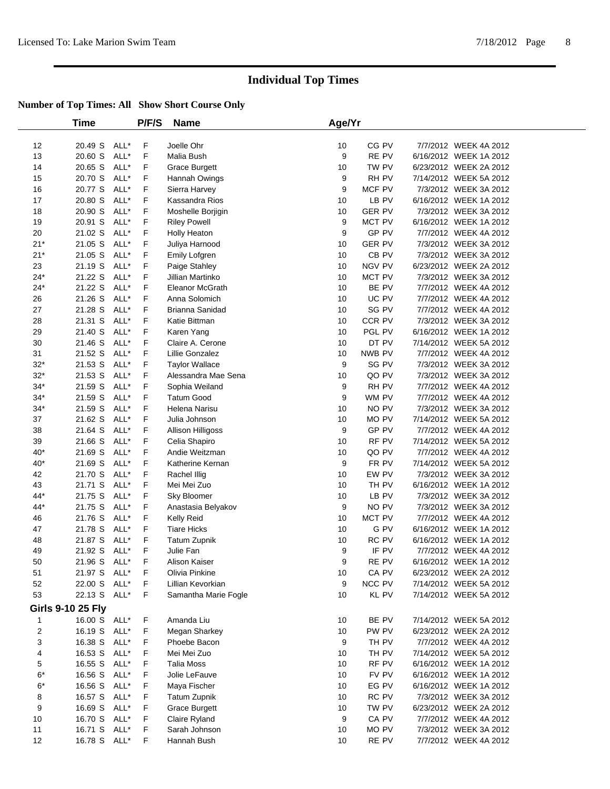|          | Time                     |              | P/F/S       | <b>Name</b>                     | Age/Yr  |                  |                                                 |
|----------|--------------------------|--------------|-------------|---------------------------------|---------|------------------|-------------------------------------------------|
| 12       | 20.49 S                  | ALL*         | F           | Joelle Ohr                      | 10      | CG PV            | 7/7/2012 WEEK 4A 2012                           |
| 13       | 20.60 S                  | ALL*         | F           | Malia Bush                      | 9       | RE PV            | 6/16/2012 WEEK 1A 2012                          |
| 14       | 20.65 S                  | ALL*         | F           | <b>Grace Burgett</b>            | 10      | TW PV            | 6/23/2012 WEEK 2A 2012                          |
| 15       | 20.70 S                  | ALL*         | F           | Hannah Owings                   | 9       | RH PV            | 7/14/2012 WEEK 5A 2012                          |
| 16       | 20.77 S                  | ALL*         | F           | Sierra Harvey                   | 9       | MCF PV           | 7/3/2012 WEEK 3A 2012                           |
| 17       | 20.80 S                  | ALL*         | F           | Kassandra Rios                  | 10      | LB PV            | 6/16/2012 WEEK 1A 2012                          |
| 18       | 20.90 S                  | ALL*         | F           | Moshelle Borjigin               | 10      | <b>GER PV</b>    | 7/3/2012 WEEK 3A 2012                           |
| 19       | 20.91 S                  | ALL*         | F           | <b>Riley Powell</b>             | 9       | MCT PV           | 6/16/2012 WEEK 1A 2012                          |
| 20       | 21.02 S                  | ALL*         | F           | Holly Heaton                    | 9       | GP PV            | 7/7/2012 WEEK 4A 2012                           |
| $21*$    | 21.05 S                  | ALL*         | F           | Juliya Harnood                  | 10      | <b>GER PV</b>    | 7/3/2012 WEEK 3A 2012                           |
| $21*$    | 21.05 S                  | ALL*         | F           | Emily Lofgren                   | 10      | CB <sub>PV</sub> | 7/3/2012 WEEK 3A 2012                           |
| 23       | 21.19 S                  | ALL*         | F           | Paige Stahley                   | 10      | <b>NGV PV</b>    | 6/23/2012 WEEK 2A 2012                          |
| $24*$    | 21.22 S                  | ALL*         | F           | Jillian Martinko                | 10      | MCT PV           | 7/3/2012 WEEK 3A 2012                           |
| $24*$    | 21.22 S                  | ALL*         | F           | Eleanor McGrath                 | 10      | BE PV            | 7/7/2012 WEEK 4A 2012                           |
| 26       | 21.26 S                  | ALL*         | F           | Anna Solomich                   | 10      | UC PV            | 7/7/2012 WEEK 4A 2012                           |
| 27       | 21.28 S                  | ALL*         | F           | Brianna Sanidad                 | 10      | SG PV            | 7/7/2012 WEEK 4A 2012                           |
| 28       | 21.31 S                  | ALL*         | F           | Katie Bittman                   | 10      | CCR PV           | 7/3/2012 WEEK 3A 2012                           |
| 29       | 21.40 S                  | ALL*         | F           | Karen Yang                      | 10      | PGL PV           | 6/16/2012 WEEK 1A 2012                          |
| 30       | 21.46 S                  | ALL*         | F           | Claire A. Cerone                | 10      | DT PV            | 7/14/2012 WEEK 5A 2012                          |
| 31       | 21.52 S                  | ALL*         | F           | <b>Lillie Gonzalez</b>          | 10      | NWB PV           | 7/7/2012 WEEK 4A 2012                           |
| $32*$    | 21.53 S                  | ALL*         | F           | <b>Taylor Wallace</b>           | 9       | SG PV            | 7/3/2012 WEEK 3A 2012                           |
| $32*$    | 21.53 S                  | ALL*         | F           | Alessandra Mae Sena             | 10      | QO PV            | 7/3/2012 WEEK 3A 2012                           |
| $34*$    | 21.59 S                  | ALL*         | F           | Sophia Weiland                  | 9       | RH PV            | 7/7/2012 WEEK 4A 2012                           |
| $34*$    | 21.59 S                  | ALL*         | F           | <b>Tatum Good</b>               | 9       | WM PV            | 7/7/2012 WEEK 4A 2012                           |
| $34*$    | 21.59 S                  | ALL*         | F           | Helena Narisu                   | 10      | NO PV            | 7/3/2012 WEEK 3A 2012                           |
| 37       | 21.62 S                  | ALL*         | F           | Julia Johnson                   | 10      | MO PV            | 7/14/2012 WEEK 5A 2012                          |
| 38       | 21.64 S                  | ALL*         | F           | Allison Hilligoss               | 9       | GP PV            | 7/7/2012 WEEK 4A 2012                           |
| 39       | 21.66 S                  | ALL*         | F           | Celia Shapiro                   | 10      | RF PV            | 7/14/2012 WEEK 5A 2012                          |
| $40*$    | 21.69 S                  | ALL*         | F           | Andie Weitzman                  | 10      | QO PV            | 7/7/2012 WEEK 4A 2012                           |
| $40*$    | 21.69 S                  | ALL*         | F           | Katherine Kernan                | 9       | FR PV            | 7/14/2012 WEEK 5A 2012                          |
| 42       | 21.70 S                  | ALL*         | F           | Rachel Illig                    | 10      | EW PV            | 7/3/2012 WEEK 3A 2012                           |
| 43       | 21.71 S                  | ALL*         | F           | Mei Mei Zuo                     | 10      | TH PV            | 6/16/2012 WEEK 1A 2012                          |
| $44*$    | 21.75 S                  | ALL*         | F           | Sky Bloomer                     | 10      | LB PV            | 7/3/2012 WEEK 3A 2012                           |
| 44*      | 21.75 S                  | ALL*         | F           | Anastasia Belyakov              | 9       | NO PV            | 7/3/2012 WEEK 3A 2012                           |
| 46       | 21.76 S                  | ALL*         | F           | Kelly Reid                      | 10      | MCT PV           | 7/7/2012 WEEK 4A 2012                           |
| 47       | 21.78 S                  | ALL*         | F           | <b>Tiare Hicks</b>              | 10      | G PV             | 6/16/2012 WEEK 1A 2012                          |
| 48       | 21.87 S                  | ALL*         | F           | <b>Tatum Zupnik</b>             | 10      | RC PV            | 6/16/2012 WEEK 1A 2012                          |
| 49       | 21.92 S                  | ALL*<br>ALL* | F<br>F      | Julie Fan                       | 9<br>9  | IF PV<br>RE PV   | 7/7/2012 WEEK 4A 2012<br>6/16/2012 WEEK 1A 2012 |
| 50<br>51 | 21.96 S<br>21.97 S ALL*  |              | F           | Alison Kaiser<br>Olivia Pinkine |         | CA PV            | 6/23/2012 WEEK 2A 2012                          |
| 52       | 22.00 S                  | ALL*         | $\mathsf F$ | Lillian Kevorkian               | 10<br>9 | NCC PV           | 7/14/2012 WEEK 5A 2012                          |
| 53       | 22.13 S                  | ALL*         | F           | Samantha Marie Fogle            | 10      | KL PV            | 7/14/2012 WEEK 5A 2012                          |
|          | <b>Girls 9-10 25 Fly</b> |              |             |                                 |         |                  |                                                 |
| 1        | 16.00 S ALL*             |              | F           | Amanda Liu                      | 10      | BE PV            | 7/14/2012 WEEK 5A 2012                          |
| 2        | 16.19 S                  | ALL*         | F           | Megan Sharkey                   | 10      | PW PV            | 6/23/2012 WEEK 2A 2012                          |
| 3        | 16.38 S                  | ALL*         | F           | Phoebe Bacon                    | 9       | TH PV            | 7/7/2012 WEEK 4A 2012                           |
| 4        | 16.53 S                  | ALL*         | F           | Mei Mei Zuo                     | 10      | TH PV            | 7/14/2012 WEEK 5A 2012                          |
| 5        | 16.55 S                  | ALL*         | F           | <b>Talia Moss</b>               | 10      | RF PV            | 6/16/2012 WEEK 1A 2012                          |
| $6*$     | 16.56 S                  | ALL*         | F           | Jolie LeFauve                   | 10      | FV PV            | 6/16/2012 WEEK 1A 2012                          |
| $6*$     | 16.56 S                  | ALL*         | F           | Maya Fischer                    | 10      | EG PV            | 6/16/2012 WEEK 1A 2012                          |
| 8        | 16.57 S                  | ALL*         | F           | <b>Tatum Zupnik</b>             | 10      | RC PV            | 7/3/2012 WEEK 3A 2012                           |
| 9        | 16.69 S                  | ALL*         | F           | <b>Grace Burgett</b>            | 10      | TW PV            | 6/23/2012 WEEK 2A 2012                          |
| 10       | 16.70 S                  | ALL*         | F           | Claire Ryland                   | 9       | CA PV            | 7/7/2012 WEEK 4A 2012                           |
| 11       | 16.71 S                  | ALL*         | F           | Sarah Johnson                   | 10      | MO PV            | 7/3/2012 WEEK 3A 2012                           |
| 12       | 16.78 S                  | ALL*         | F           | Hannah Bush                     | 10      | RE PV            | 7/7/2012 WEEK 4A 2012                           |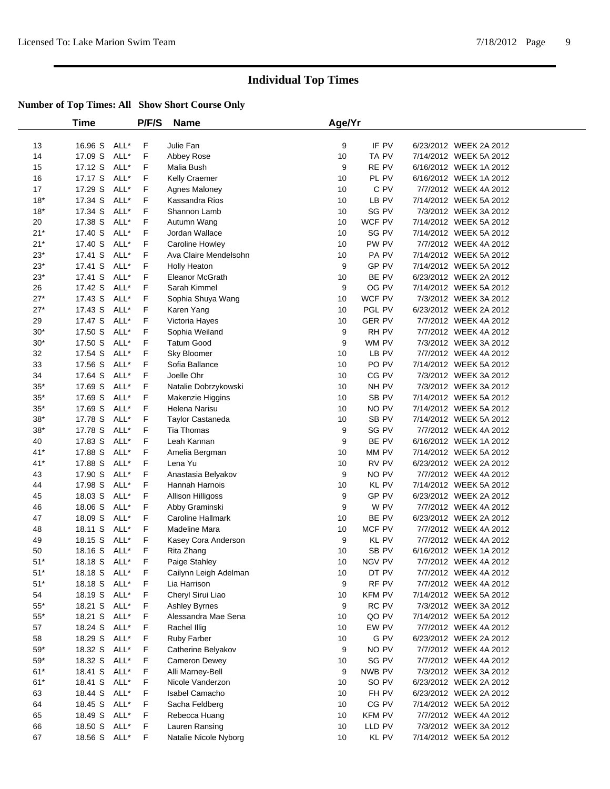|             | Time         |      | P/F/S | <b>Name</b>             | Age/Yr |                  |                        |  |
|-------------|--------------|------|-------|-------------------------|--------|------------------|------------------------|--|
| 13          | 16.96 S      | ALL* | F     | Julie Fan               | 9      | IF PV            | 6/23/2012 WEEK 2A 2012 |  |
| 14          | 17.09 S      | ALL* | F     | Abbey Rose              | 10     | TA PV            | 7/14/2012 WEEK 5A 2012 |  |
| 15          | 17.12 S      | ALL* | F     | Malia Bush              | 9      | RE PV            | 6/16/2012 WEEK 1A 2012 |  |
| 16          | 17.17 S      | ALL* | F     | Kelly Craemer           | 10     | PL PV            | 6/16/2012 WEEK 1A 2012 |  |
| 17          | 17.29 S      | ALL* | F     | Agnes Maloney           | 10     | C PV             | 7/7/2012 WEEK 4A 2012  |  |
| $18*$       | 17.34 S      | ALL* | F     | Kassandra Rios          | 10     | LB PV            | 7/14/2012 WEEK 5A 2012 |  |
| $18*$       | 17.34 S      | ALL* | F     | Shannon Lamb            | 10     | SG PV            | 7/3/2012 WEEK 3A 2012  |  |
| 20          | 17.38 S      | ALL* | F     | Autumn Wang             | 10     | WCF PV           | 7/14/2012 WEEK 5A 2012 |  |
| $21*$       | 17.40 S      | ALL* | F     | Jordan Wallace          | 10     | SG PV            | 7/14/2012 WEEK 5A 2012 |  |
| $21*$       | 17.40 S      | ALL* | F     | Caroline Howley         | 10     | PW PV            | 7/7/2012 WEEK 4A 2012  |  |
| $23*$       | 17.41 S      | ALL* | F     | Ava Claire Mendelsohn   | 10     | PA PV            | 7/14/2012 WEEK 5A 2012 |  |
| $23*$       | 17.41 S      | ALL* | F     | Holly Heaton            | 9      | GP PV            | 7/14/2012 WEEK 5A 2012 |  |
| $23*$       | 17.41 S      | ALL* | F     | Eleanor McGrath         | 10     | BE PV            | 6/23/2012 WEEK 2A 2012 |  |
| 26          | 17.42 S      | ALL* | F     | Sarah Kimmel            | 9      | OG PV            | 7/14/2012 WEEK 5A 2012 |  |
| $27*$       | 17.43 S      | ALL* | F     | Sophia Shuya Wang       | 10     | WCF PV           | 7/3/2012 WEEK 3A 2012  |  |
| $27*$       | 17.43 S      | ALL* | F     | Karen Yang              | 10     | PGL PV           | 6/23/2012 WEEK 2A 2012 |  |
| 29          | 17.47 S      | ALL* | F     | Victoria Hayes          | 10     | <b>GER PV</b>    | 7/7/2012 WEEK 4A 2012  |  |
| $30*$       | 17.50 S      | ALL* | F     | Sophia Weiland          | 9      | RH PV            | 7/7/2012 WEEK 4A 2012  |  |
| $30*$       | 17.50 S      | ALL* | F     | <b>Tatum Good</b>       | 9      | WM PV            | 7/3/2012 WEEK 3A 2012  |  |
| 32          | 17.54 S      | ALL* | F     | Sky Bloomer             | 10     | LB PV            | 7/7/2012 WEEK 4A 2012  |  |
| 33          | 17.56 S      | ALL* | F     | Sofia Ballance          | 10     | PO PV            | 7/14/2012 WEEK 5A 2012 |  |
| 34          | 17.64 S      | ALL* | F     | Joelle Ohr              | 10     | CG PV            | 7/3/2012 WEEK 3A 2012  |  |
| $35*$       | 17.69 S      | ALL* | F     | Natalie Dobrzykowski    | 10     | NH PV            | 7/3/2012 WEEK 3A 2012  |  |
| $35*$       | 17.69 S      | ALL* | F     | Makenzie Higgins        | 10     | SB PV            | 7/14/2012 WEEK 5A 2012 |  |
| $35^{\ast}$ | 17.69 S      | ALL* | F     | Helena Narisu           | 10     | NO PV            | 7/14/2012 WEEK 5A 2012 |  |
| $38*$       | 17.78 S      | ALL* | F     | <b>Taylor Castaneda</b> | 10     | SB PV            | 7/14/2012 WEEK 5A 2012 |  |
| $38^{\ast}$ | 17.78 S      | ALL* | F     | <b>Tia Thomas</b>       | 9      | SG PV            | 7/7/2012 WEEK 4A 2012  |  |
| 40          | 17.83 S      | ALL* | F     | Leah Kannan             | 9      | BE PV            | 6/16/2012 WEEK 1A 2012 |  |
| $41*$       | 17.88 S      | ALL* | F     | Amelia Bergman          | 10     | MM PV            | 7/14/2012 WEEK 5A 2012 |  |
| $41*$       | 17.88 S      | ALL* | F     | Lena Yu                 | 10     | RV PV            | 6/23/2012 WEEK 2A 2012 |  |
| 43          | 17.90 S      | ALL* | F     | Anastasia Belyakov      | 9      | NO PV            | 7/7/2012 WEEK 4A 2012  |  |
| 44          | 17.98 S      | ALL* | F     | Hannah Harnois          | 10     | KL PV            | 7/14/2012 WEEK 5A 2012 |  |
| 45          | 18.03 S      | ALL* | F     | Allison Hilligoss       | 9      | GP PV            | 6/23/2012 WEEK 2A 2012 |  |
| 46          | 18.06 S      | ALL* | F     | Abby Graminski          | 9      | W PV             | 7/7/2012 WEEK 4A 2012  |  |
| 47          | 18.09 S      | ALL* | F     | Caroline Hallmark       | 10     | BE PV            | 6/23/2012 WEEK 2A 2012 |  |
| 48          | 18.11 S      | ALL* | F     | Madeline Mara           | 10     | MCF PV           | 7/7/2012 WEEK 4A 2012  |  |
| 49          | 18.15 S      | ALL* | F     | Kasey Cora Anderson     | 9      | KL PV            | 7/7/2012 WEEK 4A 2012  |  |
| 50          | 18.16 S      | ALL* | F     | Rita Zhang              | 10     | SB <sub>PV</sub> | 6/16/2012 WEEK 1A 2012 |  |
| $51*$       | 18.18 S      | ALL* | F     | Paige Stahley           | 10     | NGV PV           | 7/7/2012 WEEK 4A 2012  |  |
| $51*$       | 18.18 S ALL* |      | F     | Cailynn Leigh Adelman   | 10     | DT PV            | 7/7/2012 WEEK 4A 2012  |  |
| $51*$       | 18.18 S      | ALL* | F     | Lia Harrison            | 9      | RF PV            | 7/7/2012 WEEK 4A 2012  |  |
| 54          | 18.19 S      | ALL* | F     | Cheryl Sirui Liao       | 10     | <b>KFM PV</b>    | 7/14/2012 WEEK 5A 2012 |  |
| $55^{\ast}$ | 18.21 S      | ALL* | F     | Ashley Byrnes           | 9      | RC PV            | 7/3/2012 WEEK 3A 2012  |  |
| $55^{\ast}$ | 18.21 S      | ALL* | F     | Alessandra Mae Sena     | 10     | QO PV            | 7/14/2012 WEEK 5A 2012 |  |
| 57          | 18.24 S      | ALL* | F     | Rachel Illig            | 10     | EW PV            | 7/7/2012 WEEK 4A 2012  |  |
| 58          | 18.29 S      | ALL* | F     | <b>Ruby Farber</b>      | 10     | G PV             | 6/23/2012 WEEK 2A 2012 |  |
| $59^{\ast}$ | 18.32 S      | ALL* | F     | Catherine Belyakov      | 9      | NO PV            | 7/7/2012 WEEK 4A 2012  |  |
| $59^{\ast}$ | 18.32 S      | ALL* | F     | Cameron Dewey           | 10     | SG PV            | 7/7/2012 WEEK 4A 2012  |  |
| $61*$       | 18.41 S      | ALL* | F     | Alli Marney-Bell        | 9      | NWB PV           | 7/3/2012 WEEK 3A 2012  |  |
| $61*$       | 18.41 S      | ALL* | F     | Nicole Vanderzon        | 10     | SO PV            | 6/23/2012 WEEK 2A 2012 |  |
| 63          | 18.44 S      | ALL* | F     | Isabel Camacho          | 10     | FH PV            | 6/23/2012 WEEK 2A 2012 |  |
| 64          | 18.45 S      | ALL* | F     | Sacha Feldberg          | 10     | CG PV            | 7/14/2012 WEEK 5A 2012 |  |
| 65          | 18.49 S      | ALL* | F     | Rebecca Huang           | 10     | <b>KFM PV</b>    | 7/7/2012 WEEK 4A 2012  |  |
| 66          | 18.50 S      | ALL* | F     | Lauren Ransing          | 10     | LLD PV           | 7/3/2012 WEEK 3A 2012  |  |
| 67          | 18.56 S      | ALL* | F     | Natalie Nicole Nyborg   | 10     | KL PV            | 7/14/2012 WEEK 5A 2012 |  |
|             |              |      |       |                         |        |                  |                        |  |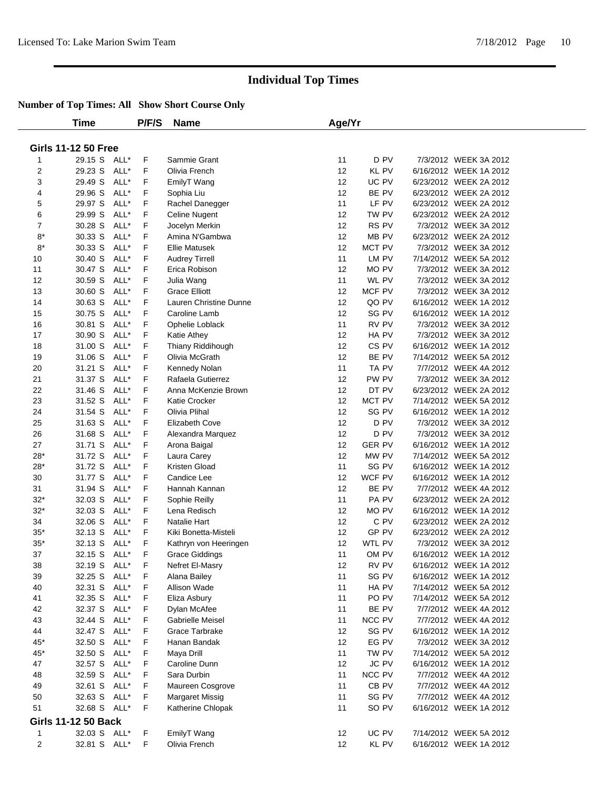|        | Time                       |      | P/F/S   | <b>Name</b>                  | Age/Yr |                  |  |                        |  |  |  |  |
|--------|----------------------------|------|---------|------------------------------|--------|------------------|--|------------------------|--|--|--|--|
|        |                            |      |         |                              |        |                  |  |                        |  |  |  |  |
|        | <b>Girls 11-12 50 Free</b> |      |         |                              |        |                  |  |                        |  |  |  |  |
| 1      | 29.15 S ALL*               |      | F       | Sammie Grant                 | 11     | D PV             |  | 7/3/2012 WEEK 3A 2012  |  |  |  |  |
| 2      | 29.23 S                    | ALL* | F       | Olivia French                | 12     | <b>KL PV</b>     |  | 6/16/2012 WEEK 1A 2012 |  |  |  |  |
| 3      | 29.49 S                    | ALL* | F       | EmilyT Wang                  | 12     | UC PV            |  | 6/23/2012 WEEK 2A 2012 |  |  |  |  |
| 4      | 29.96 S                    | ALL* | F       | Sophia Liu                   | 12     | BE PV            |  | 6/23/2012 WEEK 2A 2012 |  |  |  |  |
| 5      | 29.97 S                    | ALL* | F       | Rachel Danegger              | 11     | LF PV            |  | 6/23/2012 WEEK 2A 2012 |  |  |  |  |
| 6      | 29.99 S                    | ALL* | F       | Celine Nugent                | 12     | TW PV            |  | 6/23/2012 WEEK 2A 2012 |  |  |  |  |
| 7      | 30.28 S                    | ALL* | F       | Jocelyn Merkin               | 12     | RS PV            |  | 7/3/2012 WEEK 3A 2012  |  |  |  |  |
| $8*$   | 30.33 S                    | ALL* | F       | Amina N'Gambwa               | 12     | MB PV            |  | 6/23/2012 WEEK 2A 2012 |  |  |  |  |
| $8*$   | 30.33 S                    | ALL* | F       | <b>Ellie Matusek</b>         | 12     | MCT PV           |  | 7/3/2012 WEEK 3A 2012  |  |  |  |  |
| 10     | 30.40 S                    | ALL* | F       | <b>Audrey Tirrell</b>        | 11     | LM PV            |  | 7/14/2012 WEEK 5A 2012 |  |  |  |  |
| 11     | 30.47 S                    | ALL* | F       | Erica Robison                | 12     | MO PV            |  | 7/3/2012 WEEK 3A 2012  |  |  |  |  |
| 12     | 30.59 S                    | ALL* | F       | Julia Wang                   | 11     | WL PV            |  | 7/3/2012 WEEK 3A 2012  |  |  |  |  |
| 13     | 30.60 S                    | ALL* | F       | <b>Grace Elliott</b>         | 12     | MCF PV           |  | 7/3/2012 WEEK 3A 2012  |  |  |  |  |
| 14     | 30.63 S                    | ALL* | F       | Lauren Christine Dunne       | 12     | QO PV            |  | 6/16/2012 WEEK 1A 2012 |  |  |  |  |
| 15     | 30.75 S                    | ALL* | F       | Caroline Lamb                | 12     | SG PV            |  | 6/16/2012 WEEK 1A 2012 |  |  |  |  |
| 16     | 30.81 S                    | ALL* | F       | Ophelie Loblack              | 11     | RV PV            |  | 7/3/2012 WEEK 3A 2012  |  |  |  |  |
| 17     | 30.90 S                    | ALL* | F       | <b>Katie Athey</b>           | 12     | HA PV            |  | 7/3/2012 WEEK 3A 2012  |  |  |  |  |
| 18     | 31.00 S                    | ALL* | F       | Thiany Riddihough            | 12     | CS PV            |  | 6/16/2012 WEEK 1A 2012 |  |  |  |  |
| 19     | 31.06 S                    | ALL* | F       | Olivia McGrath               | 12     | BE PV            |  | 7/14/2012 WEEK 5A 2012 |  |  |  |  |
| 20     | 31.21 S                    | ALL* | F       | Kennedy Nolan                | 11     | TA PV            |  | 7/7/2012 WEEK 4A 2012  |  |  |  |  |
| 21     | 31.37 S                    | ALL* | F       | Rafaela Gutierrez            | 12     | PW PV            |  | 7/3/2012 WEEK 3A 2012  |  |  |  |  |
| 22     | 31.46 S                    | ALL* | F       | Anna McKenzie Brown          | 12     | DT PV            |  | 6/23/2012 WEEK 2A 2012 |  |  |  |  |
| 23     | 31.52 S                    | ALL* | F       | Katie Crocker                | 12     | MCT PV           |  | 7/14/2012 WEEK 5A 2012 |  |  |  |  |
| 24     | 31.54 S                    | ALL* | F       | Olivia Plihal                | 12     | SG PV            |  | 6/16/2012 WEEK 1A 2012 |  |  |  |  |
| 25     | 31.63 S                    | ALL* | F       | Elizabeth Cove               | 12     | D PV             |  | 7/3/2012 WEEK 3A 2012  |  |  |  |  |
| 26     | 31.68 S                    | ALL* | F       | Alexandra Marquez            | 12     | D PV             |  | 7/3/2012 WEEK 3A 2012  |  |  |  |  |
| 27     | 31.71 S                    | ALL* | F       | Arona Baigal                 | 12     | <b>GER PV</b>    |  | 6/16/2012 WEEK 1A 2012 |  |  |  |  |
| $28*$  | 31.72 S                    | ALL* | F       | Laura Carey                  | 12     | MW PV            |  | 7/14/2012 WEEK 5A 2012 |  |  |  |  |
| $28*$  | 31.72 S                    | ALL* | F       | Kristen Gload                | 11     | SG PV            |  | 6/16/2012 WEEK 1A 2012 |  |  |  |  |
| 30     | 31.77 S                    | ALL* | F       | Candice Lee                  | 12     | WCF PV           |  | 6/16/2012 WEEK 1A 2012 |  |  |  |  |
| 31     | 31.94 S                    | ALL* | F       | Hannah Kannan                | 12     | BE PV            |  | 7/7/2012 WEEK 4A 2012  |  |  |  |  |
| $32*$  | 32.03 S                    | ALL* | F       | Sophie Reilly                | 11     | PA PV            |  | 6/23/2012 WEEK 2A 2012 |  |  |  |  |
| $32*$  | 32.03 S                    | ALL* | F       | Lena Redisch                 | 12     | MO PV            |  | 6/16/2012 WEEK 1A 2012 |  |  |  |  |
| 34     | 32.06 S                    | ALL* | F       | Natalie Hart                 | 12     | C PV             |  | 6/23/2012 WEEK 2A 2012 |  |  |  |  |
| $35*$  | 32.13 S                    | ALL* | F       | Kiki Bonetta-Misteli         | 12     | GP PV            |  | 6/23/2012 WEEK 2A 2012 |  |  |  |  |
| $35*$  | 32.13 S                    | ALL* | F       | Kathryn von Heeringen        | 12     | WTL PV           |  | 7/3/2012 WEEK 3A 2012  |  |  |  |  |
| 37     | 32.15 S                    | ALL* | F       | Grace Giddings               | 11     | OM PV            |  | 6/16/2012 WEEK 1A 2012 |  |  |  |  |
| 38     | 32.19 S ALL*               |      | F       | Nefret El-Masry              | 12     | RV PV            |  | 6/16/2012 WEEK 1A 2012 |  |  |  |  |
| 39     | 32.25 S ALL*               |      | F       | Alana Bailey                 | 11     | SG PV            |  | 6/16/2012 WEEK 1A 2012 |  |  |  |  |
| 40     | 32.31 S ALL*               |      | F       | Allison Wade                 | 11     | HA PV            |  | 7/14/2012 WEEK 5A 2012 |  |  |  |  |
| 41     | 32.35 S                    | ALL* | F       | Eliza Asbury                 | 11     | PO PV            |  | 7/14/2012 WEEK 5A 2012 |  |  |  |  |
| 42     | 32.37 S                    | ALL* | F       | Dylan McAfee                 | 11     | BE PV            |  | 7/7/2012 WEEK 4A 2012  |  |  |  |  |
| 43     | 32.44 S                    | ALL* | F       | Gabrielle Meisel             | 11     | NCC PV           |  | 7/7/2012 WEEK 4A 2012  |  |  |  |  |
| 44     | 32.47 S ALL*               |      | F       | Grace Tarbrake               | 12     | SG PV            |  | 6/16/2012 WEEK 1A 2012 |  |  |  |  |
| $45*$  | 32.50 S                    | ALL* | F       | Hanan Bandak                 | 12     | EG PV            |  | 7/3/2012 WEEK 3A 2012  |  |  |  |  |
| 45*    | 32.50 S                    | ALL* | F       | Maya Drill                   | 11     | TW PV            |  | 7/14/2012 WEEK 5A 2012 |  |  |  |  |
| 47     | 32.57 S                    | ALL* | F       | Caroline Dunn                | 12     | <b>JC PV</b>     |  | 6/16/2012 WEEK 1A 2012 |  |  |  |  |
| 48     | 32.59 S                    | ALL* | F       | Sara Durbin                  | 11     | NCC PV           |  | 7/7/2012 WEEK 4A 2012  |  |  |  |  |
| 49     | 32.61 S                    | ALL* | F       | Maureen Cosgrove             | 11     | CB <sub>PV</sub> |  | 7/7/2012 WEEK 4A 2012  |  |  |  |  |
| 50     | 32.63 S ALL*               |      | F       | <b>Margaret Missig</b>       | 11     | SG PV            |  | 7/7/2012 WEEK 4A 2012  |  |  |  |  |
| 51     | 32.68 S ALL*               |      | F       | Katherine Chlopak            | 11     | SO PV            |  | 6/16/2012 WEEK 1A 2012 |  |  |  |  |
|        | <b>Girls 11-12 50 Back</b> |      |         |                              |        |                  |  |                        |  |  |  |  |
|        | 32.03 S ALL*               |      |         |                              | 12     | UC PV            |  | 7/14/2012 WEEK 5A 2012 |  |  |  |  |
| 1<br>2 | 32.81 S ALL*               |      | F<br>F. | EmilyT Wang<br>Olivia French | 12     | KL PV            |  | 6/16/2012 WEEK 1A 2012 |  |  |  |  |
|        |                            |      |         |                              |        |                  |  |                        |  |  |  |  |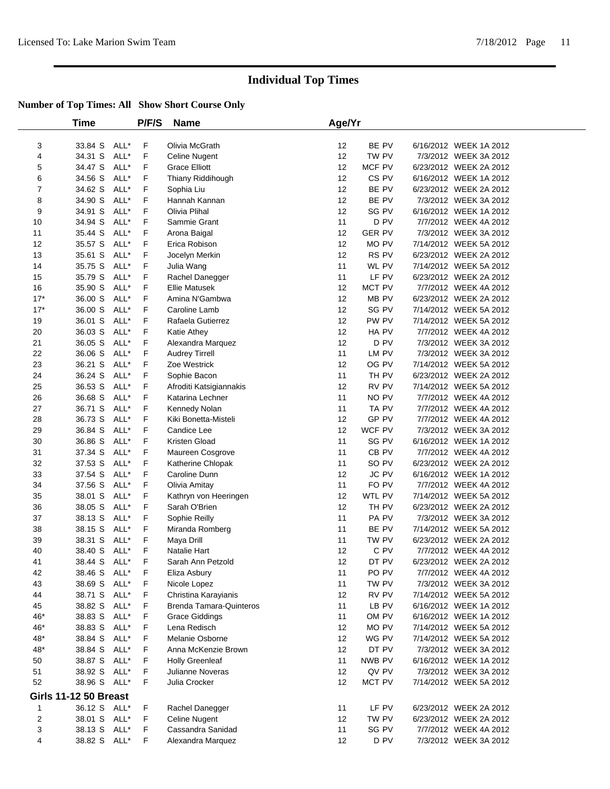|                              | Time         |      | P/F/S | <b>Name</b>                    | Age/Yr |                |                        |  |
|------------------------------|--------------|------|-------|--------------------------------|--------|----------------|------------------------|--|
|                              |              |      |       |                                |        |                |                        |  |
| 3                            | 33.84 S      | ALL* | F     | Olivia McGrath                 | 12     | BE PV          | 6/16/2012 WEEK 1A 2012 |  |
| 4                            | 34.31 S      | ALL* | F     | Celine Nugent                  | 12     | TW PV          | 7/3/2012 WEEK 3A 2012  |  |
| 5                            | 34.47 S      | ALL* | F     | <b>Grace Elliott</b>           | 12     | MCF PV         | 6/23/2012 WEEK 2A 2012 |  |
| 6                            | 34.56 S      | ALL* | F     | Thiany Riddihough              | 12     | CS PV          | 6/16/2012 WEEK 1A 2012 |  |
| 7                            | 34.62 S      | ALL* | F     | Sophia Liu                     | 12     | BE PV          | 6/23/2012 WEEK 2A 2012 |  |
| 8                            | 34.90 S      | ALL* | F     | Hannah Kannan                  | 12     | BE PV          | 7/3/2012 WEEK 3A 2012  |  |
| 9                            | 34.91 S      | ALL* | F     | Olivia Plihal                  | 12     | SG PV          | 6/16/2012 WEEK 1A 2012 |  |
| 10                           | 34.94 S      | ALL* | F     | Sammie Grant                   | 11     | D PV           | 7/7/2012 WEEK 4A 2012  |  |
| 11                           | 35.44 S      | ALL* | F     | Arona Baigal                   | 12     | <b>GER PV</b>  | 7/3/2012 WEEK 3A 2012  |  |
| 12                           | 35.57 S      | ALL* | F     | Erica Robison                  | 12     | MO PV          | 7/14/2012 WEEK 5A 2012 |  |
| 13                           | 35.61 S      | ALL* | F     | Jocelyn Merkin                 | 12     | RS PV          | 6/23/2012 WEEK 2A 2012 |  |
| 14                           | 35.75 S      | ALL* | F     | Julia Wang                     | 11     | WL PV          | 7/14/2012 WEEK 5A 2012 |  |
| 15                           | 35.79 S      | ALL* | F     | Rachel Danegger                | 11     | LF PV          | 6/23/2012 WEEK 2A 2012 |  |
| 16                           | 35.90 S      | ALL* | F     | Ellie Matusek                  | 12     | MCT PV         | 7/7/2012 WEEK 4A 2012  |  |
| $17*$                        | 36.00 S      | ALL* | F     | Amina N'Gambwa                 | 12     | MB PV          | 6/23/2012 WEEK 2A 2012 |  |
| $17*$                        | 36.00 S      | ALL* | F     | Caroline Lamb                  | 12     | SG PV          | 7/14/2012 WEEK 5A 2012 |  |
| 19                           | 36.01 S      | ALL* | F     | Rafaela Gutierrez              | 12     | PW PV          | 7/14/2012 WEEK 5A 2012 |  |
| 20                           | 36.03 S      | ALL* | F     | Katie Athey                    | 12     | HA PV          | 7/7/2012 WEEK 4A 2012  |  |
| 21                           | 36.05 S      | ALL* | F     | Alexandra Marquez              | 12     | D PV           | 7/3/2012 WEEK 3A 2012  |  |
| 22                           | 36.06 S      | ALL* | F     | <b>Audrey Tirrell</b>          | 11     | LM PV          | 7/3/2012 WEEK 3A 2012  |  |
| 23                           | 36.21 S      | ALL* | F     | Zoe Westrick                   | 12     | OG PV          | 7/14/2012 WEEK 5A 2012 |  |
| 24                           | 36.24 S      | ALL* | F     | Sophie Bacon                   | 11     | TH PV          | 6/23/2012 WEEK 2A 2012 |  |
| 25                           | 36.53 S      | ALL* | F     | Afroditi Katsigiannakis        | 12     | RV PV          | 7/14/2012 WEEK 5A 2012 |  |
| 26                           | 36.68 S      | ALL* | F     | Katarina Lechner               | 11     | NO PV          | 7/7/2012 WEEK 4A 2012  |  |
| 27                           | 36.71 S      | ALL* | F     | Kennedy Nolan                  | 11     | TA PV          | 7/7/2012 WEEK 4A 2012  |  |
| 28                           | 36.73 S      | ALL* | F     | Kiki Bonetta-Misteli           | 12     | GP PV          | 7/7/2012 WEEK 4A 2012  |  |
| 29                           | 36.84 S      | ALL* | F     | Candice Lee                    | 12     | WCF PV         | 7/3/2012 WEEK 3A 2012  |  |
| 30                           | 36.86 S      | ALL* | F     | Kristen Gload                  | 11     | SG PV          | 6/16/2012 WEEK 1A 2012 |  |
| 31                           | 37.34 S      | ALL* | F     |                                | 11     | CB PV          | 7/7/2012 WEEK 4A 2012  |  |
|                              |              | ALL* | F     | Maureen Cosgrove               | 11     |                |                        |  |
| 32                           | 37.53 S      | ALL* | F     | Katherine Chlopak              |        | SO PV<br>JC PV | 6/23/2012 WEEK 2A 2012 |  |
| 33                           | 37.54 S      |      |       | Caroline Dunn                  | 12     |                | 6/16/2012 WEEK 1A 2012 |  |
| 34                           | 37.56 S      | ALL* | F     | Olivia Amitay                  | 11     | FO PV          | 7/7/2012 WEEK 4A 2012  |  |
| 35                           | 38.01 S      | ALL* | F     | Kathryn von Heeringen          | 12     | WTL PV         | 7/14/2012 WEEK 5A 2012 |  |
| 36                           | 38.05 S      | ALL* | F     | Sarah O'Brien                  | 12     | TH PV          | 6/23/2012 WEEK 2A 2012 |  |
| 37                           | 38.13 S      | ALL* | F     | Sophie Reilly                  | 11     | PA PV          | 7/3/2012 WEEK 3A 2012  |  |
| 38                           | 38.15 S      | ALL* | F     | Miranda Romberg                | 11     | BE PV          | 7/14/2012 WEEK 5A 2012 |  |
| 39                           | 38.31 S      | ALL* | F     | Maya Drill                     | 11     | TW PV          | 6/23/2012 WEEK 2A 2012 |  |
| 40                           | 38.40 S      | ALL* | F     | Natalie Hart                   | 12     | C PV           | 7/7/2012 WEEK 4A 2012  |  |
| 41                           | 38.44 S      | ALL* | F     | Sarah Ann Petzold              | 12     | DT PV          | 6/23/2012 WEEK 2A 2012 |  |
| 42                           | 38.46 S      | ALL* | F     | Eliza Asbury                   | 11     | PO PV          | 7/7/2012 WEEK 4A 2012  |  |
| 43                           | 38.69 S      | ALL* | F     | Nicole Lopez                   | 11     | TW PV          | 7/3/2012 WEEK 3A 2012  |  |
| 44                           | 38.71 S      | ALL* | F     | Christina Karayianis           | 12     | RV PV          | 7/14/2012 WEEK 5A 2012 |  |
| 45                           | 38.82 S      | ALL* | F     | <b>Brenda Tamara-Quinteros</b> | 11     | LB PV          | 6/16/2012 WEEK 1A 2012 |  |
| 46*                          | 38.83 S      | ALL* | F     | <b>Grace Giddings</b>          | 11     | OM PV          | 6/16/2012 WEEK 1A 2012 |  |
| 46*                          | 38.83 S      | ALL* | F     | Lena Redisch                   | 12     | MO PV          | 7/14/2012 WEEK 5A 2012 |  |
| 48*                          | 38.84 S      | ALL* | F     | Melanie Osborne                | 12     | WG PV          | 7/14/2012 WEEK 5A 2012 |  |
| 48*                          | 38.84 S      | ALL* | F     | Anna McKenzie Brown            | 12     | DT PV          | 7/3/2012 WEEK 3A 2012  |  |
| 50                           | 38.87 S      | ALL* | F     | <b>Holly Greenleaf</b>         | 11     | NWB PV         | 6/16/2012 WEEK 1A 2012 |  |
| 51                           | 38.92 S      | ALL* | F     | Julianne Noveras               | 12     | QV PV          | 7/3/2012 WEEK 3A 2012  |  |
| 52                           | 38.96 S ALL* |      | F     | Julia Crocker                  | 12     | MCT PV         | 7/14/2012 WEEK 5A 2012 |  |
| <b>Girls 11-12 50 Breast</b> |              |      |       |                                |        |                |                        |  |
| $\mathbf{1}$                 | 36.12 S ALL* |      | F.    | Rachel Danegger                | 11     | LF PV          | 6/23/2012 WEEK 2A 2012 |  |
| 2                            | 38.01 S      | ALL* | F     | <b>Celine Nugent</b>           | 12     | TW PV          | 6/23/2012 WEEK 2A 2012 |  |
| 3                            | 38.13 S      | ALL* | F     | Cassandra Sanidad              | 11     | SG PV          | 7/7/2012 WEEK 4A 2012  |  |
| 4                            | 38.82 S ALL* |      | F     | Alexandra Marquez              | 12     | D PV           | 7/3/2012 WEEK 3A 2012  |  |
|                              |              |      |       |                                |        |                |                        |  |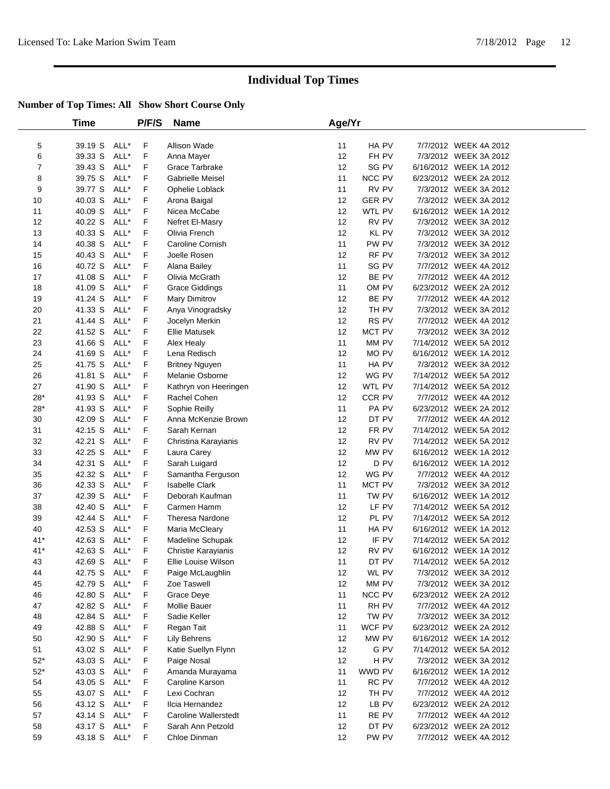|                | Time         |      | P/F/S | Name                        | Age/Yr |               |                        |  |
|----------------|--------------|------|-------|-----------------------------|--------|---------------|------------------------|--|
| 5              | 39.19 S      | ALL* | F     | Allison Wade                | 11     | HA PV         | 7/7/2012 WEEK 4A 2012  |  |
| 6              | 39.33 S      | ALL* | F     | Anna Mayer                  | 12     | FH PV         | 7/3/2012 WEEK 3A 2012  |  |
| $\overline{7}$ | 39.43 S      | ALL* | F     | Grace Tarbrake              | 12     | SG PV         | 6/16/2012 WEEK 1A 2012 |  |
| 8              | 39.75 S      | ALL* | F     | Gabrielle Meisel            | 11     | NCC PV        | 6/23/2012 WEEK 2A 2012 |  |
| 9              | 39.77 S      | ALL* | F     | Ophelie Loblack             | 11     | RV PV         | 7/3/2012 WEEK 3A 2012  |  |
| 10             | 40.03 S      | ALL* | F     | Arona Baigal                | 12     | <b>GER PV</b> | 7/3/2012 WEEK 3A 2012  |  |
| 11             | 40.09 S      | ALL* | F     | Nicea McCabe                | 12     | WTL PV        | 6/16/2012 WEEK 1A 2012 |  |
| 12             | 40.22 S      | ALL* | F     | Nefret El-Masry             | 12     | RV PV         | 7/3/2012 WEEK 3A 2012  |  |
| 13             | 40.33 S      | ALL* | F     | Olivia French               | 12     | KL PV         | 7/3/2012 WEEK 3A 2012  |  |
| 14             | 40.38 S      | ALL* | F     | Caroline Cornish            | 11     | PW PV         | 7/3/2012 WEEK 3A 2012  |  |
| 15             | 40.43 S      | ALL* | F     | Joelle Rosen                | 12     | RF PV         | 7/3/2012 WEEK 3A 2012  |  |
| 16             | 40.72 S      | ALL* | F     | Alana Bailey                | 11     | SG PV         | 7/7/2012 WEEK 4A 2012  |  |
| 17             | 41.08 S      | ALL* | F     | Olivia McGrath              | 12     | BE PV         | 7/7/2012 WEEK 4A 2012  |  |
| 18             | 41.09 S      | ALL* | F     | <b>Grace Giddings</b>       | 11     | OM PV         | 6/23/2012 WEEK 2A 2012 |  |
| 19             | 41.24 S      | ALL* | F     | Mary Dimitrov               | 12     | BE PV         | 7/7/2012 WEEK 4A 2012  |  |
| 20             | 41.33 S      | ALL* | F     | Anya Vinogradsky            | 12     | TH PV         | 7/3/2012 WEEK 3A 2012  |  |
| 21             | 41.44 S      | ALL* | F     | Jocelyn Merkin              | 12     | RS PV         | 7/7/2012 WEEK 4A 2012  |  |
| 22             | 41.52 S      | ALL* | F     | <b>Ellie Matusek</b>        | 12     | MCT PV        | 7/3/2012 WEEK 3A 2012  |  |
| 23             | 41.66 S      | ALL* | F     | Alex Healy                  | 11     | MM PV         | 7/14/2012 WEEK 5A 2012 |  |
| 24             | 41.69 S      | ALL* | F     | Lena Redisch                | 12     | MO PV         | 6/16/2012 WEEK 1A 2012 |  |
| 25             | 41.75 S      | ALL* | F     | <b>Britney Nguyen</b>       | 11     | HA PV         | 7/3/2012 WEEK 3A 2012  |  |
| 26             | 41.81 S      | ALL* | F     | Melanie Osborne             | 12     | WG PV         | 7/14/2012 WEEK 5A 2012 |  |
| 27             | 41.90 S      | ALL* | F     | Kathryn von Heeringen       | 12     | WTL PV        | 7/14/2012 WEEK 5A 2012 |  |
| $28*$          | 41.93 S      | ALL* | F     | Rachel Cohen                | 12     | CCR PV        | 7/7/2012 WEEK 4A 2012  |  |
| $28*$          | 41.93 S      | ALL* | F     | Sophie Reilly               | 11     | PA PV         | 6/23/2012 WEEK 2A 2012 |  |
| 30             | 42.09 S      | ALL* | F     | Anna McKenzie Brown         | 12     | DT PV         | 7/7/2012 WEEK 4A 2012  |  |
| 31             | 42.15 S      | ALL* | F     | Sarah Kernan                | 12     | FR PV         | 7/14/2012 WEEK 5A 2012 |  |
| 32             | 42.21 S      | ALL* | F     | Christina Karayianis        | 12     | RV PV         | 7/14/2012 WEEK 5A 2012 |  |
| 33             | 42.25 S      | ALL* | F     | Laura Carey                 | 12     | MW PV         | 6/16/2012 WEEK 1A 2012 |  |
| 34             | 42.31 S      | ALL* | F     | Sarah Luigard               | 12     | D PV          | 6/16/2012 WEEK 1A 2012 |  |
| 35             | 42.32 S      | ALL* | F     | Samantha Ferguson           | 12     | WG PV         | 7/7/2012 WEEK 4A 2012  |  |
| 36             | 42.33 S      | ALL* | F     | <b>Isabelle Clark</b>       | 11     | MCT PV        | 7/3/2012 WEEK 3A 2012  |  |
| 37             | 42.39 S      | ALL* | F     | Deborah Kaufman             | 11     | TW PV         | 6/16/2012 WEEK 1A 2012 |  |
| 38             | 42.40 S      | ALL* | F     | Carmen Hamm                 | 12     | LF PV         | 7/14/2012 WEEK 5A 2012 |  |
| 39             | 42.44 S      | ALL* | F     | <b>Theresa Nardone</b>      | 12     | PL PV         | 7/14/2012 WEEK 5A 2012 |  |
| 40             | 42.53 S      | ALL* | F     | Maria McCleary              | 11     | HA PV         | 6/16/2012 WEEK 1A 2012 |  |
| $41*$          | 42.63 S      | ALL* | F     | Madeline Schupak            | 12     | IF PV         | 7/14/2012 WEEK 5A 2012 |  |
| $41*$          | 42.63 S      | ALL* | F     | Christie Karayianis         | 12     | RV PV         | 6/16/2012 WEEK 1A 2012 |  |
| 43             | 42.69 S      | ALL* | F     | Ellie Louise Wilson         | 11     | DT PV         | 7/14/2012 WEEK 5A 2012 |  |
| 44             | 42.75 S ALL* |      | F     | Paige McLaughlin            | 12     | WL PV         | 7/3/2012 WEEK 3A 2012  |  |
| 45             | 42.79 S      | ALL* | F     | Zoe Taswell                 | 12     | MM PV         | 7/3/2012 WEEK 3A 2012  |  |
| 46             | 42.80 S      | ALL* | F     | Grace Deye                  | 11     | NCC PV        | 6/23/2012 WEEK 2A 2012 |  |
| 47             | 42.82 S      | ALL* | F     | Mollie Bauer                | 11     | RH PV         | 7/7/2012 WEEK 4A 2012  |  |
| 48             | 42.84 S      | ALL* | F     | Sadie Keller                | 12     | TW PV         | 7/3/2012 WEEK 3A 2012  |  |
| 49             | 42.88 S      | ALL* | F     | Regan Tait                  | 11     | WCF PV        | 6/23/2012 WEEK 2A 2012 |  |
| 50             | 42.90 S      | ALL* | F     | Lily Behrens                | 12     | MW PV         | 6/16/2012 WEEK 1A 2012 |  |
| 51             | 43.02 S      | ALL* | F     | Katie Suellyn Flynn         | 12     | G PV          | 7/14/2012 WEEK 5A 2012 |  |
| $52*$          | 43.03 S      | ALL* | F     | Paige Nosal                 | 12     | H PV          | 7/3/2012 WEEK 3A 2012  |  |
| $52*$          | 43.03 S      | ALL* | F     | Amanda Murayama             | 11     | WWD PV        | 6/16/2012 WEEK 1A 2012 |  |
| 54             | 43.05 S      | ALL* | F     | Caroline Karson             | 11     | RC PV         | 7/7/2012 WEEK 4A 2012  |  |
| 55             | 43.07 S      | ALL* | F     | Lexi Cochran                | 12     | TH PV         | 7/7/2012 WEEK 4A 2012  |  |
| 56             | 43.12 S      | ALL* | F     | Ilcia Hernandez             | 12     | LB PV         | 6/23/2012 WEEK 2A 2012 |  |
| 57             | 43.14 S      | ALL* | F     | <b>Caroline Wallerstedt</b> | 11     | RE PV         | 7/7/2012 WEEK 4A 2012  |  |
| 58             | 43.17 S      | ALL* | F     | Sarah Ann Petzold           | 12     | DT PV         | 6/23/2012 WEEK 2A 2012 |  |
| 59             | 43.18 S ALL* |      | F     | Chloe Dinman                | 12     | PW PV         | 7/7/2012 WEEK 4A 2012  |  |
|                |              |      |       |                             |        |               |                        |  |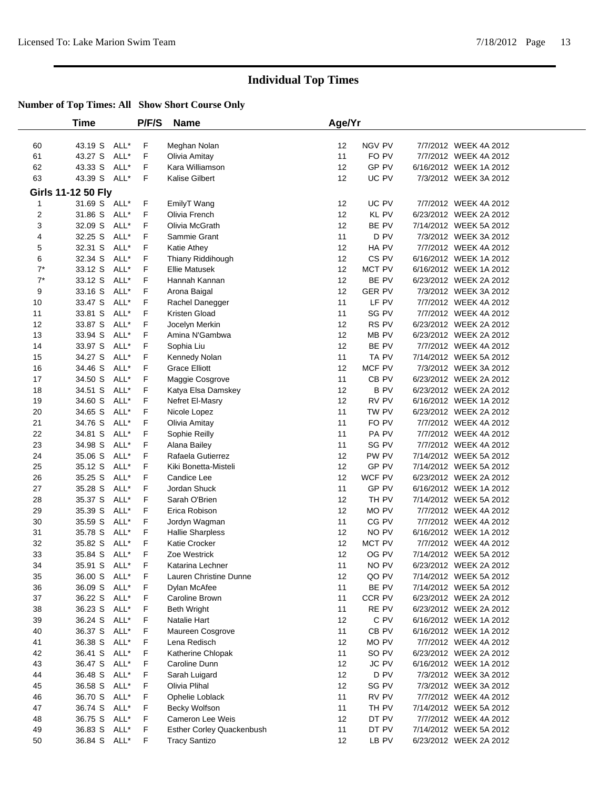|                | <b>Time</b>        |      | P/F/S | <b>Name</b>                      | Age/Yr |                  |                        |  |
|----------------|--------------------|------|-------|----------------------------------|--------|------------------|------------------------|--|
| 60             | 43.19 S ALL*       |      | F     | Meghan Nolan                     | 12     | NGV PV           | 7/7/2012 WEEK 4A 2012  |  |
| 61             | 43.27 S            | ALL* | F     | Olivia Amitay                    | 11     | FO PV            | 7/7/2012 WEEK 4A 2012  |  |
| 62             | 43.33 S            | ALL* | F     | Kara Williamson                  | 12     | GP PV            | 6/16/2012 WEEK 1A 2012 |  |
| 63             | 43.39 S            | ALL* | F     | Kalise Gilbert                   | 12     | UC PV            | 7/3/2012 WEEK 3A 2012  |  |
|                | Girls 11-12 50 Fly |      |       |                                  |        |                  |                        |  |
| 1              | 31.69 S ALL*       |      | F     | EmilyT Wang                      | 12     | UC PV            | 7/7/2012 WEEK 4A 2012  |  |
| $\overline{2}$ | 31.86 S            | ALL* | F     | Olivia French                    | 12     | <b>KL PV</b>     | 6/23/2012 WEEK 2A 2012 |  |
| 3              | 32.09 S            | ALL* | F     | Olivia McGrath                   | 12     | BE PV            | 7/14/2012 WEEK 5A 2012 |  |
| 4              | 32.25 S            | ALL* | F     | Sammie Grant                     | 11     | D PV             | 7/3/2012 WEEK 3A 2012  |  |
| 5              | 32.31 S            | ALL* | F     | Katie Athey                      | 12     | HA PV            | 7/7/2012 WEEK 4A 2012  |  |
| 6              | 32.34 S            | ALL* | F     | Thiany Riddihough                | 12     | CS <sub>PV</sub> | 6/16/2012 WEEK 1A 2012 |  |
| $7^*$          | 33.12 S            | ALL* | F     | <b>Ellie Matusek</b>             | 12     | MCT PV           | 6/16/2012 WEEK 1A 2012 |  |
| $7^*$          | 33.12 S            | ALL* | F     | Hannah Kannan                    | 12     | BE PV            | 6/23/2012 WEEK 2A 2012 |  |
| 9              | 33.16 S            | ALL* | F     | Arona Baigal                     | 12     | <b>GER PV</b>    | 7/3/2012 WEEK 3A 2012  |  |
| 10             | 33.47 S            | ALL* | F     | Rachel Danegger                  | 11     | LF PV            | 7/7/2012 WEEK 4A 2012  |  |
| 11             | 33.81 S            | ALL* | F     | Kristen Gload                    | 11     | SG PV            | 7/7/2012 WEEK 4A 2012  |  |
| 12             | 33.87 S            | ALL* | F     | Jocelyn Merkin                   | 12     | RS PV            | 6/23/2012 WEEK 2A 2012 |  |
| 13             | 33.94 S            | ALL* | F     | Amina N'Gambwa                   | 12     | MB PV            | 6/23/2012 WEEK 2A 2012 |  |
| 14             | 33.97 S            | ALL* | F     | Sophia Liu                       | 12     | BE PV            | 7/7/2012 WEEK 4A 2012  |  |
| 15             | 34.27 S            | ALL* | F     | Kennedy Nolan                    | 11     | TA PV            | 7/14/2012 WEEK 5A 2012 |  |
| 16             | 34.46 S            | ALL* | F     | <b>Grace Elliott</b>             | 12     | MCF PV           | 7/3/2012 WEEK 3A 2012  |  |
| 17             | 34.50 S            | ALL* | F     | Maggie Cosgrove                  | 11     | CB PV            | 6/23/2012 WEEK 2A 2012 |  |
| 18             | 34.51 S            | ALL* | F     | Katya Elsa Damskey               | 12     | <b>BPV</b>       | 6/23/2012 WEEK 2A 2012 |  |
| 19             | 34.60 S            | ALL* | F     | Nefret El-Masry                  | 12     | RV PV            | 6/16/2012 WEEK 1A 2012 |  |
| 20             | 34.65 S            | ALL* | F     | Nicole Lopez                     | 11     | TW PV            | 6/23/2012 WEEK 2A 2012 |  |
| 21             | 34.76 S            | ALL* | F     | Olivia Amitay                    | 11     | FO PV            | 7/7/2012 WEEK 4A 2012  |  |
| 22             | 34.81 S            | ALL* | F     | Sophie Reilly                    | 11     | PA PV            | 7/7/2012 WEEK 4A 2012  |  |
| 23             | 34.98 S            | ALL* | F     | Alana Bailey                     | 11     | SG PV            | 7/7/2012 WEEK 4A 2012  |  |
| 24             | 35.06 S            | ALL* | F     | Rafaela Gutierrez                | 12     | PW PV            | 7/14/2012 WEEK 5A 2012 |  |
| 25             | 35.12 S            | ALL* | F     | Kiki Bonetta-Misteli             | 12     | GP PV            | 7/14/2012 WEEK 5A 2012 |  |
| 26             | 35.25 S            | ALL* | F     | Candice Lee                      | 12     | WCF PV           | 6/23/2012 WEEK 2A 2012 |  |
| 27             | 35.28 S            | ALL* | F     | Jordan Shuck                     | 11     | GP PV            | 6/16/2012 WEEK 1A 2012 |  |
| 28             | 35.37 S            | ALL* | F     | Sarah O'Brien                    | 12     | TH PV            | 7/14/2012 WEEK 5A 2012 |  |
| 29             | 35.39 S            | ALL* | F     | Erica Robison                    | 12     | MO PV            | 7/7/2012 WEEK 4A 2012  |  |
| 30             | 35.59 S            | ALL* | F     | Jordyn Wagman                    | 11     | CG PV            | 7/7/2012 WEEK 4A 2012  |  |
| 31             | 35.78 S            | ALL* | F     | <b>Hallie Sharpless</b>          | 12     | NO PV            | 6/16/2012 WEEK 1A 2012 |  |
| 32             | 35.82 S            | ALL* | F     | Katie Crocker                    | 12     | MCT PV           | 7/7/2012 WEEK 4A 2012  |  |
| 33             | 35.84 S ALL*       |      | F     | Zoe Westrick                     | 12     | OG PV            | 7/14/2012 WEEK 5A 2012 |  |
| 34             | 35.91 S ALL*       |      | F     | Katarina Lechner                 | 11     | NO PV            | 6/23/2012 WEEK 2A 2012 |  |
| 35             | 36.00 S ALL*       |      | F     | Lauren Christine Dunne           | 12     | QO PV            | 7/14/2012 WEEK 5A 2012 |  |
| 36             | 36.09 S ALL*       |      | F     | Dylan McAfee                     | 11     | BE PV            | 7/14/2012 WEEK 5A 2012 |  |
| 37             | 36.22 S            | ALL* | F     | Caroline Brown                   | 11     | CCR PV           | 6/23/2012 WEEK 2A 2012 |  |
| 38             | 36.23 S ALL*       |      | F     | <b>Beth Wright</b>               | 11     | RE PV            | 6/23/2012 WEEK 2A 2012 |  |
| 39             | 36.24 S            | ALL* | F     | Natalie Hart                     | 12     | C PV             | 6/16/2012 WEEK 1A 2012 |  |
| 40             | 36.37 S            | ALL* | F     | Maureen Cosgrove                 | 11     | CB <sub>PV</sub> | 6/16/2012 WEEK 1A 2012 |  |
| 41             | 36.38 S            | ALL* | F     | Lena Redisch                     | 12     | MO PV            | 7/7/2012 WEEK 4A 2012  |  |
| 42             | 36.41 S            | ALL* | F     | Katherine Chlopak                | 11     | SO PV            | 6/23/2012 WEEK 2A 2012 |  |
| 43             | 36.47 S            | ALL* | F     | Caroline Dunn                    | 12     | JC PV            | 6/16/2012 WEEK 1A 2012 |  |
| 44             | 36.48 S            | ALL* | F     | Sarah Luigard                    | 12     | D PV             | 7/3/2012 WEEK 3A 2012  |  |
| 45             | 36.58 S            | ALL* | F     | Olivia Plihal                    | 12     | SG PV            | 7/3/2012 WEEK 3A 2012  |  |
| 46             | 36.70 S            | ALL* | F     | Ophelie Loblack                  | 11     | RV PV            | 7/7/2012 WEEK 4A 2012  |  |
| 47             | 36.74 S ALL*       |      | F     | Becky Wolfson                    | 11     | TH PV            | 7/14/2012 WEEK 5A 2012 |  |
| 48             | 36.75 S            | ALL* | F     | Cameron Lee Weis                 | 12     | DT PV            | 7/7/2012 WEEK 4A 2012  |  |
| 49             | 36.83 S            | ALL* | F     | <b>Esther Corley Quackenbush</b> | 11     | DT PV            | 7/14/2012 WEEK 5A 2012 |  |
| 50             | 36.84 S ALL*       |      | F     | <b>Tracy Santizo</b>             | 12     | LB PV            | 6/23/2012 WEEK 2A 2012 |  |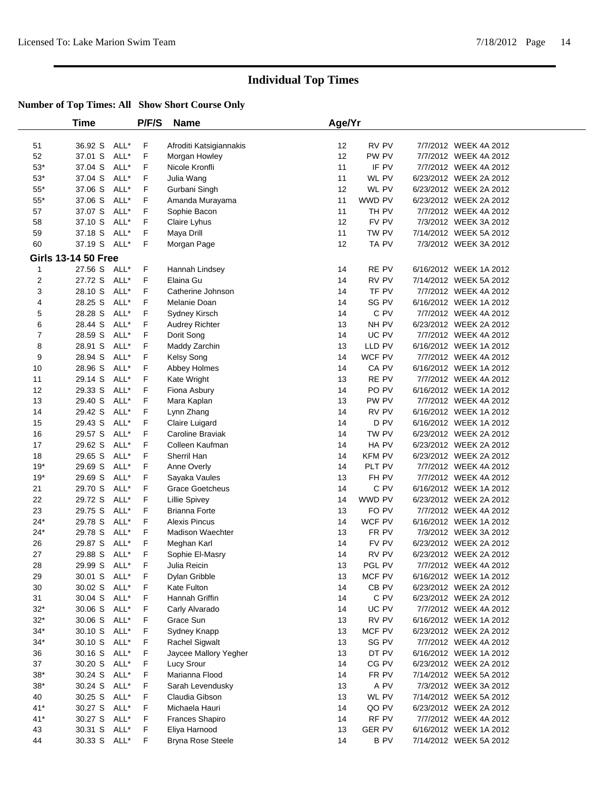|                | Time                       |      | P/F/S | <b>Name</b>                           | Age/Yr |                 |                        |
|----------------|----------------------------|------|-------|---------------------------------------|--------|-----------------|------------------------|
| 51             | 36.92 S                    | ALL* | F     | Afroditi Katsigiannakis               | 12     | RV PV           | 7/7/2012 WEEK 4A 2012  |
| 52             | 37.01 S                    | ALL* | F     | Morgan Howley                         | 12     | PW PV           | 7/7/2012 WEEK 4A 2012  |
| $53*$          | 37.04 S                    | ALL* | F     | Nicole Kronfli                        | 11     | IF PV           | 7/7/2012 WEEK 4A 2012  |
| $53*$          | 37.04 S                    | ALL* | F     | Julia Wang                            | 11     | WL PV           | 6/23/2012 WEEK 2A 2012 |
| $55^{\ast}$    | 37.06 S                    | ALL* | F     | Gurbani Singh                         | 12     | WL PV           | 6/23/2012 WEEK 2A 2012 |
| $55^{\ast}$    | 37.06 S                    | ALL* | F     | Amanda Murayama                       | 11     | WWD PV          | 6/23/2012 WEEK 2A 2012 |
| 57             | 37.07 S                    | ALL* | F     | Sophie Bacon                          | 11     | TH PV           | 7/7/2012 WEEK 4A 2012  |
| 58             | 37.10 S                    | ALL* | F     | Claire Lyhus                          | 12     | FV PV           | 7/3/2012 WEEK 3A 2012  |
| 59             | 37.18 S                    | ALL* | F     | Maya Drill                            | 11     | TW PV           | 7/14/2012 WEEK 5A 2012 |
| 60             | 37.19 S                    | ALL* | F     | Morgan Page                           | 12     | TA PV           | 7/3/2012 WEEK 3A 2012  |
|                | <b>Girls 13-14 50 Free</b> |      |       |                                       |        |                 |                        |
| 1              | 27.56 S                    | ALL* | F     | Hannah Lindsey                        | 14     | RE PV           | 6/16/2012 WEEK 1A 2012 |
| $\overline{2}$ | 27.72 S                    | ALL* | F     | Elaina Gu                             | 14     | RV PV           | 7/14/2012 WEEK 5A 2012 |
| 3              | 28.10 S                    | ALL* | F     | Catherine Johnson                     | 14     | TF PV           | 7/7/2012 WEEK 4A 2012  |
| 4              | 28.25 S                    | ALL* | F     | Melanie Doan                          | 14     | SG PV           | 6/16/2012 WEEK 1A 2012 |
| 5              | 28.28 S                    | ALL* | F     | Sydney Kirsch                         | 14     | C PV            | 7/7/2012 WEEK 4A 2012  |
| 6              | 28.44 S                    | ALL* | F     | <b>Audrey Richter</b>                 | 13     | NH PV           | 6/23/2012 WEEK 2A 2012 |
| $\overline{7}$ | 28.59 S                    | ALL* | F     | Dorit Song                            | 14     | UC PV           | 7/7/2012 WEEK 4A 2012  |
| 8              | 28.91 S                    | ALL* | F     | Maddy Zarchin                         | 13     | LLD PV          | 6/16/2012 WEEK 1A 2012 |
| 9              | 28.94 S                    | ALL* | F     | Kelsy Song                            | 14     | WCF PV          | 7/7/2012 WEEK 4A 2012  |
| 10             | 28.96 S                    | ALL* | F     | Abbey Holmes                          | 14     | CA PV           | 6/16/2012 WEEK 1A 2012 |
| 11             | 29.14 S                    | ALL* | F     | Kate Wright                           | 13     | RE PV           | 7/7/2012 WEEK 4A 2012  |
| 12             | 29.33 S                    | ALL* | F     | Fiona Asbury                          | 14     | PO PV           | 6/16/2012 WEEK 1A 2012 |
| 13             | 29.40 S                    | ALL* | F     | Mara Kaplan                           | 13     | PW PV           | 7/7/2012 WEEK 4A 2012  |
| 14             | 29.42 S                    | ALL* | F     | Lynn Zhang                            | 14     | RV PV           | 6/16/2012 WEEK 1A 2012 |
| 15             | 29.43 S                    | ALL* | F     | Claire Luigard                        | 14     | D PV            | 6/16/2012 WEEK 1A 2012 |
| 16             | 29.57 S                    | ALL* | F     | Caroline Braviak                      | 14     | TW PV           | 6/23/2012 WEEK 2A 2012 |
| 17             | 29.62 S                    | ALL* | F     | Colleen Kaufman                       | 14     | HA PV           | 6/23/2012 WEEK 2A 2012 |
| 18             | 29.65 S                    | ALL* | F     | Sherril Han                           | 14     | <b>KFM PV</b>   | 6/23/2012 WEEK 2A 2012 |
| $19*$          | 29.69 S                    | ALL* | F     |                                       | 14     | PLT PV          | 7/7/2012 WEEK 4A 2012  |
| $19*$          | 29.69 S                    | ALL* | F     | Anne Overly<br>Sayaka Vaules          | 13     | FH PV           | 7/7/2012 WEEK 4A 2012  |
| 21             | 29.70 S                    | ALL* | F     | <b>Grace Goetcheus</b>                | 14     | C PV            | 6/16/2012 WEEK 1A 2012 |
| 22             | 29.72 S                    | ALL* | F     |                                       | 14     | WWD PV          | 6/23/2012 WEEK 2A 2012 |
|                |                            | ALL* |       | Lillie Spivey<br><b>Brianna Forte</b> |        |                 |                        |
| 23             | 29.75 S                    |      | F     |                                       | 13     | FO PV<br>WCF PV | 7/7/2012 WEEK 4A 2012  |
| $24*$          | 29.78 S                    | ALL* | F     | <b>Alexis Pincus</b>                  | 14     |                 | 6/16/2012 WEEK 1A 2012 |
| $24*$          | 29.78 S                    | ALL* | F     | <b>Madison Waechter</b>               | 13     | FR PV           | 7/3/2012 WEEK 3A 2012  |
| 26             | 29.87 S                    | ALL* | F     | Meghan Karl                           | 14     | FV PV           | 6/23/2012 WEEK 2A 2012 |
| 27             | 29.88 S                    | ALL* | F     | Sophie El-Masry                       | 14     | RV PV           | 6/23/2012 WEEK 2A 2012 |
| 28             | 29.99 S ALL*               |      | F     | Julia Reicin                          | 13     | PGL PV          | 7/7/2012 WEEK 4A 2012  |
| 29             | 30.01 S ALL*               |      | F     | Dylan Gribble                         | 13     | MCF PV          | 6/16/2012 WEEK 1A 2012 |
| 30             | 30.02 S                    | ALL* | F.    | Kate Fulton                           | 14     | CB PV           | 6/23/2012 WEEK 2A 2012 |
| 31             | 30.04 S                    | ALL* | F     | Hannah Griffin                        | 14     | C PV            | 6/23/2012 WEEK 2A 2012 |
| $32*$          | 30.06 S                    | ALL* | F     | Carly Alvarado                        | 14     | UC PV           | 7/7/2012 WEEK 4A 2012  |
| $32*$          | 30.06 S                    | ALL* | F     | Grace Sun                             | 13     | RV PV           | 6/16/2012 WEEK 1A 2012 |
| $34*$          | 30.10 S                    | ALL* | F     | Sydney Knapp                          | 13     | MCF PV          | 6/23/2012 WEEK 2A 2012 |
| $34*$          | 30.10 S                    | ALL* | F     | <b>Rachel Sigwalt</b>                 | 13     | SG PV           | 7/7/2012 WEEK 4A 2012  |
| 36             | 30.16 S                    | ALL* | F     | Jaycee Mallory Yegher                 | 13     | DT PV           | 6/16/2012 WEEK 1A 2012 |
| 37             | 30.20 S                    | ALL* | F     | Lucy Srour                            | 14     | CG PV           | 6/23/2012 WEEK 2A 2012 |
| $38*$          | 30.24 S                    | ALL* | F     | Marianna Flood                        | 14     | FR PV           | 7/14/2012 WEEK 5A 2012 |
| $38*$          | 30.24 S                    | ALL* | F     | Sarah Levendusky                      | 13     | A PV            | 7/3/2012 WEEK 3A 2012  |
| 40             | 30.25 S                    | ALL* | F     | Claudia Gibson                        | 13     | WL PV           | 7/14/2012 WEEK 5A 2012 |
| 41*            | 30.27 S                    | ALL* | F     | Michaela Hauri                        | 14     | QO PV           | 6/23/2012 WEEK 2A 2012 |
| $41*$          | 30.27 S                    | ALL* | F     | Frances Shapiro                       | 14     | RF PV           | 7/7/2012 WEEK 4A 2012  |
| 43             | 30.31 S                    | ALL* | F     | Eliya Harnood                         | 13     | <b>GER PV</b>   | 6/16/2012 WEEK 1A 2012 |
| 44             | 30.33 S                    | ALL* | F     | <b>Bryna Rose Steele</b>              | 14     | B PV            | 7/14/2012 WEEK 5A 2012 |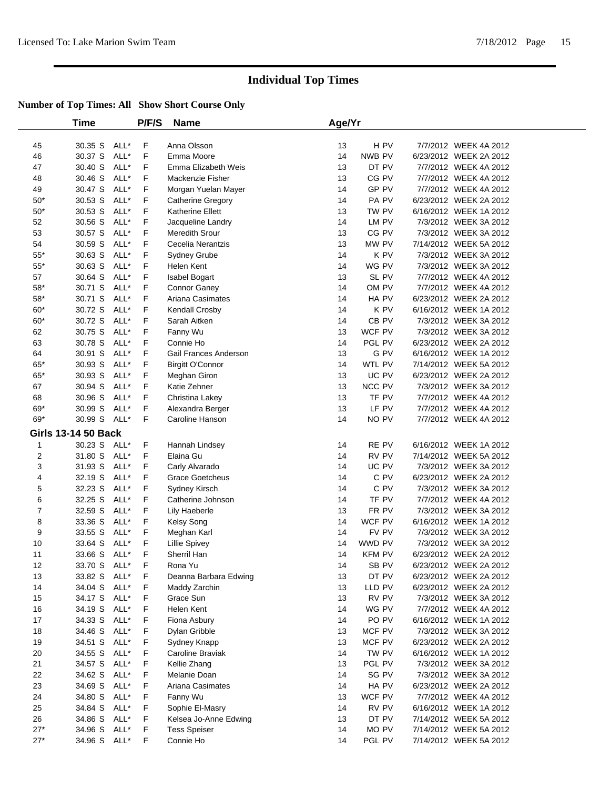|                | Time                       |      | P/F/S | <b>Name</b>             | Age/Yr |               |                        |  |
|----------------|----------------------------|------|-------|-------------------------|--------|---------------|------------------------|--|
| 45             | 30.35 S                    | ALL* | F     | Anna Olsson             | 13     | H PV          | 7/7/2012 WEEK 4A 2012  |  |
| 46             | 30.37 S                    | ALL* | F     | Emma Moore              | 14     | NWB PV        | 6/23/2012 WEEK 2A 2012 |  |
| 47             | 30.40 S                    | ALL* | F     | Emma Elizabeth Weis     | 13     | DT PV         | 7/7/2012 WEEK 4A 2012  |  |
| 48             | 30.46 S                    | ALL* | F     | Mackenzie Fisher        | 13     | CG PV         | 7/7/2012 WEEK 4A 2012  |  |
| 49             | 30.47 S                    | ALL* | F     | Morgan Yuelan Mayer     | 14     | GP PV         | 7/7/2012 WEEK 4A 2012  |  |
| $50*$          | 30.53 S                    | ALL* | F     | Catherine Gregory       | 14     | PA PV         | 6/23/2012 WEEK 2A 2012 |  |
| $50^{\ast}$    | 30.53 S                    | ALL* | F     | Katherine Ellett        | 13     | TW PV         | 6/16/2012 WEEK 1A 2012 |  |
| 52             | 30.56 S                    | ALL* | F     | Jacqueline Landry       | 14     | LM PV         | 7/3/2012 WEEK 3A 2012  |  |
| 53             | 30.57 S                    | ALL* | F     | Meredith Srour          | 13     | CG PV         | 7/3/2012 WEEK 3A 2012  |  |
| 54             | 30.59 S                    | ALL* | F     | Cecelia Nerantzis       | 13     | MW PV         | 7/14/2012 WEEK 5A 2012 |  |
| $55^{\ast}$    | 30.63 S                    | ALL* | F     | <b>Sydney Grube</b>     | 14     | K PV          | 7/3/2012 WEEK 3A 2012  |  |
| $55*$          | 30.63 S                    | ALL* | F     | Helen Kent              | 14     | WG PV         | 7/3/2012 WEEK 3A 2012  |  |
| 57             | 30.64 S                    | ALL* | F     | Isabel Bogart           | 13     | SL PV         | 7/7/2012 WEEK 4A 2012  |  |
| $58^{\ast}$    | 30.71 S                    | ALL* | F     | Connor Ganey            | 14     | OM PV         | 7/7/2012 WEEK 4A 2012  |  |
| $58^{\ast}$    | 30.71 S                    | ALL* | F     | Ariana Casimates        | 14     | HA PV         | 6/23/2012 WEEK 2A 2012 |  |
| $60*$          | 30.72 S                    | ALL* | F     | Kendall Crosby          | 14     | K PV          | 6/16/2012 WEEK 1A 2012 |  |
| $60*$          | 30.72 S                    | ALL* | F     | Sarah Aitken            | 14     | CB PV         | 7/3/2012 WEEK 3A 2012  |  |
| 62             | 30.75 S                    | ALL* | F     | Fanny Wu                | 13     | WCF PV        | 7/3/2012 WEEK 3A 2012  |  |
| 63             | 30.78 S                    | ALL* | F     | Connie Ho               | 14     | PGL PV        | 6/23/2012 WEEK 2A 2012 |  |
| 64             | 30.91 S                    | ALL* | F     | Gail Frances Anderson   | 13     | G PV          | 6/16/2012 WEEK 1A 2012 |  |
| $65*$          | 30.93 S                    | ALL* | F     | <b>Birgitt O'Connor</b> | 14     | WTL PV        | 7/14/2012 WEEK 5A 2012 |  |
| $65^{\ast}$    | 30.93 S                    | ALL* | F     | Meghan Giron            | 13     | UC PV         | 6/23/2012 WEEK 2A 2012 |  |
| 67             | 30.94 S                    | ALL* | F     | Katie Zehner            | 13     | NCC PV        | 7/3/2012 WEEK 3A 2012  |  |
| 68             | 30.96 S                    | ALL* | F     | Christina Lakey         | 13     | TF PV         | 7/7/2012 WEEK 4A 2012  |  |
| 69*            | 30.99 S                    | ALL* | F     | Alexandra Berger        | 13     | LF PV         | 7/7/2012 WEEK 4A 2012  |  |
| 69*            | 30.99 S                    | ALL* | F     | Caroline Hanson         | 14     | NO PV         | 7/7/2012 WEEK 4A 2012  |  |
|                | <b>Girls 13-14 50 Back</b> |      |       |                         |        |               |                        |  |
| 1              | 30.23 S ALL*               |      | F     | Hannah Lindsey          | 14     | RE PV         | 6/16/2012 WEEK 1A 2012 |  |
| 2              | 31.80 S                    | ALL* | F     | Elaina Gu               | 14     | RV PV         | 7/14/2012 WEEK 5A 2012 |  |
| 3              | 31.93 S                    | ALL* | F     | Carly Alvarado          | 14     | UC PV         | 7/3/2012 WEEK 3A 2012  |  |
| 4              | 32.19 S                    | ALL* | F     | <b>Grace Goetcheus</b>  | 14     | C PV          | 6/23/2012 WEEK 2A 2012 |  |
| 5              | 32.23 S                    | ALL* | F     | Sydney Kirsch           | 14     | C PV          | 7/3/2012 WEEK 3A 2012  |  |
| 6              | 32.25 S                    | ALL* | F     | Catherine Johnson       | 14     | TF PV         | 7/7/2012 WEEK 4A 2012  |  |
| $\overline{7}$ | 32.59 S                    | ALL* | F     | Lily Haeberle           | 13     | FR PV         | 7/3/2012 WEEK 3A 2012  |  |
| 8              | 33.36 S                    | ALL* | F     | Kelsy Song              | 14     | WCF PV        | 6/16/2012 WEEK 1A 2012 |  |
| 9              | 33.55 S                    | ALL* | F     | Meghan Karl             | 14     | FV PV         | 7/3/2012 WEEK 3A 2012  |  |
| 10             | 33.64 S                    | ALL* | F     | <b>Lillie Spivey</b>    | 14     | WWD PV        | 7/3/2012 WEEK 3A 2012  |  |
| 11             | 33.66 S ALL*               |      | F     | Sherril Han             | 14     | <b>KFM PV</b> | 6/23/2012 WEEK 2A 2012 |  |
| 12             | 33.70 S ALL*               |      | F     | Rona Yu                 | 14     | SB PV         | 6/23/2012 WEEK 2A 2012 |  |
| 13             | 33.82 S ALL*               |      | F     | Deanna Barbara Edwing   | 13     | DT PV         | 6/23/2012 WEEK 2A 2012 |  |
| 14             | 34.04 S ALL*               |      | F     | Maddy Zarchin           | 13     | LLD PV        | 6/23/2012 WEEK 2A 2012 |  |
| 15             | 34.17 S                    | ALL* | F     | Grace Sun               | 13     | RV PV         | 7/3/2012 WEEK 3A 2012  |  |
| 16             | 34.19 S                    | ALL* | F     | Helen Kent              | 14     | WG PV         | 7/7/2012 WEEK 4A 2012  |  |
| 17             | 34.33 S                    | ALL* | F     | Fiona Asbury            | 14     | PO PV         | 6/16/2012 WEEK 1A 2012 |  |
| 18             | 34.46 S                    | ALL* | F     | Dylan Gribble           | 13     | MCF PV        | 7/3/2012 WEEK 3A 2012  |  |
| 19             | 34.51 S                    | ALL* | F     | Sydney Knapp            | 13     | MCF PV        | 6/23/2012 WEEK 2A 2012 |  |
| 20             | 34.55 S                    | ALL* | F     | Caroline Braviak        | 14     | TW PV         | 6/16/2012 WEEK 1A 2012 |  |
| 21             | 34.57 S                    | ALL* | F     | Kellie Zhang            | 13     | PGL PV        | 7/3/2012 WEEK 3A 2012  |  |
| 22             | 34.62 S                    | ALL* | F     | Melanie Doan            | 14     | SG PV         | 7/3/2012 WEEK 3A 2012  |  |
| 23             | 34.69 S                    | ALL* | F     | Ariana Casimates        | 14     | HA PV         | 6/23/2012 WEEK 2A 2012 |  |
| 24             | 34.80 S                    | ALL* | F     | Fanny Wu                | 13     | WCF PV        | 7/7/2012 WEEK 4A 2012  |  |
| 25             | 34.84 S                    | ALL* | F     | Sophie El-Masry         | 14     | RV PV         | 6/16/2012 WEEK 1A 2012 |  |
| 26             | 34.86 S                    | ALL* | F     | Kelsea Jo-Anne Edwing   | 13     | DT PV         | 7/14/2012 WEEK 5A 2012 |  |
| $27*$          | 34.96 S                    | ALL* | F     | <b>Tess Speiser</b>     | 14     | MO PV         | 7/14/2012 WEEK 5A 2012 |  |
| $27*$          | 34.96 S ALL*               |      | F     | Connie Ho               | 14     | PGL PV        | 7/14/2012 WEEK 5A 2012 |  |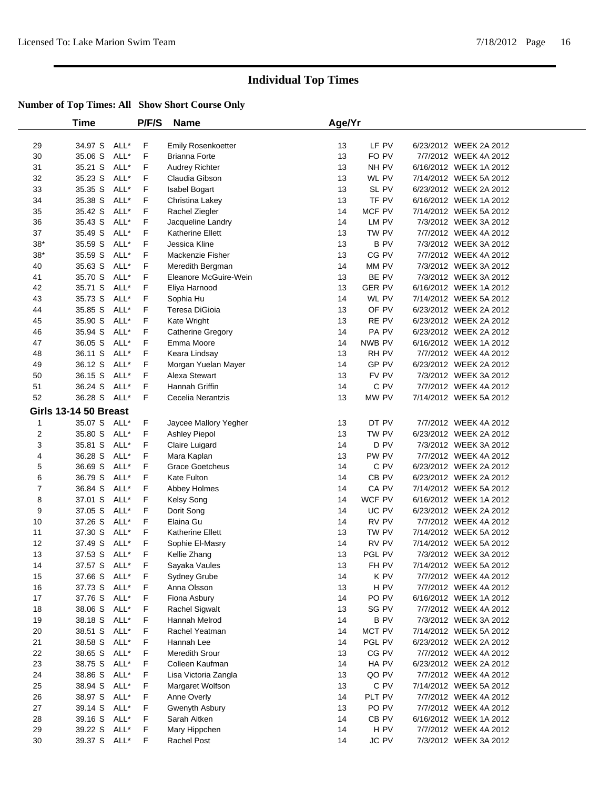|             | Time                         |      | P/F/S | <b>Name</b>             | Age/Yr |                 |                        |  |
|-------------|------------------------------|------|-------|-------------------------|--------|-----------------|------------------------|--|
| 29          | 34.97 S                      | ALL* | F     | Emily Rosenkoetter      | 13     | LF PV           | 6/23/2012 WEEK 2A 2012 |  |
| 30          | 35.06 S                      | ALL* | F     | <b>Brianna Forte</b>    | 13     | FO PV           | 7/7/2012 WEEK 4A 2012  |  |
| 31          | 35.21 S                      | ALL* | F     | Audrey Richter          | 13     | NH PV           | 6/16/2012 WEEK 1A 2012 |  |
| 32          | 35.23 S                      | ALL* | F     | Claudia Gibson          | 13     | WL PV           | 7/14/2012 WEEK 5A 2012 |  |
| 33          | 35.35 S                      | ALL* | F     | <b>Isabel Bogart</b>    | 13     | SL PV           | 6/23/2012 WEEK 2A 2012 |  |
| 34          | 35.38 S                      | ALL* | F     | Christina Lakey         | 13     | TF PV           | 6/16/2012 WEEK 1A 2012 |  |
| 35          | 35.42 S                      | ALL* | F     | Rachel Ziegler          | 14     | MCF PV          | 7/14/2012 WEEK 5A 2012 |  |
| 36          | 35.43 S                      | ALL* | F     | Jacqueline Landry       | 14     | LM PV           | 7/3/2012 WEEK 3A 2012  |  |
| 37          | 35.49 S                      | ALL* | F     | <b>Katherine Ellett</b> | 13     | TW PV           | 7/7/2012 WEEK 4A 2012  |  |
| $38^{\ast}$ | 35.59 S                      | ALL* | F     | Jessica Kline           | 13     | <b>B PV</b>     | 7/3/2012 WEEK 3A 2012  |  |
| $38^{\ast}$ | 35.59 S                      | ALL* | F     | Mackenzie Fisher        | 13     | CG PV           | 7/7/2012 WEEK 4A 2012  |  |
| 40          | 35.63 S                      | ALL* | F     | Meredith Bergman        | 14     | MM PV           | 7/3/2012 WEEK 3A 2012  |  |
| 41          | 35.70 S                      | ALL* | F     | Eleanore McGuire-Wein   | 13     | BE PV           | 7/3/2012 WEEK 3A 2012  |  |
| 42          | 35.71 S                      | ALL* | F     | Eliya Harnood           | 13     | <b>GER PV</b>   | 6/16/2012 WEEK 1A 2012 |  |
| 43          | 35.73 S                      | ALL* | F     | Sophia Hu               | 14     | WL PV           | 7/14/2012 WEEK 5A 2012 |  |
| 44          | 35.85 S                      | ALL* | F     | Teresa DiGioia          | 13     | OF PV           | 6/23/2012 WEEK 2A 2012 |  |
| 45          | 35.90 S                      | ALL* | F     | Kate Wright             | 13     | RE PV           | 6/23/2012 WEEK 2A 2012 |  |
| 46          | 35.94 S                      | ALL* | F     | Catherine Gregory       | 14     | PA PV           | 6/23/2012 WEEK 2A 2012 |  |
| 47          | 36.05 S                      | ALL* | F     | Emma Moore              | 14     | NWB PV          | 6/16/2012 WEEK 1A 2012 |  |
| 48          | 36.11 S                      | ALL* | F     | Keara Lindsay           | 13     | RH PV           | 7/7/2012 WEEK 4A 2012  |  |
| 49          | 36.12 S                      | ALL* | F     | Morgan Yuelan Mayer     | 14     | GP PV           | 6/23/2012 WEEK 2A 2012 |  |
| 50          | 36.15 S                      | ALL* | F     | Alexa Stewart           | 13     | FV PV           | 7/3/2012 WEEK 3A 2012  |  |
| 51          | 36.24 S                      | ALL* | F     | Hannah Griffin          | 14     | C PV            | 7/7/2012 WEEK 4A 2012  |  |
| 52          | 36.28 S ALL*                 |      | F     | Cecelia Nerantzis       | 13     | MW PV           | 7/14/2012 WEEK 5A 2012 |  |
|             | <b>Girls 13-14 50 Breast</b> |      |       |                         |        |                 |                        |  |
| 1           | 35.07 S ALL*                 |      | F     | Jaycee Mallory Yegher   | 13     | DT PV           | 7/7/2012 WEEK 4A 2012  |  |
| 2           | 35.80 S                      | ALL* | F     | Ashley Piepol           | 13     | TW PV           | 6/23/2012 WEEK 2A 2012 |  |
| 3           | 35.81 S                      | ALL* | F     | Claire Luigard          | 14     | D PV            | 7/3/2012 WEEK 3A 2012  |  |
| 4           | 36.28 S                      | ALL* | F     | Mara Kaplan             | 13     | PW PV           | 7/7/2012 WEEK 4A 2012  |  |
| 5           | 36.69 S                      | ALL* | F     | <b>Grace Goetcheus</b>  | 14     | C PV            | 6/23/2012 WEEK 2A 2012 |  |
| 6           | 36.79 S                      | ALL* | F     | Kate Fulton             | 14     | CB PV           | 6/23/2012 WEEK 2A 2012 |  |
| 7           | 36.84 S                      | ALL* | F     | Abbey Holmes            | 14     | CA PV           | 7/14/2012 WEEK 5A 2012 |  |
| 8           | 37.01 S                      | ALL* | F     | Kelsy Song              | 14     | WCF PV          | 6/16/2012 WEEK 1A 2012 |  |
| 9           | 37.05 S                      | ALL* | F     | Dorit Song              | 14     | UC PV           | 6/23/2012 WEEK 2A 2012 |  |
| 10          | 37.26 S                      | ALL* | F     | Elaina Gu               | 14     | RV PV           | 7/7/2012 WEEK 4A 2012  |  |
| 11          | 37.30 S                      | ALL* | F     | Katherine Ellett        | 13     | TW PV           | 7/14/2012 WEEK 5A 2012 |  |
| 12          | 37.49 S                      | ALL* | F     | Sophie El-Masry         | 14     | RV PV           | 7/14/2012 WEEK 5A 2012 |  |
| 13          | 37.53 S                      | ALL* | F     | Kellie Zhang            | 13     | PGL PV          | 7/3/2012 WEEK 3A 2012  |  |
| 14          | 37.57 S ALL*                 |      | F     | Sayaka Vaules           | 13     | FH PV           | 7/14/2012 WEEK 5A 2012 |  |
| 15          | 37.66 S ALL*                 |      | F     | <b>Sydney Grube</b>     | 14     | K PV            | 7/7/2012 WEEK 4A 2012  |  |
| 16          | 37.73 S ALL*                 |      | F     | Anna Olsson             | 13     | H PV            | 7/7/2012 WEEK 4A 2012  |  |
| 17          | 37.76 S                      | ALL* | F     | Fiona Asbury            | 14     | PO PV           | 6/16/2012 WEEK 1A 2012 |  |
| 18          | 38.06 S ALL*                 |      | F     | Rachel Sigwalt          | 13     | SG PV           | 7/7/2012 WEEK 4A 2012  |  |
| 19          | 38.18 S                      | ALL* | F     | Hannah Melrod           | 14     | <b>BPV</b>      | 7/3/2012 WEEK 3A 2012  |  |
| 20          | 38.51 S                      | ALL* | F     | Rachel Yeatman          | 14     | MCT PV          | 7/14/2012 WEEK 5A 2012 |  |
| 21          | 38.58 S                      | ALL* | F     | Hannah Lee              | 14     | PGL PV          | 6/23/2012 WEEK 2A 2012 |  |
| 22          | 38.65 S                      | ALL* | F     | Meredith Srour          | 13     | CG PV           | 7/7/2012 WEEK 4A 2012  |  |
| 23          | 38.75 S                      | ALL* | F     | Colleen Kaufman         | 14     | HA PV           | 6/23/2012 WEEK 2A 2012 |  |
| 24          | 38.86 S                      | ALL* | F     | Lisa Victoria Zangla    | 13     | QO PV           | 7/7/2012 WEEK 4A 2012  |  |
| 25          | 38.94 S                      | ALL* | F     | Margaret Wolfson        | 13     | C PV            | 7/14/2012 WEEK 5A 2012 |  |
| 26          | 38.97 S                      | ALL* | F     | Anne Overly             | 14     | PLT PV          | 7/7/2012 WEEK 4A 2012  |  |
| 27          | 39.14 S                      | ALL* | F     | Gwenyth Asbury          | 13     | PO PV           | 7/7/2012 WEEK 4A 2012  |  |
| 28          | 39.16 S                      | ALL* | F     | Sarah Aitken            | 14     | CB PV           | 6/16/2012 WEEK 1A 2012 |  |
| 29          | 39.22 S                      | ALL* | F     | Mary Hippchen           | 14     | H <sub>PV</sub> | 7/7/2012 WEEK 4A 2012  |  |
| 30          | 39.37 S ALL*                 |      | F.    | Rachel Post             | 14     | JC PV           | 7/3/2012 WEEK 3A 2012  |  |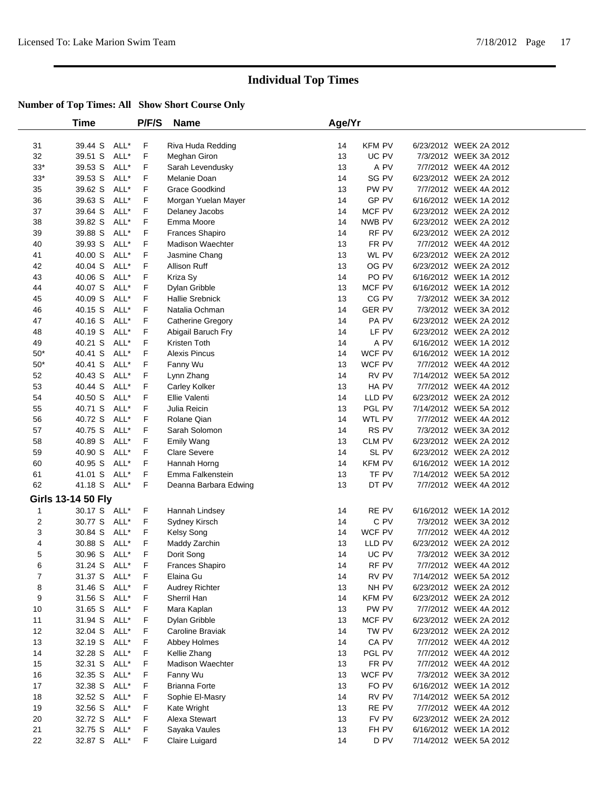|             | Time               |      | P/F/S | <b>Name</b>              | Age/Yr |               |                        |
|-------------|--------------------|------|-------|--------------------------|--------|---------------|------------------------|
| 31          | 39.44 S            | ALL* | F     | Riva Huda Redding        | 14     | KFM PV        | 6/23/2012 WEEK 2A 2012 |
| 32          | 39.51 S            | ALL* | F     | Meghan Giron             | 13     | UC PV         | 7/3/2012 WEEK 3A 2012  |
| $33^{\ast}$ | 39.53 S            | ALL* | F     | Sarah Levendusky         | 13     | A PV          | 7/7/2012 WEEK 4A 2012  |
| $33^*$      | 39.53 S            | ALL* | F     | Melanie Doan             | 14     | SG PV         | 6/23/2012 WEEK 2A 2012 |
| 35          | 39.62 S            | ALL* | F     | Grace Goodkind           | 13     | PW PV         | 7/7/2012 WEEK 4A 2012  |
| 36          | 39.63 S            | ALL* | F     | Morgan Yuelan Mayer      | 14     | GP PV         | 6/16/2012 WEEK 1A 2012 |
| 37          | 39.64 S            | ALL* | F     | Delaney Jacobs           | 14     | MCF PV        | 6/23/2012 WEEK 2A 2012 |
| 38          | 39.82 S            | ALL* | F     | Emma Moore               | 14     | NWB PV        | 6/23/2012 WEEK 2A 2012 |
| 39          | 39.88 S            | ALL* | F     | <b>Frances Shapiro</b>   | 14     | RF PV         | 6/23/2012 WEEK 2A 2012 |
| 40          | 39.93 S            | ALL* | F     | <b>Madison Waechter</b>  | 13     | FR PV         | 7/7/2012 WEEK 4A 2012  |
| 41          | 40.00 S            | ALL* | F     | Jasmine Chang            | 13     | WL PV         | 6/23/2012 WEEK 2A 2012 |
| 42          | 40.04 S            | ALL* | F     | Allison Ruff             | 13     | OG PV         | 6/23/2012 WEEK 2A 2012 |
| 43          | 40.06 S            | ALL* | F     | Kriza Sy                 | 14     | PO PV         | 6/16/2012 WEEK 1A 2012 |
| 44          | 40.07 S            | ALL* | F     | Dylan Gribble            | 13     | MCF PV        | 6/16/2012 WEEK 1A 2012 |
| 45          | 40.09 S            | ALL* | F     | <b>Hallie Srebnick</b>   | 13     | CG PV         | 7/3/2012 WEEK 3A 2012  |
| 46          | 40.15 S            | ALL* | F     | Natalia Ochman           | 14     | <b>GER PV</b> | 7/3/2012 WEEK 3A 2012  |
| 47          | 40.16 S            | ALL* | F     | <b>Catherine Gregory</b> | 14     | PA PV         | 6/23/2012 WEEK 2A 2012 |
| 48          | 40.19 S            | ALL* | F     | Abigail Baruch Fry       | 14     | LF PV         | 6/23/2012 WEEK 2A 2012 |
| 49          | 40.21 S            | ALL* | F     | Kristen Toth             | 14     | A PV          | 6/16/2012 WEEK 1A 2012 |
| $50*$       | 40.41 S            | ALL* | F     | <b>Alexis Pincus</b>     | 14     | WCF PV        | 6/16/2012 WEEK 1A 2012 |
| $50^{\ast}$ | 40.41 S            | ALL* | F     | Fanny Wu                 | 13     | WCF PV        | 7/7/2012 WEEK 4A 2012  |
| 52          | 40.43 S            | ALL* | F     | Lynn Zhang               | 14     | RV PV         | 7/14/2012 WEEK 5A 2012 |
| 53          | 40.44 S            | ALL* | F     | Carley Kolker            | 13     | HA PV         | 7/7/2012 WEEK 4A 2012  |
| 54          | 40.50 S            | ALL* | F     | Ellie Valenti            | 14     | LLD PV        | 6/23/2012 WEEK 2A 2012 |
| 55          | 40.71 S            | ALL* | F     | Julia Reicin             | 13     | PGL PV        | 7/14/2012 WEEK 5A 2012 |
| 56          | 40.72 S            | ALL* | F     | Rolane Qian              | 14     | WTL PV        | 7/7/2012 WEEK 4A 2012  |
| 57          | 40.75 S            | ALL* | F     | Sarah Solomon            | 14     | RS PV         | 7/3/2012 WEEK 3A 2012  |
| 58          | 40.89 S            | ALL* | F     | <b>Emily Wang</b>        | 13     | CLM PV        | 6/23/2012 WEEK 2A 2012 |
| 59          | 40.90 S            | ALL* | F     | <b>Clare Severe</b>      | 14     | SL PV         | 6/23/2012 WEEK 2A 2012 |
| 60          | 40.95 S            | ALL* | F     | Hannah Horng             | 14     | KFM PV        | 6/16/2012 WEEK 1A 2012 |
| 61          | 41.01 S            | ALL* | F     | Emma Falkenstein         | 13     | TF PV         | 7/14/2012 WEEK 5A 2012 |
| 62          | 41.18 S            | ALL* | F     | Deanna Barbara Edwing    | 13     | DT PV         | 7/7/2012 WEEK 4A 2012  |
|             | Girls 13-14 50 Fly |      |       |                          |        |               |                        |
| 1           | 30.17 S ALL*       |      | F.    | Hannah Lindsey           | 14     | RE PV         | 6/16/2012 WEEK 1A 2012 |
| 2           | 30.77 S            | ALL* | F     | Sydney Kirsch            | 14     | C PV          | 7/3/2012 WEEK 3A 2012  |
| 3           | 30.84 S            | ALL* | F     | <b>Kelsy Song</b>        | 14     | WCF PV        | 7/7/2012 WEEK 4A 2012  |
| 4           | 30.88 S            | ALL* | F     | Maddy Zarchin            | 13     | LLD PV        | 6/23/2012 WEEK 2A 2012 |
| 5           | 30.96 S            | ALL* | F     | Dorit Song               | 14     | UC PV         | 7/3/2012 WEEK 3A 2012  |
| 6           | 31.24 S ALL*       |      | F     | Frances Shapiro          | 14     | RF PV         | 7/7/2012 WEEK 4A 2012  |
| 7           | 31.37 S ALL*       |      | F     | Elaina Gu                | 14     | RV PV         | 7/14/2012 WEEK 5A 2012 |
| 8           | 31.46 S            | ALL* | F     | <b>Audrey Richter</b>    | 13     | NH PV         | 6/23/2012 WEEK 2A 2012 |
| 9           | 31.56 S            | ALL* | F     | Sherril Han              | 14     | KFM PV        | 6/23/2012 WEEK 2A 2012 |
| 10          | 31.65 S            | ALL* | F     | Mara Kaplan              | 13     | PW PV         | 7/7/2012 WEEK 4A 2012  |
| 11          | 31.94 S            | ALL* | F     | Dylan Gribble            | 13     | MCF PV        | 6/23/2012 WEEK 2A 2012 |
| 12          | 32.04 S            | ALL* | F     | Caroline Braviak         | 14     | TW PV         | 6/23/2012 WEEK 2A 2012 |
| 13          | 32.19 S            | ALL* | F     | Abbey Holmes             | 14     | CA PV         | 7/7/2012 WEEK 4A 2012  |
| 14          | 32.28 S            | ALL* | F     | Kellie Zhang             | 13     | PGL PV        | 7/7/2012 WEEK 4A 2012  |
| 15          | 32.31 S            | ALL* | F.    | <b>Madison Waechter</b>  | 13     | FR PV         | 7/7/2012 WEEK 4A 2012  |
| 16          | 32.35 S            | ALL* | F     | Fanny Wu                 | 13     | WCF PV        | 7/3/2012 WEEK 3A 2012  |
| 17          | 32.38 S            | ALL* | F     | <b>Brianna Forte</b>     | 13     | FO PV         | 6/16/2012 WEEK 1A 2012 |
| 18          | 32.52 S            | ALL* | F     | Sophie El-Masry          | 14     | RV PV         | 7/14/2012 WEEK 5A 2012 |
| 19          | 32.56 S            | ALL* | F     | Kate Wright              | 13     | RE PV         | 7/7/2012 WEEK 4A 2012  |
| 20          | 32.72 S            | ALL* | F     | Alexa Stewart            | 13     | FV PV         | 6/23/2012 WEEK 2A 2012 |
| 21          | 32.75 S            | ALL* | F     | Sayaka Vaules            | 13     | FH PV         | 6/16/2012 WEEK 1A 2012 |
| 22          | 32.87 S ALL*       |      | F.    | Claire Luigard           | 14     | D PV          | 7/14/2012 WEEK 5A 2012 |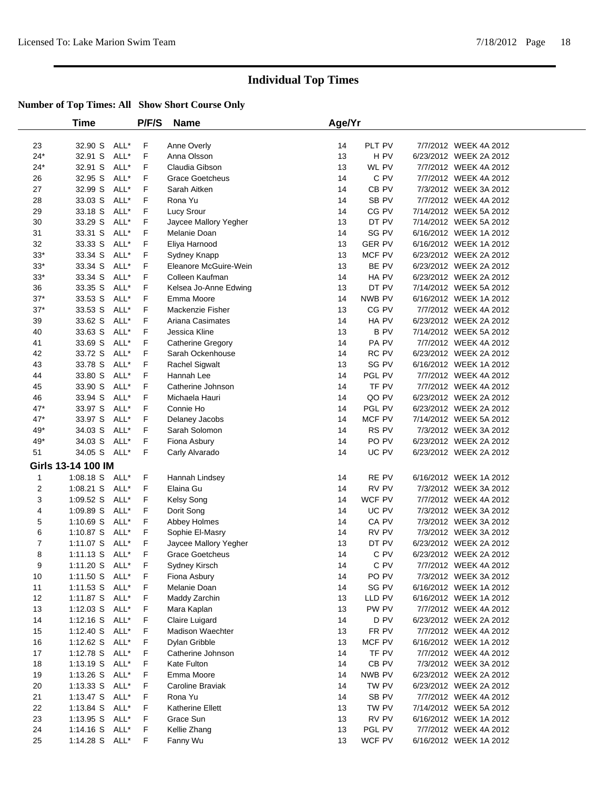|              | Time                   |              | P/F/S  | <b>Name</b>                 | Age/Yr   |                  |                                                 |
|--------------|------------------------|--------------|--------|-----------------------------|----------|------------------|-------------------------------------------------|
| 23           | 32.90 S                | ALL*         | F      | Anne Overly                 | 14       | PLT PV           | 7/7/2012 WEEK 4A 2012                           |
| $24*$        | 32.91 S                | ALL*         | F      | Anna Olsson                 | 13       | H PV             | 6/23/2012 WEEK 2A 2012                          |
| $24*$        | 32.91 S                | ALL*         | F      | Claudia Gibson              | 13       | WL PV            | 7/7/2012 WEEK 4A 2012                           |
| 26           | 32.95 S                | ALL*         | F      | <b>Grace Goetcheus</b>      | 14       | C PV             | 7/7/2012 WEEK 4A 2012                           |
| 27           | 32.99 S                | ALL*         | F      | Sarah Aitken                | 14       | CB <sub>PV</sub> | 7/3/2012 WEEK 3A 2012                           |
| 28           | 33.03 S                | ALL*         | F      | Rona Yu                     | 14       | SB <sub>PV</sub> | 7/7/2012 WEEK 4A 2012                           |
| 29           | 33.18 S                | ALL*         | F      | Lucy Srour                  | 14       | CG PV            | 7/14/2012 WEEK 5A 2012                          |
| 30           | 33.29 S                | ALL*         | F      | Jaycee Mallory Yegher       | 13       | DT PV            | 7/14/2012 WEEK 5A 2012                          |
| 31           | 33.31 S                | ALL*         | F      | Melanie Doan                | 14       | SG PV            | 6/16/2012 WEEK 1A 2012                          |
| 32           | 33.33 S                | ALL*         | F      | Eliya Harnood               | 13       | <b>GER PV</b>    | 6/16/2012 WEEK 1A 2012                          |
| $33*$        | 33.34 S                | ALL*         | F      | Sydney Knapp                | 13       | MCF PV           | 6/23/2012 WEEK 2A 2012                          |
| $33*$        | 33.34 S                | ALL*         | F      | Eleanore McGuire-Wein       | 13       | BE PV            | 6/23/2012 WEEK 2A 2012                          |
| $33*$        | 33.34 S                | ALL*         | F      | Colleen Kaufman             | 14       | HA PV            | 6/23/2012 WEEK 2A 2012                          |
| 36           | 33.35 S                | ALL*         | F      | Kelsea Jo-Anne Edwing       | 13       | DT PV            | 7/14/2012 WEEK 5A 2012                          |
| $37*$        | 33.53 S                | ALL*         | F      | Emma Moore                  | 14       | NWB PV           | 6/16/2012 WEEK 1A 2012                          |
| $37^{\star}$ | 33.53 S                | ALL*         | F      | Mackenzie Fisher            | 13       | CG PV            | 7/7/2012 WEEK 4A 2012                           |
| 39           | 33.62 S                | ALL*         | F      | Ariana Casimates            | 14       | HA PV            | 6/23/2012 WEEK 2A 2012                          |
| 40           | 33.63 S                | ALL*         | F      | Jessica Kline               | 13       | <b>BPV</b>       | 7/14/2012 WEEK 5A 2012                          |
| 41           | 33.69 S                | ALL*         | F      | Catherine Gregory           | 14       | PA PV            | 7/7/2012 WEEK 4A 2012                           |
| 42           | 33.72 S                | ALL*         | F      | Sarah Ockenhouse            | 14       | RC PV            | 6/23/2012 WEEK 2A 2012                          |
| 43           | 33.78 S                | ALL*         | F      | <b>Rachel Sigwalt</b>       | 13       | SG PV            | 6/16/2012 WEEK 1A 2012                          |
| 44           | 33.80 S                | ALL*         | F      | Hannah Lee                  | 14       | PGL PV           | 7/7/2012 WEEK 4A 2012                           |
| 45           | 33.90 S                | ALL*         | F      | Catherine Johnson           | 14       | TF PV            | 7/7/2012 WEEK 4A 2012                           |
| 46           | 33.94 S                | ALL*         | F      | Michaela Hauri              | 14       | QO PV            | 6/23/2012 WEEK 2A 2012                          |
| $47*$        | 33.97 S                | ALL*         | F      | Connie Ho                   | 14       | PGL PV           | 6/23/2012 WEEK 2A 2012                          |
| $47*$        | 33.97 S                | ALL*         | F      | Delaney Jacobs              | 14       | MCF PV           | 7/14/2012 WEEK 5A 2012                          |
| 49*          | 34.03 S                | ALL*         | F      | Sarah Solomon               | 14       | RS PV            | 7/3/2012 WEEK 3A 2012                           |
| 49*          | 34.03 S                | ALL*         | F      | Fiona Asbury                | 14       | PO <sub>PV</sub> | 6/23/2012 WEEK 2A 2012                          |
| 51           | 34.05 S                | ALL*         | F      | Carly Alvarado              | 14       | UC PV            | 6/23/2012 WEEK 2A 2012                          |
|              | Girls 13-14 100 IM     |              |        |                             |          |                  |                                                 |
| 1            | 1:08.18 S ALL*         |              | F      | Hannah Lindsey              | 14       | RE PV            | 6/16/2012 WEEK 1A 2012                          |
| 2            | $1:08.21$ S            | ALL*         | F      | Elaina Gu                   | 14       | RV PV            | 7/3/2012 WEEK 3A 2012                           |
| 3            | 1:09.52 S              | ALL*         | F      | Kelsy Song                  | 14       | WCF PV           | 7/7/2012 WEEK 4A 2012                           |
| 4            | $1:09.89$ S            | ALL*         | F      | Dorit Song                  | 14       | UC PV            | 7/3/2012 WEEK 3A 2012                           |
| 5            | 1:10.69 S              | ALL*         | F      | Abbey Holmes                | 14       | CA PV            | 7/3/2012 WEEK 3A 2012                           |
| 6            | 1:10.87 S              | ALL*         | F      | Sophie El-Masry             | 14       | RV PV            | 7/3/2012 WEEK 3A 2012                           |
| 7            | 1:11.07 S              | ALL*         | F      | Jaycee Mallory Yegher       | 13       | DT PV            | 6/23/2012 WEEK 2A 2012                          |
| 8            | $1:11.13$ S            | ALL*         | F      | <b>Grace Goetcheus</b>      | 14       | C PV             | 6/23/2012 WEEK 2A 2012                          |
| 9            | 1:11.20 S ALL*         |              | F      | Sydney Kirsch               | 14       | C PV             | 7/7/2012 WEEK 4A 2012                           |
| 10           | 1:11.50 S ALL*         |              | F      | Fiona Asbury                | 14       | PO PV            | 7/3/2012 WEEK 3A 2012                           |
| 11           | 1:11.53 S ALL*         |              | F      | Melanie Doan                | 14       | SG PV            | 6/16/2012 WEEK 1A 2012                          |
| 12           | 1:11.87 $S$            | ALL*         | F      | Maddy Zarchin               | 13       | LLD PV           | 6/16/2012 WEEK 1A 2012                          |
| 13           | 1:12.03 S ALL*         |              | F      | Mara Kaplan                 | 13       | PW PV            | 7/7/2012 WEEK 4A 2012                           |
| 14           | $1:12.16$ S            | ALL*         | F      | Claire Luigard              | 14       | D <sub>PV</sub>  | 6/23/2012 WEEK 2A 2012                          |
| 15           | 1:12.40 S              | ALL*         | F      | Madison Waechter            | 13       | FR PV            | 7/7/2012 WEEK 4A 2012                           |
| 16           | 1:12.62 S ALL*         |              | F      | Dylan Gribble               | 13       | MCF PV           | 6/16/2012 WEEK 1A 2012                          |
| 17           | $1:12.78$ S            | ALL*         | F      | Catherine Johnson           | 14       | TF PV            | 7/7/2012 WEEK 4A 2012                           |
| 18           | 1:13.19 S              | ALL*         | F      | Kate Fulton                 | 14       | CB PV            | 7/3/2012 WEEK 3A 2012                           |
| 19           | 1:13.26 S ALL*         |              | F      | Emma Moore                  | 14       | NWB PV           | 6/23/2012 WEEK 2A 2012                          |
| 20<br>21     | $1:13.33$ S            | ALL*<br>ALL* | F<br>F | Caroline Braviak<br>Rona Yu | 14<br>14 | TW PV<br>SB PV   | 6/23/2012 WEEK 2A 2012<br>7/7/2012 WEEK 4A 2012 |
| 22           | 1:13.47 S              | ALL*         |        | Katherine Ellett            | 13       | TW PV            | 7/14/2012 WEEK 5A 2012                          |
| 23           | 1:13.84 S<br>1:13.95 S | ALL*         | F<br>F | Grace Sun                   | 13       | RV PV            | 6/16/2012 WEEK 1A 2012                          |
| 24           | $1:14.16$ S            | ALL*         | F      | Kellie Zhang                | 13       | PGL PV           | 7/7/2012 WEEK 4A 2012                           |
| 25           | 1:14.28 S ALL*         |              | F.     | Fanny Wu                    | 13       | WCF PV           | 6/16/2012 WEEK 1A 2012                          |
|              |                        |              |        |                             |          |                  |                                                 |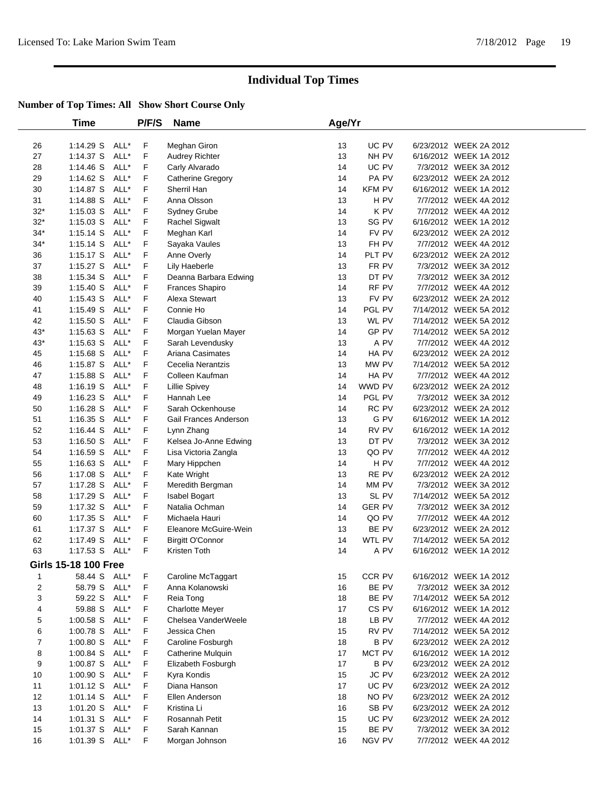|                | <b>Time</b>                 |      | P/F/S | <b>Name</b>            | Age/Yr |                  |                        |  |
|----------------|-----------------------------|------|-------|------------------------|--------|------------------|------------------------|--|
| 26             | 1:14.29 S                   | ALL* | F     | Meghan Giron           | 13     | UC PV            | 6/23/2012 WEEK 2A 2012 |  |
| 27             | 1:14.37 S                   | ALL* | F     | <b>Audrey Richter</b>  | 13     | NH PV            | 6/16/2012 WEEK 1A 2012 |  |
| 28             | $1:14.46$ S                 | ALL* | F     | Carly Alvarado         | 14     | UC PV            | 7/3/2012 WEEK 3A 2012  |  |
| 29             | 1:14.62 S                   | ALL* | F     | Catherine Gregory      | 14     | PA PV            | 6/23/2012 WEEK 2A 2012 |  |
| 30             | $1:14.87$ S                 | ALL* | F     | Sherril Han            | 14     | <b>KFM PV</b>    | 6/16/2012 WEEK 1A 2012 |  |
| 31             | 1:14.88 S                   | ALL* | F     | Anna Olsson            | 13     | H PV             | 7/7/2012 WEEK 4A 2012  |  |
| $32*$          | $1:15.03$ S                 | ALL* | F     | Sydney Grube           | 14     | K PV             | 7/7/2012 WEEK 4A 2012  |  |
| $32*$          | $1:15.03$ S                 | ALL* | F     | Rachel Sigwalt         | 13     | SG PV            | 6/16/2012 WEEK 1A 2012 |  |
| $34*$          | $1:15.14$ S                 | ALL* | F     | Meghan Karl            | 14     | FV PV            | 6/23/2012 WEEK 2A 2012 |  |
| $34*$          | $1:15.14$ S                 | ALL* | F     | Sayaka Vaules          | 13     | FH PV            | 7/7/2012 WEEK 4A 2012  |  |
| 36             | $1:15.17$ S                 | ALL* | F     | Anne Overly            | 14     | PLT PV           | 6/23/2012 WEEK 2A 2012 |  |
| 37             | $1:15.27$ S                 | ALL* | F     | Lily Haeberle          | 13     | FR PV            | 7/3/2012 WEEK 3A 2012  |  |
| 38             | $1:15.34$ S                 | ALL* | F     | Deanna Barbara Edwing  | 13     | DT PV            | 7/3/2012 WEEK 3A 2012  |  |
| 39             | 1:15.40 S                   | ALL* | F     | Frances Shapiro        | 14     | RF PV            | 7/7/2012 WEEK 4A 2012  |  |
| 40             | $1:15.43$ S                 | ALL* | F     | Alexa Stewart          | 13     | FV PV            | 6/23/2012 WEEK 2A 2012 |  |
| 41             | $1:15.49$ S                 | ALL* | F     | Connie Ho              | 14     | PGL PV           | 7/14/2012 WEEK 5A 2012 |  |
| 42             | $1:15.50$ S                 | ALL* | F     | Claudia Gibson         | 13     | WL PV            | 7/14/2012 WEEK 5A 2012 |  |
| $43*$          | $1:15.63$ S                 | ALL* | F     | Morgan Yuelan Mayer    | 14     | GP PV            | 7/14/2012 WEEK 5A 2012 |  |
| 43*            | $1:15.63$ S                 | ALL* | F     | Sarah Levendusky       | 13     | A PV             | 7/7/2012 WEEK 4A 2012  |  |
| 45             | 1:15.68 S                   | ALL* | F     | Ariana Casimates       | 14     | HA PV            | 6/23/2012 WEEK 2A 2012 |  |
| 46             | $1:15.87$ S                 | ALL* | F     | Cecelia Nerantzis      | 13     | MW PV            | 7/14/2012 WEEK 5A 2012 |  |
| 47             | 1:15.88 S                   | ALL* | F     | Colleen Kaufman        | 14     | HA PV            | 7/7/2012 WEEK 4A 2012  |  |
| 48             | $1:16.19$ S                 | ALL* | F     | <b>Lillie Spivey</b>   | 14     | WWD PV           | 6/23/2012 WEEK 2A 2012 |  |
| 49             | 1:16.23 S                   | ALL* | F     | Hannah Lee             | 14     | PGL PV           | 7/3/2012 WEEK 3A 2012  |  |
| 50             | 1:16.28 S                   | ALL* | F     | Sarah Ockenhouse       | 14     | RC PV            | 6/23/2012 WEEK 2A 2012 |  |
| 51             | $1:16.35$ S                 | ALL* | F     | Gail Frances Anderson  | 13     | G PV             | 6/16/2012 WEEK 1A 2012 |  |
| 52             | $1:16.44$ S                 | ALL* | F     | Lynn Zhang             | 14     | RV PV            | 6/16/2012 WEEK 1A 2012 |  |
| 53             | 1:16.50 S                   | ALL* | F     | Kelsea Jo-Anne Edwing  | 13     | DT PV            | 7/3/2012 WEEK 3A 2012  |  |
| 54             | $1:16.59$ S                 | ALL* | F     | Lisa Victoria Zangla   | 13     | QO PV            | 7/7/2012 WEEK 4A 2012  |  |
| 55             | $1:16.63$ S                 | ALL* | F     | Mary Hippchen          | 14     | H <sub>PV</sub>  | 7/7/2012 WEEK 4A 2012  |  |
| 56             | 1:17.08 S                   | ALL* | F     | Kate Wright            | 13     | RE PV            | 6/23/2012 WEEK 2A 2012 |  |
| 57             | 1:17.28 S                   | ALL* | F     | Meredith Bergman       | 14     | MM PV            | 7/3/2012 WEEK 3A 2012  |  |
| 58             | 1:17.29 S                   | ALL* | F     | Isabel Bogart          | 13     | SL PV            | 7/14/2012 WEEK 5A 2012 |  |
| 59             | 1:17.32 S                   | ALL* | F     | Natalia Ochman         | 14     | <b>GER PV</b>    | 7/3/2012 WEEK 3A 2012  |  |
| 60             | 1:17.35 S                   | ALL* | F     | Michaela Hauri         | 14     | QO PV            | 7/7/2012 WEEK 4A 2012  |  |
| 61             | 1:17.37 S                   | ALL* | F     | Eleanore McGuire-Wein  | 13     | BE PV            | 6/23/2012 WEEK 2A 2012 |  |
| 62             | 1:17.49 S                   | ALL* | F     | Birgitt O'Connor       | 14     | WTL PV           | 7/14/2012 WEEK 5A 2012 |  |
| 63             | 1:17.53 S ALL*              |      | F     | Kristen Toth           | 14     | A PV             | 6/16/2012 WEEK 1A 2012 |  |
|                | <b>Girls 15-18 100 Free</b> |      |       |                        |        |                  |                        |  |
| 1              | 58.44 S ALL*                |      | F     | Caroline McTaggart     | 15     | CCR PV           | 6/16/2012 WEEK 1A 2012 |  |
| 2              | 58.79 S                     | ALL* | F     | Anna Kolanowski        | 16     | BE PV            | 7/3/2012 WEEK 3A 2012  |  |
| 3              | 59.22 S                     | ALL* | F     | Reia Tong              | 18     | BE PV            | 7/14/2012 WEEK 5A 2012 |  |
| 4              | 59.88 S                     | ALL* | F     | <b>Charlotte Meyer</b> | 17     | CS <sub>PV</sub> | 6/16/2012 WEEK 1A 2012 |  |
| 5              | $1:00.58$ S                 | ALL* | F     | Chelsea VanderWeele    | 18     | LB PV            | 7/7/2012 WEEK 4A 2012  |  |
| 6              | 1:00.78 S                   | ALL* | F     | Jessica Chen           | 15     | RV PV            | 7/14/2012 WEEK 5A 2012 |  |
| $\overline{7}$ | $1:00.80$ S                 | ALL* | F     | Caroline Fosburgh      | 18     | <b>BPV</b>       | 6/23/2012 WEEK 2A 2012 |  |
| 8              | $1:00.84$ S                 | ALL* | F     | Catherine Mulquin      | 17     | MCT PV           | 6/16/2012 WEEK 1A 2012 |  |
| 9              | 1:00.87 S                   | ALL* | F     | Elizabeth Fosburgh     | 17     | <b>BPV</b>       | 6/23/2012 WEEK 2A 2012 |  |
| 10             | 1:00.90 S                   | ALL* | F     | Kyra Kondis            | 15     | JC PV            | 6/23/2012 WEEK 2A 2012 |  |
| 11             | 1:01.12 S                   | ALL* | F     | Diana Hanson           | 17     | UC PV            | 6/23/2012 WEEK 2A 2012 |  |
| 12             | $1:01.14$ S                 | ALL* | F     | Ellen Anderson         | 18     | NO PV            | 6/23/2012 WEEK 2A 2012 |  |
| 13             | 1:01.20 S ALL*              |      | F     | Kristina Li            | 16     | SB PV            | 6/23/2012 WEEK 2A 2012 |  |
| 14             | $1:01.31$ S                 | ALL* | F     | Rosannah Petit         | 15     | UC PV            | 6/23/2012 WEEK 2A 2012 |  |
| 15             | $1:01.37$ S                 | ALL* | F     | Sarah Kannan           | 15     | BE PV            | 7/3/2012 WEEK 3A 2012  |  |
| 16             | 1:01.39 S ALL*              |      | F     | Morgan Johnson         | 16     | NGV PV           | 7/7/2012 WEEK 4A 2012  |  |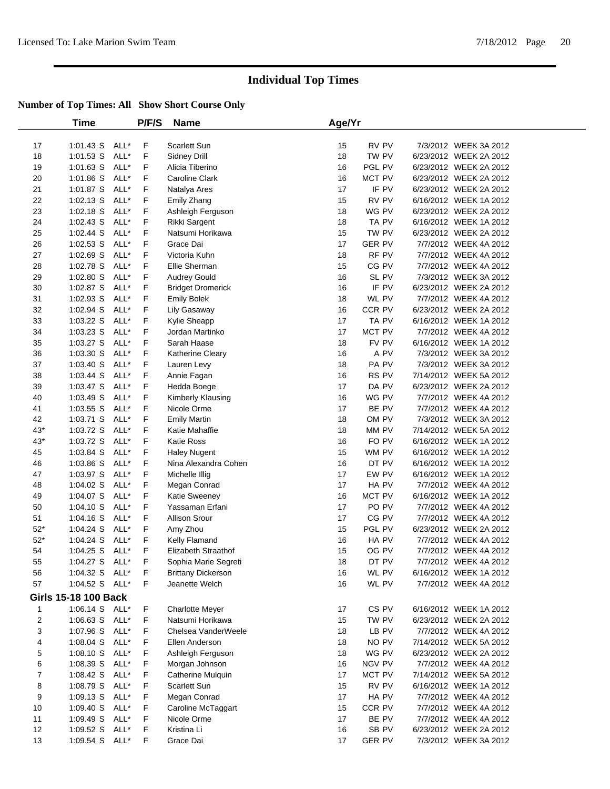|                | Time                        |      | P/F/S | <b>Name</b>                | Age/Yr |               |                        |  |
|----------------|-----------------------------|------|-------|----------------------------|--------|---------------|------------------------|--|
| 17             | $1:01.43$ S                 | ALL* | F     | Scarlett Sun               | 15     | RV PV         | 7/3/2012 WEEK 3A 2012  |  |
| 18             | 1:01.53 S                   | ALL* | F     | <b>Sidney Drill</b>        | 18     | TW PV         | 6/23/2012 WEEK 2A 2012 |  |
| 19             | $1:01.63$ S                 | ALL* | F     | Alicia Tiberino            | 16     | PGL PV        | 6/23/2012 WEEK 2A 2012 |  |
| 20             | 1:01.86 S                   | ALL* | F     | Caroline Clark             | 16     | MCT PV        | 6/23/2012 WEEK 2A 2012 |  |
| 21             | 1:01.87 S                   | ALL* | F     | Natalya Ares               | 17     | IF PV         | 6/23/2012 WEEK 2A 2012 |  |
| 22             | $1:02.13$ S                 | ALL* | F     | Emily Zhang                | 15     | RV PV         | 6/16/2012 WEEK 1A 2012 |  |
| 23             | $1:02.18$ S                 | ALL* | F     | Ashleigh Ferguson          | 18     | WG PV         | 6/23/2012 WEEK 2A 2012 |  |
| 24             | $1:02.43$ S                 | ALL* | F     | Rikki Sargent              | 18     | TA PV         | 6/16/2012 WEEK 1A 2012 |  |
| 25             | 1:02.44 S                   | ALL* | F     | Natsumi Horikawa           | 15     | TW PV         | 6/23/2012 WEEK 2A 2012 |  |
| 26             | $1:02.53$ S                 | ALL* | F     | Grace Dai                  | 17     | <b>GER PV</b> | 7/7/2012 WEEK 4A 2012  |  |
| 27             | 1:02.69 S                   | ALL* | F     | Victoria Kuhn              | 18     | RF PV         | 7/7/2012 WEEK 4A 2012  |  |
| 28             | 1:02.78 S                   | ALL* | F     | Ellie Sherman              | 15     | CG PV         | 7/7/2012 WEEK 4A 2012  |  |
| 29             | 1:02.80 S                   | ALL* | F     | <b>Audrey Gould</b>        | 16     | SL PV         | 7/3/2012 WEEK 3A 2012  |  |
| 30             | 1:02.87 S                   | ALL* | F     | <b>Bridget Dromerick</b>   | 16     | IF PV         | 6/23/2012 WEEK 2A 2012 |  |
| 31             | 1:02.93 S                   | ALL* | F     | <b>Emily Bolek</b>         | 18     | WL PV         | 7/7/2012 WEEK 4A 2012  |  |
| 32             | 1:02.94 S                   | ALL* | F     | Lily Gasaway               | 16     | CCR PV        | 6/23/2012 WEEK 2A 2012 |  |
| 33             | 1:03.22 S                   | ALL* | F     | Kylie Sheapp               | 17     | TA PV         | 6/16/2012 WEEK 1A 2012 |  |
| 34             | $1:03.23$ S                 | ALL* | F     | Jordan Martinko            | 17     | MCT PV        | 7/7/2012 WEEK 4A 2012  |  |
| 35             | $1:03.27$ S                 | ALL* | F     | Sarah Haase                | 18     | FV PV         | 6/16/2012 WEEK 1A 2012 |  |
| 36             | $1:03.30$ S                 | ALL* | F     | Katherine Cleary           | 16     | A PV          | 7/3/2012 WEEK 3A 2012  |  |
| 37             | 1:03.40 S                   | ALL* | F     | Lauren Levy                | 18     | PA PV         | 7/3/2012 WEEK 3A 2012  |  |
| 38             | $1:03.44$ S                 | ALL* | F     | Annie Fagan                | 16     | RS PV         | 7/14/2012 WEEK 5A 2012 |  |
| 39             | 1:03.47 S                   | ALL* | F     | Hedda Boege                | 17     | DA PV         | 6/23/2012 WEEK 2A 2012 |  |
| 40             | 1:03.49 S                   | ALL* | F     | Kimberly Klausing          | 16     | WG PV         | 7/7/2012 WEEK 4A 2012  |  |
| 41             | $1:03.55$ S                 | ALL* | F     | Nicole Orme                | 17     | BE PV         | 7/7/2012 WEEK 4A 2012  |  |
| 42             | 1:03.71 S                   | ALL* | F     | <b>Emily Martin</b>        | 18     | OM PV         | 7/3/2012 WEEK 3A 2012  |  |
| $43*$          | 1:03.72 S                   | ALL* | F     | Katie Mahaffie             | 18     | MM PV         | 7/14/2012 WEEK 5A 2012 |  |
| $43*$          | 1:03.72 S                   | ALL* | F     | Katie Ross                 | 16     | FO PV         | 6/16/2012 WEEK 1A 2012 |  |
| 45             | 1:03.84 S                   | ALL* | F     | <b>Haley Nugent</b>        | 15     | WM PV         | 6/16/2012 WEEK 1A 2012 |  |
| 46             | 1:03.86 S                   | ALL* | F     | Nina Alexandra Cohen       | 16     | DT PV         | 6/16/2012 WEEK 1A 2012 |  |
| 47             | $1:03.97$ S                 | ALL* | F     | Michelle Illig             | 17     | EW PV         | 6/16/2012 WEEK 1A 2012 |  |
| 48             | 1:04.02 S                   | ALL* | F     | Megan Conrad               | 17     | HA PV         | 7/7/2012 WEEK 4A 2012  |  |
| 49             | 1:04.07 S                   | ALL* | F     | Katie Sweeney              | 16     | MCT PV        | 6/16/2012 WEEK 1A 2012 |  |
| 50             | 1:04.10 S                   | ALL* | F     | Yassaman Erfani            | 17     | PO PV         | 7/7/2012 WEEK 4A 2012  |  |
| 51             | $1:04.16$ S                 | ALL* | F     | <b>Allison Srour</b>       | 17     | CG PV         | 7/7/2012 WEEK 4A 2012  |  |
| $52*$          | 1:04.24 S                   | ALL* | F     | Amy Zhou                   | 15     | PGL PV        | 6/23/2012 WEEK 2A 2012 |  |
| $52*$          | $1:04.24$ S                 | ALL* | F     | Kelly Flamand              | 16     | HA PV         | 7/7/2012 WEEK 4A 2012  |  |
| 54             | 1:04.25 S                   | ALL* | F     | <b>Elizabeth Straathof</b> | 15     | OG PV         | 7/7/2012 WEEK 4A 2012  |  |
| 55             | 1:04.27 S                   | ALL* | F     | Sophia Marie Segreti       | 18     | DT PV         | 7/7/2012 WEEK 4A 2012  |  |
| 56             | 1:04.32 S ALL*              |      | F     | <b>Brittany Dickerson</b>  | 16     | WL PV         | 6/16/2012 WEEK 1A 2012 |  |
| 57             | 1:04.52 S ALL*              |      | F     | Jeanette Welch             | 16     | WL PV         | 7/7/2012 WEEK 4A 2012  |  |
|                | <b>Girls 15-18 100 Back</b> |      |       |                            |        |               |                        |  |
| $\mathbf{1}$   | 1:06.14 S ALL*              |      | F     | <b>Charlotte Meyer</b>     | 17     | CS PV         | 6/16/2012 WEEK 1A 2012 |  |
| $\overline{c}$ | 1:06.63 S                   | ALL* | F     | Natsumi Horikawa           | 15     | TW PV         | 6/23/2012 WEEK 2A 2012 |  |
| 3              | 1:07.96 S                   | ALL* | F     | Chelsea VanderWeele        | 18     | LB PV         | 7/7/2012 WEEK 4A 2012  |  |
| 4              | $1:08.04$ S                 | ALL* | F     | Ellen Anderson             | 18     | NO PV         | 7/14/2012 WEEK 5A 2012 |  |
| 5              | 1:08.10 S ALL*              |      | F     | Ashleigh Ferguson          | 18     | WG PV         | 6/23/2012 WEEK 2A 2012 |  |
| 6              | 1:08.39 S                   | ALL* | F     | Morgan Johnson             | 16     | NGV PV        | 7/7/2012 WEEK 4A 2012  |  |
| $\overline{7}$ | 1:08.42 S                   | ALL* | F     | Catherine Mulquin          | 17     | MCT PV        | 7/14/2012 WEEK 5A 2012 |  |
| 8              | 1:08.79 S                   | ALL* | F     | Scarlett Sun               | 15     | RV PV         | 6/16/2012 WEEK 1A 2012 |  |
| 9              | $1:09.13$ S                 | ALL* | F     | Megan Conrad               | 17     | HA PV         | 7/7/2012 WEEK 4A 2012  |  |
| 10             | 1:09.40 S                   | ALL* | F     | Caroline McTaggart         | 15     | CCR PV        | 7/7/2012 WEEK 4A 2012  |  |
| 11             | 1:09.49 S ALL*              |      | F     | Nicole Orme                | 17     | BE PV         | 7/7/2012 WEEK 4A 2012  |  |
| 12             | 1:09.52 $S$                 | ALL* | F     | Kristina Li                | 16     | SB PV         | 6/23/2012 WEEK 2A 2012 |  |
| 13             | $1:09.54$ S                 | ALL* | F     | Grace Dai                  | 17     | <b>GER PV</b> | 7/3/2012 WEEK 3A 2012  |  |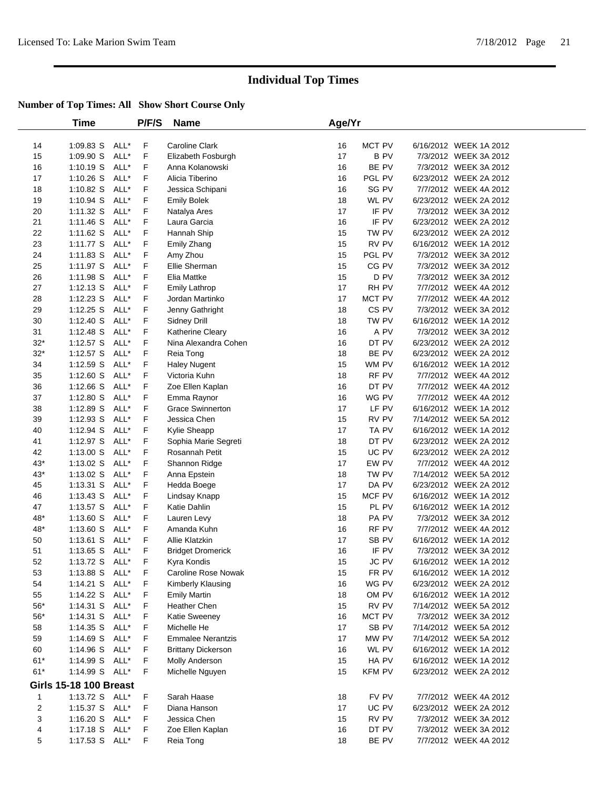|                | <b>Time</b>                   |              | P/F/S  | <b>Name</b>                         | Age/Yr   |                 |                                                  |
|----------------|-------------------------------|--------------|--------|-------------------------------------|----------|-----------------|--------------------------------------------------|
| 14             | 1:09.83 S                     | ALL*         | F      | <b>Caroline Clark</b>               | 16       | MCT PV          | 6/16/2012 WEEK 1A 2012                           |
| 15             | 1:09.90 S                     | ALL*         | F      | Elizabeth Fosburgh                  | 17       | B PV            | 7/3/2012 WEEK 3A 2012                            |
| 16             | $1:10.19$ S                   | ALL*         | F      | Anna Kolanowski                     | 16       | BE PV           | 7/3/2012 WEEK 3A 2012                            |
| 17             | $1:10.26$ S                   | ALL*         | F      | Alicia Tiberino                     | 16       | PGL PV          | 6/23/2012 WEEK 2A 2012                           |
| 18             | 1:10.82 S                     | ALL*         | F      | Jessica Schipani                    | 16       | SG PV           | 7/7/2012 WEEK 4A 2012                            |
| 19             | $1:10.94$ S                   | ALL*         | F      | <b>Emily Bolek</b>                  | 18       | WL PV           | 6/23/2012 WEEK 2A 2012                           |
| 20             | 1:11.32 S                     | ALL*         | F      | Natalya Ares                        | 17       | IF PV           | 7/3/2012 WEEK 3A 2012                            |
| 21             | 1:11.46 S                     | ALL*         | F      | Laura Garcia                        | 16       | IF PV           | 6/23/2012 WEEK 2A 2012                           |
| 22             | $1:11.62$ S                   | ALL*         | F      | Hannah Ship                         | 15       | TW PV           | 6/23/2012 WEEK 2A 2012                           |
| 23             | 1:11.77 S                     | ALL*         | F      | Emily Zhang                         | 15       | RV PV           | 6/16/2012 WEEK 1A 2012                           |
| 24             | 1:11.83 S                     | ALL*         | F      | Amy Zhou                            | 15       | PGL PV          | 7/3/2012 WEEK 3A 2012                            |
| 25             | 1:11.97 S                     | ALL*         | F      | Ellie Sherman                       | 15       | CG PV           | 7/3/2012 WEEK 3A 2012                            |
| 26             | 1:11.98 S                     | ALL*         | F      | Elia Mattke                         | 15       | D PV            | 7/3/2012 WEEK 3A 2012                            |
| 27             | $1:12.13$ S                   | ALL*         | F      | <b>Emily Lathrop</b>                | 17       | RH PV           | 7/7/2012 WEEK 4A 2012                            |
| 28             | $1:12.23$ S                   | ALL*         | F      | Jordan Martinko                     | 17       | MCT PV          | 7/7/2012 WEEK 4A 2012                            |
| 29             | $1:12.25$ S                   | ALL*         | F      | Jenny Gathright                     | 18       | CS PV           | 7/3/2012 WEEK 3A 2012                            |
| 30             | 1:12.40 S                     | ALL*         | F      | Sidney Drill                        | 18       | TW PV           | 6/16/2012 WEEK 1A 2012                           |
| 31             | 1:12.48 S                     | ALL*         | F      | Katherine Cleary                    | 16       | A PV            | 7/3/2012 WEEK 3A 2012                            |
| $32*$          | $1:12.57$ S                   | ALL*         | F      | Nina Alexandra Cohen                | 16       | DT PV           | 6/23/2012 WEEK 2A 2012                           |
| $32*$          | $1:12.57$ S                   | ALL*         | F      | Reia Tong                           | 18       | BE PV           | 6/23/2012 WEEK 2A 2012                           |
| 34             | $1:12.59$ S                   | ALL*         | F      | <b>Haley Nugent</b>                 | 15       | WM PV           | 6/16/2012 WEEK 1A 2012                           |
| 35             | 1:12.60 S                     | ALL*         | F      | Victoria Kuhn                       | 18       | RF PV           | 7/7/2012 WEEK 4A 2012                            |
| 36             | $1:12.66$ S                   | ALL*         | F      | Zoe Ellen Kaplan                    | 16       | DT PV           | 7/7/2012 WEEK 4A 2012                            |
| 37             | 1:12.80 S                     | ALL*         | F      | Emma Raynor                         | 16       | WG PV           | 7/7/2012 WEEK 4A 2012                            |
| 38             | 1:12.89 S                     | ALL*         | F      | <b>Grace Swinnerton</b>             | 17       | LF PV           | 6/16/2012 WEEK 1A 2012                           |
| 39             | 1:12.93 S                     | ALL*         | F      | Jessica Chen                        | 15       | RV PV           | 7/14/2012 WEEK 5A 2012                           |
| 40             | 1:12.94 S                     | ALL*         | F      | Kylie Sheapp                        | 17       | TA PV           | 6/16/2012 WEEK 1A 2012                           |
| 41             | 1:12.97 S                     | ALL*         | F      | Sophia Marie Segreti                | 18       | DT PV           | 6/23/2012 WEEK 2A 2012                           |
| 42             | 1:13.00 S                     | ALL*         | F      | Rosannah Petit                      | 15       | UC PV           | 6/23/2012 WEEK 2A 2012                           |
| $43*$          | $1:13.02$ S                   | ALL*         | F      | Shannon Ridge                       | 17       | EW PV           | 7/7/2012 WEEK 4A 2012                            |
| $43*$          | $1:13.02$ S                   | ALL*         | F      | Anna Epstein                        | 18       | TW PV           | 7/14/2012 WEEK 5A 2012                           |
| 45             | $1:13.31$ S                   | ALL*         | F      | Hedda Boege                         | 17       | DA PV           | 6/23/2012 WEEK 2A 2012                           |
| 46             | $1:13.43$ S                   | ALL*         | F      | Lindsay Knapp                       | 15       | MCF PV          | 6/16/2012 WEEK 1A 2012                           |
| 47             | $1:13.57$ S                   | ALL*         | F      | Katie Dahlin                        | 15       | PL PV           | 6/16/2012 WEEK 1A 2012                           |
| 48*            | 1:13.60 S                     | ALL*         | F      | Lauren Levy                         | 18       | PA PV           | 7/3/2012 WEEK 3A 2012                            |
| 48*            | 1:13.60 S                     | ALL*         | F      | Amanda Kuhn                         | 16       | RF PV           | 7/7/2012 WEEK 4A 2012                            |
| 50             | 1:13.61 S                     | ALL*         | F      | Allie Klatzkin                      | 17       | SB PV           | 6/16/2012 WEEK 1A 2012                           |
| 51             | 1:13.65 S                     | ALL*         | F      | <b>Bridget Dromerick</b>            | 16       | IF PV           | 7/3/2012 WEEK 3A 2012                            |
| 52             | 1:13.72 S                     | ALL*         | F      | Kyra Kondis                         | 15       | JC PV           | 6/16/2012 WEEK 1A 2012                           |
| 53             | 1:13.88 S ALL*                |              | F      | Caroline Rose Nowak                 | 15       | FR PV           | 6/16/2012 WEEK 1A 2012                           |
| 54             | $1:14.21$ S                   | ALL*         | F      | Kimberly Klausing                   | 16       | WG PV           | 6/23/2012 WEEK 2A 2012                           |
| 55             | 1:14.22 S                     | ALL*         | F      | <b>Emily Martin</b><br>Heather Chen | 18       | OM PV           | 6/16/2012 WEEK 1A 2012                           |
| $56^{\ast}$    | $1:14.31$ S                   | ALL*         | F      |                                     | 15       | RV PV           | 7/14/2012 WEEK 5A 2012                           |
| $56^{\ast}$    | $1:14.31$ S<br>$1:14.35$ S    | ALL*<br>ALL* | F<br>F | <b>Katie Sweeney</b><br>Michelle He | 16<br>17 | MCT PV<br>SB PV | 7/3/2012 WEEK 3A 2012<br>7/14/2012 WEEK 5A 2012  |
| 58             |                               | ALL*         | F      | <b>Emmalee Nerantzis</b>            | 17       | MW PV           | 7/14/2012 WEEK 5A 2012                           |
| 59             | $1:14.69$ S                   | ALL*         |        |                                     |          |                 |                                                  |
| 60<br>$61*$    | 1:14.96 S<br>1:14.99 S ALL*   |              | F<br>F | <b>Brittany Dickerson</b>           | 16<br>15 | WL PV<br>HA PV  | 6/16/2012 WEEK 1A 2012<br>6/16/2012 WEEK 1A 2012 |
| $61*$          | 1:14.99 S ALL*                |              | F      | Molly Anderson<br>Michelle Nguyen   | 15       | <b>KFM PV</b>   | 6/23/2012 WEEK 2A 2012                           |
|                | <b>Girls 15-18 100 Breast</b> |              |        |                                     |          |                 |                                                  |
| 1              | 1:13.72 S ALL*                |              | F      | Sarah Haase                         | 18       | FV PV           | 7/7/2012 WEEK 4A 2012                            |
| $\overline{2}$ | 1:15.37 S ALL*                |              | F      | Diana Hanson                        | 17       | UC PV           | 6/23/2012 WEEK 2A 2012                           |
| 3              | 1:16.20 S                     | ALL*         | F      | Jessica Chen                        | 15       | RV PV           | 7/3/2012 WEEK 3A 2012                            |
| 4              | 1:17.18 S ALL*                |              | F      | Zoe Ellen Kaplan                    | 16       | DT PV           | 7/3/2012 WEEK 3A 2012                            |
| 5              | 1:17.53 S ALL*                |              | F.     | Reia Tong                           | 18       | BE PV           | 7/7/2012 WEEK 4A 2012                            |
|                |                               |              |        |                                     |          |                 |                                                  |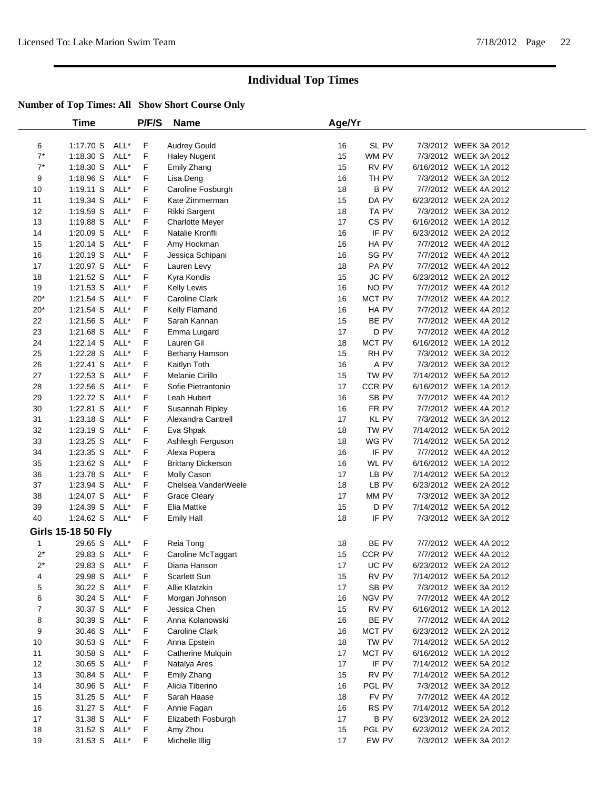|       | Time               |      | P/F/S | <b>Name</b>               | Age/Yr |            |                        |  |
|-------|--------------------|------|-------|---------------------------|--------|------------|------------------------|--|
| 6     | 1:17.70 S ALL*     |      | F     | <b>Audrey Gould</b>       | 16     | SL PV      | 7/3/2012 WEEK 3A 2012  |  |
| $7^*$ | 1:18.30 S          | ALL* | F     | <b>Haley Nugent</b>       | 15     | WM PV      | 7/3/2012 WEEK 3A 2012  |  |
| $7^*$ | 1:18.30 S          | ALL* | F     | Emily Zhang               | 15     | RV PV      | 6/16/2012 WEEK 1A 2012 |  |
| 9     | 1:18.96 S          | ALL* | F     | Lisa Deng                 | 16     | TH PV      | 7/3/2012 WEEK 3A 2012  |  |
| 10    | 1:19.11 S          | ALL* | F     | Caroline Fosburgh         | 18     | <b>BPV</b> | 7/7/2012 WEEK 4A 2012  |  |
| 11    | 1:19.34 S          | ALL* | F     | Kate Zimmerman            | 15     | DA PV      | 6/23/2012 WEEK 2A 2012 |  |
| 12    | $1:19.59$ S        | ALL* | F     | Rikki Sargent             | 18     | TA PV      | 7/3/2012 WEEK 3A 2012  |  |
| 13    | 1:19.88 S          | ALL* | F     | <b>Charlotte Meyer</b>    | 17     | CS PV      | 6/16/2012 WEEK 1A 2012 |  |
| 14    | $1:20.09$ S        | ALL* | F     | Natalie Kronfli           | 16     | IF PV      | 6/23/2012 WEEK 2A 2012 |  |
| 15    | $1:20.14$ S        | ALL* | F     | Amy Hockman               | 16     | HA PV      | 7/7/2012 WEEK 4A 2012  |  |
| 16    | 1:20.19 S          | ALL* | F     | Jessica Schipani          | 16     | SG PV      | 7/7/2012 WEEK 4A 2012  |  |
| 17    | 1:20.97 S          | ALL* | F     | Lauren Levy               | 18     | PA PV      | 7/7/2012 WEEK 4A 2012  |  |
| 18    | 1:21.52 S          | ALL* | F     | Kyra Kondis               | 15     | JC PV      | 6/23/2012 WEEK 2A 2012 |  |
| 19    | $1:21.53$ S        | ALL* | F     | Kelly Lewis               | 16     | NO PV      | 7/7/2012 WEEK 4A 2012  |  |
| $20*$ | 1:21.54 S          | ALL* | F     | Caroline Clark            | 16     | MCT PV     | 7/7/2012 WEEK 4A 2012  |  |
| $20*$ | 1:21.54 S          | ALL* | F     | Kelly Flamand             | 16     | HA PV      | 7/7/2012 WEEK 4A 2012  |  |
| 22    | 1:21.56 S          | ALL* | F     | Sarah Kannan              | 15     | BE PV      | 7/7/2012 WEEK 4A 2012  |  |
| 23    | 1:21.68 S          | ALL* | F     | Emma Luigard              | 17     | D PV       | 7/7/2012 WEEK 4A 2012  |  |
| 24    | $1:22.14$ S        | ALL* | F     | Lauren Gil                | 18     | MCT PV     | 6/16/2012 WEEK 1A 2012 |  |
| 25    | 1:22.28 S          | ALL* | F     | Bethany Hamson            | 15     | RH PV      | 7/3/2012 WEEK 3A 2012  |  |
| 26    | 1:22.41 S          | ALL* | F     | Kaitlyn Toth              | 16     | A PV       | 7/3/2012 WEEK 3A 2012  |  |
| 27    | $1:22.53$ S        | ALL* | F     | Melanie Cirillo           | 15     | TW PV      | 7/14/2012 WEEK 5A 2012 |  |
| 28    | 1:22.56 S          | ALL* | F     | Sofie Pietrantonio        | 17     | CCR PV     | 6/16/2012 WEEK 1A 2012 |  |
| 29    | 1:22.72 S          | ALL* | F     | Leah Hubert               | 16     | SB PV      | 7/7/2012 WEEK 4A 2012  |  |
| 30    | $1:22.81$ S        | ALL* | F     | Susannah Ripley           | 16     | FR PV      | 7/7/2012 WEEK 4A 2012  |  |
| 31    | 1:23.18 S          | ALL* | F     | Alexandra Cantrell        | 17     | KL PV      | 7/3/2012 WEEK 3A 2012  |  |
| 32    | 1:23.19 S          | ALL* | F     | Eva Shpak                 | 18     | TW PV      | 7/14/2012 WEEK 5A 2012 |  |
| 33    | $1:23.25$ S        | ALL* | F     | Ashleigh Ferguson         | 18     | WG PV      | 7/14/2012 WEEK 5A 2012 |  |
| 34    | $1:23.35$ S        | ALL* | F     | Alexa Popera              | 16     | IF PV      | 7/7/2012 WEEK 4A 2012  |  |
| 35    | 1:23.62 S          | ALL* | F     | <b>Brittany Dickerson</b> | 16     | WL PV      | 6/16/2012 WEEK 1A 2012 |  |
| 36    | 1:23.78 S ALL*     |      | F     | Molly Cason               | 17     | LB PV      | 7/14/2012 WEEK 5A 2012 |  |
| 37    | 1:23.94 S          | ALL* | F     | Chelsea VanderWeele       | 18     | LB PV      | 6/23/2012 WEEK 2A 2012 |  |
| 38    | 1:24.07 S          | ALL* | F     | <b>Grace Cleary</b>       | 17     | MM PV      | 7/3/2012 WEEK 3A 2012  |  |
| 39    | 1:24.39 S          | ALL* | F     | Elia Mattke               | 15     | D PV       | 7/14/2012 WEEK 5A 2012 |  |
| 40    | 1:24.62 S ALL*     |      | F     | <b>Emily Hall</b>         | 18     | IF PV      | 7/3/2012 WEEK 3A 2012  |  |
|       | Girls 15-18 50 Fly |      |       |                           |        |            |                        |  |
| 1     | 29.65 S ALL*       |      | F     | Reia Tong                 | 18     | BE PV      | 7/7/2012 WEEK 4A 2012  |  |
| $2^*$ | 29.83 S            | ALL* | F     | Caroline McTaggart        | 15     | CCR PV     | 7/7/2012 WEEK 4A 2012  |  |
| $2^*$ | 29.83 S ALL*       |      | F.    | Diana Hanson              | 17     | UC PV      | 6/23/2012 WEEK 2A 2012 |  |
| 4     | 29.98 S ALL*       |      | F     | Scarlett Sun              | 15     | RV PV      | 7/14/2012 WEEK 5A 2012 |  |
| 5     | 30.22 S ALL*       |      | F     | Allie Klatzkin            | 17     | SB PV      | 7/3/2012 WEEK 3A 2012  |  |
| 6     | 30.24 S            | ALL* | F     | Morgan Johnson            | 16     | NGV PV     | 7/7/2012 WEEK 4A 2012  |  |
| 7     | 30.37 S            | ALL* | F     | Jessica Chen              | 15     | RV PV      | 6/16/2012 WEEK 1A 2012 |  |
| 8     | 30.39 S            | ALL* | F     | Anna Kolanowski           | 16     | BE PV      | 7/7/2012 WEEK 4A 2012  |  |
| 9     | 30.46 S            | ALL* | F     | Caroline Clark            | 16     | MCT PV     | 6/23/2012 WEEK 2A 2012 |  |
| 10    | 30.53 S            | ALL* | F     | Anna Epstein              | 18     | TW PV      | 7/14/2012 WEEK 5A 2012 |  |
| 11    | 30.58 S            | ALL* | F     | Catherine Mulquin         | 17     | MCT PV     | 6/16/2012 WEEK 1A 2012 |  |
| 12    | 30.65 S            | ALL* | F     | Natalya Ares              | 17     | IF PV      | 7/14/2012 WEEK 5A 2012 |  |
| 13    | 30.84 S            | ALL* | F     | Emily Zhang               | 15     | RV PV      | 7/14/2012 WEEK 5A 2012 |  |
| 14    | 30.96 S            | ALL* | F     | Alicia Tiberino           | 16     | PGL PV     | 7/3/2012 WEEK 3A 2012  |  |
| 15    | 31.25 S            | ALL* | F     | Sarah Haase               | 18     | FV PV      | 7/7/2012 WEEK 4A 2012  |  |
| 16    | 31.27 S            | ALL* | F.    | Annie Fagan               | 16     | RS PV      | 7/14/2012 WEEK 5A 2012 |  |
| 17    | 31.38 S            | ALL* | F     | Elizabeth Fosburgh        | 17     | <b>BPV</b> | 6/23/2012 WEEK 2A 2012 |  |
| 18    | 31.52 S            | ALL* | F     | Amy Zhou                  | 15     | PGL PV     | 6/23/2012 WEEK 2A 2012 |  |
| 19    | 31.53 S ALL*       |      | F     | Michelle Illig            | 17     | EW PV      | 7/3/2012 WEEK 3A 2012  |  |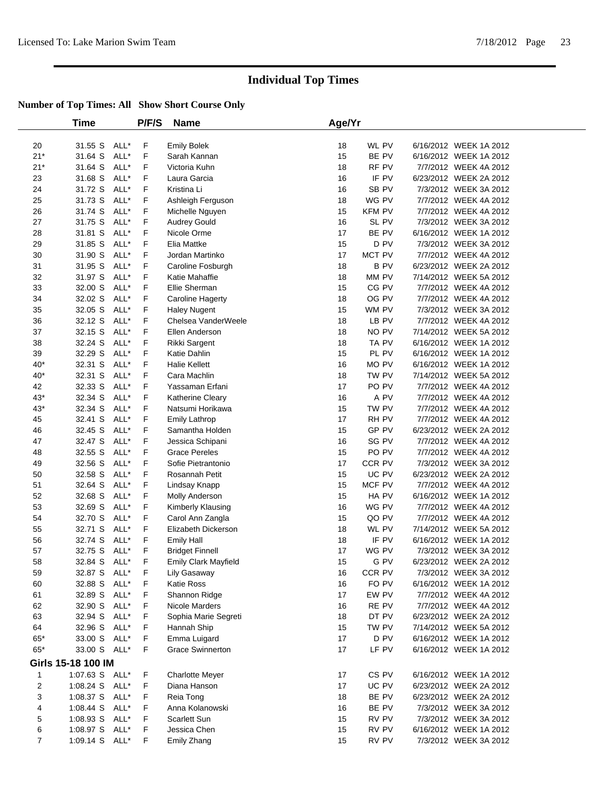|                | <b>Time</b>        |      | P/F/S | <b>Name</b>             | Age/Yr |               |                        |
|----------------|--------------------|------|-------|-------------------------|--------|---------------|------------------------|
| 20             | 31.55 S            | ALL* | F     | <b>Emily Bolek</b>      | 18     | WL PV         | 6/16/2012 WEEK 1A 2012 |
| $21*$          | 31.64 S            | ALL* | F     | Sarah Kannan            | 15     | BE PV         | 6/16/2012 WEEK 1A 2012 |
| $21*$          | 31.64 S            | ALL* | F     | Victoria Kuhn           | 18     | RF PV         | 7/7/2012 WEEK 4A 2012  |
| 23             | 31.68 S            | ALL* | F     | Laura Garcia            | 16     | IF PV         | 6/23/2012 WEEK 2A 2012 |
| 24             | 31.72 S            | ALL* | F     | Kristina Li             | 16     | SB PV         | 7/3/2012 WEEK 3A 2012  |
| 25             | 31.73 S            | ALL* | F     | Ashleigh Ferguson       | 18     | WG PV         | 7/7/2012 WEEK 4A 2012  |
| 26             | 31.74 S            | ALL* | F     | Michelle Nguyen         | 15     | <b>KFM PV</b> | 7/7/2012 WEEK 4A 2012  |
| 27             | 31.75 S            | ALL* | F     | <b>Audrey Gould</b>     | 16     | SL PV         | 7/3/2012 WEEK 3A 2012  |
| 28             | 31.81 S            | ALL* | F     | Nicole Orme             | 17     | BE PV         | 6/16/2012 WEEK 1A 2012 |
| 29             | 31.85 S            | ALL* | F     | Elia Mattke             | 15     | D PV          | 7/3/2012 WEEK 3A 2012  |
| 30             | 31.90 S            | ALL* | F     | Jordan Martinko         | 17     | MCT PV        | 7/7/2012 WEEK 4A 2012  |
| 31             | 31.95 S            | ALL* | F     | Caroline Fosburgh       | 18     | <b>BPV</b>    | 6/23/2012 WEEK 2A 2012 |
| 32             | 31.97 S            | ALL* | F     | Katie Mahaffie          | 18     | MM PV         | 7/14/2012 WEEK 5A 2012 |
| 33             | 32.00 S            | ALL* | F     | Ellie Sherman           | 15     | CG PV         | 7/7/2012 WEEK 4A 2012  |
| 34             | 32.02 S            | ALL* | F     | Caroline Hagerty        | 18     | OG PV         | 7/7/2012 WEEK 4A 2012  |
| 35             | 32.05 S            | ALL* | F     | <b>Haley Nugent</b>     | 15     | WM PV         | 7/3/2012 WEEK 3A 2012  |
| 36             | 32.12 S            | ALL* | F     | Chelsea VanderWeele     | 18     | LB PV         | 7/7/2012 WEEK 4A 2012  |
| 37             | 32.15 S            | ALL* | F     | Ellen Anderson          | 18     | NO PV         | 7/14/2012 WEEK 5A 2012 |
| 38             | 32.24 S            | ALL* | F     | Rikki Sargent           | 18     | TA PV         | 6/16/2012 WEEK 1A 2012 |
| 39             | 32.29 S            | ALL* | F     | Katie Dahlin            | 15     | PL PV         | 6/16/2012 WEEK 1A 2012 |
| $40*$          | 32.31 S            | ALL* | F     | <b>Halie Kellett</b>    | 16     | MO PV         | 6/16/2012 WEEK 1A 2012 |
| $40*$          | 32.31 S            | ALL* | F     | Cara Machlin            | 18     | TW PV         | 7/14/2012 WEEK 5A 2012 |
| 42             | 32.33 S            | ALL* | F     | Yassaman Erfani         | 17     | PO PV         | 7/7/2012 WEEK 4A 2012  |
| $43*$          | 32.34 S            | ALL* | F     | Katherine Cleary        | 16     | A PV          | 7/7/2012 WEEK 4A 2012  |
| $43*$          | 32.34 S            | ALL* | F     | Natsumi Horikawa        | 15     | TW PV         | 7/7/2012 WEEK 4A 2012  |
| 45             | 32.41 S            | ALL* | F     | <b>Emily Lathrop</b>    | 17     | RH PV         | 7/7/2012 WEEK 4A 2012  |
| 46             | 32.45 S            | ALL* | F     | Samantha Holden         | 15     | GP PV         | 6/23/2012 WEEK 2A 2012 |
| 47             | 32.47 S            | ALL* | F     | Jessica Schipani        | 16     | SG PV         | 7/7/2012 WEEK 4A 2012  |
| 48             | 32.55 S            | ALL* | F     | <b>Grace Pereles</b>    | 15     | PO PV         | 7/7/2012 WEEK 4A 2012  |
| 49             | 32.56 S            | ALL* | F     | Sofie Pietrantonio      | 17     | CCR PV        | 7/3/2012 WEEK 3A 2012  |
| 50             | 32.58 S            | ALL* | F     | Rosannah Petit          | 15     | UC PV         | 6/23/2012 WEEK 2A 2012 |
| 51             | 32.64 S            | ALL* | F     | Lindsay Knapp           | 15     | MCF PV        | 7/7/2012 WEEK 4A 2012  |
| 52             | 32.68 S            | ALL* | F     | Molly Anderson          | 15     | HA PV         | 6/16/2012 WEEK 1A 2012 |
| 53             | 32.69 S            | ALL* | F     | Kimberly Klausing       | 16     | WG PV         | 7/7/2012 WEEK 4A 2012  |
| 54             | 32.70 S            | ALL* | F     | Carol Ann Zangla        | 15     | QO PV         | 7/7/2012 WEEK 4A 2012  |
| 55             | 32.71 S            | ALL* | F     | Elizabeth Dickerson     | 18     | WL PV         | 7/14/2012 WEEK 5A 2012 |
| 56             | 32.74 S            | ALL* | F     | <b>Emily Hall</b>       | 18     | IF PV         | 6/16/2012 WEEK 1A 2012 |
| 57             | 32.75 S            | ALL* | F     | <b>Bridget Finnell</b>  | 17     | WG PV         | 7/3/2012 WEEK 3A 2012  |
| 58             | 32.84 S            | ALL* | F     | Emily Clark Mayfield    | 15     | G PV          | 6/23/2012 WEEK 2A 2012 |
| 59             | 32.87 S ALL*       |      | F     | Lily Gasaway            | 16     | CCR PV        | 7/3/2012 WEEK 3A 2012  |
| 60             | 32.88 S            | ALL* | F     | Katie Ross              | 16     | FO PV         | 6/16/2012 WEEK 1A 2012 |
| 61             | 32.89 S            | ALL* | F     | Shannon Ridge           | 17     | EW PV         | 7/7/2012 WEEK 4A 2012  |
| 62             | 32.90 S            | ALL* | F     | Nicole Marders          | 16     | RE PV         | 7/7/2012 WEEK 4A 2012  |
| 63             | 32.94 S            | ALL* | F     | Sophia Marie Segreti    | 18     | DT PV         | 6/23/2012 WEEK 2A 2012 |
| 64             | 32.96 S            | ALL* | F     | Hannah Ship             | 15     | TW PV         | 7/14/2012 WEEK 5A 2012 |
| $65^{\ast}$    | 33.00 S ALL*       |      | F     | Emma Luigard            | 17     | D PV          | 6/16/2012 WEEK 1A 2012 |
| $65*$          | 33.00 S ALL*       |      | F     | <b>Grace Swinnerton</b> | 17     | LF PV         | 6/16/2012 WEEK 1A 2012 |
|                | Girls 15-18 100 IM |      |       |                         |        |               |                        |
| 1              | 1:07.63 S ALL*     |      | F     | <b>Charlotte Meyer</b>  | 17     | CS PV         | 6/16/2012 WEEK 1A 2012 |
| 2              | 1:08.24 S ALL*     |      | F     | Diana Hanson            | 17     | UC PV         | 6/23/2012 WEEK 2A 2012 |
| 3              | 1:08.37 S          | ALL* | F     | Reia Tong               | 18     | BE PV         | 6/23/2012 WEEK 2A 2012 |
| 4              | 1:08.44 S ALL*     |      | F.    | Anna Kolanowski         | 16     | BE PV         | 7/3/2012 WEEK 3A 2012  |
| 5              | $1:08.93$ S        | ALL* | F     | <b>Scarlett Sun</b>     | 15     | RV PV         | 7/3/2012 WEEK 3A 2012  |
| 6              | 1:08.97 S          | ALL* | F     | Jessica Chen            | 15     | RV PV         | 6/16/2012 WEEK 1A 2012 |
| $\overline{7}$ | 1:09.14 S ALL*     |      | F     | Emily Zhang             | 15     | RV PV         | 7/3/2012 WEEK 3A 2012  |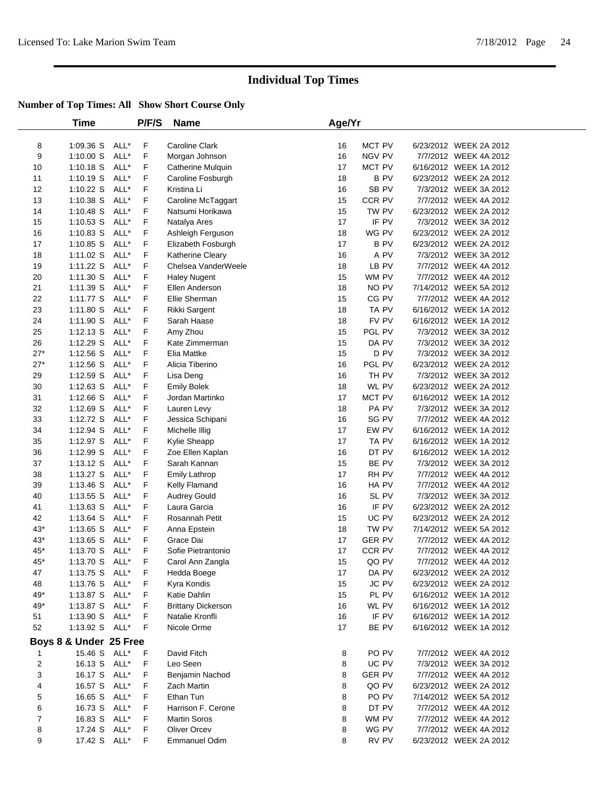|                | Time                   |      | P/F/S | <b>Name</b>               | Age/Yr |               |                        |
|----------------|------------------------|------|-------|---------------------------|--------|---------------|------------------------|
| 8              | 1:09.36 S              | ALL* | F     | Caroline Clark            | 16     | MCT PV        | 6/23/2012 WEEK 2A 2012 |
| 9              | 1:10.00 S              | ALL* | F     | Morgan Johnson            | 16     | NGV PV        | 7/7/2012 WEEK 4A 2012  |
| 10             | $1:10.18$ S            | ALL* | F     | Catherine Mulquin         | 17     | MCT PV        | 6/16/2012 WEEK 1A 2012 |
| 11             | 1:10.19 S              | ALL* | F     | Caroline Fosburgh         | 18     | <b>BPV</b>    | 6/23/2012 WEEK 2A 2012 |
| 12             | 1:10.22 S              | ALL* | F     | Kristina Li               | 16     | SB PV         | 7/3/2012 WEEK 3A 2012  |
| 13             | 1:10.38 S              | ALL* | F     | Caroline McTaggart        | 15     | CCR PV        | 7/7/2012 WEEK 4A 2012  |
| 14             | 1:10.48 S              | ALL* | F     | Natsumi Horikawa          | 15     | TW PV         | 6/23/2012 WEEK 2A 2012 |
| 15             | $1:10.53$ S            | ALL* | F     | Natalya Ares              | 17     | IF PV         | 7/3/2012 WEEK 3A 2012  |
| 16             | $1:10.83$ S            | ALL* | F     | Ashleigh Ferguson         | 18     | WG PV         | 6/23/2012 WEEK 2A 2012 |
| 17             | 1:10.85 S              | ALL* | F     | Elizabeth Fosburgh        | 17     | <b>BPV</b>    | 6/23/2012 WEEK 2A 2012 |
| 18             | 1:11.02 S              | ALL* | F     | <b>Katherine Cleary</b>   | 16     | A PV          | 7/3/2012 WEEK 3A 2012  |
| 19             | 1:11.22 S              | ALL* | F     | Chelsea VanderWeele       | 18     | LB PV         | 7/7/2012 WEEK 4A 2012  |
| 20             | 1:11.30 S              | ALL* | F     | <b>Haley Nugent</b>       | 15     | WM PV         | 7/7/2012 WEEK 4A 2012  |
| 21             | 1:11.39 S              | ALL* | F     | Ellen Anderson            | 18     | NO PV         | 7/14/2012 WEEK 5A 2012 |
| 22             | 1:11.77 S              | ALL* | F     | Ellie Sherman             | 15     | CG PV         | 7/7/2012 WEEK 4A 2012  |
| 23             | 1:11.80 S              | ALL* | F     | Rikki Sargent             | 18     | TA PV         | 6/16/2012 WEEK 1A 2012 |
| 24             | 1:11.90 S              | ALL* | F     | Sarah Haase               | 18     | FV PV         | 6/16/2012 WEEK 1A 2012 |
| 25             | $1:12.13$ S            | ALL* | F     | Amy Zhou                  | 15     | PGL PV        | 7/3/2012 WEEK 3A 2012  |
| 26             | 1:12.29 S              | ALL* | F     | Kate Zimmerman            | 15     | DA PV         | 7/3/2012 WEEK 3A 2012  |
| $27*$          | $1:12.56$ S            | ALL* | F     | Elia Mattke               | 15     | D PV          | 7/3/2012 WEEK 3A 2012  |
| $27*$          | 1:12.56 S              | ALL* | F     | Alicia Tiberino           | 16     | PGL PV        | 6/23/2012 WEEK 2A 2012 |
| 29             | 1:12.59 S              | ALL* | F     | Lisa Deng                 | 16     | TH PV         | 7/3/2012 WEEK 3A 2012  |
| 30             | $1:12.63$ S            | ALL* | F     | <b>Emily Bolek</b>        | 18     | WL PV         | 6/23/2012 WEEK 2A 2012 |
| 31             | 1:12.66 S              | ALL* | F     | Jordan Martinko           | 17     | MCT PV        | 6/16/2012 WEEK 1A 2012 |
| 32             | 1:12.69 S              | ALL* | F     | Lauren Levy               | 18     | PA PV         | 7/3/2012 WEEK 3A 2012  |
| 33             | 1:12.72 S              | ALL* | F     | Jessica Schipani          | 16     | SG PV         | 7/7/2012 WEEK 4A 2012  |
| 34             | 1:12.94 S              | ALL* | F     | Michelle Illig            | 17     | EW PV         | 6/16/2012 WEEK 1A 2012 |
| 35             | 1:12.97 S              | ALL* | F     | Kylie Sheapp              | 17     | TA PV         | 6/16/2012 WEEK 1A 2012 |
| 36             | 1:12.99 S              | ALL* | F     | Zoe Ellen Kaplan          | 16     | DT PV         | 6/16/2012 WEEK 1A 2012 |
| 37             | 1:13.12 S              | ALL* | F     | Sarah Kannan              | 15     | BE PV         | 7/3/2012 WEEK 3A 2012  |
| 38             | 1:13.27 S              | ALL* | F     | <b>Emily Lathrop</b>      | 17     | RH PV         | 7/7/2012 WEEK 4A 2012  |
| 39             | $1:13.46$ S            | ALL* | F     | Kelly Flamand             | 16     | HA PV         | 7/7/2012 WEEK 4A 2012  |
| 40             | 1:13.55 S              | ALL* | F     | <b>Audrey Gould</b>       | 16     | SL PV         | 7/3/2012 WEEK 3A 2012  |
| 41             | 1:13.63 S              | ALL* | F     | Laura Garcia              | 16     | IF PV         | 6/23/2012 WEEK 2A 2012 |
| 42             | 1:13.64 S              | ALL* | F     | Rosannah Petit            | 15     | UC PV         | 6/23/2012 WEEK 2A 2012 |
| $43*$          | 1:13.65 S              | ALL* | F     | Anna Epstein              | 18     | TW PV         | 7/14/2012 WEEK 5A 2012 |
| $43*$          | 1:13.65 S              | ALL* | F     | Grace Dai                 | 17     | <b>GER PV</b> | 7/7/2012 WEEK 4A 2012  |
| 45*            | 1:13.70 S              | ALL* | F     | Sofie Pietrantonio        | 17     | CCR PV        | 7/7/2012 WEEK 4A 2012  |
| 45*            | 1:13.70 S              | ALL* | F     | Carol Ann Zangla          | 15     | QO PV         | 7/7/2012 WEEK 4A 2012  |
| 47             | 1:13.75 S ALL*         |      | F     | Hedda Boege               | 17     | DA PV         | 6/23/2012 WEEK 2A 2012 |
| 48             | 1:13.76 S ALL*         |      | F     | Kyra Kondis               | 15     | JC PV         | 6/23/2012 WEEK 2A 2012 |
| 49*            | 1:13.87 S ALL*         |      | F     | Katie Dahlin              | 15     | PL PV         | 6/16/2012 WEEK 1A 2012 |
| 49*            | 1:13.87 S ALL*         |      | F     | <b>Brittany Dickerson</b> | 16     | WL PV         | 6/16/2012 WEEK 1A 2012 |
| 51             | 1:13.90 S ALL*         |      | F     | Natalie Kronfli           | 16     | IF PV         | 6/16/2012 WEEK 1A 2012 |
| 52             | 1:13.92 S ALL*         |      | F     | Nicole Orme               | 17     | BE PV         | 6/16/2012 WEEK 1A 2012 |
|                | Boys 8 & Under 25 Free |      |       |                           |        |               |                        |
| $\mathbf{1}$   | 15.46 S ALL*           |      | F     | David Fitch               | 8      | PO PV         | 7/7/2012 WEEK 4A 2012  |
| $\overline{c}$ | 16.13 S ALL*           |      | F     | Leo Seen                  | 8      | UC PV         | 7/3/2012 WEEK 3A 2012  |
| 3              | 16.17 S ALL*           |      | F     | Benjamin Nachod           | 8      | <b>GER PV</b> | 7/7/2012 WEEK 4A 2012  |
| 4              | 16.57 S ALL*           |      | F     | <b>Zach Martin</b>        | 8      | QO PV         | 6/23/2012 WEEK 2A 2012 |
| 5              | 16.65 S ALL*           |      | F     | Ethan Tun                 | 8      | PO PV         | 7/14/2012 WEEK 5A 2012 |
| 6              | 16.73 S ALL*           |      | F     | Harrison F. Cerone        | 8      | DT PV         | 7/7/2012 WEEK 4A 2012  |
| 7              | 16.83 S ALL*           |      | F     | <b>Martin Soros</b>       | 8      | WM PV         | 7/7/2012 WEEK 4A 2012  |
| 8              | 17.24 S                | ALL* | F     | <b>Oliver Orcev</b>       | 8      | WG PV         | 7/7/2012 WEEK 4A 2012  |
| 9              | 17.42 S ALL*           |      | F     | <b>Emmanuel Odim</b>      | 8      | RV PV         | 6/23/2012 WEEK 2A 2012 |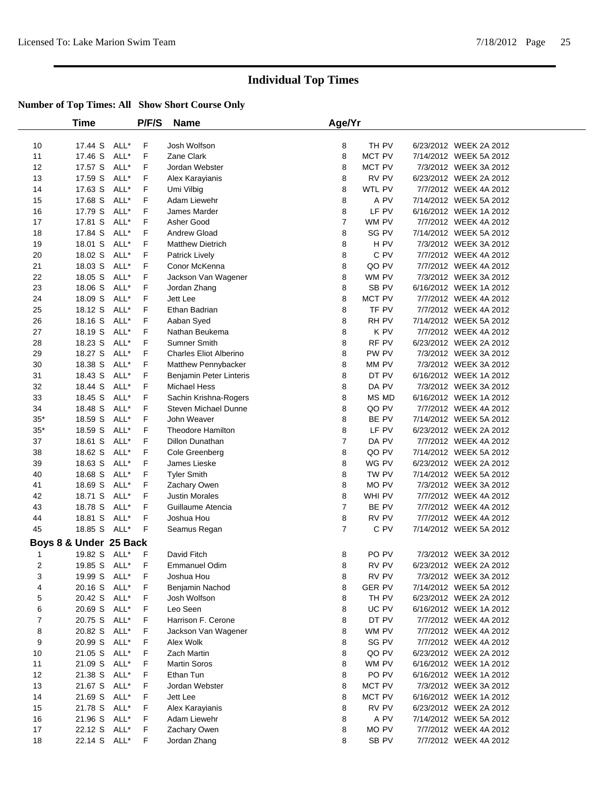|          | Time                   |              | P/F/S  | <b>Name</b>                     | Age/Yr         |                 |                                                  |  |
|----------|------------------------|--------------|--------|---------------------------------|----------------|-----------------|--------------------------------------------------|--|
| 10       | 17.44 S                | ALL*         | F      | Josh Wolfson                    | 8              | TH PV           | 6/23/2012 WEEK 2A 2012                           |  |
| 11       | 17.46 S                | ALL*         | F      | Zane Clark                      | 8              | MCT PV          | 7/14/2012 WEEK 5A 2012                           |  |
| 12       | 17.57 S                | ALL*         | F      | Jordan Webster                  | 8              | MCT PV          | 7/3/2012 WEEK 3A 2012                            |  |
| 13       | 17.59 S                | ALL*         | F      | Alex Karayianis                 | 8              | RV PV           | 6/23/2012 WEEK 2A 2012                           |  |
| 14       | 17.63 S                | ALL*         | F      | Umi Vilbig                      | 8              | WTL PV          | 7/7/2012 WEEK 4A 2012                            |  |
| 15       | 17.68 S                | ALL*         | F      | Adam Liewehr                    | 8              | A PV            | 7/14/2012 WEEK 5A 2012                           |  |
| 16       | 17.79 S                | ALL*         | F      | James Marder                    | 8              | LF PV           | 6/16/2012 WEEK 1A 2012                           |  |
| 17       | 17.81 S                | ALL*         | F      | Asher Good                      | $\overline{7}$ | WM PV           | 7/7/2012 WEEK 4A 2012                            |  |
| 18       | 17.84 S                | ALL*         | F      | Andrew Gload                    | 8              | SG PV           | 7/14/2012 WEEK 5A 2012                           |  |
| 19       | 18.01 S                | ALL*         | F      | <b>Matthew Dietrich</b>         | 8              | H PV            | 7/3/2012 WEEK 3A 2012                            |  |
| 20       | 18.02 S                | ALL*         | F      | <b>Patrick Lively</b>           | 8              | C PV            | 7/7/2012 WEEK 4A 2012                            |  |
| 21       | 18.03 S                | ALL*         | F      | Conor McKenna                   | 8              | QO PV           | 7/7/2012 WEEK 4A 2012                            |  |
| 22       | 18.05 S                | ALL*         | F      | Jackson Van Wagener             | 8              | WM PV           | 7/3/2012 WEEK 3A 2012                            |  |
| 23       | 18.06 S                | ALL*         | F      | Jordan Zhang                    | 8              | SB PV           | 6/16/2012 WEEK 1A 2012                           |  |
| 24       | 18.09 S                | ALL*         | F      | Jett Lee                        | 8              | MCT PV          | 7/7/2012 WEEK 4A 2012                            |  |
| 25       | 18.12 S                | ALL*         | F      | Ethan Badrian                   | 8              | TF PV           | 7/7/2012 WEEK 4A 2012                            |  |
| 26       | 18.16 S                | ALL*         | F      | Aaban Syed                      | 8              | RH PV           | 7/14/2012 WEEK 5A 2012                           |  |
| 27       | 18.19 S                | ALL*         | F      | Nathan Beukema                  | 8              | K PV            | 7/7/2012 WEEK 4A 2012                            |  |
| 28       | 18.23 S                | ALL*         | F      | Sumner Smith                    | 8              | RF PV           | 6/23/2012 WEEK 2A 2012                           |  |
| 29       | 18.27 S                | ALL*         | F      | <b>Charles Eliot Alberino</b>   | 8              | PW PV           | 7/3/2012 WEEK 3A 2012                            |  |
| 30       | 18.38 S                | ALL*         | F      | Matthew Pennybacker             | 8              | MM PV           | 7/3/2012 WEEK 3A 2012                            |  |
| 31       | 18.43 S                | ALL*         | F      | Benjamin Peter Linteris         | 8              | DT PV           | 6/16/2012 WEEK 1A 2012                           |  |
| 32       | 18.44 S                | ALL*         | F      | Michael Hess                    | 8              | DA PV           | 7/3/2012 WEEK 3A 2012                            |  |
| 33       | 18.45 S                | ALL*         | F      | Sachin Krishna-Rogers           | 8              | MS MD           | 6/16/2012 WEEK 1A 2012                           |  |
| 34       | 18.48 S                | ALL*         | F      | Steven Michael Dunne            | 8              | QO PV           | 7/7/2012 WEEK 4A 2012                            |  |
| $35*$    | 18.59 S                | ALL*         | F      | John Weaver                     | 8              | BE PV           | 7/14/2012 WEEK 5A 2012                           |  |
| $35*$    | 18.59 S                | ALL*         | F      | <b>Theodore Hamilton</b>        | 8              | LF PV           | 6/23/2012 WEEK 2A 2012                           |  |
| 37       | 18.61 S                | ALL*         | F      | Dillon Dunathan                 | $\overline{7}$ | DA PV           | 7/7/2012 WEEK 4A 2012                            |  |
| 38       | 18.62 S                | ALL*         | F      | Cole Greenberg                  | 8              | QO PV           | 7/14/2012 WEEK 5A 2012                           |  |
| 39       | 18.63 S                | ALL*         | F      | James Lieske                    | 8              | WG PV           | 6/23/2012 WEEK 2A 2012                           |  |
| 40       | 18.68 S                | ALL*         | F      | <b>Tyler Smith</b>              | 8              | TW PV           | 7/14/2012 WEEK 5A 2012                           |  |
| 41       | 18.69 S                | ALL*         | F      | Zachary Owen                    | 8              | MO PV           | 7/3/2012 WEEK 3A 2012                            |  |
| 42       | 18.71 S                | ALL*         | F      | <b>Justin Morales</b>           | 8              | WHI PV          | 7/7/2012 WEEK 4A 2012                            |  |
| 43       | 18.78 S                | ALL*         | F      | Guillaume Atencia               | $\overline{7}$ | BE PV           | 7/7/2012 WEEK 4A 2012                            |  |
| 44       | 18.81 S                | ALL*         | F      | Joshua Hou                      | 8              | RV PV           | 7/7/2012 WEEK 4A 2012                            |  |
| 45       | 18.85 S                | ALL*         | F      | Seamus Regan                    | $\overline{7}$ | C PV            | 7/14/2012 WEEK 5A 2012                           |  |
|          | Boys 8 & Under 25 Back |              |        |                                 |                |                 |                                                  |  |
| 1        | 19.82 S ALL*           |              | F      | David Fitch                     | 8              | PO PV           | 7/3/2012 WEEK 3A 2012                            |  |
| 2        | 19.85 S ALL*           |              | F      | <b>Emmanuel Odim</b>            | 8              | RV PV           | 6/23/2012 WEEK 2A 2012                           |  |
| 3        | 19.99 S ALL*           |              | F      | Joshua Hou                      | 8              | RV PV           | 7/3/2012 WEEK 3A 2012                            |  |
| 4        | 20.16 S                | ALL*         | F      | Benjamin Nachod                 | 8              | <b>GER PV</b>   | 7/14/2012 WEEK 5A 2012                           |  |
| 5        | 20.42 S                | ALL*         | F      | Josh Wolfson                    | 8              | TH PV           | 6/23/2012 WEEK 2A 2012                           |  |
| 6        | 20.69 S                | ALL*         | F      | Leo Seen                        | 8              | UC PV           | 6/16/2012 WEEK 1A 2012                           |  |
| 7        | 20.75 S                | ALL*         | F      | Harrison F. Cerone              | 8              | DT PV           | 7/7/2012 WEEK 4A 2012                            |  |
| 8        | 20.82 S                | ALL*         | F      | Jackson Van Wagener             | 8              | WM PV           | 7/7/2012 WEEK 4A 2012                            |  |
| 9        | 20.99 S                | ALL*         | F      | Alex Wolk                       | 8              | SG PV           | 7/7/2012 WEEK 4A 2012                            |  |
| 10       | 21.05 S                | ALL*         | F      | Zach Martin                     | 8              | QO PV           | 6/23/2012 WEEK 2A 2012                           |  |
| 11       | 21.09 S                | ALL*         | F      | <b>Martin Soros</b>             | 8              | WM PV           | 6/16/2012 WEEK 1A 2012                           |  |
| 12       | 21.38 S                | ALL*         | F      | Ethan Tun                       | 8              | PO PV<br>MCT PV | 6/16/2012 WEEK 1A 2012                           |  |
| 13       | 21.67 S                | ALL*         | F      | Jordan Webster                  | 8              |                 | 7/3/2012 WEEK 3A 2012                            |  |
| 14       | 21.69 S                | ALL*         | F      | Jett Lee                        | 8              | MCT PV          | 6/16/2012 WEEK 1A 2012                           |  |
| 15       | 21.78 S                | ALL*<br>ALL* | F<br>F | Alex Karayianis<br>Adam Liewehr | 8              | RV PV<br>A PV   | 6/23/2012 WEEK 2A 2012<br>7/14/2012 WEEK 5A 2012 |  |
| 16<br>17 | 21.96 S<br>22.12 S     | ALL*         | F      | Zachary Owen                    | 8<br>8         | MO PV           | 7/7/2012 WEEK 4A 2012                            |  |
| 18       | 22.14 S ALL*           |              | F      |                                 | 8              | SB PV           | 7/7/2012 WEEK 4A 2012                            |  |
|          |                        |              |        | Jordan Zhang                    |                |                 |                                                  |  |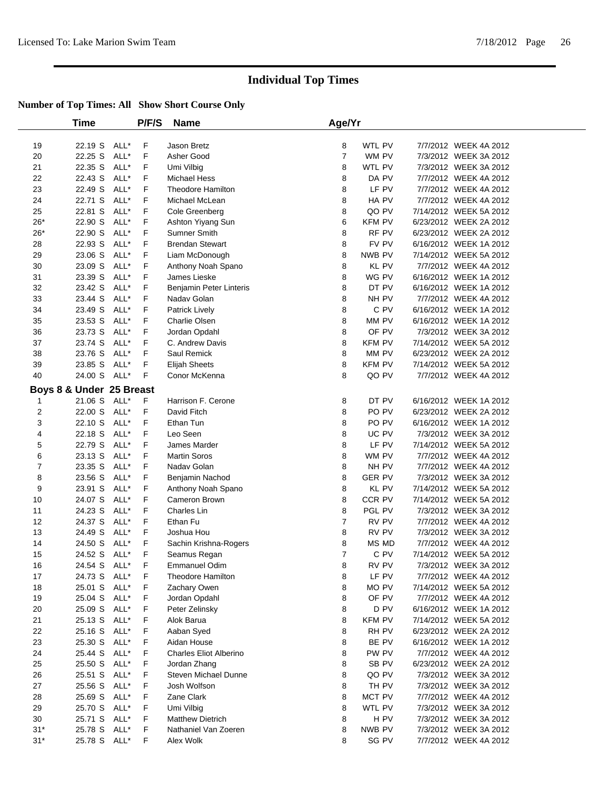|       | Time                     |      | P/F/S | <b>Name</b>                   | Age/Yr         |               |                        |  |
|-------|--------------------------|------|-------|-------------------------------|----------------|---------------|------------------------|--|
| 19    | 22.19 S ALL*             |      | F     | Jason Bretz                   | 8              | WTL PV        | 7/7/2012 WEEK 4A 2012  |  |
| 20    | 22.25 S                  | ALL* | F     | Asher Good                    | $\overline{7}$ | WM PV         | 7/3/2012 WEEK 3A 2012  |  |
| 21    | 22.35 S                  | ALL* | F     | Umi Vilbig                    | 8              | WTL PV        | 7/3/2012 WEEK 3A 2012  |  |
| 22    | 22.43 S                  | ALL* | F     | <b>Michael Hess</b>           | 8              | DA PV         | 7/7/2012 WEEK 4A 2012  |  |
| 23    | 22.49 S                  | ALL* | F     | <b>Theodore Hamilton</b>      | 8              | LF PV         | 7/7/2012 WEEK 4A 2012  |  |
| 24    | 22.71 S                  | ALL* | F     | Michael McLean                | 8              | HA PV         | 7/7/2012 WEEK 4A 2012  |  |
| 25    | 22.81 S                  | ALL* | F     | Cole Greenberg                | 8              | QO PV         | 7/14/2012 WEEK 5A 2012 |  |
| $26*$ | 22.90 S                  | ALL* | F     | Ashton Yiyang Sun             | 6              | <b>KFM PV</b> | 6/23/2012 WEEK 2A 2012 |  |
| $26*$ | 22.90 S                  | ALL* | F     | Sumner Smith                  | 8              | RF PV         | 6/23/2012 WEEK 2A 2012 |  |
| 28    | 22.93 S                  | ALL* | F     | <b>Brendan Stewart</b>        | 8              | FV PV         | 6/16/2012 WEEK 1A 2012 |  |
| 29    | 23.06 S                  | ALL* | F     | Liam McDonough                | 8              | NWB PV        | 7/14/2012 WEEK 5A 2012 |  |
| 30    | 23.09 S                  | ALL* | F     | Anthony Noah Spano            | 8              | <b>KL PV</b>  | 7/7/2012 WEEK 4A 2012  |  |
| 31    | 23.39 S                  | ALL* | F     | James Lieske                  | 8              | WG PV         | 6/16/2012 WEEK 1A 2012 |  |
| 32    | 23.42 S                  | ALL* | F     | Benjamin Peter Linteris       | 8              | DT PV         | 6/16/2012 WEEK 1A 2012 |  |
| 33    | 23.44 S                  | ALL* | F     | Nadav Golan                   | 8              | NH PV         | 7/7/2012 WEEK 4A 2012  |  |
| 34    | 23.49 S                  | ALL* | F     | Patrick Lively                | 8              | C PV          | 6/16/2012 WEEK 1A 2012 |  |
| 35    | 23.53 S                  | ALL* | F     | Charlie Olsen                 | 8              | MM PV         | 6/16/2012 WEEK 1A 2012 |  |
| 36    | 23.73 S                  | ALL* | F     | Jordan Opdahl                 | 8              | OF PV         | 7/3/2012 WEEK 3A 2012  |  |
| 37    | 23.74 S                  | ALL* | F     | C. Andrew Davis               | 8              | KFM PV        | 7/14/2012 WEEK 5A 2012 |  |
| 38    | 23.76 S                  | ALL* | F     | Saul Remick                   | 8              | MM PV         | 6/23/2012 WEEK 2A 2012 |  |
| 39    | 23.85 S                  | ALL* | F     | <b>Elijah Sheets</b>          | 8              | <b>KFM PV</b> | 7/14/2012 WEEK 5A 2012 |  |
| 40    | 24.00 S ALL*             |      | F     | Conor McKenna                 | 8              | QO PV         | 7/7/2012 WEEK 4A 2012  |  |
|       | Boys 8 & Under 25 Breast |      |       |                               |                |               |                        |  |
| 1     | 21.06 S                  | ALL* | F     | Harrison F. Cerone            | 8              | DT PV         | 6/16/2012 WEEK 1A 2012 |  |
| 2     | 22.00 S                  | ALL* | F     | David Fitch                   | 8              | PO PV         | 6/23/2012 WEEK 2A 2012 |  |
| 3     | 22.10 S                  | ALL* | F     | Ethan Tun                     | 8              | PO PV         | 6/16/2012 WEEK 1A 2012 |  |
| 4     | 22.18 S                  | ALL* | F     | Leo Seen                      | 8              | UC PV         | 7/3/2012 WEEK 3A 2012  |  |
| 5     | 22.79 S                  | ALL* | F     | James Marder                  | 8              | LF PV         | 7/14/2012 WEEK 5A 2012 |  |
| 6     | 23.13 S                  | ALL* | F     | <b>Martin Soros</b>           | 8              | WM PV         | 7/7/2012 WEEK 4A 2012  |  |
| 7     | 23.35 S                  | ALL* | F     | Nadav Golan                   | 8              | NH PV         | 7/7/2012 WEEK 4A 2012  |  |
| 8     | 23.56 S                  | ALL* | F     | Benjamin Nachod               | 8              | <b>GER PV</b> | 7/3/2012 WEEK 3A 2012  |  |
| 9     | 23.91 S                  | ALL* | F     | Anthony Noah Spano            | 8              | KL PV         | 7/14/2012 WEEK 5A 2012 |  |
| 10    | 24.07 S                  | ALL* | F     | Cameron Brown                 | 8              | CCR PV        | 7/14/2012 WEEK 5A 2012 |  |
| 11    | 24.23 S                  | ALL* | F     | Charles Lin                   | 8              | PGL PV        | 7/3/2012 WEEK 3A 2012  |  |
| 12    | 24.37 S                  | ALL* | F     | Ethan Fu                      | 7              | RV PV         | 7/7/2012 WEEK 4A 2012  |  |
| 13    | 24.49 S                  | ALL* | F     | Joshua Hou                    | 8              | RV PV         | 7/3/2012 WEEK 3A 2012  |  |
| 14    | 24.50 S                  | ALL* | F     | Sachin Krishna-Rogers         | 8              | MS MD         | 7/7/2012 WEEK 4A 2012  |  |
| 15    | 24.52 S ALL*             |      | F     | Seamus Regan                  | $\overline{7}$ | C PV          | 7/14/2012 WEEK 5A 2012 |  |
| 16    | 24.54 S ALL*             |      | F.    | Emmanuel Odim                 | 8              | RV PV         | 7/3/2012 WEEK 3A 2012  |  |
| 17    | 24.73 S ALL*             |      | F     | <b>Theodore Hamilton</b>      | 8              | LF PV         | 7/7/2012 WEEK 4A 2012  |  |
| 18    | 25.01 S ALL*             |      | F     | Zachary Owen                  | 8              | MO PV         | 7/14/2012 WEEK 5A 2012 |  |
| 19    | 25.04 S ALL*             |      | F     | Jordan Opdahl                 | 8              | OF PV         | 7/7/2012 WEEK 4A 2012  |  |
| 20    | 25.09 S ALL*             |      | F     | Peter Zelinsky                | 8              | D PV          | 6/16/2012 WEEK 1A 2012 |  |
| 21    | 25.13 S                  | ALL* | F     | Alok Barua                    | 8              | <b>KFM PV</b> | 7/14/2012 WEEK 5A 2012 |  |
| 22    | 25.16 S                  | ALL* | F     | Aaban Syed                    | 8              | RH PV         | 6/23/2012 WEEK 2A 2012 |  |
| 23    | 25.30 S ALL*             |      | F     | Aidan House                   | 8              | BE PV         | 6/16/2012 WEEK 1A 2012 |  |
| 24    | 25.44 S                  | ALL* | F     | <b>Charles Eliot Alberino</b> | 8              | PW PV         | 7/7/2012 WEEK 4A 2012  |  |
| 25    | 25.50 S                  | ALL* | F     | Jordan Zhang                  | 8              | SB PV         | 6/23/2012 WEEK 2A 2012 |  |
| 26    | 25.51 S                  | ALL* | F     | <b>Steven Michael Dunne</b>   | 8              | QO PV         | 7/3/2012 WEEK 3A 2012  |  |
| 27    | 25.56 S                  | ALL* | F     | Josh Wolfson                  | 8              | TH PV         | 7/3/2012 WEEK 3A 2012  |  |
| 28    | 25.69 S ALL*             |      | F     | Zane Clark                    | 8              | MCT PV        | 7/7/2012 WEEK 4A 2012  |  |
| 29    | 25.70 S ALL*             |      | F     | Umi Vilbig                    | 8              | WTL PV        | 7/3/2012 WEEK 3A 2012  |  |
| 30    | 25.71 S ALL*             |      | F     | <b>Matthew Dietrich</b>       | 8              | H PV          | 7/3/2012 WEEK 3A 2012  |  |
| $31*$ | 25.78 S                  | ALL* | F     | Nathaniel Van Zoeren          | 8              | NWB PV        | 7/3/2012 WEEK 3A 2012  |  |
| $31*$ | 25.78 S ALL*             |      | F     | Alex Wolk                     | 8              | SG PV         | 7/7/2012 WEEK 4A 2012  |  |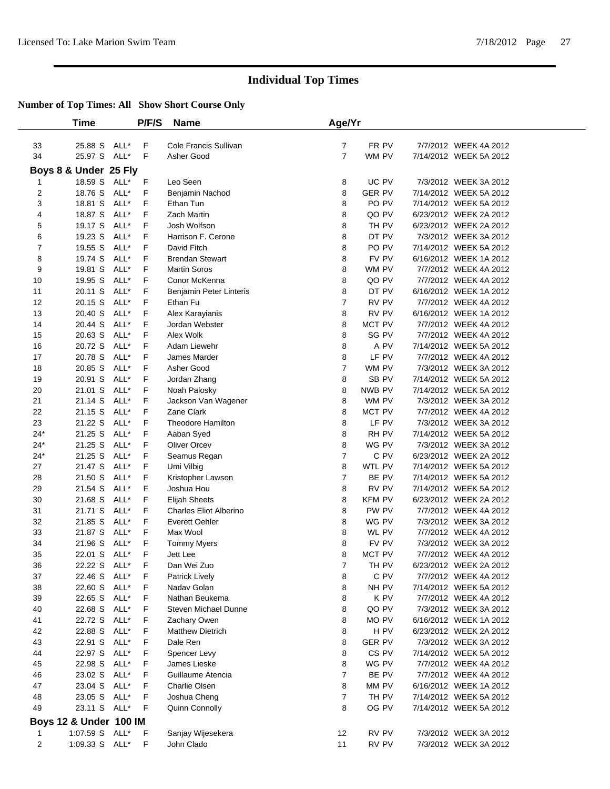|                | Time                   |              | P/F/S  | <b>Name</b>                     | Age/Yr         |                 |                                                 |  |
|----------------|------------------------|--------------|--------|---------------------------------|----------------|-----------------|-------------------------------------------------|--|
|                |                        |              |        |                                 |                |                 |                                                 |  |
| 33             | 25.88 S ALL*           |              | F      | Cole Francis Sullivan           | $\overline{7}$ | FR PV           | 7/7/2012 WEEK 4A 2012                           |  |
| 34             | 25.97 S ALL*           |              | F      | Asher Good                      | $\overline{7}$ | WM PV           | 7/14/2012 WEEK 5A 2012                          |  |
|                | Boys 8 & Under 25 Fly  |              |        |                                 |                |                 |                                                 |  |
| $\mathbf{1}$   | 18.59 S ALL*           |              | F      | Leo Seen                        | 8              | UC PV           | 7/3/2012 WEEK 3A 2012                           |  |
| $\overline{2}$ | 18.76 S                | ALL*         | F      | Benjamin Nachod                 | 8              | <b>GER PV</b>   | 7/14/2012 WEEK 5A 2012                          |  |
| 3              | 18.81 S                | ALL*         | F      | Ethan Tun                       | 8              | PO PV           | 7/14/2012 WEEK 5A 2012                          |  |
| 4              | 18.87 S ALL*           |              | F      | Zach Martin                     | 8              | QO PV           | 6/23/2012 WEEK 2A 2012                          |  |
| 5              | 19.17 S                | ALL*         | F      | Josh Wolfson                    | 8              | TH PV           | 6/23/2012 WEEK 2A 2012                          |  |
| 6              | 19.23 S                | ALL*         | F      | Harrison F. Cerone              | 8              | DT PV           | 7/3/2012 WEEK 3A 2012                           |  |
| $\overline{7}$ | 19.55 S ALL*           |              | F      | David Fitch                     | 8              | PO PV           | 7/14/2012 WEEK 5A 2012                          |  |
| 8              | 19.74 S                | ALL*         | F      | <b>Brendan Stewart</b>          | 8              | FV PV           | 6/16/2012 WEEK 1A 2012                          |  |
| 9              | 19.81 S                | ALL*         | F      | <b>Martin Soros</b>             | 8              | WM PV           | 7/7/2012 WEEK 4A 2012                           |  |
| 10             | 19.95 S                | ALL*         | F      | Conor McKenna                   | 8              | QO PV           | 7/7/2012 WEEK 4A 2012                           |  |
| 11             | 20.11 S                | ALL*         | F      | Benjamin Peter Linteris         | 8              | DT PV           | 6/16/2012 WEEK 1A 2012                          |  |
| 12             | 20.15 S                | ALL*         | F      | Ethan Fu                        | $\overline{7}$ | RV PV           | 7/7/2012 WEEK 4A 2012                           |  |
| 13             | 20.40 S ALL*           |              | F      | Alex Karayianis                 | 8              | RV PV           | 6/16/2012 WEEK 1A 2012                          |  |
| 14             | 20.44 S                | ALL*         | F      | Jordan Webster                  | 8              | MCT PV          | 7/7/2012 WEEK 4A 2012                           |  |
| 15             | 20.63 S                | ALL*         | F      | Alex Wolk                       | 8              | SG PV           | 7/7/2012 WEEK 4A 2012                           |  |
| 16             | 20.72 S                | ALL*         | F      | Adam Liewehr                    | 8              | A PV            | 7/14/2012 WEEK 5A 2012                          |  |
| 17             | 20.78 S                | ALL*         | F      | James Marder                    | 8              | LF PV           | 7/7/2012 WEEK 4A 2012                           |  |
| 18             | 20.85 S                | ALL*         | F      | Asher Good                      | $\overline{7}$ | WM PV           | 7/3/2012 WEEK 3A 2012                           |  |
| 19             | 20.91 S ALL*           |              | F      | Jordan Zhang                    | 8              | SB PV           | 7/14/2012 WEEK 5A 2012                          |  |
| 20             | 21.01 S                | ALL*         | F      | Noah Palosky                    | 8              | NWB PV          | 7/14/2012 WEEK 5A 2012                          |  |
| 21             | 21.14 S                | ALL*         | F      | Jackson Van Wagener             | 8              | WM PV           | 7/3/2012 WEEK 3A 2012                           |  |
| 22             | 21.15 S                | ALL*<br>ALL* | F<br>F | Zane Clark                      | 8              | MCT PV<br>LF PV | 7/7/2012 WEEK 4A 2012                           |  |
| 23<br>$24*$    | 21.22 S<br>21.25 S     | ALL*         | F      | Theodore Hamilton<br>Aaban Syed | 8<br>8         | RH PV           | 7/3/2012 WEEK 3A 2012<br>7/14/2012 WEEK 5A 2012 |  |
| $24*$          | 21.25 S                | ALL*         | F      | Oliver Orcev                    | 8              | WG PV           | 7/3/2012 WEEK 3A 2012                           |  |
| $24*$          | 21.25 S                | ALL*         | F      | Seamus Regan                    | 7              | C PV            | 6/23/2012 WEEK 2A 2012                          |  |
| 27             | 21.47 S                | ALL*         | F      | Umi Vilbig                      | 8              | WTL PV          | 7/14/2012 WEEK 5A 2012                          |  |
| 28             | 21.50 S                | ALL*         | F      | Kristopher Lawson               | $\overline{7}$ | BE PV           | 7/14/2012 WEEK 5A 2012                          |  |
| 29             | 21.54 S                | ALL*         | F      | Joshua Hou                      | 8              | RV PV           | 7/14/2012 WEEK 5A 2012                          |  |
| 30             | 21.68 S                | ALL*         | F      | <b>Elijah Sheets</b>            | 8              | <b>KFM PV</b>   | 6/23/2012 WEEK 2A 2012                          |  |
| 31             | 21.71 S                | ALL*         | F      | <b>Charles Eliot Alberino</b>   | 8              | PW PV           | 7/7/2012 WEEK 4A 2012                           |  |
| 32             | 21.85 S                | ALL*         | F      | Everett Oehler                  | 8              | WG PV           | 7/3/2012 WEEK 3A 2012                           |  |
| 33             | 21.87 S                | ALL*         | F      | Max Wool                        | 8              | WL PV           | 7/7/2012 WEEK 4A 2012                           |  |
| 34             | 21.96 S                | ALL*         | F      | <b>Tommy Myers</b>              | 8              | FV PV           | 7/3/2012 WEEK 3A 2012                           |  |
| 35             | 22.01 S ALL*           |              | F      | Jett Lee                        | 8              | MCT PV          | 7/7/2012 WEEK 4A 2012                           |  |
| 36             | 22.22 S ALL*           |              | F.     | Dan Wei Zuo                     | $7^{\circ}$    | TH PV           | 6/23/2012 WEEK 2A 2012                          |  |
| 37             | 22.46 S ALL*           |              | F      | Patrick Lively                  | 8              | C PV            | 7/7/2012 WEEK 4A 2012                           |  |
| 38             | 22.60 S ALL*           |              | F      | Nadav Golan                     | 8              | NH PV           | 7/14/2012 WEEK 5A 2012                          |  |
| 39             | 22.65 S ALL*           |              | F      | Nathan Beukema                  | 8              | K PV            | 7/7/2012 WEEK 4A 2012                           |  |
| 40             | 22.68 S ALL*           |              | F      | <b>Steven Michael Dunne</b>     | 8              | QO PV           | 7/3/2012 WEEK 3A 2012                           |  |
| 41             | 22.72 S ALL*           |              | F      | Zachary Owen                    | 8              | MO PV           | 6/16/2012 WEEK 1A 2012                          |  |
| 42             | 22.88 S ALL*           |              | F      | <b>Matthew Dietrich</b>         | 8              | H PV            | 6/23/2012 WEEK 2A 2012                          |  |
| 43             | 22.91 S ALL*           |              | F      | Dale Ren                        | 8              | <b>GER PV</b>   | 7/3/2012 WEEK 3A 2012                           |  |
| 44             | 22.97 S ALL*           |              | F      | Spencer Levy                    | 8              | CS PV           | 7/14/2012 WEEK 5A 2012                          |  |
| 45             | 22.98 S                | ALL*         | F      | James Lieske                    | 8              | WG PV           | 7/7/2012 WEEK 4A 2012                           |  |
| 46             | 23.02 S ALL*           |              | F      | Guillaume Atencia               | $\overline{7}$ | BE PV           | 7/7/2012 WEEK 4A 2012                           |  |
| 47             | 23.04 S                | ALL*         | F      | Charlie Olsen                   | 8              | MM PV           | 6/16/2012 WEEK 1A 2012                          |  |
| 48             | 23.05 S ALL*           |              | F      | Joshua Cheng                    | $\overline{7}$ | TH PV           | 7/14/2012 WEEK 5A 2012                          |  |
| 49             | 23.11 S ALL*           |              | F      | Quinn Connolly                  | 8              | OG PV           | 7/14/2012 WEEK 5A 2012                          |  |
|                | Boys 12 & Under 100 IM |              |        |                                 |                |                 |                                                 |  |
| $\mathbf{1}$   | 1:07.59 S ALL*         |              | F      | Sanjay Wijesekera               | 12             | RV PV           | 7/3/2012 WEEK 3A 2012                           |  |
| $\overline{c}$ | 1:09.33 S ALL*         |              | F      | John Clado                      | 11             | RV PV           | 7/3/2012 WEEK 3A 2012                           |  |
|                |                        |              |        |                                 |                |                 |                                                 |  |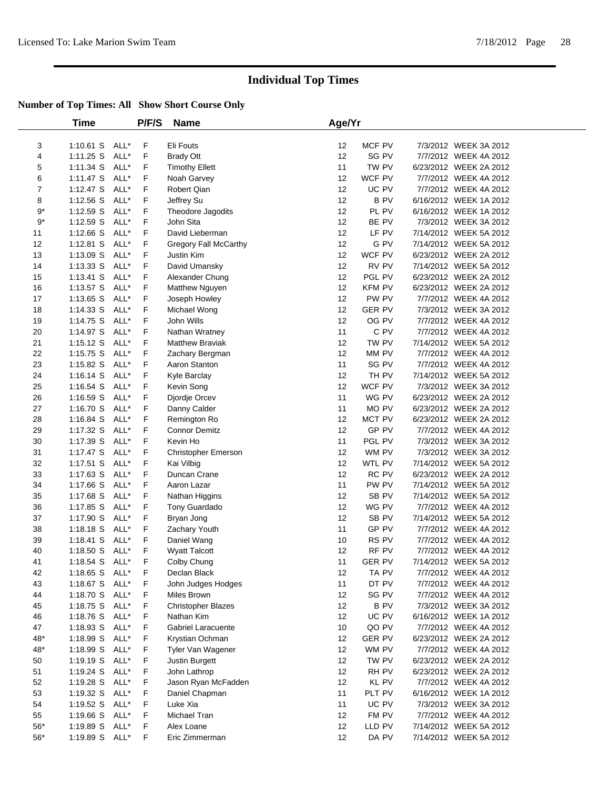|                | <b>Time</b>    |      | P/F/S | <b>Name</b>               | Age/Yr |               |                        |  |
|----------------|----------------|------|-------|---------------------------|--------|---------------|------------------------|--|
| 3              | 1:10.61 S ALL* |      | F     | Eli Fouts                 | 12     | MCF PV        | 7/3/2012 WEEK 3A 2012  |  |
| 4              | 1:11.25 S      | ALL* | F     | <b>Brady Ott</b>          | 12     | SG PV         | 7/7/2012 WEEK 4A 2012  |  |
| 5              | 1:11.34 S      | ALL* | F     | <b>Timothy Ellett</b>     | 11     | TW PV         | 6/23/2012 WEEK 2A 2012 |  |
| 6              | $1:11.47$ S    | ALL* | F     | Noah Garvey               | 12     | WCF PV        | 7/7/2012 WEEK 4A 2012  |  |
| $\overline{7}$ | $1:12.47$ S    | ALL* | F     | <b>Robert Qian</b>        | 12     | UC PV         | 7/7/2012 WEEK 4A 2012  |  |
| 8              | 1:12.56 S      | ALL* | F     | Jeffrey Su                | 12     | <b>BPV</b>    | 6/16/2012 WEEK 1A 2012 |  |
| $9^{\ast}$     | $1:12.59$ S    | ALL* | F     | Theodore Jagodits         | 12     | PL PV         | 6/16/2012 WEEK 1A 2012 |  |
| $9^{\ast}$     | 1:12.59 S      | ALL* | F     | John Sita                 | 12     | BE PV         | 7/3/2012 WEEK 3A 2012  |  |
| 11             | 1:12.66 S      | ALL* | F     | David Lieberman           | 12     | LF PV         | 7/14/2012 WEEK 5A 2012 |  |
| 12             | $1:12.81$ S    | ALL* | F     | Gregory Fall McCarthy     | 12     | G PV          | 7/14/2012 WEEK 5A 2012 |  |
| 13             | 1:13.09 S      | ALL* | F     | Justin Kim                | 12     | WCF PV        | 6/23/2012 WEEK 2A 2012 |  |
| 14             | $1:13.33$ S    | ALL* | F     | David Umansky             | 12     | RV PV         | 7/14/2012 WEEK 5A 2012 |  |
| 15             | $1:13.41$ S    | ALL* | F     | Alexander Chung           | 12     | PGL PV        | 6/23/2012 WEEK 2A 2012 |  |
| 16             | 1:13.57 S      | ALL* | F     | Matthew Nguyen            | 12     | KFM PV        | 6/23/2012 WEEK 2A 2012 |  |
| 17             | $1:13.65$ S    | ALL* | F     | Joseph Howley             | 12     | PW PV         | 7/7/2012 WEEK 4A 2012  |  |
| 18             | $1:14.33$ S    | ALL* | F     | Michael Wong              | 12     | <b>GER PV</b> | 7/3/2012 WEEK 3A 2012  |  |
| 19             | 1:14.75 S      | ALL* | F     | John Wills                | 12     | OG PV         | 7/7/2012 WEEK 4A 2012  |  |
| 20             | 1:14.97 S      | ALL* | F     | Nathan Wratney            | 11     | C PV          | 7/7/2012 WEEK 4A 2012  |  |
| 21             | 1:15.12 S      | ALL* | F     | <b>Matthew Braviak</b>    | 12     | TW PV         | 7/14/2012 WEEK 5A 2012 |  |
| 22             | 1:15.75 S      | ALL* | F     | Zachary Bergman           | 12     | MM PV         | 7/7/2012 WEEK 4A 2012  |  |
| 23             | $1:15.82$ S    | ALL* | F     | Aaron Stanton             | 11     | SG PV         | 7/7/2012 WEEK 4A 2012  |  |
| 24             | $1:16.14$ S    | ALL* | F     | Kyle Barclay              | 12     | TH PV         | 7/14/2012 WEEK 5A 2012 |  |
| 25             | 1:16.54 S      | ALL* | F     | Kevin Song                | 12     | WCF PV        | 7/3/2012 WEEK 3A 2012  |  |
| 26             | 1:16.59 S      | ALL* | F     | Djordje Orcev             | 11     | WG PV         | 6/23/2012 WEEK 2A 2012 |  |
| 27             | $1:16.70$ S    | ALL* | F     | Danny Calder              | 11     | MO PV         | 6/23/2012 WEEK 2A 2012 |  |
| 28             | 1:16.84 S      | ALL* | F     | Remington Ro              | 12     | MCT PV        | 6/23/2012 WEEK 2A 2012 |  |
| 29             | $1:17.32$ S    | ALL* | F     | <b>Connor Demitz</b>      | 12     | GP PV         | 7/7/2012 WEEK 4A 2012  |  |
| 30             | 1:17.39 S      | ALL* | F     | Kevin Ho                  | 11     | PGL PV        | 7/3/2012 WEEK 3A 2012  |  |
| 31             | 1:17.47 S      | ALL* | F     | Christopher Emerson       | 12     | WM PV         | 7/3/2012 WEEK 3A 2012  |  |
| 32             | $1:17.51$ S    | ALL* | F     | Kai Vilbig                | 12     | WTL PV        | 7/14/2012 WEEK 5A 2012 |  |
| 33             | $1:17.63$ S    | ALL* | F     | Duncan Crane              | 12     | RC PV         | 6/23/2012 WEEK 2A 2012 |  |
| 34             | 1:17.66 S      | ALL* | F     | Aaron Lazar               | 11     | PW PV         | 7/14/2012 WEEK 5A 2012 |  |
| 35             | 1:17.68 S      | ALL* | F     | Nathan Higgins            | 12     | SB PV         | 7/14/2012 WEEK 5A 2012 |  |
| 36             | 1:17.85 S      | ALL* | F     | Tony Guardado             | 12     | WG PV         | 7/7/2012 WEEK 4A 2012  |  |
| 37             | 1:17.90 S      | ALL* | F     | Bryan Jong                | 12     | SB PV         | 7/14/2012 WEEK 5A 2012 |  |
| 38             | 1:18.18 S      | ALL* | F     | Zachary Youth             | 11     | GP PV         | 7/7/2012 WEEK 4A 2012  |  |
| 39             | $1:18.41$ S    | ALL* | F     | Daniel Wang               | 10     | RS PV         | 7/7/2012 WEEK 4A 2012  |  |
| 40             | 1:18.50 S      | ALL* | F     | <b>Wyatt Talcott</b>      | 12     | RF PV         | 7/7/2012 WEEK 4A 2012  |  |
| 41             | $1:18.54$ S    | ALL* | F     | Colby Chung               | 11     | <b>GER PV</b> | 7/14/2012 WEEK 5A 2012 |  |
| 42             | 1:18.65 S ALL* |      | F     | Declan Black              | 12     | TA PV         | 7/7/2012 WEEK 4A 2012  |  |
| 43             | $1:18.67$ S    | ALL* | F     | John Judges Hodges        | 11     | DT PV         | 7/7/2012 WEEK 4A 2012  |  |
| 44             | 1:18.70 S      | ALL* | F     | Miles Brown               | 12     | SG PV         | 7/7/2012 WEEK 4A 2012  |  |
| 45             | 1:18.75 S      | ALL* | F     | <b>Christopher Blazes</b> | 12     | <b>BPV</b>    | 7/3/2012 WEEK 3A 2012  |  |
| 46             | 1:18.76 S      | ALL* | F     | Nathan Kim                | 12     | UC PV         | 6/16/2012 WEEK 1A 2012 |  |
| 47             | $1:18.93$ S    | ALL* | F     | Gabriel Laracuente        | 10     | QO PV         | 7/7/2012 WEEK 4A 2012  |  |
| 48*            | 1:18.99 S      | ALL* | F     | Krystian Ochman           | 12     | <b>GER PV</b> | 6/23/2012 WEEK 2A 2012 |  |
| 48*            | 1:18.99 S      | ALL* | F     | Tyler Van Wagener         | 12     | WM PV         | 7/7/2012 WEEK 4A 2012  |  |
| 50             | 1:19.19 S      | ALL* | F     | Justin Burgett            | 12     | TW PV         | 6/23/2012 WEEK 2A 2012 |  |
| 51             | 1:19.24 S      | ALL* | F     | John Lathrop              | 12     | RH PV         | 6/23/2012 WEEK 2A 2012 |  |
| 52             | 1:19.28 S      | ALL* | F     | Jason Ryan McFadden       | 12     | KL PV         | 7/7/2012 WEEK 4A 2012  |  |
| 53             | $1:19.32$ S    | ALL* | F     | Daniel Chapman            | 11     | PLT PV        | 6/16/2012 WEEK 1A 2012 |  |
| 54             | 1:19.52 $S$    | ALL* | F     | Luke Xia                  | 11     | UC PV         | 7/3/2012 WEEK 3A 2012  |  |
| 55             | 1:19.66 S      | ALL* | F     | Michael Tran              | 12     | FM PV         | 7/7/2012 WEEK 4A 2012  |  |
| $56^{\ast}$    | 1:19.89 S      | ALL* | F     | Alex Loane                | 12     | LLD PV        | 7/14/2012 WEEK 5A 2012 |  |
| $56*$          | 1:19.89 S      | ALL* | F     | Eric Zimmerman            | 12     | DA PV         | 7/14/2012 WEEK 5A 2012 |  |
|                |                |      |       |                           |        |               |                        |  |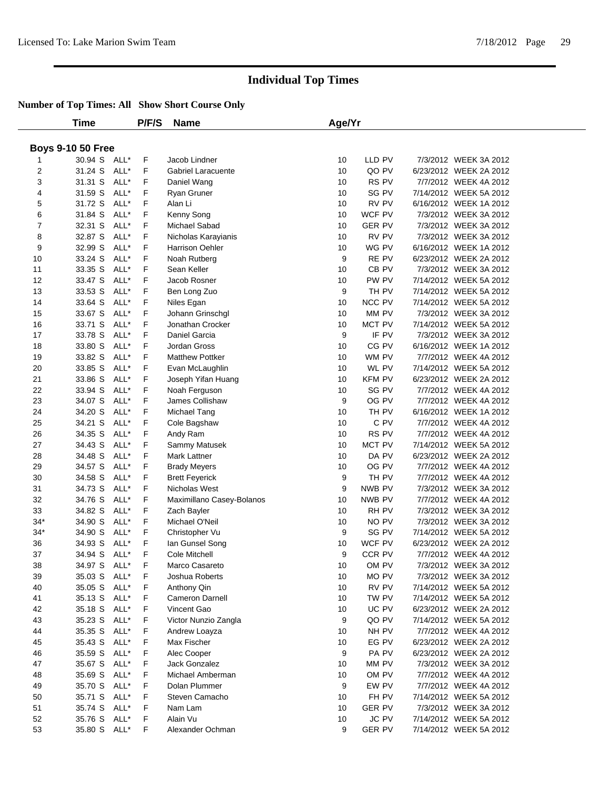|                | Time                         |      | P/F/S | <b>Name</b>               | Age/Yr |               |                        |  |
|----------------|------------------------------|------|-------|---------------------------|--------|---------------|------------------------|--|
|                |                              |      |       |                           |        |               |                        |  |
|                | <b>Boys 9-10 50 Free</b>     |      |       |                           |        |               |                        |  |
|                | 30.94 S ALL*                 |      | F     | Jacob Lindner             | 10     | LLD PV        | 7/3/2012 WEEK 3A 2012  |  |
| $\overline{2}$ | 31.24 S                      | ALL* | F.    | Gabriel Laracuente        | 10     | QO PV         | 6/23/2012 WEEK 2A 2012 |  |
| 3              | 31.31 S                      | ALL* | F.    | Daniel Wang               | 10     | RS PV         | 7/7/2012 WEEK 4A 2012  |  |
| 4              | 31.59 S                      | ALL* | F     | Ryan Gruner               | 10     | SG PV         | 7/14/2012 WEEK 5A 2012 |  |
| 5              | 31.72 S                      | ALL* | F     | Alan Li                   | 10     | RV PV         | 6/16/2012 WEEK 1A 2012 |  |
| 6              | 31.84 S                      | ALL* | F     | Kenny Song                | 10     | WCF PV        | 7/3/2012 WEEK 3A 2012  |  |
| 7              | 32.31 S                      | ALL* | F     | Michael Sabad             | 10     | <b>GER PV</b> | 7/3/2012 WEEK 3A 2012  |  |
| 8              | 32.87 S                      | ALL* | F.    | Nicholas Karayianis       | 10     | RV PV         | 7/3/2012 WEEK 3A 2012  |  |
| 9              | 32.99 S                      | ALL* | F     | Harrison Oehler           | 10     | WG PV         | 6/16/2012 WEEK 1A 2012 |  |
| 10             | 33.24 S                      | ALL* | F     | Noah Rutberg              | 9      | RE PV         | 6/23/2012 WEEK 2A 2012 |  |
| 11             | 33.35 S                      | ALL* | F     | Sean Keller               | 10     | CB PV         | 7/3/2012 WEEK 3A 2012  |  |
| 12             | 33.47 S                      | ALL* | F.    | Jacob Rosner              | 10     | PW PV         | 7/14/2012 WEEK 5A 2012 |  |
| 13             | 33.53 S                      | ALL* | F     | Ben Long Zuo              | 9      | TH PV         | 7/14/2012 WEEK 5A 2012 |  |
| 14             | 33.64 S                      | ALL* | F.    | Niles Egan                | 10     | NCC PV        | 7/14/2012 WEEK 5A 2012 |  |
| 15             | 33.67 S                      | ALL* | F     | Johann Grinschgl          | 10     | MM PV         | 7/3/2012 WEEK 3A 2012  |  |
| 16             | 33.71 S                      | ALL* | F     | Jonathan Crocker          | 10     | MCT PV        | 7/14/2012 WEEK 5A 2012 |  |
| 17             | 33.78 S                      | ALL* | F     | Daniel Garcia             | 9      | IF PV         | 7/3/2012 WEEK 3A 2012  |  |
| 18             | 33.80 S                      | ALL* | F     | Jordan Gross              | 10     | CG PV         | 6/16/2012 WEEK 1A 2012 |  |
| 19             | 33.82 S                      | ALL* | F     | <b>Matthew Pottker</b>    | 10     | WM PV         | 7/7/2012 WEEK 4A 2012  |  |
| 20             | 33.85 S                      | ALL* | F.    | Evan McLaughlin           | 10     | WL PV         | 7/14/2012 WEEK 5A 2012 |  |
| 21             | 33.86 S                      | ALL* | F     | Joseph Yifan Huang        | 10     | KFM PV        | 6/23/2012 WEEK 2A 2012 |  |
| 22             | 33.94 S                      | ALL* | F     | Noah Ferguson             | 10     | SG PV         | 7/7/2012 WEEK 4A 2012  |  |
| 23             | 34.07 S                      | ALL* | F     | James Collishaw           | 9      | OG PV         | 7/7/2012 WEEK 4A 2012  |  |
| 24             | 34.20 S                      | ALL* | F.    | Michael Tang              | 10     | TH PV         | 6/16/2012 WEEK 1A 2012 |  |
| 25             | 34.21 S                      | ALL* | F     | Cole Bagshaw              | 10     | C PV          | 7/7/2012 WEEK 4A 2012  |  |
| 26             | 34.35 S                      | ALL* | F.    | Andy Ram                  | 10     | RS PV         | 7/7/2012 WEEK 4A 2012  |  |
| 27             | 34.43 S                      | ALL* | F     | Sammy Matusek             | 10     | MCT PV        | 7/14/2012 WEEK 5A 2012 |  |
| 28             | 34.48 S                      | ALL* | F     | Mark Lattner              | 10     | DA PV         | 6/23/2012 WEEK 2A 2012 |  |
| 29             | 34.57 S                      | ALL* | F     | <b>Brady Meyers</b>       | 10     | OG PV         | 7/7/2012 WEEK 4A 2012  |  |
| 30             | 34.58 S                      | ALL* | F     | <b>Brett Feyerick</b>     | 9      | TH PV         | 7/7/2012 WEEK 4A 2012  |  |
| 31             | 34.73 S                      | ALL* | F     | Nicholas West             | 9      | NWB PV        | 7/3/2012 WEEK 3A 2012  |  |
| 32             | 34.76 S                      | ALL* | F.    | Maximillano Casey-Bolanos | 10     | NWB PV        | 7/7/2012 WEEK 4A 2012  |  |
| 33             | 34.82 S                      | ALL* | F.    | Zach Bayler               | 10     | RH PV         | 7/3/2012 WEEK 3A 2012  |  |
| $34*$          | 34.90 S                      | ALL* | F     | Michael O'Neil            | 10     | NO PV         | 7/3/2012 WEEK 3A 2012  |  |
| $34*$          | 34.90 S                      | ALL* | F     | Christopher Vu            | 9      | SG PV         | 7/14/2012 WEEK 5A 2012 |  |
| 36             | 34.93 S                      | ALL* | F.    | lan Gunsel Song           | 10     | WCF PV        | 6/23/2012 WEEK 2A 2012 |  |
| 37             | 34.94 S                      | ALL* | F     | Cole Mitchell             | 9      | CCR PV        | 7/7/2012 WEEK 4A 2012  |  |
| 38             | 34.97 S ALL*                 |      | F     | Marco Casareto            | 10     | OM PV         | 7/3/2012 WEEK 3A 2012  |  |
| 39             | 35.03 S ALL*                 |      | F     | Joshua Roberts            | 10     | MO PV         | 7/3/2012 WEEK 3A 2012  |  |
| 40             | 35.05 S ALL*                 |      | F     | Anthony Qin               | 10     | RV PV         | 7/14/2012 WEEK 5A 2012 |  |
| 41             | 35.13 S ALL*                 |      | F.    | Cameron Darnell           | 10     | TW PV         | 7/14/2012 WEEK 5A 2012 |  |
| 42             | 35.18 S                      | ALL* | F     | Vincent Gao               | 10     | UC PV         | 6/23/2012 WEEK 2A 2012 |  |
|                | 35.23 S                      | ALL* |       |                           | 9      | QO PV         | 7/14/2012 WEEK 5A 2012 |  |
| 43             |                              |      | F     | Victor Nunzio Zangla      |        | NH PV         | 7/7/2012 WEEK 4A 2012  |  |
| 44             | 35.35 S ALL*<br>35.43 S ALL* |      | F     | Andrew Loayza             | 10     | EG PV         |                        |  |
| 45             |                              |      | F.    | Max Fischer               | 10     |               | 6/23/2012 WEEK 2A 2012 |  |
| 46             | 35.59 S ALL*                 |      | F     | Alec Cooper               | 9      | PA PV         | 6/23/2012 WEEK 2A 2012 |  |
| 47             | 35.67 S ALL*<br>35.69 S      |      | F     | Jack Gonzalez             | 10     | MM PV         | 7/3/2012 WEEK 3A 2012  |  |
| 48             | 35.70 S ALL*                 | ALL* | F     | Michael Amberman          | 10     | OM PV         | 7/7/2012 WEEK 4A 2012  |  |
| 49             |                              |      | F     | Dolan Plummer             | 9      | EW PV         | 7/7/2012 WEEK 4A 2012  |  |
| 50             | 35.71 S ALL*                 |      | F.    | Steven Camacho            | 10     | FH PV         | 7/14/2012 WEEK 5A 2012 |  |
| 51             | 35.74 S ALL*                 |      | F.    | Nam Lam                   | 10     | <b>GER PV</b> | 7/3/2012 WEEK 3A 2012  |  |
| 52             | 35.76 S ALL*                 |      | F     | Alain Vu                  | 10     | <b>JC PV</b>  | 7/14/2012 WEEK 5A 2012 |  |
| 53             | 35.80 S ALL*                 |      | F.    | Alexander Ochman          | 9      | <b>GER PV</b> | 7/14/2012 WEEK 5A 2012 |  |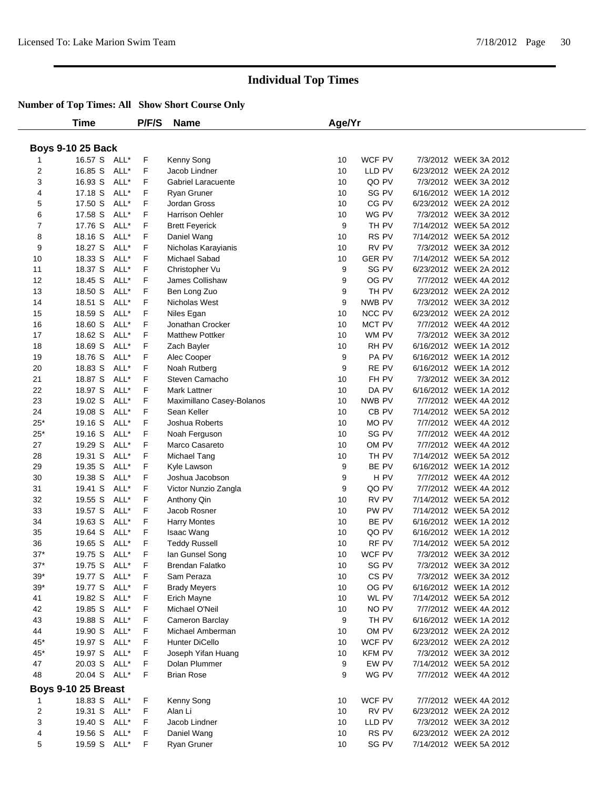|                | <b>Time</b>              |      | P/F/S   | <b>Name</b>               | Age/Yr          |                        |                                                 |  |
|----------------|--------------------------|------|---------|---------------------------|-----------------|------------------------|-------------------------------------------------|--|
|                |                          |      |         |                           |                 |                        |                                                 |  |
|                | <b>Boys 9-10 25 Back</b> |      |         |                           |                 |                        |                                                 |  |
|                | 16.57 S ALL*             |      | F.      | Kenny Song                | 10              | WCF PV                 | 7/3/2012 WEEK 3A 2012                           |  |
| 2              | 16.85 S                  | ALL* | F.      | Jacob Lindner             | 10              | LLD PV                 | 6/23/2012 WEEK 2A 2012                          |  |
| 3              | 16.93 S                  | ALL* | F.      | <b>Gabriel Laracuente</b> | 10              | QO PV                  | 7/3/2012 WEEK 3A 2012                           |  |
| 4              | 17.18 S                  | ALL* | F       | Ryan Gruner               | 10              | SG PV                  | 6/16/2012 WEEK 1A 2012                          |  |
| 5              | 17.50 S                  | ALL* | F       | Jordan Gross              | 10              | CG PV                  | 6/23/2012 WEEK 2A 2012                          |  |
| 6              | 17.58 S                  | ALL* | F       | Harrison Oehler           | 10              | WG PV                  | 7/3/2012 WEEK 3A 2012                           |  |
| $\overline{7}$ | 17.76 S                  | ALL* | F       |                           | 9               | TH PV                  | 7/14/2012 WEEK 5A 2012                          |  |
| 8              | 18.16 S                  | ALL* | F       | <b>Brett Feyerick</b>     | 10              | RS PV                  | 7/14/2012 WEEK 5A 2012                          |  |
|                |                          | ALL* |         | Daniel Wang               |                 | RV PV                  |                                                 |  |
| 9              | 18.27 S                  |      | F.      | Nicholas Karayianis       | 10              |                        | 7/3/2012 WEEK 3A 2012<br>7/14/2012 WEEK 5A 2012 |  |
| 10             | 18.33 S                  | ALL* | F<br>F. | Michael Sabad             | 10<br>9         | <b>GER PV</b><br>SG PV |                                                 |  |
| 11             | 18.37 S                  | ALL* |         | Christopher Vu            |                 |                        | 6/23/2012 WEEK 2A 2012                          |  |
| 12             | 18.45 S                  | ALL* | F       | James Collishaw           | 9               | OG PV                  | 7/7/2012 WEEK 4A 2012                           |  |
| 13             | 18.50 S                  | ALL* | F       | Ben Long Zuo              | 9               | TH PV                  | 6/23/2012 WEEK 2A 2012                          |  |
| 14             | 18.51 S                  | ALL* | F.      | Nicholas West             | 9               | NWB PV                 | 7/3/2012 WEEK 3A 2012                           |  |
| 15             | 18.59 S                  | ALL* | F       | Niles Egan                | 10              | NCC PV                 | 6/23/2012 WEEK 2A 2012                          |  |
| 16             | 18.60 S                  | ALL* | F       | Jonathan Crocker          | 10              | MCT PV                 | 7/7/2012 WEEK 4A 2012                           |  |
| 17             | 18.62 S                  | ALL* | F       | <b>Matthew Pottker</b>    | 10              | WM PV                  | 7/3/2012 WEEK 3A 2012                           |  |
| 18             | 18.69 S                  | ALL* | F       | Zach Bayler               | 10              | RH PV                  | 6/16/2012 WEEK 1A 2012                          |  |
| 19             | 18.76 S                  | ALL* | F       | Alec Cooper               | 9               | PA PV                  | 6/16/2012 WEEK 1A 2012                          |  |
| 20             | 18.83 S                  | ALL* | F       | Noah Rutberg              | 9               | RE PV                  | 6/16/2012 WEEK 1A 2012                          |  |
| 21             | 18.87 S                  | ALL* | F       | Steven Camacho            | 10              | FH PV                  | 7/3/2012 WEEK 3A 2012                           |  |
| 22             | 18.97 S                  | ALL* | F       | Mark Lattner              | 10              | DA PV                  | 6/16/2012 WEEK 1A 2012                          |  |
| 23             | 19.02 S                  | ALL* | F.      | Maximillano Casey-Bolanos | 10              | NWB PV                 | 7/7/2012 WEEK 4A 2012                           |  |
| 24             | 19.08 S                  | ALL* | F.      | Sean Keller               | 10              | CB PV                  | 7/14/2012 WEEK 5A 2012                          |  |
| $25*$          | 19.16 S                  | ALL* | F       | Joshua Roberts            | 10              | MO PV                  | 7/7/2012 WEEK 4A 2012                           |  |
| $25*$          | 19.16 S                  | ALL* | F       | Noah Ferguson             | 10              | SG PV                  | 7/7/2012 WEEK 4A 2012                           |  |
| 27             | 19.29 S                  | ALL* | F       | Marco Casareto            | 10              | OM PV                  | 7/7/2012 WEEK 4A 2012                           |  |
| 28             | 19.31 S                  | ALL* | F       | Michael Tang              | 10              | TH PV                  | 7/14/2012 WEEK 5A 2012                          |  |
| 29             | 19.35 S                  | ALL* | F       | Kyle Lawson               | 9               | BE PV                  | 6/16/2012 WEEK 1A 2012                          |  |
| 30             | 19.38 S                  | ALL* | F       | Joshua Jacobson           | 9               | H PV                   | 7/7/2012 WEEK 4A 2012                           |  |
| 31             | 19.41 S                  | ALL* | F       | Victor Nunzio Zangla      | 9               | QO PV                  | 7/7/2012 WEEK 4A 2012                           |  |
| 32             | 19.55 S                  | ALL* | F       | Anthony Qin               | 10              | RV PV                  | 7/14/2012 WEEK 5A 2012                          |  |
| 33             | 19.57 S                  | ALL* | F       | Jacob Rosner              | 10              | PW PV                  | 7/14/2012 WEEK 5A 2012                          |  |
| 34             | 19.63 S                  | ALL* | F       | <b>Harry Montes</b>       | 10              | BE PV                  | 6/16/2012 WEEK 1A 2012                          |  |
| 35             | 19.64 S                  | ALL* | F       | Isaac Wang                | 10              | QO PV                  | 6/16/2012 WEEK 1A 2012                          |  |
| 36             | 19.65 S                  | ALL* | F.      | <b>Teddy Russell</b>      | 10              | RF PV                  | 7/14/2012 WEEK 5A 2012                          |  |
| $37*$          | 19.75 S                  | ALL* | F       | lan Gunsel Song           | 10              | WCF PV                 | 7/3/2012 WEEK 3A 2012                           |  |
| $37*$          | 19.75 S ALL*             |      | F       | Brendan Falatko           | 10 <sup>1</sup> | SG PV                  | 7/3/2012 WEEK 3A 2012                           |  |
| $39*$          | 19.77 S ALL*             |      | F       | Sam Peraza                | 10              | CS <sub>PV</sub>       | 7/3/2012 WEEK 3A 2012                           |  |
| $39*$          | 19.77 S ALL*             |      | F.      | <b>Brady Meyers</b>       | 10              | OG PV                  | 6/16/2012 WEEK 1A 2012                          |  |
| 41             | 19.82 S                  | ALL* | F       | Erich Mayne               | 10              | WL PV                  | 7/14/2012 WEEK 5A 2012                          |  |
| 42             | 19.85 S                  | ALL* | F       | Michael O'Neil            | 10              | NO PV                  | 7/7/2012 WEEK 4A 2012                           |  |
| 43             | 19.88 S                  | ALL* | F       | Cameron Barclay           | 9               | TH PV                  | 6/16/2012 WEEK 1A 2012                          |  |
| 44             | 19.90 S                  | ALL* | F       | Michael Amberman          | 10              | OM PV                  | 6/23/2012 WEEK 2A 2012                          |  |
| $45*$          | 19.97 S ALL*             |      | F.      | Hunter DiCello            | 10              | WCF PV                 | 6/23/2012 WEEK 2A 2012                          |  |
| 45*            | 19.97 S ALL*             |      | F       | Joseph Yifan Huang        | 10              | <b>KFM PV</b>          | 7/3/2012 WEEK 3A 2012                           |  |
| 47             | 20.03 S                  | ALL* | F.      | Dolan Plummer             | 9               | EW PV                  | 7/14/2012 WEEK 5A 2012                          |  |
| 48             | 20.04 S ALL*             |      | F.      | <b>Brian Rose</b>         | 9               | WG PV                  | 7/7/2012 WEEK 4A 2012                           |  |
|                | Boys 9-10 25 Breast      |      |         |                           |                 |                        |                                                 |  |
|                | 18.83 S ALL*             |      | F       | Kenny Song                | 10              | WCF PV                 | 7/7/2012 WEEK 4A 2012                           |  |
| 1<br>2         | 19.31 S ALL*             |      | F       | Alan Li                   | 10              | RV PV                  | 6/23/2012 WEEK 2A 2012                          |  |
| 3              | 19.40 S                  | ALL* | F       | Jacob Lindner             | 10              | LLD PV                 | 7/3/2012 WEEK 3A 2012                           |  |
|                |                          |      |         |                           |                 |                        |                                                 |  |
| 4              | 19.56 S ALL*             |      | F       | Daniel Wang               | 10              | RS PV                  | 6/23/2012 WEEK 2A 2012                          |  |
| 5              | 19.59 S ALL*             |      | F       | Ryan Gruner               | 10              | SG PV                  | 7/14/2012 WEEK 5A 2012                          |  |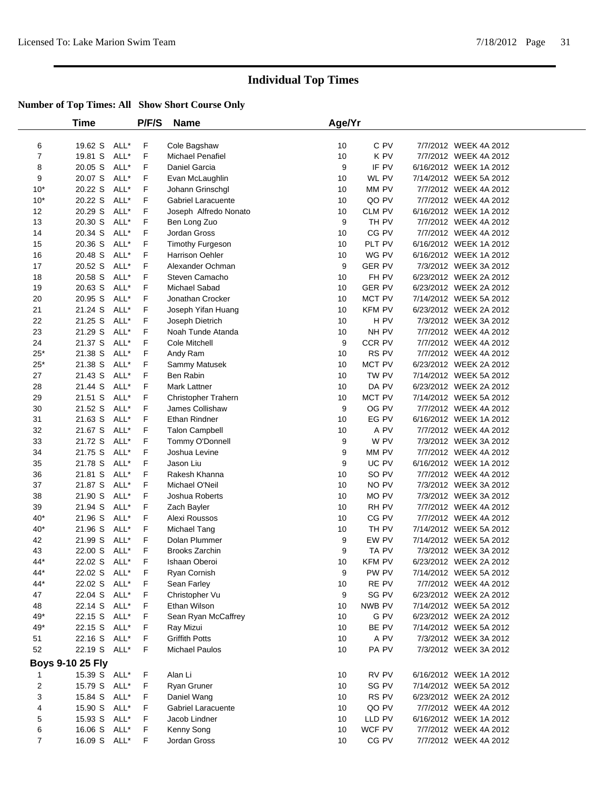|                | <b>Time</b>             |      | P/F/S       | <b>Name</b>               | Age/Yr           |               |                        |  |
|----------------|-------------------------|------|-------------|---------------------------|------------------|---------------|------------------------|--|
| 6              | 19.62 S                 | ALL* | F           | Cole Bagshaw              | 10               | C PV          | 7/7/2012 WEEK 4A 2012  |  |
| $\overline{7}$ | 19.81 S                 | ALL* | F           | Michael Penafiel          | 10               | K PV          | 7/7/2012 WEEK 4A 2012  |  |
| 8              | 20.05 S                 | ALL* | F           | Daniel Garcia             | 9                | IF PV         | 6/16/2012 WEEK 1A 2012 |  |
| 9              | 20.07 S                 | ALL* | F           | Evan McLaughlin           | 10               | WL PV         | 7/14/2012 WEEK 5A 2012 |  |
| $10*$          | 20.22 S                 | ALL* | F           | Johann Grinschgl          | 10               | MM PV         | 7/7/2012 WEEK 4A 2012  |  |
| $10*$          | 20.22 S                 | ALL* | F           | <b>Gabriel Laracuente</b> | 10               | QO PV         | 7/7/2012 WEEK 4A 2012  |  |
| 12             | 20.29 S                 | ALL* | F           | Joseph Alfredo Nonato     | 10               | <b>CLM PV</b> | 6/16/2012 WEEK 1A 2012 |  |
| 13             | 20.30 S                 | ALL* | F           | Ben Long Zuo              | 9                | TH PV         | 7/7/2012 WEEK 4A 2012  |  |
| 14             | 20.34 S                 | ALL* | F           | Jordan Gross              | 10               | CG PV         | 7/7/2012 WEEK 4A 2012  |  |
| 15             | 20.36 S                 | ALL* | F           | <b>Timothy Furgeson</b>   | 10               | PLT PV        | 6/16/2012 WEEK 1A 2012 |  |
| 16             | 20.48 S                 | ALL* | F           | Harrison Oehler           | 10               | WG PV         | 6/16/2012 WEEK 1A 2012 |  |
| 17             | 20.52 S                 | ALL* | F           | Alexander Ochman          | $\boldsymbol{9}$ | <b>GER PV</b> | 7/3/2012 WEEK 3A 2012  |  |
| 18             | 20.58 S                 | ALL* | F           | Steven Camacho            | 10               | FH PV         | 6/23/2012 WEEK 2A 2012 |  |
| 19             | 20.63 S                 | ALL* | F           | Michael Sabad             | 10               | <b>GER PV</b> | 6/23/2012 WEEK 2A 2012 |  |
| 20             | 20.95 S                 | ALL* | F           | Jonathan Crocker          | 10               | MCT PV        | 7/14/2012 WEEK 5A 2012 |  |
| 21             | 21.24 S                 | ALL* | F           | Joseph Yifan Huang        | 10               | <b>KFM PV</b> | 6/23/2012 WEEK 2A 2012 |  |
| 22             | 21.25 S                 | ALL* | F           | Joseph Dietrich           | 10               | H PV          | 7/3/2012 WEEK 3A 2012  |  |
| 23             | 21.29 S                 | ALL* | F           | Noah Tunde Atanda         | 10               | NH PV         | 7/7/2012 WEEK 4A 2012  |  |
| 24             | 21.37 S                 | ALL* | F           | Cole Mitchell             | 9                | CCR PV        | 7/7/2012 WEEK 4A 2012  |  |
| $25^{\ast}$    | 21.38 S                 | ALL* | F           | Andy Ram                  | 10               | RS PV         | 7/7/2012 WEEK 4A 2012  |  |
| $25*$          | 21.38 S                 | ALL* | F           | Sammy Matusek             | 10               | MCT PV        | 6/23/2012 WEEK 2A 2012 |  |
| 27             | 21.43 S                 | ALL* | F           | Ben Rabin                 | 10               | TW PV         | 7/14/2012 WEEK 5A 2012 |  |
| 28             | 21.44 S                 | ALL* | F           | Mark Lattner              | 10               | DA PV         | 6/23/2012 WEEK 2A 2012 |  |
| 29             | 21.51 S                 | ALL* | F           | Christopher Trahern       | 10               | MCT PV        | 7/14/2012 WEEK 5A 2012 |  |
| 30             | 21.52 S                 | ALL* | F           | James Collishaw           | 9                | OG PV         | 7/7/2012 WEEK 4A 2012  |  |
| 31             | 21.63 S                 | ALL* | F           | Ethan Rindner             | 10               | EG PV         | 6/16/2012 WEEK 1A 2012 |  |
| 32             | 21.67 S                 | ALL* | F           | <b>Talon Campbell</b>     | 10               | A PV          | 7/7/2012 WEEK 4A 2012  |  |
| 33             | 21.72 S                 | ALL* | F           | Tommy O'Donnell           | 9                | W PV          | 7/3/2012 WEEK 3A 2012  |  |
| 34             | 21.75 S                 | ALL* | F           | Joshua Levine             | 9                | MM PV         | 7/7/2012 WEEK 4A 2012  |  |
| 35             | 21.78 S                 | ALL* | F           | Jason Liu                 | 9                | UC PV         | 6/16/2012 WEEK 1A 2012 |  |
| 36             | 21.81 S                 | ALL* | F           | Rakesh Khanna             | 10               | SO PV         | 7/7/2012 WEEK 4A 2012  |  |
| 37             | 21.87 S                 | ALL* | F           | Michael O'Neil            | 10               | NO PV         | 7/3/2012 WEEK 3A 2012  |  |
| 38             | 21.90 S                 | ALL* | F           | Joshua Roberts            | 10               | MO PV         | 7/3/2012 WEEK 3A 2012  |  |
| 39             | 21.94 S                 | ALL* | F           | Zach Bayler               | 10               | RH PV         | 7/7/2012 WEEK 4A 2012  |  |
| $40*$          | 21.96 S                 | ALL* | F           | Alexi Roussos             | 10               | CG PV         | 7/7/2012 WEEK 4A 2012  |  |
| $40*$          | 21.96 S                 | ALL* | F           | Michael Tang              | 10               | TH PV         | 7/14/2012 WEEK 5A 2012 |  |
| 42             | 21.99 S                 | ALL* | F           | Dolan Plummer             | 9                | EW PV         | 7/14/2012 WEEK 5A 2012 |  |
| 43             | 22.00 S                 | ALL* | F           | <b>Brooks Zarchin</b>     | 9                | TA PV         | 7/3/2012 WEEK 3A 2012  |  |
| 44*            | 22.02 S                 | ALL* | F           | Ishaan Oberoi             | 10               | <b>KFM PV</b> | 6/23/2012 WEEK 2A 2012 |  |
| 44*            | 22.02 S ALL*            |      | F           | Ryan Cornish              | 9                | PW PV         | 7/14/2012 WEEK 5A 2012 |  |
| 44*            | 22.02 S                 | ALL* | F           | Sean Farley               | 10               | RE PV         | 7/7/2012 WEEK 4A 2012  |  |
| 47             | 22.04 S                 | ALL* | F           | Christopher Vu            | 9                | SG PV         | 6/23/2012 WEEK 2A 2012 |  |
| 48             | 22.14 S ALL*            |      | F           | Ethan Wilson              | 10               | NWB PV        | 7/14/2012 WEEK 5A 2012 |  |
| 49*            | 22.15 S                 | ALL* | F           | Sean Ryan McCaffrey       | 10               | G PV          | 6/23/2012 WEEK 2A 2012 |  |
| 49*            | 22.15 S                 | ALL* | F           | Ray Mizui                 | 10               | BE PV         | 7/14/2012 WEEK 5A 2012 |  |
| 51             | 22.16 S                 | ALL* | F           | <b>Griffith Potts</b>     | 10               | A PV          | 7/3/2012 WEEK 3A 2012  |  |
| 52             | 22.19 S                 | ALL* | $\mathsf F$ | <b>Michael Paulos</b>     | 10               | PA PV         | 7/3/2012 WEEK 3A 2012  |  |
|                | <b>Boys 9-10 25 Fly</b> |      |             |                           |                  |               |                        |  |
| 1              | 15.39 S ALL*            |      | F           | Alan Li                   | 10               | RV PV         | 6/16/2012 WEEK 1A 2012 |  |
| $\overline{c}$ | 15.79 S                 | ALL* | F           | Ryan Gruner               | 10               | SG PV         | 7/14/2012 WEEK 5A 2012 |  |
| 3              | 15.84 S                 | ALL* | F           | Daniel Wang               | 10               | RS PV         | 6/23/2012 WEEK 2A 2012 |  |
| 4              | 15.90 S ALL*            |      | F           | <b>Gabriel Laracuente</b> | 10               | QO PV         | 7/7/2012 WEEK 4A 2012  |  |
| 5              | 15.93 S                 | ALL* | F           | Jacob Lindner             | 10               | LLD PV        | 6/16/2012 WEEK 1A 2012 |  |
| 6              | 16.06 S                 | ALL* | F           | Kenny Song                | 10               | WCF PV        | 7/7/2012 WEEK 4A 2012  |  |
| $\overline{7}$ | 16.09 S                 | ALL* | F           | Jordan Gross              | 10               | CG PV         | 7/7/2012 WEEK 4A 2012  |  |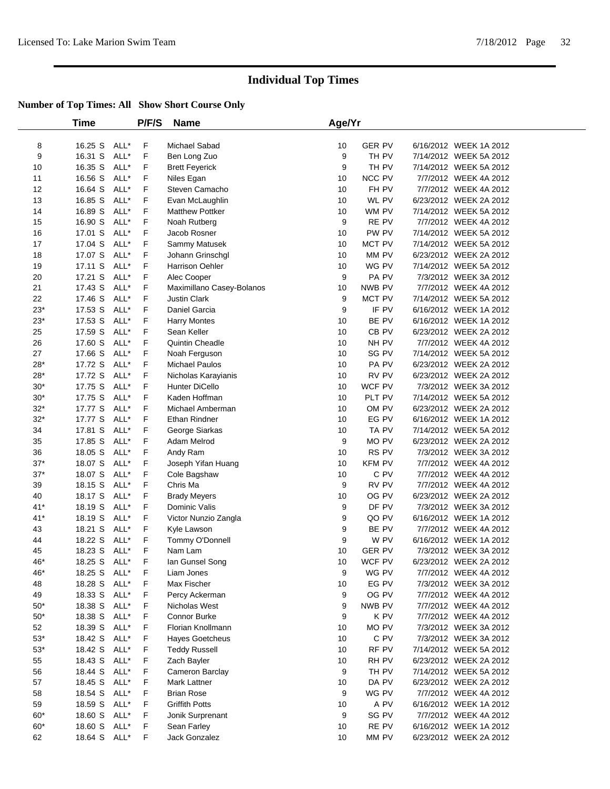|             | Time               |              | P/F/S  | <b>Name</b>                     | Age/Yr   |                |                                                 |  |
|-------------|--------------------|--------------|--------|---------------------------------|----------|----------------|-------------------------------------------------|--|
| 8           | 16.25 S            | ALL*         | F      | Michael Sabad                   | 10       | <b>GER PV</b>  | 6/16/2012 WEEK 1A 2012                          |  |
| 9           | 16.31 S            | ALL*         | F      | Ben Long Zuo                    | 9        | TH PV          | 7/14/2012 WEEK 5A 2012                          |  |
| 10          | 16.35 S            | ALL*         | F      | <b>Brett Feyerick</b>           | 9        | TH PV          | 7/14/2012 WEEK 5A 2012                          |  |
| 11          | 16.56 S            | ALL*         | F      | Niles Egan                      | 10       | NCC PV         | 7/7/2012 WEEK 4A 2012                           |  |
| 12          | 16.64 S            | ALL*         | F      | Steven Camacho                  | 10       | FH PV          | 7/7/2012 WEEK 4A 2012                           |  |
| 13          | 16.85 S            | ALL*         | F      | Evan McLaughlin                 | 10       | WL PV          | 6/23/2012 WEEK 2A 2012                          |  |
| 14          | 16.89 S            | ALL*         | F      | <b>Matthew Pottker</b>          | 10       | WM PV          | 7/14/2012 WEEK 5A 2012                          |  |
| 15          | 16.90 S            | ALL*         | F      | Noah Rutberg                    | 9        | RE PV          | 7/7/2012 WEEK 4A 2012                           |  |
| 16          | 17.01 S            | ALL*         | F      | Jacob Rosner                    | 10       | PW PV          | 7/14/2012 WEEK 5A 2012                          |  |
| 17          | 17.04 S            | ALL*         | F      | Sammy Matusek                   | 10       | MCT PV         | 7/14/2012 WEEK 5A 2012                          |  |
| 18          | 17.07 S            | ALL*         | F      | Johann Grinschgl                | 10       | MM PV          | 6/23/2012 WEEK 2A 2012                          |  |
| 19          | 17.11 S            | ALL*         | F      | <b>Harrison Oehler</b>          | 10       | WG PV          | 7/14/2012 WEEK 5A 2012                          |  |
| 20          | 17.21 S            | ALL*         | F      | Alec Cooper                     | 9        | PA PV          | 7/3/2012 WEEK 3A 2012                           |  |
| 21          | 17.43 S            | ALL*         | F      | Maximillano Casey-Bolanos       | 10       | NWB PV         | 7/7/2012 WEEK 4A 2012                           |  |
| 22          | 17.46 S            | ALL*         | F      | <b>Justin Clark</b>             | 9        | MCT PV         | 7/14/2012 WEEK 5A 2012                          |  |
| $23*$       | 17.53 S            | ALL*         | F      | Daniel Garcia                   | 9        | IF PV          | 6/16/2012 WEEK 1A 2012                          |  |
| $23*$       | 17.53 S            | ALL*         | F      | <b>Harry Montes</b>             | 10       | BE PV          | 6/16/2012 WEEK 1A 2012                          |  |
| 25          | 17.59 S            | ALL*         | F      | Sean Keller                     | 10       | CB PV          | 6/23/2012 WEEK 2A 2012                          |  |
| 26          | 17.60 S            | ALL*         | F      | Quintin Cheadle                 | 10       | NH PV          | 7/7/2012 WEEK 4A 2012                           |  |
| 27          | 17.66 S            | ALL*         | F      | Noah Ferguson                   | 10       | SG PV          | 7/14/2012 WEEK 5A 2012                          |  |
| $28*$       | 17.72 S            | ALL*         | F      | <b>Michael Paulos</b>           | 10       | PA PV          | 6/23/2012 WEEK 2A 2012                          |  |
| $28*$       | 17.72 S            | ALL*         | F      | Nicholas Karayianis             | 10       | RV PV          | 6/23/2012 WEEK 2A 2012                          |  |
| $30*$       | 17.75 S            | ALL*         | F      | Hunter DiCello                  | 10       | WCF PV         | 7/3/2012 WEEK 3A 2012                           |  |
| $30*$       | 17.75 S            | ALL*         | F      | Kaden Hoffman                   | 10       | PLT PV         | 7/14/2012 WEEK 5A 2012                          |  |
| $32*$       | 17.77 S            | ALL*         | F      | Michael Amberman                | 10       | OM PV          | 6/23/2012 WEEK 2A 2012                          |  |
| $32*$       | 17.77 S            | ALL*         | F      | Ethan Rindner                   | 10       | EG PV          | 6/16/2012 WEEK 1A 2012                          |  |
| 34          | 17.81 S            | ALL*         | F      | George Siarkas                  | 10       | TA PV          | 7/14/2012 WEEK 5A 2012                          |  |
| 35          | 17.85 S            | ALL*         | F      | Adam Melrod                     | 9        | MO PV          | 6/23/2012 WEEK 2A 2012                          |  |
| 36          | 18.05 S            | ALL*         | F      | Andy Ram                        | 10       | RS PV          | 7/3/2012 WEEK 3A 2012                           |  |
| $37*$       | 18.07 S            | ALL*         | F      | Joseph Yifan Huang              | 10       | <b>KFM PV</b>  | 7/7/2012 WEEK 4A 2012                           |  |
| $37*$       | 18.07 S            | ALL*         | F      | Cole Bagshaw                    | 10       | C PV           | 7/7/2012 WEEK 4A 2012                           |  |
| 39          | 18.15 S            | ALL*         | F      | Chris Ma                        | 9        | RV PV          | 7/7/2012 WEEK 4A 2012                           |  |
| 40          | 18.17 S            | ALL*         | F      | <b>Brady Meyers</b>             | 10       | OG PV          | 6/23/2012 WEEK 2A 2012                          |  |
| $41*$       | 18.19 S            | ALL*         | F      | Dominic Valis                   | 9        | DF PV          | 7/3/2012 WEEK 3A 2012                           |  |
| $41*$       | 18.19 S            | ALL*         | F      | Victor Nunzio Zangla            | 9        | QO PV          | 6/16/2012 WEEK 1A 2012                          |  |
| 43          | 18.21 S            | ALL*         | F      | Kyle Lawson                     | 9        | BE PV          | 7/7/2012 WEEK 4A 2012                           |  |
| 44          | 18.22 S            | ALL*         | F      | Tommy O'Donnell                 | 9        | W PV           | 6/16/2012 WEEK 1A 2012                          |  |
| 45          | 18.23 S            | ALL*         | F      | Nam Lam                         | 10       | <b>GER PV</b>  | 7/3/2012 WEEK 3A 2012                           |  |
| 46*         | 18.25 S            | ALL*         | F      | lan Gunsel Song                 | 10       | WCF PV         | 6/23/2012 WEEK 2A 2012                          |  |
| 46*         | 18.25 S ALL*       |              | F      | Liam Jones                      | 9        | WG PV          | 7/7/2012 WEEK 4A 2012                           |  |
| 48          | 18.28 S            | ALL*         | F      | Max Fischer                     | 10       | EG PV          | 7/3/2012 WEEK 3A 2012                           |  |
| 49          | 18.33 S            | ALL*         | F      | Percy Ackerman                  | 9        | OG PV          | 7/7/2012 WEEK 4A 2012                           |  |
| $50*$       | 18.38 S            | ALL*         | F      | Nicholas West                   | 9        | NWB PV         | 7/7/2012 WEEK 4A 2012                           |  |
| $50*$       | 18.38 S            | ALL*         | F      | Connor Burke                    | 9        | K PV           | 7/7/2012 WEEK 4A 2012                           |  |
| 52          | 18.39 S            | ALL*         | F      | Florian Knollmann               | 10       | MO PV          | 7/3/2012 WEEK 3A 2012                           |  |
| $53^{\ast}$ | 18.42 S            | ALL*<br>ALL* | F      | Hayes Goetcheus                 | 10       | C PV           | 7/3/2012 WEEK 3A 2012<br>7/14/2012 WEEK 5A 2012 |  |
| $53*$       | 18.42 S<br>18.43 S | ALL*         | F<br>F | <b>Teddy Russell</b>            | 10<br>10 | RF PV          | 6/23/2012 WEEK 2A 2012                          |  |
| 55          |                    | ALL*         | F      | Zach Bayler                     | 9        | RH PV<br>TH PV | 7/14/2012 WEEK 5A 2012                          |  |
| 56<br>57    | 18.44 S<br>18.45 S | ALL*         | F      | Cameron Barclay<br>Mark Lattner | 10       | DA PV          | 6/23/2012 WEEK 2A 2012                          |  |
| 58          | 18.54 S            | ALL*         | F      | <b>Brian Rose</b>               | 9        | WG PV          | 7/7/2012 WEEK 4A 2012                           |  |
| 59          | 18.59 S            | ALL*         | F      | <b>Griffith Potts</b>           | 10       | A PV           | 6/16/2012 WEEK 1A 2012                          |  |
| $60*$       | 18.60 S            | ALL*         | F      | Jonik Surprenant                | 9        | SG PV          | 7/7/2012 WEEK 4A 2012                           |  |
| $60*$       | 18.60 S            | ALL*         | F      | Sean Farley                     | $10$     | RE PV          | 6/16/2012 WEEK 1A 2012                          |  |
| 62          | 18.64 S            | ALL*         | F      | Jack Gonzalez                   | 10       | MM PV          | 6/23/2012 WEEK 2A 2012                          |  |
|             |                    |              |        |                                 |          |                |                                                 |  |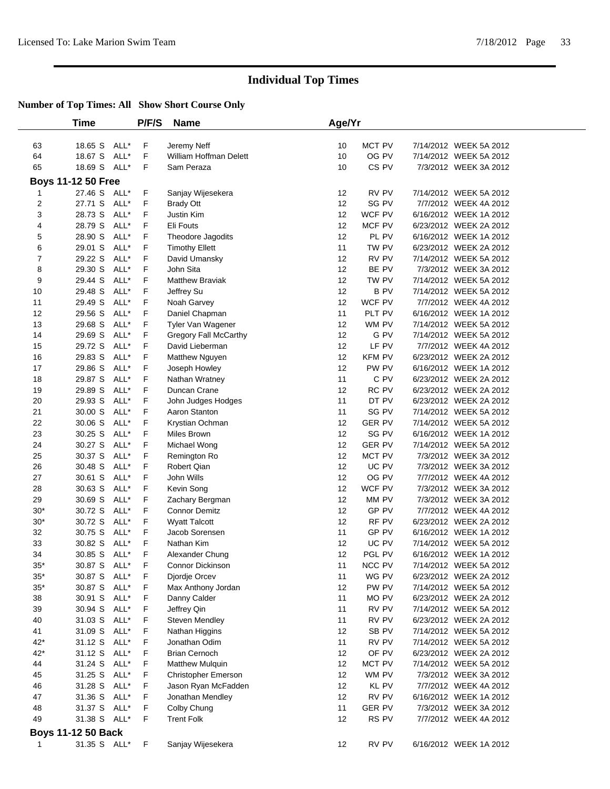|       | Time                      |      | <b>P/F/S</b> | <b>Name</b>            | Age/Yr |                  |                        |
|-------|---------------------------|------|--------------|------------------------|--------|------------------|------------------------|
|       |                           |      |              |                        |        |                  |                        |
| 63    | 18.65 S                   | ALL* | F            | Jeremy Neff            | 10     | MCT PV           | 7/14/2012 WEEK 5A 2012 |
| 64    | 18.67 S                   | ALL* | F            | William Hoffman Delett | 10     | OG PV            | 7/14/2012 WEEK 5A 2012 |
| 65    | 18.69 S                   | ALL* | F            | Sam Peraza             | 10     | CS <sub>PV</sub> | 7/3/2012 WEEK 3A 2012  |
|       | <b>Boys 11-12 50 Free</b> |      |              |                        |        |                  |                        |
| 1     | 27.46 S                   | ALL* | F            | Sanjay Wijesekera      | 12     | RV PV            | 7/14/2012 WEEK 5A 2012 |
| 2     | 27.71 S                   | ALL* | F            | <b>Brady Ott</b>       | 12     | SG PV            | 7/7/2012 WEEK 4A 2012  |
| 3     | 28.73 S                   | ALL* | F            | <b>Justin Kim</b>      | 12     | WCF PV           | 6/16/2012 WEEK 1A 2012 |
| 4     | 28.79 S                   | ALL* | F            | Eli Fouts              | 12     | MCF PV           | 6/23/2012 WEEK 2A 2012 |
| 5     | 28.90 S                   | ALL* | F            | Theodore Jagodits      | 12     | PL PV            | 6/16/2012 WEEK 1A 2012 |
| 6     | 29.01 S                   | ALL* | F            | <b>Timothy Ellett</b>  | 11     | TW PV            | 6/23/2012 WEEK 2A 2012 |
| 7     | 29.22 S                   | ALL* | F            | David Umansky          | 12     | RV PV            | 7/14/2012 WEEK 5A 2012 |
| 8     | 29.30 S                   | ALL* | F            | John Sita              | 12     | BE PV            | 7/3/2012 WEEK 3A 2012  |
| 9     | 29.44 S                   | ALL* | F            | <b>Matthew Braviak</b> | 12     | TW PV            | 7/14/2012 WEEK 5A 2012 |
| 10    | 29.48 S                   | ALL* | $\mathsf F$  | Jeffrey Su             | 12     | <b>BPV</b>       | 7/14/2012 WEEK 5A 2012 |
| 11    | 29.49 S                   | ALL* | F            | Noah Garvey            | 12     | WCF PV           | 7/7/2012 WEEK 4A 2012  |
| 12    | 29.56 S                   | ALL* | F            | Daniel Chapman         | 11     | PLT PV           | 6/16/2012 WEEK 1A 2012 |
| 13    | 29.68 S                   | ALL* | F            | Tyler Van Wagener      | 12     | WM PV            | 7/14/2012 WEEK 5A 2012 |
| 14    | 29.69 S                   | ALL* | F            | Gregory Fall McCarthy  | 12     | G PV             | 7/14/2012 WEEK 5A 2012 |
| 15    | 29.72 S                   | ALL* | F            | David Lieberman        | 12     | LF PV            | 7/7/2012 WEEK 4A 2012  |
| 16    | 29.83 S                   | ALL* | F            | Matthew Nguyen         | 12     | <b>KFM PV</b>    | 6/23/2012 WEEK 2A 2012 |
| 17    | 29.86 S                   | ALL* | F            | Joseph Howley          | 12     | PW PV            | 6/16/2012 WEEK 1A 2012 |
| 18    | 29.87 S                   | ALL* | F            | Nathan Wratney         | 11     | C PV             | 6/23/2012 WEEK 2A 2012 |
| 19    | 29.89 S                   | ALL* | F            | Duncan Crane           | 12     | RC PV            | 6/23/2012 WEEK 2A 2012 |
| 20    | 29.93 S                   | ALL* | F            | John Judges Hodges     | 11     | DT PV            | 6/23/2012 WEEK 2A 2012 |
| 21    | 30.00 S                   | ALL* | F            | Aaron Stanton          | 11     | SG PV            | 7/14/2012 WEEK 5A 2012 |
| 22    | 30.06 S                   | ALL* | $\mathsf F$  | Krystian Ochman        | 12     | <b>GER PV</b>    | 7/14/2012 WEEK 5A 2012 |
| 23    | 30.25 S                   | ALL* | F            | Miles Brown            | 12     | SG PV            | 6/16/2012 WEEK 1A 2012 |
| 24    | 30.27 S                   | ALL* | F            | Michael Wong           | 12     | <b>GER PV</b>    | 7/14/2012 WEEK 5A 2012 |
| 25    | 30.37 S                   | ALL* | F            | Remington Ro           | 12     | MCT PV           | 7/3/2012 WEEK 3A 2012  |
| 26    | 30.48 S                   | ALL* | F            | <b>Robert Qian</b>     | 12     | UC PV            | 7/3/2012 WEEK 3A 2012  |
| 27    | 30.61 S                   | ALL* | F            | John Wills             | 12     | OG PV            | 7/7/2012 WEEK 4A 2012  |
| 28    | 30.63 S                   | ALL* | F            | Kevin Song             | 12     | WCF PV           | 7/3/2012 WEEK 3A 2012  |
| 29    | 30.69 S                   | ALL* | F            | Zachary Bergman        | 12     | MM PV            | 7/3/2012 WEEK 3A 2012  |
| $30*$ | 30.72 S                   | ALL* | F            | <b>Connor Demitz</b>   | 12     | GP PV            | 7/7/2012 WEEK 4A 2012  |
| $30*$ | 30.72 S                   | ALL* | F            | <b>Wyatt Talcott</b>   | 12     | RF PV            | 6/23/2012 WEEK 2A 2012 |
| 32    | 30.75 S                   | ALL* | F            | Jacob Sorensen         | 11     | GP PV            | 6/16/2012 WEEK 1A 2012 |
| 33    | 30.82 S                   | ALL* | F            | Nathan Kim             | 12     | UC PV            | 7/14/2012 WEEK 5A 2012 |
| 34    | 30.85 S                   | ALL* | F            | Alexander Chung        | 12     | PGL PV           | 6/16/2012 WEEK 1A 2012 |
| $35*$ | 30.87 S ALL*              |      | F.           | Connor Dickinson       | 11     | NCC PV           | 7/14/2012 WEEK 5A 2012 |
| $35*$ | 30.87 S ALL*              |      | F            | Djordje Orcev          | 11     | WG PV            | 6/23/2012 WEEK 2A 2012 |
| $35*$ | 30.87 S ALL*              |      | F            | Max Anthony Jordan     | 12     | PW PV            | 7/14/2012 WEEK 5A 2012 |
| 38    | 30.91 S                   | ALL* | F            | Danny Calder           | 11     | MO PV            | 6/23/2012 WEEK 2A 2012 |
| 39    | 30.94 S ALL*              |      | F            | Jeffrey Qin            | 11     | RV PV            | 7/14/2012 WEEK 5A 2012 |
| 40    | 31.03 S                   | ALL* | F            | Steven Mendley         | 11     | RV PV            | 6/23/2012 WEEK 2A 2012 |
| 41    | 31.09 S                   | ALL* | F            | Nathan Higgins         | 12     | SB PV            | 7/14/2012 WEEK 5A 2012 |
| $42*$ | 31.12 S ALL*              |      | F            | Jonathan Odim          | 11     | RV PV            | 7/14/2012 WEEK 5A 2012 |
| 42*   | 31.12 S                   | ALL* | F            | <b>Brian Cernoch</b>   | 12     | OF PV            | 6/23/2012 WEEK 2A 2012 |
| 44    | 31.24 S                   | ALL* | F            | <b>Matthew Mulquin</b> | 12     | <b>MCT PV</b>    | 7/14/2012 WEEK 5A 2012 |
| 45    | 31.25 S                   | ALL* | F            | Christopher Emerson    | 12     | WM PV            | 7/3/2012 WEEK 3A 2012  |
| 46    | 31.28 S                   | ALL* | F            | Jason Ryan McFadden    | 12     | KL PV            | 7/7/2012 WEEK 4A 2012  |
| 47    | 31.36 S ALL*              |      | F            | Jonathan Mendley       | 12     | RV PV            | 6/16/2012 WEEK 1A 2012 |
| 48    | 31.37 S ALL*              |      | F            | Colby Chung            | 11     | <b>GER PV</b>    | 7/3/2012 WEEK 3A 2012  |
| 49    | 31.38 S ALL*              |      | F            | <b>Trent Folk</b>      | 12     | RS PV            | 7/7/2012 WEEK 4A 2012  |
|       | <b>Boys 11-12 50 Back</b> |      |              |                        |        |                  |                        |
| 1     | 31.35 S ALL*              |      | F            | Sanjay Wijesekera      | 12     | RV PV            | 6/16/2012 WEEK 1A 2012 |
|       |                           |      |              |                        |        |                  |                        |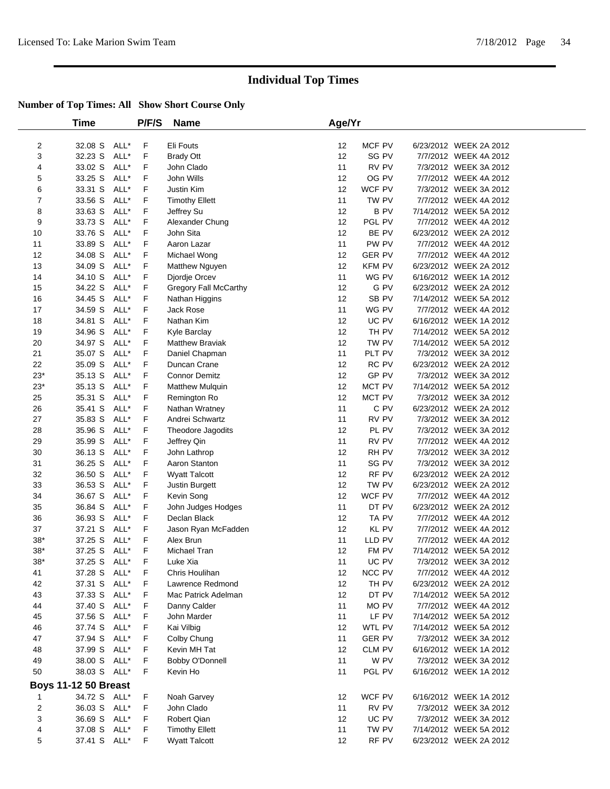|                         | Time                        |      | P/F/S       | <b>Name</b>            | Age/Yr            |               |                        |  |
|-------------------------|-----------------------------|------|-------------|------------------------|-------------------|---------------|------------------------|--|
|                         |                             |      |             |                        |                   |               |                        |  |
| 2                       | 32.08 S                     | ALL* | F           | Eli Fouts              | 12                | MCF PV        | 6/23/2012 WEEK 2A 2012 |  |
| 3                       | 32.23 S                     | ALL* | F           | <b>Brady Ott</b>       | 12                | SG PV         | 7/7/2012 WEEK 4A 2012  |  |
| 4                       | 33.02 S                     | ALL* | F           | John Clado             | 11                | RV PV         | 7/3/2012 WEEK 3A 2012  |  |
| 5                       | 33.25 S                     | ALL* | F           | John Wills             | 12                | OG PV         | 7/7/2012 WEEK 4A 2012  |  |
| 6                       | 33.31 S                     | ALL* | F           | <b>Justin Kim</b>      | 12                | WCF PV        | 7/3/2012 WEEK 3A 2012  |  |
| 7                       | 33.56 S                     | ALL* | F           | <b>Timothy Ellett</b>  | 11                | TW PV         | 7/7/2012 WEEK 4A 2012  |  |
| 8                       | 33.63 S                     | ALL* | F           | Jeffrey Su             | 12                | <b>BPV</b>    | 7/14/2012 WEEK 5A 2012 |  |
| 9                       | 33.73 S                     | ALL* | F           | Alexander Chung        | 12                | PGL PV        | 7/7/2012 WEEK 4A 2012  |  |
| 10                      | 33.76 S                     | ALL* | F           | John Sita              | 12                | BE PV         | 6/23/2012 WEEK 2A 2012 |  |
| 11                      | 33.89 S                     | ALL* | F           | Aaron Lazar            | 11                | PW PV         | 7/7/2012 WEEK 4A 2012  |  |
| 12                      | 34.08 S                     | ALL* | F           | Michael Wong           | 12                | <b>GER PV</b> | 7/7/2012 WEEK 4A 2012  |  |
| 13                      | 34.09 S                     | ALL* | F           | Matthew Nguyen         | 12                | <b>KFM PV</b> | 6/23/2012 WEEK 2A 2012 |  |
| 14                      | 34.10 S                     | ALL* | F           | Djordje Orcev          | 11                | WG PV         | 6/16/2012 WEEK 1A 2012 |  |
| 15                      | 34.22 S                     | ALL* | F           | Gregory Fall McCarthy  | 12                | G PV          | 6/23/2012 WEEK 2A 2012 |  |
| 16                      | 34.45 S                     | ALL* | F           | Nathan Higgins         | 12                | SB PV         | 7/14/2012 WEEK 5A 2012 |  |
| 17                      | 34.59 S                     | ALL* | F           | Jack Rose              | 11                | WG PV         | 7/7/2012 WEEK 4A 2012  |  |
| 18                      | 34.81 S                     | ALL* | F           | Nathan Kim             | 12                | UC PV         | 6/16/2012 WEEK 1A 2012 |  |
| 19                      | 34.96 S                     | ALL* | F           | Kyle Barclay           | 12                | TH PV         | 7/14/2012 WEEK 5A 2012 |  |
| 20                      | 34.97 S                     | ALL* | F           | <b>Matthew Braviak</b> | 12                | TW PV         | 7/14/2012 WEEK 5A 2012 |  |
| 21                      | 35.07 S                     | ALL* | F           | Daniel Chapman         | 11                | PLT PV        | 7/3/2012 WEEK 3A 2012  |  |
| 22                      | 35.09 S                     | ALL* | F           | Duncan Crane           | 12                | RC PV         | 6/23/2012 WEEK 2A 2012 |  |
| $23*$                   | 35.13 S                     | ALL* | F           | <b>Connor Demitz</b>   | 12                | GP PV         | 7/3/2012 WEEK 3A 2012  |  |
| $23*$                   | 35.13 S                     | ALL* | F           | <b>Matthew Mulquin</b> | 12                | MCT PV        | 7/14/2012 WEEK 5A 2012 |  |
| 25                      | 35.31 S                     | ALL* | F           | Remington Ro           | 12                | MCT PV        | 7/3/2012 WEEK 3A 2012  |  |
| 26                      | 35.41 S                     | ALL* | F           | Nathan Wratney         | 11                | C PV          | 6/23/2012 WEEK 2A 2012 |  |
| 27                      | 35.83 S                     | ALL* | F           | Andrei Schwartz        | 11                | RV PV         | 7/3/2012 WEEK 3A 2012  |  |
| 28                      | 35.96 S                     | ALL* | F           | Theodore Jagodits      | 12                | PL PV         | 7/3/2012 WEEK 3A 2012  |  |
| 29                      | 35.99 S                     | ALL* | F           | Jeffrey Qin            | 11                | RV PV         | 7/7/2012 WEEK 4A 2012  |  |
| 30                      | 36.13 S                     | ALL* | F           | John Lathrop           | 12                | RH PV         | 7/3/2012 WEEK 3A 2012  |  |
| 31                      | 36.25 S                     | ALL* | F           | Aaron Stanton          | 11                | SG PV         | 7/3/2012 WEEK 3A 2012  |  |
| 32                      | 36.50 S                     | ALL* | F           | <b>Wyatt Talcott</b>   | 12                | RF PV         | 6/23/2012 WEEK 2A 2012 |  |
| 33                      | 36.53 S                     | ALL* | F           | Justin Burgett         | 12                | TW PV         | 6/23/2012 WEEK 2A 2012 |  |
| 34                      | 36.67 S                     | ALL* | F           | Kevin Song             | 12                | WCF PV        | 7/7/2012 WEEK 4A 2012  |  |
| 35                      | 36.84 S                     | ALL* | F           | John Judges Hodges     | 11                | DT PV         | 6/23/2012 WEEK 2A 2012 |  |
| 36                      | 36.93 S                     | ALL* | F           | Declan Black           | 12                | TA PV         | 7/7/2012 WEEK 4A 2012  |  |
| 37                      | 37.21 S                     | ALL* | F           | Jason Ryan McFadden    | 12                | KL PV         | 7/7/2012 WEEK 4A 2012  |  |
| $38^{\ast}$             | 37.25 S                     | ALL* | F           | Alex Brun              | 11                | LLD PV        | 7/7/2012 WEEK 4A 2012  |  |
| $38^{\ast}$             | 37.25 S                     | ALL* | F           | Michael Tran           | 12                | FM PV         | 7/14/2012 WEEK 5A 2012 |  |
| $38*$                   | 37.25 S                     | ALL* | F           | Luke Xia               | 11                | UC PV         | 7/3/2012 WEEK 3A 2012  |  |
| 41                      | 37.28 S ALL*                |      | F           | Chris Houlihan         | 12                | NCC PV        | 7/7/2012 WEEK 4A 2012  |  |
| 42                      | 37.31 S                     | ALL* | F           | Lawrence Redmond       | 12                | TH PV         | 6/23/2012 WEEK 2A 2012 |  |
| 43                      | 37.33 S                     | ALL* | F           | Mac Patrick Adelman    | 12                | DT PV         | 7/14/2012 WEEK 5A 2012 |  |
| 44                      | 37.40 S ALL*                |      | F           | Danny Calder           | 11                | MO PV         | 7/7/2012 WEEK 4A 2012  |  |
| 45                      | 37.56 S                     | ALL* | F           | John Marder            | 11                | LF PV         | 7/14/2012 WEEK 5A 2012 |  |
| 46                      | 37.74 S                     | ALL* | F           | Kai Vilbig             | 12                | WTL PV        | 7/14/2012 WEEK 5A 2012 |  |
| 47                      | 37.94 S ALL*                |      | F           | Colby Chung            | 11                | <b>GER PV</b> | 7/3/2012 WEEK 3A 2012  |  |
| 48                      | 37.99 S                     | ALL* | F           | Kevin MH Tat           | 12                | CLM PV        | 6/16/2012 WEEK 1A 2012 |  |
| 49                      | 38.00 S ALL*                |      | F           | Bobby O'Donnell        | 11                | W PV          | 7/3/2012 WEEK 3A 2012  |  |
| 50                      | 38.03 S ALL*                |      | F           | Kevin Ho               | 11                | PGL PV        | 6/16/2012 WEEK 1A 2012 |  |
|                         | <b>Boys 11-12 50 Breast</b> |      |             |                        |                   |               |                        |  |
| 1                       | 34.72 S ALL*                |      | F           | Noah Garvey            | 12                | WCF PV        | 6/16/2012 WEEK 1A 2012 |  |
| $\overline{\mathbf{c}}$ | 36.03 S ALL*                |      | F.          | John Clado             | 11                | RV PV         | 7/3/2012 WEEK 3A 2012  |  |
| 3                       | 36.69 S ALL*                |      | F           | Robert Qian            | $12 \overline{ }$ | UC PV         | 7/3/2012 WEEK 3A 2012  |  |
| 4                       | 37.08 S                     | ALL* | F           | <b>Timothy Ellett</b>  | 11                | TW PV         | 7/14/2012 WEEK 5A 2012 |  |
| 5                       | 37.41 S ALL*                |      | $\mathsf F$ | <b>Wyatt Talcott</b>   | 12                | RF PV         | 6/23/2012 WEEK 2A 2012 |  |
|                         |                             |      |             |                        |                   |               |                        |  |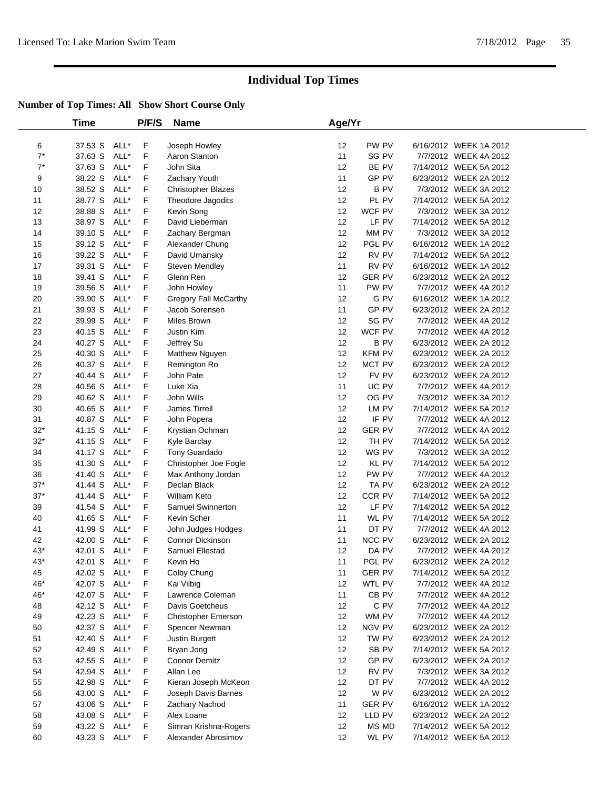|             | Time               |              | P/F/S  | <b>Name</b>                             | Age/Yr          |                      |                                                  |  |
|-------------|--------------------|--------------|--------|-----------------------------------------|-----------------|----------------------|--------------------------------------------------|--|
|             |                    |              |        |                                         |                 |                      |                                                  |  |
| 6           | 37.53 S            | ALL*         | F      | Joseph Howley                           | 12              | PW PV                | 6/16/2012 WEEK 1A 2012                           |  |
| $7^*$       | 37.63 S            | ALL*         | F      | Aaron Stanton                           | 11              | SG PV                | 7/7/2012 WEEK 4A 2012                            |  |
| $7^*$       | 37.63 S            | ALL*         | F      | John Sita                               | 12              | BE PV                | 7/14/2012 WEEK 5A 2012                           |  |
| 9           | 38.22 S            | ALL*         | F      | Zachary Youth                           | 11              | GP PV                | 6/23/2012 WEEK 2A 2012                           |  |
| 10          | 38.52 S            | ALL*         | F      | <b>Christopher Blazes</b>               | 12              | <b>BPV</b>           | 7/3/2012 WEEK 3A 2012                            |  |
| 11          | 38.77 S            | ALL*         | F      | Theodore Jagodits                       | 12              | PL PV                | 7/14/2012 WEEK 5A 2012                           |  |
| 12          | 38.88 S            | ALL*         | F      | Kevin Song                              | 12              | WCF PV               | 7/3/2012 WEEK 3A 2012                            |  |
| 13          | 38.97 S            | ALL*         | F      | David Lieberman                         | 12              | LF PV                | 7/14/2012 WEEK 5A 2012                           |  |
| 14          | 39.10 S            | ALL*         | F      | Zachary Bergman                         | 12              | MM PV<br>PGL PV      | 7/3/2012 WEEK 3A 2012                            |  |
| 15          | 39.12 S            | ALL*         | F<br>F | Alexander Chung                         | 12              |                      | 6/16/2012 WEEK 1A 2012                           |  |
| 16          | 39.22 S<br>39.31 S | ALL*<br>ALL* |        | David Umansky                           | 12<br>11        | RV PV<br>RV PV       | 7/14/2012 WEEK 5A 2012<br>6/16/2012 WEEK 1A 2012 |  |
| 17          |                    | ALL*         | F      | Steven Mendley<br>Glenn Ren             | 12              |                      | 6/23/2012 WEEK 2A 2012                           |  |
| 18          | 39.41 S            |              | F      |                                         |                 | <b>GER PV</b>        |                                                  |  |
| 19          | 39.56 S            | ALL*         | F      | John Howley                             | 11              | PW PV                | 7/7/2012 WEEK 4A 2012                            |  |
| 20          | 39.90 S            | ALL*<br>ALL* | F<br>F | Gregory Fall McCarthy<br>Jacob Sorensen | 12<br>11        | G PV<br>GP PV        | 6/16/2012 WEEK 1A 2012<br>6/23/2012 WEEK 2A 2012 |  |
| 21          | 39.93 S            |              | F      |                                         |                 |                      |                                                  |  |
| 22          | 39.99 S            | ALL*         |        | Miles Brown                             | 12              | SG PV                | 7/7/2012 WEEK 4A 2012                            |  |
| 23          | 40.15 S            | ALL*<br>ALL* | F      | Justin Kim                              | 12              | WCF PV<br><b>BPV</b> | 7/7/2012 WEEK 4A 2012                            |  |
| 24          | 40.27 S            |              | F      | Jeffrey Su                              | 12              |                      | 6/23/2012 WEEK 2A 2012                           |  |
| 25          | 40.30 S            | ALL*         | F<br>F | Matthew Nguyen                          | 12<br>12        | <b>KFM PV</b>        | 6/23/2012 WEEK 2A 2012                           |  |
| 26          | 40.37 S<br>40.44 S | ALL*<br>ALL* | F      | Remington Ro                            | 12              | MCT PV<br>FV PV      | 6/23/2012 WEEK 2A 2012<br>6/23/2012 WEEK 2A 2012 |  |
| 27<br>28    | 40.56 S            | ALL*         | F      | John Pate<br>Luke Xia                   | 11              | UC PV                | 7/7/2012 WEEK 4A 2012                            |  |
|             |                    | ALL*         | F      | John Wills                              | 12              | OG PV                | 7/3/2012 WEEK 3A 2012                            |  |
| 29<br>30    | 40.62 S<br>40.65 S | ALL*         | F      | James Tirrell                           | 12              | LM PV                | 7/14/2012 WEEK 5A 2012                           |  |
|             | 40.87 S            | ALL*         | F      |                                         | 12              | IF PV                | 7/7/2012 WEEK 4A 2012                            |  |
| 31<br>$32*$ | 41.15 S            | ALL*         | F      | John Popera                             | 12              | <b>GER PV</b>        | 7/7/2012 WEEK 4A 2012                            |  |
| $32*$       | 41.15 S            | ALL*         | F      | Krystian Ochman<br>Kyle Barclay         | 12              | TH PV                | 7/14/2012 WEEK 5A 2012                           |  |
| 34          | 41.17 S            | ALL*         | F      | Tony Guardado                           | 12              | WG PV                | 7/3/2012 WEEK 3A 2012                            |  |
| 35          | 41.30 S            | ALL*         | F      | Christopher Joe Fogle                   | 12              | KL PV                | 7/14/2012 WEEK 5A 2012                           |  |
| 36          | 41.40 S            | ALL*         | F      | Max Anthony Jordan                      | 12              | PW PV                | 7/7/2012 WEEK 4A 2012                            |  |
| $37*$       | 41.44 S            | ALL*         | F      | Declan Black                            | 12              | TA PV                | 6/23/2012 WEEK 2A 2012                           |  |
| $37*$       | 41.44 S            | ALL*         | F      | <b>William Keto</b>                     | 12              | CCR PV               | 7/14/2012 WEEK 5A 2012                           |  |
| 39          | 41.54 S            | ALL*         | F      | Samuel Swinnerton                       | 12              | LF PV                | 7/14/2012 WEEK 5A 2012                           |  |
| 40          | 41.65 S            | ALL*         | F      | Kevin Scher                             | 11              | WL PV                | 7/14/2012 WEEK 5A 2012                           |  |
| 41          | 41.99 S            | ALL*         | F      | John Judges Hodges                      | 11              | DT PV                | 7/7/2012 WEEK 4A 2012                            |  |
| 42          | 42.00 S            | ALL*         | F      | Connor Dickinson                        | 11              | NCC PV               | 6/23/2012 WEEK 2A 2012                           |  |
| $43*$       | 42.01 S            | ALL*         | F      | Samuel Ellestad                         | 12              | DA PV                | 7/7/2012 WEEK 4A 2012                            |  |
| $43*$       | 42.01 S            | ALL*         | F      | Kevin Ho                                | 11              | PGL PV               | 6/23/2012 WEEK 2A 2012                           |  |
| 45          | 42.02 S ALL*       |              | F      | Colby Chung                             | 11              | <b>GER PV</b>        | 7/14/2012 WEEK 5A 2012                           |  |
| 46*         | 42.07 S            | ALL*         | F      | Kai Vilbig                              | 12              | WTL PV               | 7/7/2012 WEEK 4A 2012                            |  |
| 46*         | 42.07 S            | ALL*         | F      | Lawrence Coleman                        | 11              | CB PV                | 7/7/2012 WEEK 4A 2012                            |  |
| 48          | 42.12 S            | ALL*         | F      | Davis Goetcheus                         | 12              | C PV                 | 7/7/2012 WEEK 4A 2012                            |  |
| 49          | 42.23 S            | ALL*         | F      | <b>Christopher Emerson</b>              | 12              | WM PV                | 7/7/2012 WEEK 4A 2012                            |  |
| 50          | 42.37 S            | ALL*         | F      | Spencer Newman                          | 12              | NGV PV               | 6/23/2012 WEEK 2A 2012                           |  |
| 51          | 42.40 S            | ALL*         | F      | Justin Burgett                          | 12              | TW PV                | 6/23/2012 WEEK 2A 2012                           |  |
| 52          | 42.49 S            | ALL*         | F      | Bryan Jong                              | 12              | SB PV                | 7/14/2012 WEEK 5A 2012                           |  |
| 53          | 42.55 S            | ALL*         | F      | <b>Connor Demitz</b>                    | 12              | GP PV                | 6/23/2012 WEEK 2A 2012                           |  |
| 54          | 42.94 S            | ALL*         | F      | Allan Lee                               | 12              | RV PV                | 7/3/2012 WEEK 3A 2012                            |  |
| 55          | 42.98 S            | ALL*         | F      | Kieran Joseph McKeon                    | 12              | DT PV                | 7/7/2012 WEEK 4A 2012                            |  |
| 56          | 43.00 S            | ALL*         | F      | Joseph Davis Barnes                     | 12              | W PV                 | 6/23/2012 WEEK 2A 2012                           |  |
| 57          | 43.06 S            | ALL*         | F      | Zachary Nachod                          | 11              | <b>GER PV</b>        | 6/16/2012 WEEK 1A 2012                           |  |
| 58          | 43.08 S            | ALL*         | F      | Alex Loane                              | 12              | LLD PV               | 6/23/2012 WEEK 2A 2012                           |  |
| 59          | 43.22 S            | ALL*         | F      | Simran Krishna-Rogers                   | 12              | MS MD                | 7/14/2012 WEEK 5A 2012                           |  |
| 60          | 43.23 S            | ALL*         | F      | Alexander Abrosimov                     | 12 <sup>2</sup> | WL PV                | 7/14/2012 WEEK 5A 2012                           |  |
|             |                    |              |        |                                         |                 |                      |                                                  |  |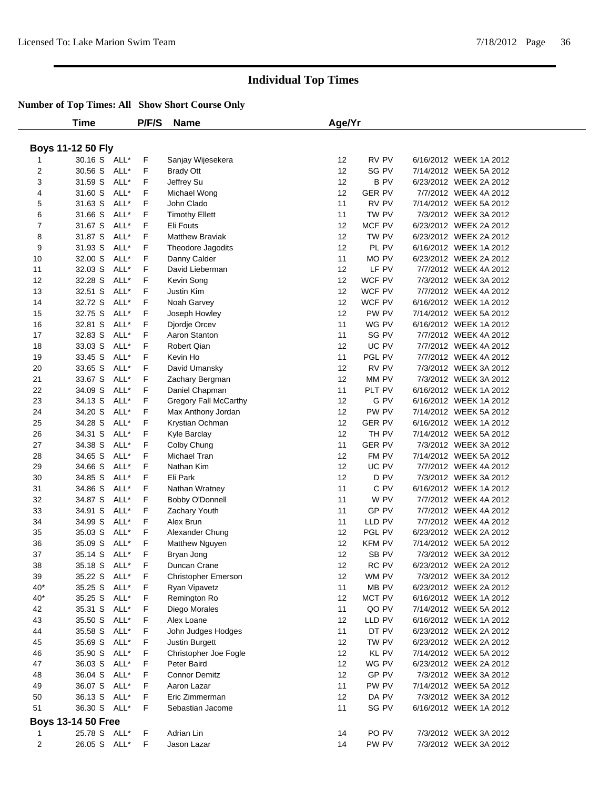|                | Time                      |      | P/F/S | <b>Name</b>                  | Age/Yr |                  |                        |  |
|----------------|---------------------------|------|-------|------------------------------|--------|------------------|------------------------|--|
|                |                           |      |       |                              |        |                  |                        |  |
|                | <b>Boys 11-12 50 Fly</b>  |      |       |                              |        |                  |                        |  |
|                | 30.16 S ALL*              |      | F     | Sanjay Wijesekera            | 12     | RV PV            | 6/16/2012 WEEK 1A 2012 |  |
| $\overline{c}$ | 30.56 S ALL*              |      | F     | <b>Brady Ott</b>             | 12     | SG PV            | 7/14/2012 WEEK 5A 2012 |  |
| 3              | 31.59 S ALL*              |      | F.    | Jeffrey Su                   | 12     | <b>BPV</b>       | 6/23/2012 WEEK 2A 2012 |  |
| 4              | 31.60 S                   | ALL* | F     | Michael Wong                 | 12     | <b>GER PV</b>    | 7/7/2012 WEEK 4A 2012  |  |
| 5              | 31.63 S                   | ALL* | F     | John Clado                   | 11     | RV PV            | 7/14/2012 WEEK 5A 2012 |  |
| 6              | 31.66 S                   | ALL* | F     | <b>Timothy Ellett</b>        | 11     | TW PV            | 7/3/2012 WEEK 3A 2012  |  |
| $\overline{7}$ | 31.67 S                   | ALL* | F     | Eli Fouts                    | 12     | MCF PV           | 6/23/2012 WEEK 2A 2012 |  |
| 8              | 31.87 S                   | ALL* | F     | <b>Matthew Braviak</b>       | 12     | TW PV            | 6/23/2012 WEEK 2A 2012 |  |
| 9              | 31.93 S                   | ALL* | F     | Theodore Jagodits            | 12     | PL PV            | 6/16/2012 WEEK 1A 2012 |  |
| 10             | 32.00 S                   | ALL* | F     | Danny Calder                 | 11     | MO PV            | 6/23/2012 WEEK 2A 2012 |  |
| 11             | 32.03 S                   | ALL* | F     | David Lieberman              | 12     | LF PV            | 7/7/2012 WEEK 4A 2012  |  |
| 12             | 32.28 S                   | ALL* | F     | Kevin Song                   | 12     | WCF PV           | 7/3/2012 WEEK 3A 2012  |  |
| 13             | 32.51 S                   | ALL* | F     | Justin Kim                   | 12     | WCF PV           | 7/7/2012 WEEK 4A 2012  |  |
| 14             | 32.72 S                   | ALL* | F     | Noah Garvey                  | 12     | WCF PV           | 6/16/2012 WEEK 1A 2012 |  |
| 15             | 32.75 S                   | ALL* | F     | Joseph Howley                | 12     | PW PV            | 7/14/2012 WEEK 5A 2012 |  |
| 16             | 32.81 S                   | ALL* | F     | Djordje Orcev                | 11     | WG PV            | 6/16/2012 WEEK 1A 2012 |  |
| 17             | 32.83 S                   | ALL* | F     | Aaron Stanton                | 11     | SG PV            | 7/7/2012 WEEK 4A 2012  |  |
| 18             | 33.03 S                   | ALL* | F     | Robert Qian                  | 12     | UC PV            | 7/7/2012 WEEK 4A 2012  |  |
| 19             | 33.45 S                   | ALL* | F     | Kevin Ho                     | 11     | PGL PV           | 7/7/2012 WEEK 4A 2012  |  |
| 20             | 33.65 S                   | ALL* | F     | David Umansky                | 12     | RV PV            | 7/3/2012 WEEK 3A 2012  |  |
| 21             | 33.67 S                   | ALL* | F     | Zachary Bergman              | 12     | MM PV            | 7/3/2012 WEEK 3A 2012  |  |
| 22             | 34.09 S                   | ALL* | F     | Daniel Chapman               | 11     | PLT PV           | 6/16/2012 WEEK 1A 2012 |  |
| 23             | 34.13 S                   | ALL* | F     | <b>Gregory Fall McCarthy</b> | 12     | G PV             | 6/16/2012 WEEK 1A 2012 |  |
| 24             | 34.20 S                   | ALL* | F     | Max Anthony Jordan           | 12     | PW PV            | 7/14/2012 WEEK 5A 2012 |  |
| 25             | 34.28 S                   | ALL* | F     | Krystian Ochman              | 12     | <b>GER PV</b>    | 6/16/2012 WEEK 1A 2012 |  |
| 26             | 34.31 S                   | ALL* | F     | Kyle Barclay                 | 12     | TH PV            | 7/14/2012 WEEK 5A 2012 |  |
| 27             | 34.38 S                   | ALL* | F     | Colby Chung                  | 11     | <b>GER PV</b>    | 7/3/2012 WEEK 3A 2012  |  |
| 28             | 34.65 S                   | ALL* | F     | Michael Tran                 | 12     | FM PV            | 7/14/2012 WEEK 5A 2012 |  |
| 29             | 34.66 S                   | ALL* | F     | Nathan Kim                   | 12     | UC PV            | 7/7/2012 WEEK 4A 2012  |  |
| 30             | 34.85 S                   | ALL* | F     | Eli Park                     | 12     | D PV             | 7/3/2012 WEEK 3A 2012  |  |
| 31             | 34.86 S                   | ALL* | F     | Nathan Wratney               | 11     | C PV             | 6/16/2012 WEEK 1A 2012 |  |
| 32             | 34.87 S                   | ALL* | F     | Bobby O'Donnell              | 11     | W PV             | 7/7/2012 WEEK 4A 2012  |  |
| 33             | 34.91 S                   | ALL* | F     | Zachary Youth                | 11     | GP PV            | 7/7/2012 WEEK 4A 2012  |  |
| 34             | 34.99 S                   | ALL* | F     | Alex Brun                    | 11     | LLD PV           | 7/7/2012 WEEK 4A 2012  |  |
| 35             | 35.03 S                   | ALL* | F     | Alexander Chung              | 12     | PGL PV           | 6/23/2012 WEEK 2A 2012 |  |
| 36             | 35.09 S                   | ALL* | F     | Matthew Nguyen               | 12     | <b>KFM PV</b>    | 7/14/2012 WEEK 5A 2012 |  |
| 37             | 35.14 S                   | ALL* | F     | Bryan Jong                   | 12     | SB <sub>PV</sub> | 7/3/2012 WEEK 3A 2012  |  |
| 38             | 35.18 S ALL*              |      | F     | Duncan Crane                 | 12     | RC PV            | 6/23/2012 WEEK 2A 2012 |  |
| 39             | 35.22 S ALL*              |      | F     | <b>Christopher Emerson</b>   | 12     | WM PV            | 7/3/2012 WEEK 3A 2012  |  |
| $40*$          | 35.25 S ALL*              |      | F     | Ryan Vipavetz                | 11     | MB PV            | 6/23/2012 WEEK 2A 2012 |  |
| $40*$          | 35.25 S ALL*              |      | F     | Remington Ro                 | 12     | MCT PV           | 6/16/2012 WEEK 1A 2012 |  |
| 42             | 35.31 S ALL*              |      | F     | Diego Morales                | 11     | QO PV            | 7/14/2012 WEEK 5A 2012 |  |
| 43             | 35.50 S                   | ALL* | F     | Alex Loane                   | 12     | LLD PV           | 6/16/2012 WEEK 1A 2012 |  |
| 44             | 35.58 S ALL*              |      | F     | John Judges Hodges           | 11     | DT PV            | 6/23/2012 WEEK 2A 2012 |  |
| 45             | 35.69 S ALL*              |      | F     | Justin Burgett               | 12     | TW PV            | 6/23/2012 WEEK 2A 2012 |  |
| 46             | 35.90 S ALL*              |      | F     | Christopher Joe Fogle        | 12     | KL PV            | 7/14/2012 WEEK 5A 2012 |  |
| 47             | 36.03 S                   | ALL* | F     | Peter Baird                  | 12     | WG PV            | 6/23/2012 WEEK 2A 2012 |  |
| 48             | 36.04 S                   | ALL* | F     | <b>Connor Demitz</b>         | 12     | GP PV            | 7/3/2012 WEEK 3A 2012  |  |
| 49             | 36.07 S ALL*              |      | F     | Aaron Lazar                  | 11     | PW PV            | 7/14/2012 WEEK 5A 2012 |  |
| 50             | 36.13 S ALL*              |      | F     | Eric Zimmerman               | 12     | DA PV            | 7/3/2012 WEEK 3A 2012  |  |
| 51             | 36.30 S ALL*              |      | F     | Sebastian Jacome             | 11     | SG PV            | 6/16/2012 WEEK 1A 2012 |  |
|                |                           |      |       |                              |        |                  |                        |  |
|                | <b>Boys 13-14 50 Free</b> |      |       |                              |        |                  |                        |  |
| 1              | 25.78 S ALL*              |      | F     | Adrian Lin                   | 14     | PO <sub>PV</sub> | 7/3/2012 WEEK 3A 2012  |  |
| $\overline{c}$ | 26.05 S ALL*              |      | F.    | Jason Lazar                  | 14     | PW PV            | 7/3/2012 WEEK 3A 2012  |  |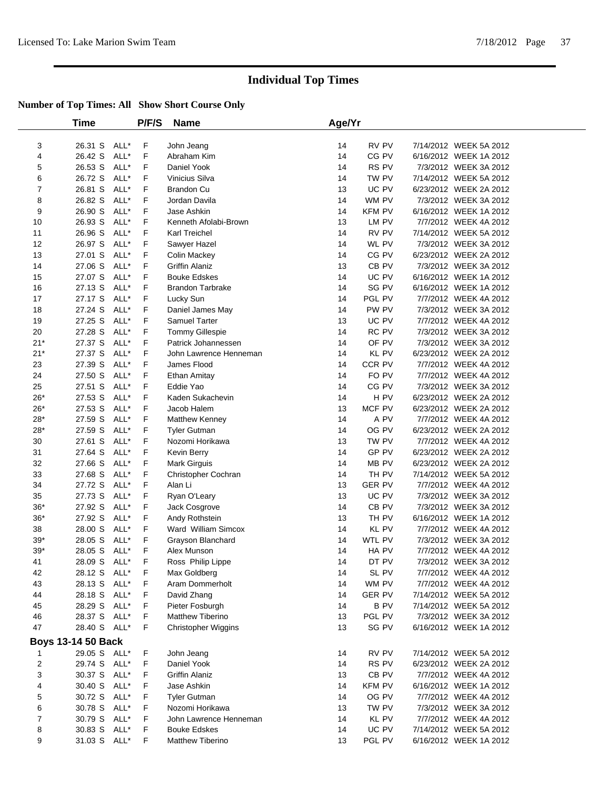|                | Time                      |      | P/F/S | <b>Name</b>             | Age/Yr |               |                        |  |
|----------------|---------------------------|------|-------|-------------------------|--------|---------------|------------------------|--|
|                |                           |      |       |                         |        |               |                        |  |
| 3              | 26.31 S                   | ALL* | F     | John Jeang              | 14     | RV PV         | 7/14/2012 WEEK 5A 2012 |  |
| 4              | 26.42 S                   | ALL* | F     | Abraham Kim             | 14     | CG PV         | 6/16/2012 WEEK 1A 2012 |  |
| 5              | 26.53 S                   | ALL* | F     | Daniel Yook             | 14     | RS PV         | 7/3/2012 WEEK 3A 2012  |  |
| 6              | 26.72 S                   | ALL* | F     | Vinicius Silva          | 14     | TW PV         | 7/14/2012 WEEK 5A 2012 |  |
| $\overline{7}$ | 26.81 S                   | ALL* | F     | <b>Brandon Cu</b>       | 13     | UC PV         | 6/23/2012 WEEK 2A 2012 |  |
| 8              | 26.82 S                   | ALL* | F     | Jordan Davila           | 14     | WM PV         | 7/3/2012 WEEK 3A 2012  |  |
| 9              | 26.90 S                   | ALL* | F     | Jase Ashkin             | 14     | <b>KFM PV</b> | 6/16/2012 WEEK 1A 2012 |  |
| 10             | 26.93 S                   | ALL* | F     | Kenneth Afolabi-Brown   | 13     | LM PV         | 7/7/2012 WEEK 4A 2012  |  |
| 11             | 26.96 S                   | ALL* | F     | Karl Treichel           | 14     | RV PV         | 7/14/2012 WEEK 5A 2012 |  |
| 12             | 26.97 S                   | ALL* | F     | Sawyer Hazel            | 14     | WL PV         | 7/3/2012 WEEK 3A 2012  |  |
| 13             | 27.01 S                   | ALL* | F     | <b>Colin Mackey</b>     | 14     | CG PV         | 6/23/2012 WEEK 2A 2012 |  |
| 14             | 27.06 S                   | ALL* | F     | <b>Griffin Alaniz</b>   | 13     | CB PV         | 7/3/2012 WEEK 3A 2012  |  |
| 15             | 27.07 S                   | ALL* | F     | <b>Bouke Edskes</b>     | 14     | UC PV         | 6/16/2012 WEEK 1A 2012 |  |
| 16             | 27.13 S                   | ALL* | F     | <b>Brandon Tarbrake</b> | 14     | SG PV         | 6/16/2012 WEEK 1A 2012 |  |
| 17             | 27.17 S                   | ALL* | F     | Lucky Sun               | 14     | PGL PV        | 7/7/2012 WEEK 4A 2012  |  |
| 18             | 27.24 S                   | ALL* | F     | Daniel James May        | 14     | PW PV         | 7/3/2012 WEEK 3A 2012  |  |
| 19             | 27.25 S                   | ALL* | F     | Samuel Tarter           | 13     | UC PV         | 7/7/2012 WEEK 4A 2012  |  |
| 20             | 27.28 S                   | ALL* | F     | Tommy Gillespie         | 14     | RC PV         | 7/3/2012 WEEK 3A 2012  |  |
| $21*$          | 27.37 S                   | ALL* | F     | Patrick Johannessen     | 14     | OF PV         | 7/3/2012 WEEK 3A 2012  |  |
| $21*$          | 27.37 S                   | ALL* | F     | John Lawrence Henneman  | 14     | KL PV         | 6/23/2012 WEEK 2A 2012 |  |
| 23             | 27.39 S                   | ALL* | F     | James Flood             | 14     | CCR PV        | 7/7/2012 WEEK 4A 2012  |  |
| 24             | 27.50 S                   | ALL* | F     | Ethan Amitay            | 14     | FO PV         | 7/7/2012 WEEK 4A 2012  |  |
| 25             | 27.51 S                   | ALL* | F     | Eddie Yao               | 14     | CG PV         | 7/3/2012 WEEK 3A 2012  |  |
| $26*$          | 27.53 S                   | ALL* | F     | Kaden Sukachevin        | 14     | H PV          | 6/23/2012 WEEK 2A 2012 |  |
| $26*$          | 27.53 S                   | ALL* | F     | Jacob Halem             | 13     | MCF PV        | 6/23/2012 WEEK 2A 2012 |  |
| $28*$          | 27.59 S                   | ALL* | F     | Matthew Kenney          | 14     | A PV          | 7/7/2012 WEEK 4A 2012  |  |
| $28*$          | 27.59 S                   | ALL* | F     | <b>Tyler Gutman</b>     | 14     | OG PV         | 6/23/2012 WEEK 2A 2012 |  |
| 30             | 27.61 S                   | ALL* | F     | Nozomi Horikawa         | 13     | TW PV         | 7/7/2012 WEEK 4A 2012  |  |
| 31             | 27.64 S                   | ALL* | F     | Kevin Berry             | 14     | GP PV         | 6/23/2012 WEEK 2A 2012 |  |
| 32             | 27.66 S                   | ALL* | F     | <b>Mark Girguis</b>     | 14     | MB PV         | 6/23/2012 WEEK 2A 2012 |  |
| 33             | 27.68 S                   | ALL* | F     | Christopher Cochran     | 14     | TH PV         | 7/14/2012 WEEK 5A 2012 |  |
| 34             | 27.72 S                   | ALL* | F     | Alan Li                 | 13     | <b>GER PV</b> | 7/7/2012 WEEK 4A 2012  |  |
| 35             | 27.73 S                   | ALL* | F     | Ryan O'Leary            | 13     | UC PV         | 7/3/2012 WEEK 3A 2012  |  |
| $36*$          | 27.92 S                   | ALL* | F     | Jack Cosgrove           | 14     | CB PV         | 7/3/2012 WEEK 3A 2012  |  |
| $36*$          | 27.92 S                   | ALL* | F     | Andy Rothstein          | 13     | TH PV         | 6/16/2012 WEEK 1A 2012 |  |
| 38             | 28.00 S                   | ALL* | F     | Ward William Simcox     | 14     | <b>KL PV</b>  | 7/7/2012 WEEK 4A 2012  |  |
| $39*$          | 28.05 S                   | ALL* | F     | Grayson Blanchard       | 14     | WTL PV        | 7/3/2012 WEEK 3A 2012  |  |
| $39*$          | 28.05 S                   | ALL* | F     | Alex Munson             | 14     | HA PV         | 7/7/2012 WEEK 4A 2012  |  |
| 41             | 28.09 S                   | ALL* | F     | Ross Philip Lippe       | 14     | DT PV         | 7/3/2012 WEEK 3A 2012  |  |
| 42             | 28.12 S ALL*              |      | F     | Max Goldberg            | 14     | SL PV         | 7/7/2012 WEEK 4A 2012  |  |
| 43             | 28.13 S                   | ALL* | F     | Aram Dommerholt         | 14     | WM PV         | 7/7/2012 WEEK 4A 2012  |  |
| 44             | 28.18 S                   | ALL* | F     | David Zhang             | 14     | <b>GER PV</b> | 7/14/2012 WEEK 5A 2012 |  |
| 45             | 28.29 S ALL*              |      | F     | Pieter Fosburgh         | 14     | <b>BPV</b>    | 7/14/2012 WEEK 5A 2012 |  |
| 46             | 28.37 S ALL*              |      | F     | <b>Matthew Tiberino</b> | 13     | PGL PV        | 7/3/2012 WEEK 3A 2012  |  |
| 47             | 28.40 S ALL*              |      | F     | Christopher Wiggins     | 13     | SG PV         | 6/16/2012 WEEK 1A 2012 |  |
|                |                           |      |       |                         |        |               |                        |  |
|                | <b>Boys 13-14 50 Back</b> |      |       |                         |        |               |                        |  |
| 1              | 29.05 S ALL*              |      | F     | John Jeang              | 14     | RV PV         | 7/14/2012 WEEK 5A 2012 |  |
| $\overline{c}$ | 29.74 S ALL*              |      | F     | Daniel Yook             | 14     | RS PV         | 6/23/2012 WEEK 2A 2012 |  |
| 3              | 30.37 S ALL*              |      | F     | <b>Griffin Alaniz</b>   | 13     | CB PV         | 7/7/2012 WEEK 4A 2012  |  |
| 4              | 30.40 S                   | ALL* | F     | Jase Ashkin             | 14     | <b>KFM PV</b> | 6/16/2012 WEEK 1A 2012 |  |
| 5              | 30.72 S ALL*              |      | F     | <b>Tyler Gutman</b>     | 14     | OG PV         | 7/7/2012 WEEK 4A 2012  |  |
| 6              | 30.78 S ALL*              |      | F     | Nozomi Horikawa         | 13     | TW PV         | 7/3/2012 WEEK 3A 2012  |  |
| 7              | 30.79 S                   | ALL* | F     | John Lawrence Henneman  | 14     | KL PV         | 7/7/2012 WEEK 4A 2012  |  |
| 8              | 30.83 S                   | ALL* | F     | <b>Bouke Edskes</b>     | 14     | UC PV         | 7/14/2012 WEEK 5A 2012 |  |
| 9              | 31.03 S ALL*              |      | F     | Matthew Tiberino        | 13     | PGL PV        | 6/16/2012 WEEK 1A 2012 |  |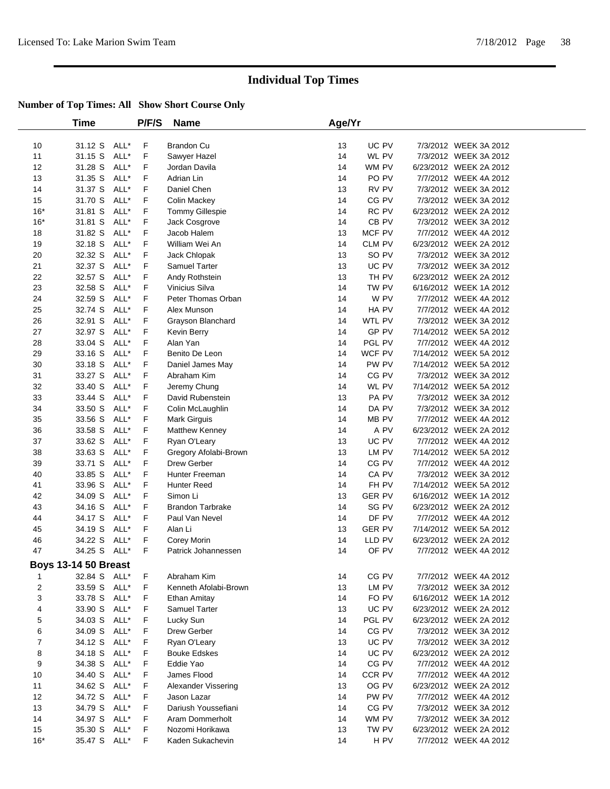|                             | Time         |      | P/F/S | <b>Name</b>             | Age/Yr |               |                        |  |
|-----------------------------|--------------|------|-------|-------------------------|--------|---------------|------------------------|--|
| 10                          | 31.12 S      | ALL* | F     | Brandon Cu              | 13     | UC PV         | 7/3/2012 WEEK 3A 2012  |  |
| 11                          | 31.15 S      | ALL* | F     | Sawyer Hazel            | 14     | WL PV         | 7/3/2012 WEEK 3A 2012  |  |
| 12                          | 31.28 S      | ALL* | F     | Jordan Davila           | 14     | WM PV         | 6/23/2012 WEEK 2A 2012 |  |
| 13                          | 31.35 S      | ALL* | F     | Adrian Lin              | 14     | PO PV         | 7/7/2012 WEEK 4A 2012  |  |
| 14                          | 31.37 S      | ALL* | F     | Daniel Chen             | 13     | RV PV         | 7/3/2012 WEEK 3A 2012  |  |
| 15                          | 31.70 S      | ALL* | F     | Colin Mackey            | 14     | CG PV         | 7/3/2012 WEEK 3A 2012  |  |
| $16*$                       | 31.81 S      | ALL* | F     | Tommy Gillespie         | 14     | RC PV         | 6/23/2012 WEEK 2A 2012 |  |
| $16*$                       | 31.81 S      | ALL* | F     | Jack Cosgrove           | 14     | CB PV         | 7/3/2012 WEEK 3A 2012  |  |
| 18                          | 31.82 S      | ALL* | F     | Jacob Halem             | 13     | MCF PV        | 7/7/2012 WEEK 4A 2012  |  |
| 19                          | 32.18 S      | ALL* | F     | William Wei An          | 14     | CLM PV        | 6/23/2012 WEEK 2A 2012 |  |
| 20                          | 32.32 S      | ALL* | F     | Jack Chlopak            | 13     | SO PV         | 7/3/2012 WEEK 3A 2012  |  |
| 21                          | 32.37 S      | ALL* | F     | Samuel Tarter           | 13     | UC PV         | 7/3/2012 WEEK 3A 2012  |  |
| 22                          | 32.57 S      | ALL* | F     | Andy Rothstein          | 13     | TH PV         | 6/23/2012 WEEK 2A 2012 |  |
| 23                          | 32.58 S      | ALL* | F     | Vinicius Silva          | 14     | TW PV         | 6/16/2012 WEEK 1A 2012 |  |
| 24                          | 32.59 S      | ALL* | F     | Peter Thomas Orban      | 14     | W PV          | 7/7/2012 WEEK 4A 2012  |  |
| 25                          | 32.74 S      | ALL* | F     | Alex Munson             | 14     | HA PV         | 7/7/2012 WEEK 4A 2012  |  |
| 26                          | 32.91 S      | ALL* | F     | Grayson Blanchard       | 14     | WTL PV        | 7/3/2012 WEEK 3A 2012  |  |
| 27                          | 32.97 S      | ALL* | F     | Kevin Berry             | 14     | GP PV         | 7/14/2012 WEEK 5A 2012 |  |
| 28                          | 33.04 S      | ALL* | F     | Alan Yan                | 14     | PGL PV        | 7/7/2012 WEEK 4A 2012  |  |
| 29                          | 33.16 S      | ALL* | F     | Benito De Leon          | 14     | WCF PV        | 7/14/2012 WEEK 5A 2012 |  |
| 30                          | 33.18 S      | ALL* | F     | Daniel James May        | 14     | PW PV         | 7/14/2012 WEEK 5A 2012 |  |
| 31                          | 33.27 S      | ALL* | F     | Abraham Kim             | 14     | CG PV         | 7/3/2012 WEEK 3A 2012  |  |
| 32                          | 33.40 S      | ALL* | F     | Jeremy Chung            | 14     | WL PV         | 7/14/2012 WEEK 5A 2012 |  |
| 33                          | 33.44 S      | ALL* | F     | David Rubenstein        | 13     | PA PV         | 7/3/2012 WEEK 3A 2012  |  |
| 34                          | 33.50 S      | ALL* | F     | Colin McLaughlin        | 14     | DA PV         | 7/3/2012 WEEK 3A 2012  |  |
| 35                          | 33.56 S      | ALL* | F     | Mark Girguis            | 14     | MB PV         | 7/7/2012 WEEK 4A 2012  |  |
| 36                          | 33.58 S      | ALL* | F     | Matthew Kenney          | 14     | A PV          | 6/23/2012 WEEK 2A 2012 |  |
| 37                          | 33.62 S      | ALL* | F     | Ryan O'Leary            | 13     | UC PV         | 7/7/2012 WEEK 4A 2012  |  |
| 38                          | 33.63 S      | ALL* | F     | Gregory Afolabi-Brown   | 13     | LM PV         | 7/14/2012 WEEK 5A 2012 |  |
| 39                          | 33.71 S      | ALL* | F     | Drew Gerber             | 14     | CG PV         | 7/7/2012 WEEK 4A 2012  |  |
| 40                          | 33.85 S      | ALL* | F     | Hunter Freeman          | 14     | CA PV         | 7/3/2012 WEEK 3A 2012  |  |
| 41                          | 33.96 S      | ALL* | F     | Hunter Reed             | 14     | FH PV         | 7/14/2012 WEEK 5A 2012 |  |
| 42                          | 34.09 S      | ALL* | F     | Simon Li                | 13     | <b>GER PV</b> | 6/16/2012 WEEK 1A 2012 |  |
| 43                          | 34.16 S      | ALL* | F     | <b>Brandon Tarbrake</b> | 14     | SG PV         | 6/23/2012 WEEK 2A 2012 |  |
| 44                          | 34.17 S      | ALL* | F     | Paul Van Nevel          | 14     | DF PV         | 7/7/2012 WEEK 4A 2012  |  |
| 45                          | 34.19 S      | ALL* | F     | Alan Li                 | 13     | <b>GER PV</b> | 7/14/2012 WEEK 5A 2012 |  |
| 46                          | 34.22 S      | ALL* | F     | Corey Morin             | 14     | LLD PV        | 6/23/2012 WEEK 2A 2012 |  |
| 47                          | 34.25 S      | ALL* | F.    | Patrick Johannessen     | 14     | OF PV         | 7/7/2012 WEEK 4A 2012  |  |
| <b>Boys 13-14 50 Breast</b> |              |      |       |                         |        |               |                        |  |
| 1                           | 32.84 S ALL* |      | F     | Abraham Kim             | 14     | CG PV         | 7/7/2012 WEEK 4A 2012  |  |
| 2                           | 33.59 S      | ALL* | F     | Kenneth Afolabi-Brown   | 13     | LM PV         | 7/3/2012 WEEK 3A 2012  |  |
| 3                           | 33.78 S      | ALL* | F     | <b>Ethan Amitay</b>     | 14     | FO PV         | 6/16/2012 WEEK 1A 2012 |  |
| 4                           | 33.90 S      | ALL* | F     | Samuel Tarter           | 13     | UC PV         | 6/23/2012 WEEK 2A 2012 |  |
| 5                           | 34.03 S      | ALL* | F     | Lucky Sun               | 14     | PGL PV        | 6/23/2012 WEEK 2A 2012 |  |
| 6                           | 34.09 S      | ALL* | F     | Drew Gerber             | 14     | CG PV         | 7/3/2012 WEEK 3A 2012  |  |
| 7                           | 34.12 S      | ALL* | F     | Ryan O'Leary            | 13     | UC PV         | 7/3/2012 WEEK 3A 2012  |  |
| 8                           | 34.18 S      | ALL* | F     | <b>Bouke Edskes</b>     | 14     | UC PV         | 6/23/2012 WEEK 2A 2012 |  |
| 9                           | 34.38 S      | ALL* | F     | Eddie Yao               | 14     | CG PV         | 7/7/2012 WEEK 4A 2012  |  |
| 10                          | 34.40 S      | ALL* | F     | James Flood             | 14     | CCR PV        | 7/7/2012 WEEK 4A 2012  |  |
| 11                          | 34.62 S      | ALL* | F     | Alexander Vissering     | 13     | OG PV         | 6/23/2012 WEEK 2A 2012 |  |
| 12                          | 34.72 S      | ALL* | F     | Jason Lazar             | 14     | PW PV         | 7/7/2012 WEEK 4A 2012  |  |
| 13                          | 34.79 S      | ALL* | F     | Dariush Youssefiani     | 14     | CG PV         | 7/3/2012 WEEK 3A 2012  |  |
| 14                          | 34.97 S      | ALL* | F     | Aram Dommerholt         | 14     | WM PV         | 7/3/2012 WEEK 3A 2012  |  |
| 15                          | 35.30 S      | ALL* | F     | Nozomi Horikawa         | 13     | TW PV         | 6/23/2012 WEEK 2A 2012 |  |
| $16*$                       | 35.47 S ALL* |      | F     | Kaden Sukachevin        | 14     | H PV          | 7/7/2012 WEEK 4A 2012  |  |
|                             |              |      |       |                         |        |               |                        |  |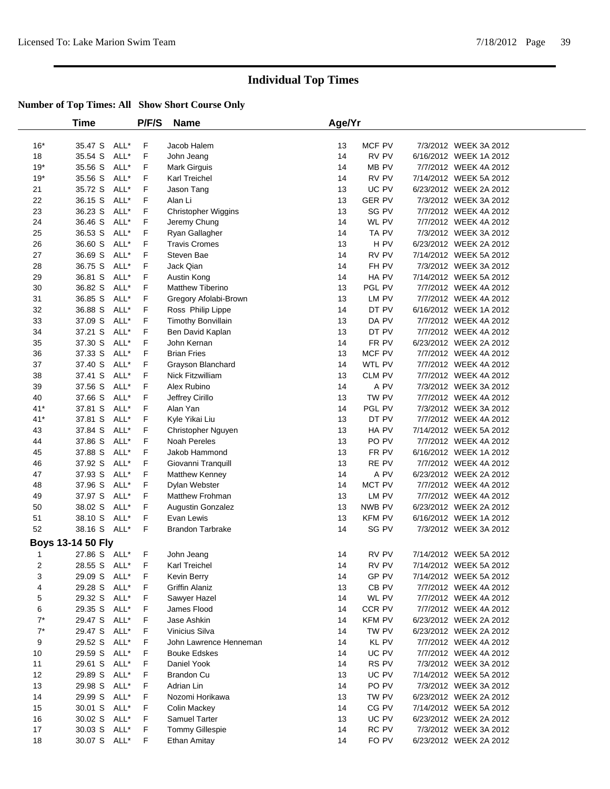|       | <b>Time</b>              |      | P/F/S | <b>Name</b>               | Age/Yr |                  |                        |  |
|-------|--------------------------|------|-------|---------------------------|--------|------------------|------------------------|--|
| $16*$ | 35.47 S                  | ALL* | F     | Jacob Halem               | 13     | MCF PV           | 7/3/2012 WEEK 3A 2012  |  |
| 18    | 35.54 S                  | ALL* | F     | John Jeang                | 14     | RV PV            | 6/16/2012 WEEK 1A 2012 |  |
| $19*$ | 35.56 S                  | ALL* | F     | Mark Girguis              | 14     | MB PV            | 7/7/2012 WEEK 4A 2012  |  |
| $19*$ | 35.56 S                  | ALL* | F     | Karl Treichel             | 14     | RV PV            | 7/14/2012 WEEK 5A 2012 |  |
| 21    | 35.72 S                  | ALL* | F     | Jason Tang                | 13     | UC PV            | 6/23/2012 WEEK 2A 2012 |  |
| 22    | 36.15 S                  | ALL* | F     | Alan Li                   | 13     | <b>GER PV</b>    | 7/3/2012 WEEK 3A 2012  |  |
| 23    | 36.23 S                  | ALL* | F     | Christopher Wiggins       | 13     | SG PV            | 7/7/2012 WEEK 4A 2012  |  |
| 24    | 36.46 S                  | ALL* | F     | Jeremy Chung              | 14     | WL PV            | 7/7/2012 WEEK 4A 2012  |  |
| 25    | 36.53 S                  | ALL* | F     | Ryan Gallagher            | 14     | TA PV            | 7/3/2012 WEEK 3A 2012  |  |
| 26    | 36.60 S                  | ALL* | F     | <b>Travis Cromes</b>      | 13     | H PV             | 6/23/2012 WEEK 2A 2012 |  |
| 27    | 36.69 S                  | ALL* | F     | Steven Bae                | 14     | RV PV            | 7/14/2012 WEEK 5A 2012 |  |
| 28    | 36.75 S                  | ALL* | F     | Jack Qian                 | 14     | FH PV            | 7/3/2012 WEEK 3A 2012  |  |
| 29    | 36.81 S                  | ALL* | F     | Austin Kong               | 14     | HA PV            | 7/14/2012 WEEK 5A 2012 |  |
| 30    | 36.82 S                  | ALL* | F     | Matthew Tiberino          | 13     | PGL PV           | 7/7/2012 WEEK 4A 2012  |  |
| 31    | 36.85 S                  | ALL* | F     | Gregory Afolabi-Brown     | 13     | $\mathsf{LM}$ PV | 7/7/2012 WEEK 4A 2012  |  |
| 32    | 36.88 S                  | ALL* | F     | Ross Philip Lippe         | 14     | DT PV            | 6/16/2012 WEEK 1A 2012 |  |
| 33    | 37.09 S                  | ALL* | F     | <b>Timothy Bonvillain</b> | 13     | DA PV            | 7/7/2012 WEEK 4A 2012  |  |
| 34    | 37.21 S                  | ALL* | F     | Ben David Kaplan          | 13     | DT PV            | 7/7/2012 WEEK 4A 2012  |  |
| 35    | 37.30 S                  | ALL* | F     | John Kernan               | 14     | FR PV            | 6/23/2012 WEEK 2A 2012 |  |
| 36    | 37.33 S                  | ALL* | F     | <b>Brian Fries</b>        | 13     | MCF PV           | 7/7/2012 WEEK 4A 2012  |  |
| 37    | 37.40 S                  | ALL* | F     | Grayson Blanchard         | 14     | WTL PV           | 7/7/2012 WEEK 4A 2012  |  |
| 38    | 37.41 S                  | ALL* | F     | <b>Nick Fitzwilliam</b>   | 13     | CLM PV           | 7/7/2012 WEEK 4A 2012  |  |
| 39    | 37.56 S                  | ALL* | F     | Alex Rubino               | 14     | A PV             | 7/3/2012 WEEK 3A 2012  |  |
| 40    | 37.66 S                  | ALL* | F     | Jeffrey Cirillo           | 13     | TW PV            | 7/7/2012 WEEK 4A 2012  |  |
| $41*$ | 37.81 S                  | ALL* | F     | Alan Yan                  | 14     | PGL PV           | 7/3/2012 WEEK 3A 2012  |  |
| $41*$ | 37.81 S                  | ALL* | F     | Kyle Yikai Liu            | 13     | DT PV            | 7/7/2012 WEEK 4A 2012  |  |
| 43    | 37.84 S                  | ALL* | F     | Christopher Nguyen        | 13     | HA PV            | 7/14/2012 WEEK 5A 2012 |  |
| 44    | 37.86 S                  | ALL* | F     | <b>Noah Pereles</b>       | 13     | PO PV            | 7/7/2012 WEEK 4A 2012  |  |
| 45    | 37.88 S                  | ALL* | F     | Jakob Hammond             | 13     | FR PV            | 6/16/2012 WEEK 1A 2012 |  |
| 46    | 37.92 S                  | ALL* | F     | Giovanni Tranquill        | 13     | RE PV            | 7/7/2012 WEEK 4A 2012  |  |
| 47    | 37.93 S                  | ALL* | F     | Matthew Kenney            | 14     | A PV             | 6/23/2012 WEEK 2A 2012 |  |
| 48    | 37.96 S                  | ALL* | F     | Dylan Webster             | 14     | MCT PV           | 7/7/2012 WEEK 4A 2012  |  |
| 49    | 37.97 S                  | ALL* | F     | Matthew Frohman           | 13     | LM PV            | 7/7/2012 WEEK 4A 2012  |  |
| 50    | 38.02 S                  | ALL* | F     | Augustin Gonzalez         | 13     | NWB PV           | 6/23/2012 WEEK 2A 2012 |  |
| 51    | 38.10 S                  | ALL* | F     | Evan Lewis                | 13     | <b>KFM PV</b>    | 6/16/2012 WEEK 1A 2012 |  |
| 52    | 38.16 S ALL*             |      | F     | <b>Brandon Tarbrake</b>   | 14     | SG PV            | 7/3/2012 WEEK 3A 2012  |  |
|       | <b>Boys 13-14 50 Fly</b> |      |       |                           |        |                  |                        |  |
| 1     | 27.86 S ALL*             |      | F     | John Jeang                | 14     | RV PV            | 7/14/2012 WEEK 5A 2012 |  |
| 2     | 28.55 S ALL*             |      | F.    | Karl Treichel             | 14     | RV PV            | 7/14/2012 WEEK 5A 2012 |  |
| 3     | 29.09 S ALL*             |      | F     | Kevin Berry               | 14     | GP PV            | 7/14/2012 WEEK 5A 2012 |  |
| 4     | 29.28 S                  | ALL* | F     | <b>Griffin Alaniz</b>     | 13     | CB PV            | 7/7/2012 WEEK 4A 2012  |  |
| 5     | 29.32 S                  | ALL* | F     | Sawyer Hazel              | 14     | WL PV            | 7/7/2012 WEEK 4A 2012  |  |
| 6     | 29.35 S                  | ALL* | F     | James Flood               | 14     | CCR PV           | 7/7/2012 WEEK 4A 2012  |  |
| $7^*$ | 29.47 S                  | ALL* | F     | Jase Ashkin               | 14     | <b>KFM PV</b>    | 6/23/2012 WEEK 2A 2012 |  |
| $7^*$ | 29.47 S                  | ALL* | F     | Vinicius Silva            | 14     | TW PV            | 6/23/2012 WEEK 2A 2012 |  |
| 9     | 29.52 S                  | ALL* | F     | John Lawrence Henneman    | 14     | KL PV            | 7/7/2012 WEEK 4A 2012  |  |
| 10    | 29.59 S                  | ALL* | F     | <b>Bouke Edskes</b>       | 14     | UC PV            | 7/7/2012 WEEK 4A 2012  |  |
| 11    | 29.61 S                  | ALL* | F     | Daniel Yook               | 14     | RS PV            | 7/3/2012 WEEK 3A 2012  |  |
| 12    | 29.89 S                  | ALL* | F     | <b>Brandon Cu</b>         | 13     | UC PV            | 7/14/2012 WEEK 5A 2012 |  |
| 13    | 29.98 S                  | ALL* | F     | Adrian Lin                | 14     | PO <sub>PV</sub> | 7/3/2012 WEEK 3A 2012  |  |
| 14    | 29.99 S                  | ALL* | F     | Nozomi Horikawa           | 13     | TW PV            | 6/23/2012 WEEK 2A 2012 |  |
| 15    | 30.01 S ALL*             |      | F     | Colin Mackey              | 14     | CG PV            | 7/14/2012 WEEK 5A 2012 |  |
| 16    | 30.02 S                  | ALL* | F     | Samuel Tarter             | 13     | UC PV            | 6/23/2012 WEEK 2A 2012 |  |
| 17    | 30.03 S                  | ALL* | F     | <b>Tommy Gillespie</b>    | 14     | RC PV            | 7/3/2012 WEEK 3A 2012  |  |
| 18    | 30.07 S ALL*             |      | F     | Ethan Amitay              | 14     | FO PV            | 6/23/2012 WEEK 2A 2012 |  |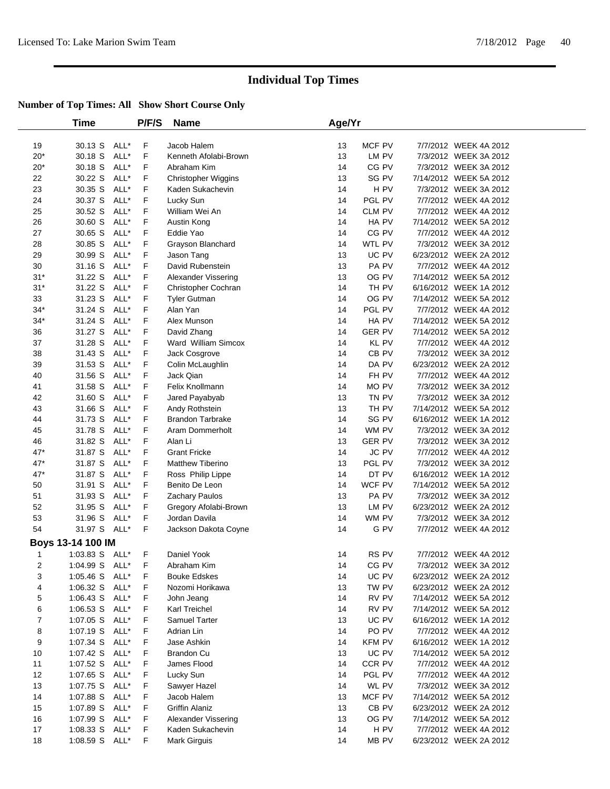|       | Time              |      | P/F/S | <b>Name</b>             | Age/Yr |               |                        |  |
|-------|-------------------|------|-------|-------------------------|--------|---------------|------------------------|--|
| 19    | 30.13 S           | ALL* | F     | Jacob Halem             | 13     | MCF PV        | 7/7/2012 WEEK 4A 2012  |  |
| $20*$ | 30.18 S           | ALL* | F     | Kenneth Afolabi-Brown   | 13     | LM PV         | 7/3/2012 WEEK 3A 2012  |  |
| $20*$ | 30.18 S           | ALL* | F     | Abraham Kim             | 14     | CG PV         | 7/3/2012 WEEK 3A 2012  |  |
| 22    | 30.22 S           | ALL* | F     | Christopher Wiggins     | 13     | SG PV         | 7/14/2012 WEEK 5A 2012 |  |
| 23    | 30.35 S           | ALL* | F     | Kaden Sukachevin        | 14     | H PV          | 7/3/2012 WEEK 3A 2012  |  |
| 24    | 30.37 S           | ALL* | F     | Lucky Sun               | 14     | PGL PV        | 7/7/2012 WEEK 4A 2012  |  |
| 25    | 30.52 S           | ALL* | F     | William Wei An          | 14     | CLM PV        | 7/7/2012 WEEK 4A 2012  |  |
| 26    | 30.60 S           | ALL* | F     | Austin Kong             | 14     | HA PV         | 7/14/2012 WEEK 5A 2012 |  |
| 27    | 30.65 S           | ALL* | F     | Eddie Yao               | 14     | CG PV         | 7/7/2012 WEEK 4A 2012  |  |
| 28    | 30.85 S           | ALL* | F     | Grayson Blanchard       | 14     | WTL PV        | 7/3/2012 WEEK 3A 2012  |  |
| 29    | 30.99 S           | ALL* | F     | Jason Tang              | 13     | UC PV         | 6/23/2012 WEEK 2A 2012 |  |
| 30    | 31.16 S           | ALL* | F     | David Rubenstein        | 13     | PA PV         | 7/7/2012 WEEK 4A 2012  |  |
| $31*$ | 31.22 S           | ALL* | F     | Alexander Vissering     | 13     | OG PV         | 7/14/2012 WEEK 5A 2012 |  |
| $31*$ | 31.22 S           | ALL* | F     | Christopher Cochran     | 14     | TH PV         | 6/16/2012 WEEK 1A 2012 |  |
| 33    | 31.23 S           | ALL* | F     | <b>Tyler Gutman</b>     | 14     | OG PV         | 7/14/2012 WEEK 5A 2012 |  |
| $34*$ | 31.24 S           | ALL* | F     | Alan Yan                | 14     | PGL PV        | 7/7/2012 WEEK 4A 2012  |  |
| $34*$ | 31.24 S           | ALL* | F     | Alex Munson             | 14     | HA PV         | 7/14/2012 WEEK 5A 2012 |  |
| 36    | 31.27 S           | ALL* | F     | David Zhang             | 14     | <b>GER PV</b> | 7/14/2012 WEEK 5A 2012 |  |
| 37    | 31.28 S           | ALL* | F     | Ward William Simcox     | 14     | <b>KL PV</b>  | 7/7/2012 WEEK 4A 2012  |  |
| 38    | 31.43 S           | ALL* | F     | Jack Cosgrove           | 14     | CB PV         | 7/3/2012 WEEK 3A 2012  |  |
| 39    | 31.53 S           | ALL* | F     | Colin McLaughlin        | 14     | DA PV         | 6/23/2012 WEEK 2A 2012 |  |
| 40    | 31.56 S           | ALL* | F     | Jack Qian               | 14     | FH PV         | 7/7/2012 WEEK 4A 2012  |  |
| 41    | 31.58 S           | ALL* | F     | Felix Knollmann         | 14     | MO PV         | 7/3/2012 WEEK 3A 2012  |  |
| 42    | 31.60 S           | ALL* | F     | Jared Payabyab          | 13     | TN PV         | 7/3/2012 WEEK 3A 2012  |  |
| 43    | 31.66 S           | ALL* | F     | Andy Rothstein          | 13     | TH PV         | 7/14/2012 WEEK 5A 2012 |  |
| 44    | 31.73 S           | ALL* | F     | <b>Brandon Tarbrake</b> | 14     | SG PV         | 6/16/2012 WEEK 1A 2012 |  |
| 45    | 31.78 S           | ALL* | F     | Aram Dommerholt         | 14     | WM PV         | 7/3/2012 WEEK 3A 2012  |  |
| 46    | 31.82 S           | ALL* | F     | Alan Li                 | 13     | <b>GER PV</b> | 7/3/2012 WEEK 3A 2012  |  |
| 47*   | 31.87 S           | ALL* | F     | <b>Grant Fricke</b>     | 14     | <b>JC PV</b>  | 7/7/2012 WEEK 4A 2012  |  |
| $47*$ | 31.87 S           | ALL* | F     | <b>Matthew Tiberino</b> | 13     | PGL PV        | 7/3/2012 WEEK 3A 2012  |  |
| $47*$ | 31.87 S           | ALL* | F     | Ross Philip Lippe       | 14     | DT PV         | 6/16/2012 WEEK 1A 2012 |  |
| 50    | 31.91 S           | ALL* | F     | Benito De Leon          | 14     | WCF PV        | 7/14/2012 WEEK 5A 2012 |  |
| 51    | 31.93 S           | ALL* | F     | Zachary Paulos          | 13     | PA PV         | 7/3/2012 WEEK 3A 2012  |  |
| 52    | 31.95 S           | ALL* | F     | Gregory Afolabi-Brown   | 13     | LM PV         | 6/23/2012 WEEK 2A 2012 |  |
| 53    | 31.96 S           | ALL* | F     | Jordan Davila           | 14     | WM PV         | 7/3/2012 WEEK 3A 2012  |  |
| 54    | 31.97 S ALL*      |      | F     | Jackson Dakota Coyne    | 14     | G PV          | 7/7/2012 WEEK 4A 2012  |  |
|       | Boys 13-14 100 IM |      |       |                         |        |               |                        |  |
| 1     | 1:03.83 S ALL*    |      | F     | Daniel Yook             | 14     | RS PV         | 7/7/2012 WEEK 4A 2012  |  |
| 2     | 1:04.99 S ALL*    |      | F.    | Abraham Kim             | 14     | CG PV         | 7/3/2012 WEEK 3A 2012  |  |
| 3     | 1:05.46 S ALL*    |      | F     | <b>Bouke Edskes</b>     | 14     | UC PV         | 6/23/2012 WEEK 2A 2012 |  |
| 4     | 1:06.32 S         | ALL* | F     | Nozomi Horikawa         | 13     | TW PV         | 6/23/2012 WEEK 2A 2012 |  |
| 5     | $1:06.43$ S       | ALL* | F     | John Jeang              | 14     | RV PV         | 7/14/2012 WEEK 5A 2012 |  |
| 6     | 1:06.53 S ALL*    |      | F     | Karl Treichel           | 14     | RV PV         | 7/14/2012 WEEK 5A 2012 |  |
| 7     | 1:07.05 S         | ALL* | F     | Samuel Tarter           | 13     | UC PV         | 6/16/2012 WEEK 1A 2012 |  |
| 8     | 1:07.19 S         | ALL* | F     | Adrian Lin              | 14     | PO PV         | 7/7/2012 WEEK 4A 2012  |  |
| 9     | 1:07.34 S         | ALL* | F     | Jase Ashkin             | 14     | <b>KFM PV</b> | 6/16/2012 WEEK 1A 2012 |  |
| 10    | 1:07.42 S         | ALL* | F     | <b>Brandon Cu</b>       | 13     | UC PV         | 7/14/2012 WEEK 5A 2012 |  |
| 11    | 1:07.52 S         | ALL* | F     | James Flood             | 14     | CCR PV        | 7/7/2012 WEEK 4A 2012  |  |
| 12    | 1:07.65 S         | ALL* | F     | Lucky Sun               | 14     | PGL PV        | 7/7/2012 WEEK 4A 2012  |  |
| 13    | 1:07.75 S         | ALL* | F     | Sawyer Hazel            | 14     | WL PV         | 7/3/2012 WEEK 3A 2012  |  |
| 14    | 1:07.88 S         | ALL* | F     | Jacob Halem             | 13     | MCF PV        | 7/14/2012 WEEK 5A 2012 |  |
| 15    | 1:07.89 S ALL*    |      | F     | Griffin Alaniz          | 13     | CB PV         | 6/23/2012 WEEK 2A 2012 |  |
| 16    | 1:07.99 S         | ALL* | F     | Alexander Vissering     | 13     | OG PV         | 7/14/2012 WEEK 5A 2012 |  |
| 17    | $1:08.33$ S       | ALL* | F     | Kaden Sukachevin        | 14     | H PV          | 7/7/2012 WEEK 4A 2012  |  |
| 18    | 1:08.59 S ALL*    |      | F     | Mark Girguis            | 14     | MB PV         | 6/23/2012 WEEK 2A 2012 |  |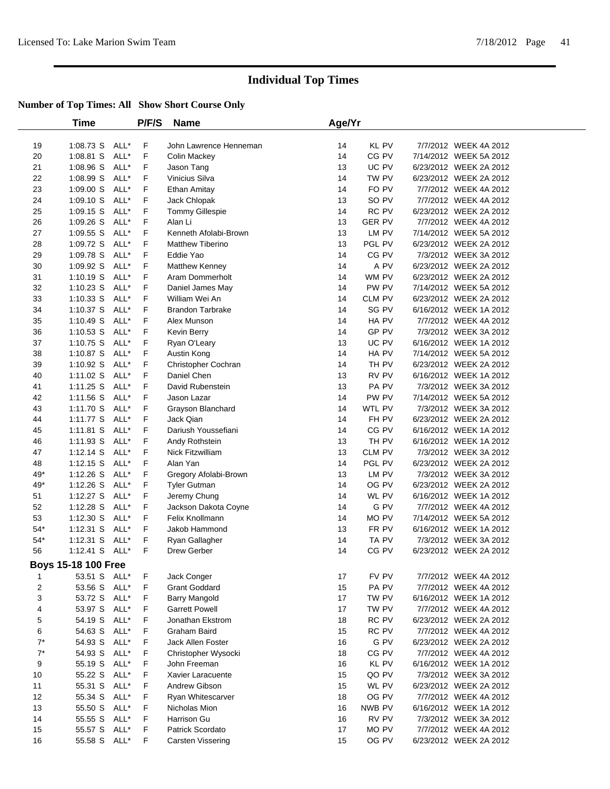|                | Time                |      | P/F/S | <b>Name</b>              | Age/Yr |               |                        |  |
|----------------|---------------------|------|-------|--------------------------|--------|---------------|------------------------|--|
| 19             | 1:08.73 S ALL*      |      | F     | John Lawrence Henneman   | 14     | <b>KL PV</b>  | 7/7/2012 WEEK 4A 2012  |  |
| 20             | $1:08.81$ S         | ALL* | F     | Colin Mackey             | 14     | CG PV         | 7/14/2012 WEEK 5A 2012 |  |
| 21             | 1:08.96 S           | ALL* | F     | Jason Tang               | 13     | UC PV         | 6/23/2012 WEEK 2A 2012 |  |
| 22             | 1:08.99 S           | ALL* | F     | Vinicius Silva           | 14     | TW PV         | 6/23/2012 WEEK 2A 2012 |  |
| 23             | 1:09.00 S           | ALL* | F     | <b>Ethan Amitay</b>      | 14     | FO PV         | 7/7/2012 WEEK 4A 2012  |  |
| 24             | 1:09.10 S           | ALL* | F     | Jack Chlopak             | 13     | SO PV         | 7/7/2012 WEEK 4A 2012  |  |
| 25             | $1:09.15$ S         | ALL* | F     | <b>Tommy Gillespie</b>   | 14     | RC PV         | 6/23/2012 WEEK 2A 2012 |  |
| 26             | $1:09.26$ S         | ALL* | F     | Alan Li                  | 13     | <b>GER PV</b> | 7/7/2012 WEEK 4A 2012  |  |
| 27             | 1:09.55 S           | ALL* | F     | Kenneth Afolabi-Brown    | 13     | LM PV         | 7/14/2012 WEEK 5A 2012 |  |
| 28             | 1:09.72 S           | ALL* | F     | <b>Matthew Tiberino</b>  | 13     | PGL PV        | 6/23/2012 WEEK 2A 2012 |  |
| 29             | 1:09.78 S           | ALL* | F     | Eddie Yao                | 14     | CG PV         | 7/3/2012 WEEK 3A 2012  |  |
| 30             | 1:09.92 S           | ALL* | F     | Matthew Kenney           | 14     | A PV          | 6/23/2012 WEEK 2A 2012 |  |
| 31             | $1:10.19$ S         | ALL* | F     | Aram Dommerholt          | 14     | WM PV         | 6/23/2012 WEEK 2A 2012 |  |
| 32             | $1:10.23$ S         | ALL* | F     | Daniel James May         | 14     | PW PV         | 7/14/2012 WEEK 5A 2012 |  |
| 33             | $1:10.33$ S         | ALL* | F     | William Wei An           | 14     | CLM PV        | 6/23/2012 WEEK 2A 2012 |  |
| 34             | 1:10.37 S           | ALL* | F     | <b>Brandon Tarbrake</b>  | 14     | SG PV         | 6/16/2012 WEEK 1A 2012 |  |
| 35             | $1:10.49$ S         | ALL* | F     | Alex Munson              | 14     | HA PV         | 7/7/2012 WEEK 4A 2012  |  |
| 36             | 1:10.53 S ALL*      |      | F     | Kevin Berry              | 14     | GP PV         | 7/3/2012 WEEK 3A 2012  |  |
| 37             | 1:10.75 S ALL*      |      | F     | Ryan O'Leary             | 13     | UC PV         | 6/16/2012 WEEK 1A 2012 |  |
| 38             | 1:10.87 S ALL*      |      | F     | Austin Kong              | 14     | HA PV         | 7/14/2012 WEEK 5A 2012 |  |
| 39             | $1:10.92$ S         | ALL* | F     | Christopher Cochran      | 14     | TH PV         | 6/23/2012 WEEK 2A 2012 |  |
| 40             | 1:11.02 S           | ALL* | F     | Daniel Chen              | 13     | RV PV         | 6/16/2012 WEEK 1A 2012 |  |
| 41             | $1:11.25$ S         | ALL* | F     | David Rubenstein         | 13     | PA PV         | 7/3/2012 WEEK 3A 2012  |  |
| 42             | 1:11.56 S           | ALL* | F     | Jason Lazar              | 14     | PW PV         | 7/14/2012 WEEK 5A 2012 |  |
| 43             | 1:11.70 S           | ALL* | F     | Grayson Blanchard        | 14     | WTL PV        | 7/3/2012 WEEK 3A 2012  |  |
| 44             | $1:11.77$ S         | ALL* | F     | Jack Qian                | 14     | FH PV         | 6/23/2012 WEEK 2A 2012 |  |
| 45             | 1:11.81 S           | ALL* | F     | Dariush Youssefiani      | 14     | CG PV         | 6/16/2012 WEEK 1A 2012 |  |
| 46             | 1:11.93 S           | ALL* | F     | Andy Rothstein           | 13     | TH PV         | 6/16/2012 WEEK 1A 2012 |  |
| 47             | $1:12.14$ S         | ALL* | F     | Nick Fitzwilliam         | 13     | CLM PV        | 7/3/2012 WEEK 3A 2012  |  |
| 48             | $1:12.15$ S         | ALL* | F     | Alan Yan                 | 14     | PGL PV        | 6/23/2012 WEEK 2A 2012 |  |
| 49*            | $1:12.26$ S         | ALL* | F     | Gregory Afolabi-Brown    | 13     | LM PV         | 7/3/2012 WEEK 3A 2012  |  |
| 49*            | $1:12.26$ S         | ALL* | F     | <b>Tyler Gutman</b>      | 14     | OG PV         | 6/23/2012 WEEK 2A 2012 |  |
| 51             | $1:12.27$ S         | ALL* | F     | Jeremy Chung             | 14     | WL PV         | 6/16/2012 WEEK 1A 2012 |  |
| 52             | 1:12.28 S           | ALL* | F     | Jackson Dakota Coyne     | 14     | G PV          | 7/7/2012 WEEK 4A 2012  |  |
| 53             | 1:12.30 S ALL*      |      | F     | Felix Knollmann          | 14     | MO PV         | 7/14/2012 WEEK 5A 2012 |  |
| $54^{\ast}$    | $1:12.31$ S         | ALL* | F     | Jakob Hammond            | 13     | FR PV         | 6/16/2012 WEEK 1A 2012 |  |
| $54^{\ast}$    | $1:12.31$ S         | ALL* | F     | Ryan Gallagher           | 14     | TA PV         | 7/3/2012 WEEK 3A 2012  |  |
| 56             | $1:12.41$ S         | ALL* | F.    | Drew Gerber              | 14     | CG PV         | 6/23/2012 WEEK 2A 2012 |  |
|                |                     |      |       |                          |        |               |                        |  |
|                | Boys 15-18 100 Free |      |       |                          |        |               |                        |  |
| 1              | 53.51 S ALL*        |      | F     | Jack Conger              | 17     | FV PV         | 7/7/2012 WEEK 4A 2012  |  |
| $\overline{c}$ | 53.56 S ALL*        |      | F     | <b>Grant Goddard</b>     | 15     | PA PV         | 7/7/2012 WEEK 4A 2012  |  |
| 3              | 53.72 S ALL*        |      | F     | <b>Barry Mangold</b>     | 17     | TW PV         | 6/16/2012 WEEK 1A 2012 |  |
| 4              | 53.97 S             | ALL* | F     | <b>Garrett Powell</b>    | 17     | TW PV         | 7/7/2012 WEEK 4A 2012  |  |
| 5              | 54.19 S             | ALL* | F     | Jonathan Ekstrom         | 18     | RC PV         | 6/23/2012 WEEK 2A 2012 |  |
| 6              | 54.63 S             | ALL* | F     | Graham Baird             | 15     | RC PV         | 7/7/2012 WEEK 4A 2012  |  |
| $7^*$          | 54.93 S             | ALL* | F     | <b>Jack Allen Foster</b> | 16     | G PV          | 6/23/2012 WEEK 2A 2012 |  |
| $7^*$          | 54.93 S             | ALL* | F     | Christopher Wysocki      | 18     | CG PV         | 7/7/2012 WEEK 4A 2012  |  |
| 9              | 55.19 S             | ALL* | F     | John Freeman             | 16     | KL PV         | 6/16/2012 WEEK 1A 2012 |  |
| 10             | 55.22 S             | ALL* | F     | Xavier Laracuente        | 15     | QO PV         | 7/3/2012 WEEK 3A 2012  |  |
| 11             | 55.31 S             | ALL* | F     | Andrew Gibson            | 15     | WL PV         | 6/23/2012 WEEK 2A 2012 |  |
| 12             | 55.34 S             | ALL* | F     | Ryan Whitescarver        | 18     | OG PV         | 7/7/2012 WEEK 4A 2012  |  |
| 13             | 55.50 S             | ALL* | F     | Nicholas Mion            | 16     | NWB PV        | 6/16/2012 WEEK 1A 2012 |  |
| 14             | 55.55 S             | ALL* | F     | Harrison Gu              | 16     | RV PV         | 7/3/2012 WEEK 3A 2012  |  |
| 15             | 55.57 S             | ALL* | F     | Patrick Scordato         | 17     | MO PV         | 7/7/2012 WEEK 4A 2012  |  |
| 16             | 55.58 S             | ALL* | F     | Carsten Vissering        | 15     | OG PV         | 6/23/2012 WEEK 2A 2012 |  |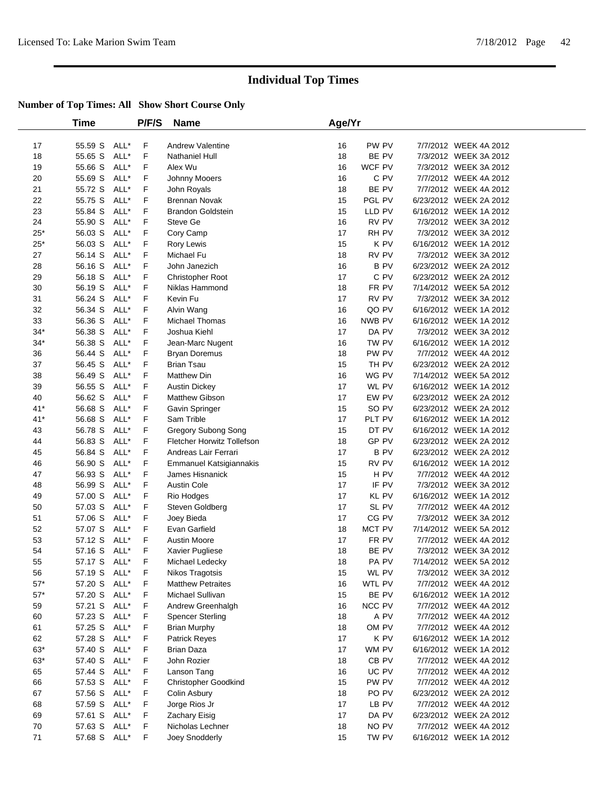|              | Time         |      | P/F/S | <b>Name</b>                 | Age/Yr |                  |                        |
|--------------|--------------|------|-------|-----------------------------|--------|------------------|------------------------|
| 17           | 55.59 S      | ALL* | F     | Andrew Valentine            | 16     | PW PV            | 7/7/2012 WEEK 4A 2012  |
| 18           | 55.65 S      | ALL* | F     | Nathaniel Hull              | 18     | BE PV            | 7/3/2012 WEEK 3A 2012  |
| 19           | 55.66 S      | ALL* | F     | Alex Wu                     | 16     | WCF PV           | 7/3/2012 WEEK 3A 2012  |
| 20           | 55.69 S      | ALL* | F     | Johnny Mooers               | 16     | C PV             | 7/7/2012 WEEK 4A 2012  |
| 21           | 55.72 S      | ALL* | F     | John Royals                 | 18     | BE PV            | 7/7/2012 WEEK 4A 2012  |
| 22           | 55.75 S      | ALL* | F     | <b>Brennan Novak</b>        | 15     | PGL PV           | 6/23/2012 WEEK 2A 2012 |
| 23           | 55.84 S      | ALL* | F     | <b>Brandon Goldstein</b>    | 15     | LLD PV           | 6/16/2012 WEEK 1A 2012 |
| 24           | 55.90 S      | ALL* | F     | Steve Ge                    | 16     | RV PV            | 7/3/2012 WEEK 3A 2012  |
| $25*$        | 56.03 S      | ALL* | F     | Cory Camp                   | 17     | RH PV            | 7/3/2012 WEEK 3A 2012  |
| $25*$        | 56.03 S      | ALL* | F     | Rory Lewis                  | 15     | K PV             | 6/16/2012 WEEK 1A 2012 |
| 27           | 56.14 S      | ALL* | F     | Michael Fu                  | 18     | RV PV            | 7/3/2012 WEEK 3A 2012  |
| 28           | 56.16 S      | ALL* | F     | John Janezich               | 16     | <b>BPV</b>       | 6/23/2012 WEEK 2A 2012 |
| 29           | 56.18 S      | ALL* | F     | Christopher Root            | 17     | C PV             | 6/23/2012 WEEK 2A 2012 |
| 30           | 56.19 S      | ALL* | F     | Niklas Hammond              | 18     | FR PV            | 7/14/2012 WEEK 5A 2012 |
| 31           | 56.24 S      | ALL* | F     | Kevin Fu                    | 17     | RV PV            | 7/3/2012 WEEK 3A 2012  |
| 32           | 56.34 S      | ALL* | F     | Alvin Wang                  | 16     | QO PV            | 6/16/2012 WEEK 1A 2012 |
| 33           | 56.36 S      | ALL* | F     | <b>Michael Thomas</b>       | 16     | NWB PV           | 6/16/2012 WEEK 1A 2012 |
| $34*$        | 56.38 S      | ALL* | F     | Joshua Kiehl                | 17     | DA PV            | 7/3/2012 WEEK 3A 2012  |
| $34*$        | 56.38 S      | ALL* | F     | Jean-Marc Nugent            | 16     | TW PV            | 6/16/2012 WEEK 1A 2012 |
| 36           | 56.44 S      | ALL* | F     | <b>Bryan Doremus</b>        | 18     | PW PV            | 7/7/2012 WEEK 4A 2012  |
| 37           | 56.45 S      | ALL* | F     | <b>Brian Tsau</b>           | 15     | TH PV            | 6/23/2012 WEEK 2A 2012 |
| 38           | 56.49 S      | ALL* | F     | <b>Matthew Din</b>          | 16     | WG PV            | 7/14/2012 WEEK 5A 2012 |
| 39           | 56.55 S      | ALL* | F     | <b>Austin Dickey</b>        | 17     | WL PV            | 6/16/2012 WEEK 1A 2012 |
| 40           | 56.62 S      | ALL* | F     | Matthew Gibson              | 17     | EW PV            | 6/23/2012 WEEK 2A 2012 |
| $41*$        | 56.68 S      | ALL* | F     | Gavin Springer              | 15     | SO PV            | 6/23/2012 WEEK 2A 2012 |
| $41*$        | 56.68 S      | ALL* | F     | Sam Trible                  | 17     | PLT PV           | 6/16/2012 WEEK 1A 2012 |
| 43           | 56.78 S      | ALL* | F     | Gregory Subong Song         | 15     | DT PV            | 6/16/2012 WEEK 1A 2012 |
| 44           | 56.83 S      | ALL* | F     | Fletcher Horwitz Tollefson  | 18     | GP PV            | 6/23/2012 WEEK 2A 2012 |
| 45           | 56.84 S      | ALL* | F     | Andreas Lair Ferrari        | 17     | <b>BPV</b>       | 6/23/2012 WEEK 2A 2012 |
| 46           | 56.90 S      | ALL* | F     | Emmanuel Katsigiannakis     | 15     | RV PV            | 6/16/2012 WEEK 1A 2012 |
| 47           | 56.93 S      | ALL* | F     | James Hisnanick             | 15     | H <sub>PV</sub>  | 7/7/2012 WEEK 4A 2012  |
| 48           | 56.99 S      | ALL* | F     | <b>Austin Cole</b>          | 17     | IF PV            | 7/3/2012 WEEK 3A 2012  |
| 49           | 57.00 S      | ALL* | F     | Rio Hodges                  | 17     | KL PV            | 6/16/2012 WEEK 1A 2012 |
| 50           | 57.03 S      | ALL* | F     | Steven Goldberg             | 17     | SL PV            | 7/7/2012 WEEK 4A 2012  |
| 51           | 57.06 S      | ALL* | F     | Joey Bieda                  | 17     | CG PV            | 7/3/2012 WEEK 3A 2012  |
| 52           | 57.07 S      | ALL* | F     | Evan Garfield               | 18     | MCT PV           | 7/14/2012 WEEK 5A 2012 |
| 53           | 57.12 S      | ALL* | F     | Austin Moore                | 17     | FR PV            | 7/7/2012 WEEK 4A 2012  |
| 54           | 57.16 S      | ALL* | F     | Xavier Pugliese             | 18     | BE PV            | 7/3/2012 WEEK 3A 2012  |
| 55           | 57.17 S      | ALL* | F     | Michael Ledecky             | 18     | PA <sub>PV</sub> | 7/14/2012 WEEK 5A 2012 |
| 56           | 57.19 S ALL* |      | F     | <b>Nikos Tragotsis</b>      | 15     | WL PV            | 7/3/2012 WEEK 3A 2012  |
| $57^{\ast}$  | 57.20 S      | ALL* | F     | <b>Matthew Petraites</b>    | 16     | WTL PV           | 7/7/2012 WEEK 4A 2012  |
| $57^{\star}$ | 57.20 S      | ALL* | F     | Michael Sullivan            | 15     | BE PV            | 6/16/2012 WEEK 1A 2012 |
| 59           | 57.21 S      | ALL* | F     | Andrew Greenhalgh           | 16     | NCC PV           | 7/7/2012 WEEK 4A 2012  |
| 60           | 57.23 S      | ALL* | F     | <b>Spencer Sterling</b>     | 18     | A PV             | 7/7/2012 WEEK 4A 2012  |
| 61           | 57.25 S      | ALL* | F     | <b>Brian Murphy</b>         | 18     | OM PV            | 7/7/2012 WEEK 4A 2012  |
| 62           | 57.28 S      | ALL* | F     | <b>Patrick Reyes</b>        | 17     | K PV             | 6/16/2012 WEEK 1A 2012 |
| $63*$        | 57.40 S      | ALL* | F     | <b>Brian Daza</b>           | 17     | WM PV            | 6/16/2012 WEEK 1A 2012 |
| $63^{\ast}$  | 57.40 S      | ALL* | F     | John Rozier                 | 18     | CB PV            | 7/7/2012 WEEK 4A 2012  |
| 65           | 57.44 S      | ALL* | F     | Lanson Tang                 | 16     | UC PV            | 7/7/2012 WEEK 4A 2012  |
| 66           | 57.53 S      | ALL* | F     | <b>Christopher Goodkind</b> | 15     | PW PV            | 7/7/2012 WEEK 4A 2012  |
| 67           | 57.56 S      | ALL* | F     | Colin Asbury                | 18     | PO PV            | 6/23/2012 WEEK 2A 2012 |
| 68           | 57.59 S      | ALL* | F     | Jorge Rios Jr               | 17     | LB PV            | 7/7/2012 WEEK 4A 2012  |
| 69           | 57.61 S      | ALL* | F     | Zachary Eisig               | 17     | DA PV            | 6/23/2012 WEEK 2A 2012 |
| 70           | 57.63 S      | ALL* | F     | Nicholas Lechner            | 18     | NO PV            | 7/7/2012 WEEK 4A 2012  |
| 71           | 57.68 S      | ALL* | F     | Joey Snodderly              | 15     | TW PV            | 6/16/2012 WEEK 1A 2012 |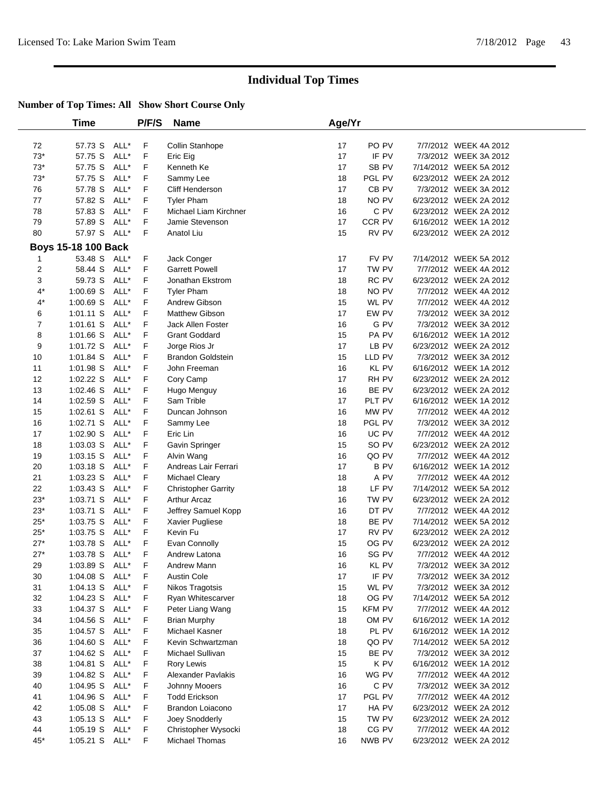|             | Time                       |      | <b>P/F/S</b> | <b>Name</b>                | Age/Yr |               |                        |
|-------------|----------------------------|------|--------------|----------------------------|--------|---------------|------------------------|
| 72          | 57.73 S                    | ALL* | F            | Collin Stanhope            | 17     | PO PV         | 7/7/2012 WEEK 4A 2012  |
| $73*$       | 57.75 S                    | ALL* | F            | Eric Eig                   | 17     | IF PV         | 7/3/2012 WEEK 3A 2012  |
| $73*$       | 57.75 S                    | ALL* | F            | Kenneth Ke                 | 17     | SB PV         | 7/14/2012 WEEK 5A 2012 |
| $73*$       | 57.75 S                    | ALL* | F            |                            | 18     | PGL PV        | 6/23/2012 WEEK 2A 2012 |
| 76          |                            | ALL* | F            | Sammy Lee                  | 17     | CB PV         | 7/3/2012 WEEK 3A 2012  |
| 77          | 57.78 S                    | ALL* |              | Cliff Henderson            | 18     | NO PV         | 6/23/2012 WEEK 2A 2012 |
|             | 57.82 S                    |      | F            | <b>Tyler Pham</b>          |        |               |                        |
| 78          | 57.83 S                    | ALL* | F            | Michael Liam Kirchner      | 16     | C PV          | 6/23/2012 WEEK 2A 2012 |
| 79          | 57.89 S                    | ALL* | F            | Jamie Stevenson            | 17     | CCR PV        | 6/16/2012 WEEK 1A 2012 |
| 80          | 57.97 S ALL*               |      | F            | Anatol Liu                 | 15     | RV PV         | 6/23/2012 WEEK 2A 2012 |
|             | <b>Boys 15-18 100 Back</b> |      |              |                            |        |               |                        |
| 1           | 53.48 S ALL*               |      | F            | Jack Conger                | 17     | FV PV         | 7/14/2012 WEEK 5A 2012 |
| 2           | 58.44 S                    | ALL* | F            | <b>Garrett Powell</b>      | 17     | TW PV         | 7/7/2012 WEEK 4A 2012  |
| 3           | 59.73 S                    | ALL* | F            | Jonathan Ekstrom           | 18     | RC PV         | 6/23/2012 WEEK 2A 2012 |
| $4^*$       | 1:00.69 S                  | ALL* | F            | <b>Tyler Pham</b>          | 18     | NO PV         | 7/7/2012 WEEK 4A 2012  |
| $4^*$       | 1:00.69 S                  | ALL* | F            | Andrew Gibson              | 15     | WL PV         | 7/7/2012 WEEK 4A 2012  |
| 6           | $1:01.11$ S                | ALL* | F            | Matthew Gibson             | 17     | EW PV         | 7/3/2012 WEEK 3A 2012  |
| 7           | $1:01.61$ S                | ALL* | F            | <b>Jack Allen Foster</b>   | 16     | G PV          | 7/3/2012 WEEK 3A 2012  |
| 8           | 1:01.66 S                  | ALL* | F            | <b>Grant Goddard</b>       | 15     | PA PV         | 6/16/2012 WEEK 1A 2012 |
| 9           | 1:01.72 S                  | ALL* | F            | Jorge Rios Jr              | 17     | LB PV         | 6/23/2012 WEEK 2A 2012 |
| 10          | 1:01.84 S                  | ALL* | F            | <b>Brandon Goldstein</b>   | 15     | LLD PV        | 7/3/2012 WEEK 3A 2012  |
| 11          | 1:01.98 S                  | ALL* | F            | John Freeman               | 16     | KL PV         | 6/16/2012 WEEK 1A 2012 |
| 12          | $1:02.22$ S                | ALL* | F            | Cory Camp                  | 17     | RH PV         | 6/23/2012 WEEK 2A 2012 |
| 13          | $1:02.46$ S                | ALL* | F            | Hugo Menguy                | 16     | BE PV         | 6/23/2012 WEEK 2A 2012 |
| 14          | $1:02.59$ S                | ALL* | F            | Sam Trible                 | 17     | PLT PV        | 6/16/2012 WEEK 1A 2012 |
| 15          | $1:02.61$ S                | ALL* | F            | Duncan Johnson             | 16     | MW PV         | 7/7/2012 WEEK 4A 2012  |
| 16          | 1:02.71 S                  | ALL* | F            | Sammy Lee                  | 18     | PGL PV        | 7/3/2012 WEEK 3A 2012  |
| 17          | 1:02.90 S                  | ALL* | F            | Eric Lin                   | 16     | UC PV         | 7/7/2012 WEEK 4A 2012  |
| 18          | 1:03.03 S                  | ALL* | F            | Gavin Springer             | 15     | SO PV         | 6/23/2012 WEEK 2A 2012 |
| 19          | $1:03.15$ S                | ALL* | F            | Alvin Wang                 | 16     | QO PV         | 7/7/2012 WEEK 4A 2012  |
| 20          | 1:03.18 S                  | ALL* | F            | Andreas Lair Ferrari       | 17     | <b>BPV</b>    | 6/16/2012 WEEK 1A 2012 |
| 21          | $1:03.23$ S                | ALL* | F            | Michael Cleary             | 18     | A PV          | 7/7/2012 WEEK 4A 2012  |
| 22          | 1:03.43 S                  | ALL* | F            | <b>Christopher Garrity</b> | 18     | LF PV         | 7/14/2012 WEEK 5A 2012 |
| $23*$       | 1:03.71 S                  | ALL* | F            | <b>Arthur Arcaz</b>        | 16     | TW PV         | 6/23/2012 WEEK 2A 2012 |
| $23*$       | 1:03.71 S                  | ALL* | F            | Jeffrey Samuel Kopp        | 16     | DT PV         | 7/7/2012 WEEK 4A 2012  |
| $25*$       | 1:03.75 S                  | ALL* | F            | Xavier Pugliese            | 18     | BE PV         | 7/14/2012 WEEK 5A 2012 |
| $25^{\ast}$ | 1:03.75 S                  | ALL* | F            | Kevin Fu                   | 17     | RV PV         | 6/23/2012 WEEK 2A 2012 |
| $27*$       | 1:03.78 S                  | ALL* | F            | Evan Connolly              | 15     | OG PV         | 6/23/2012 WEEK 2A 2012 |
| $27*$       | 1:03.78 S                  | ALL* | F            | Andrew Latona              | 16     | SG PV         | 7/7/2012 WEEK 4A 2012  |
| 29          | 1:03.89 S ALL*             |      | F            | Andrew Mann                | 16     | KL PV         | 7/3/2012 WEEK 3A 2012  |
| 30          | 1:04.08 S ALL*             |      | F            | <b>Austin Cole</b>         | 17     | IF PV         | 7/3/2012 WEEK 3A 2012  |
| 31          | $1:04.13$ S                | ALL* | F            | Nikos Tragotsis            | 15     | WL PV         | 7/3/2012 WEEK 3A 2012  |
| 32          | $1:04.23$ S                | ALL* | F            | Ryan Whitescarver          | 18     | OG PV         | 7/14/2012 WEEK 5A 2012 |
| 33          | 1:04.37 S ALL*             |      | F            | Peter Liang Wang           | 15     | <b>KFM PV</b> | 7/7/2012 WEEK 4A 2012  |
| 34          | $1:04.56$ S                | ALL* | F            | <b>Brian Murphy</b>        | 18     | OM PV         | 6/16/2012 WEEK 1A 2012 |
| 35          | $1:04.57$ S                | ALL* | F            | Michael Kasner             | 18     | PL PV         | 6/16/2012 WEEK 1A 2012 |
|             |                            |      |              | Kevin Schwartzman          |        | QO PV         |                        |
| 36          | 1:04.60 S                  | ALL* | F            |                            | 18     |               | 7/14/2012 WEEK 5A 2012 |
| 37          | 1:04.62 S                  | ALL* | F            | Michael Sullivan           | 15     | BE PV         | 7/3/2012 WEEK 3A 2012  |
| 38          | $1:04.81$ S                | ALL* | F            | Rory Lewis                 | 15     | K PV          | 6/16/2012 WEEK 1A 2012 |
| 39          | 1:04.82 S                  | ALL* | F            | Alexander Pavlakis         | 16     | WG PV         | 7/7/2012 WEEK 4A 2012  |
| 40          | 1:04.95 S                  | ALL* | F            | Johnny Mooers              | 16     | C PV          | 7/3/2012 WEEK 3A 2012  |
| 41          | 1:04.96 S                  | ALL* | F            | <b>Todd Erickson</b>       | 17     | PGL PV        | 7/7/2012 WEEK 4A 2012  |
| 42          | $1:05.08$ S                | ALL* | F            | Brandon Loiacono           | 17     | HA PV         | 6/23/2012 WEEK 2A 2012 |
| 43          | $1:05.13$ S                | ALL* | F            | Joey Snodderly             | 15     | TW PV         | 6/23/2012 WEEK 2A 2012 |
| 44          | $1:05.19$ S                | ALL* | F            | Christopher Wysocki        | 18     | CG PV         | 7/7/2012 WEEK 4A 2012  |
| $45*$       | 1:05.21 S ALL*             |      | F.           | Michael Thomas             | 16     | NWB PV        | 6/23/2012 WEEK 2A 2012 |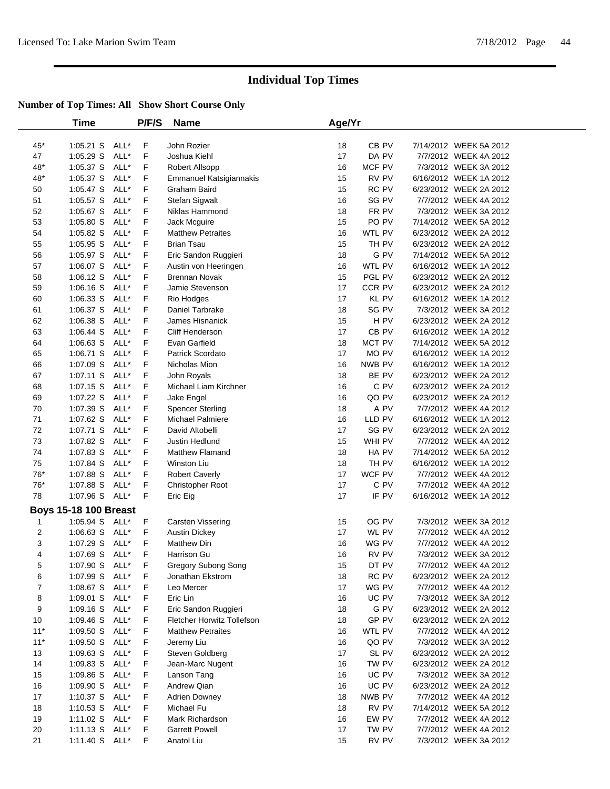|       | Time                         |              | P/F/S | <b>Name</b>                | Age/Yr |                  |                        |  |
|-------|------------------------------|--------------|-------|----------------------------|--------|------------------|------------------------|--|
| $45*$ | $1:05.21$ S                  | ALL*         | F     | John Rozier                | 18     | CB <sub>PV</sub> | 7/14/2012 WEEK 5A 2012 |  |
| 47    | 1:05.29 S                    | ALL*         | F     | Joshua Kiehl               | 17     | DA PV            | 7/7/2012 WEEK 4A 2012  |  |
| 48*   | 1:05.37 S                    | ALL*         | F     | Robert Allsopp             | 16     | MCF PV           | 7/3/2012 WEEK 3A 2012  |  |
| 48*   | 1:05.37 S                    | ALL*         | F     | Emmanuel Katsigiannakis    | 15     | RV PV            | 6/16/2012 WEEK 1A 2012 |  |
| 50    | 1:05.47 S                    | ALL*         | F     | Graham Baird               | 15     | RC PV            | 6/23/2012 WEEK 2A 2012 |  |
| 51    | 1:05.57 S                    | ALL*         | F     | Stefan Sigwalt             | 16     | SG PV            | 7/7/2012 WEEK 4A 2012  |  |
| 52    | 1:05.67 S                    | ALL*         | F     | Niklas Hammond             | 18     | FR PV            | 7/3/2012 WEEK 3A 2012  |  |
| 53    | 1:05.80 S                    | ALL*         | F     | Jack Mcguire               | 15     | PO PV            | 7/14/2012 WEEK 5A 2012 |  |
| 54    | 1:05.82 S                    | ALL*         | F     | <b>Matthew Petraites</b>   | 16     | WTL PV           | 6/23/2012 WEEK 2A 2012 |  |
| 55    | 1:05.95 S                    | ALL*         | F     | <b>Brian Tsau</b>          | 15     | TH PV            | 6/23/2012 WEEK 2A 2012 |  |
| 56    | 1:05.97 S                    | ALL*         | F     | Eric Sandon Ruggieri       | 18     | G PV             | 7/14/2012 WEEK 5A 2012 |  |
| 57    | 1:06.07 S                    | ALL*         | F     | Austin von Heeringen       | 16     | WTL PV           | 6/16/2012 WEEK 1A 2012 |  |
| 58    | 1:06.12 S                    | ALL*         | F     | <b>Brennan Novak</b>       | 15     | PGL PV           | 6/23/2012 WEEK 2A 2012 |  |
| 59    |                              |              | F     |                            | 17     | CCR PV           | 6/23/2012 WEEK 2A 2012 |  |
|       | $1:06.16$ S                  | ALL*<br>ALL* | F     | Jamie Stevenson            | 17     |                  | 6/16/2012 WEEK 1A 2012 |  |
| 60    | 1:06.33 S                    | ALL*         | F     | Rio Hodges                 | 18     | KL PV            |                        |  |
| 61    | 1:06.37 S                    |              |       | Daniel Tarbrake            |        | SG PV            | 7/3/2012 WEEK 3A 2012  |  |
| 62    | 1:06.38 S                    | ALL*         | F     | James Hisnanick            | 15     | H PV             | 6/23/2012 WEEK 2A 2012 |  |
| 63    | 1:06.44 S                    | ALL*         | F     | <b>Cliff Henderson</b>     | 17     | CB <sub>PV</sub> | 6/16/2012 WEEK 1A 2012 |  |
| 64    | 1:06.63 S                    | ALL*         | F     | Evan Garfield              | 18     | MCT PV           | 7/14/2012 WEEK 5A 2012 |  |
| 65    | 1:06.71 S                    | ALL*         | F     | Patrick Scordato           | 17     | MO PV            | 6/16/2012 WEEK 1A 2012 |  |
| 66    | 1:07.09 S                    | ALL*         | F     | Nicholas Mion              | 16     | NWB PV           | 6/16/2012 WEEK 1A 2012 |  |
| 67    | 1:07.11 S                    | ALL*         | F     | John Royals                | 18     | BE PV            | 6/23/2012 WEEK 2A 2012 |  |
| 68    | 1:07.15 S                    | ALL*         | F     | Michael Liam Kirchner      | 16     | C PV             | 6/23/2012 WEEK 2A 2012 |  |
| 69    | 1:07.22 S                    | ALL*         | F     | Jake Engel                 | 16     | QO PV            | 6/23/2012 WEEK 2A 2012 |  |
| 70    | 1:07.39 S                    | ALL*         | F     | <b>Spencer Sterling</b>    | 18     | A PV             | 7/7/2012 WEEK 4A 2012  |  |
| 71    | 1:07.62 S                    | ALL*         | F     | <b>Michael Palmiere</b>    | 16     | LLD PV           | 6/16/2012 WEEK 1A 2012 |  |
| 72    | 1:07.71 S                    | ALL*         | F     | David Altobelli            | 17     | SG PV            | 6/23/2012 WEEK 2A 2012 |  |
| 73    | 1:07.82 S                    | ALL*         | F     | Justin Hedlund             | 15     | WHI PV           | 7/7/2012 WEEK 4A 2012  |  |
| 74    | 1:07.83 S                    | ALL*         | F     | <b>Matthew Flamand</b>     | 18     | HA PV            | 7/14/2012 WEEK 5A 2012 |  |
| 75    | 1:07.84 S                    | ALL*         | F     | Winston Liu                | 18     | TH PV            | 6/16/2012 WEEK 1A 2012 |  |
| 76*   | 1:07.88 S                    | ALL*         | F     | <b>Robert Caverly</b>      | 17     | WCF PV           | 7/7/2012 WEEK 4A 2012  |  |
| $76*$ | 1:07.88 S                    | ALL*         | F     | <b>Christopher Root</b>    | 17     | C PV             | 7/7/2012 WEEK 4A 2012  |  |
| 78    | 1:07.96 S                    | ALL*         | F     | Eric Eig                   | 17     | IF PV            | 6/16/2012 WEEK 1A 2012 |  |
|       | <b>Boys 15-18 100 Breast</b> |              |       |                            |        |                  |                        |  |
| 1     | 1:05.94 S                    | ALL*         | F     | Carsten Vissering          | 15     | OG PV            | 7/3/2012 WEEK 3A 2012  |  |
| 2     | 1:06.63 S                    | ALL*         | F     | <b>Austin Dickey</b>       | 17     | WL PV            | 7/7/2012 WEEK 4A 2012  |  |
| 3     | 1:07.29 S                    | ALL*         | F     | <b>Matthew Din</b>         | 16     | WG PV            | 7/7/2012 WEEK 4A 2012  |  |
| 4     | 1:07.69 S                    | ALL*         | F     | Harrison Gu                | 16     | RV PV            | 7/3/2012 WEEK 3A 2012  |  |
| 5     | 1:07.90 S ALL*               |              | F     | Gregory Subong Song        | 15     | DT PV            | 7/7/2012 WEEK 4A 2012  |  |
| 6     | 1:07.99 S ALL*               |              | F     | Jonathan Ekstrom           | 18     | RC PV            | 6/23/2012 WEEK 2A 2012 |  |
| 7     | 1:08.67 S                    | ALL*         | F     | Leo Mercer                 | 17     | WG PV            | 7/7/2012 WEEK 4A 2012  |  |
| 8     | 1:09.01 S                    | ALL*         | F     | Eric Lin                   | 16     | UC PV            | 7/3/2012 WEEK 3A 2012  |  |
| 9     | $1:09.16$ S                  | ALL*         | F     | Eric Sandon Ruggieri       | 18     | G PV             | 6/23/2012 WEEK 2A 2012 |  |
| $10$  | 1:09.46 S                    | ALL*         | F     | Fletcher Horwitz Tollefson | 18     | GP PV            | 6/23/2012 WEEK 2A 2012 |  |
| $11*$ | 1:09.50 S                    | ALL*         | F     | <b>Matthew Petraites</b>   | 16     | WTL PV           | 7/7/2012 WEEK 4A 2012  |  |
| $11*$ | 1:09.50 S                    | ALL*         | F     | Jeremy Liu                 | 16     | QO PV            | 7/3/2012 WEEK 3A 2012  |  |
| 13    | $1:09.63$ S                  | ALL*         | F     | Steven Goldberg            | 17     | SL PV            | 6/23/2012 WEEK 2A 2012 |  |
| 14    | 1:09.83 S                    | ALL*         | F     | Jean-Marc Nugent           | 16     | TW PV            | 6/23/2012 WEEK 2A 2012 |  |
| 15    | 1:09.86 S                    | ALL*         | F     | Lanson Tang                | 16     | UC PV            | 7/3/2012 WEEK 3A 2012  |  |
| $16$  | 1:09.90 S                    | ALL*         | F     | Andrew Qian                | 16     | UC PV            | 6/23/2012 WEEK 2A 2012 |  |
| 17    | 1:10.37 S                    | ALL*         | F     | Adrien Downey              | 18     | NWB PV           | 7/7/2012 WEEK 4A 2012  |  |
| 18    | $1:10.53$ S                  | ALL*         | F     | Michael Fu                 | 18     | RV PV            | 7/14/2012 WEEK 5A 2012 |  |
| 19    | 1:11.02 S                    | ALL*         | F     | Mark Richardson            | 16     | EW PV            | 7/7/2012 WEEK 4A 2012  |  |
| 20    | 1:11.13 S                    | ALL*         | F     | <b>Garrett Powell</b>      | 17     | TW PV            | 7/7/2012 WEEK 4A 2012  |  |
| 21    | 1:11.40 S                    | ALL*         | F     | Anatol Liu                 | 15     | RV PV            | 7/3/2012 WEEK 3A 2012  |  |
|       |                              |              |       |                            |        |                  |                        |  |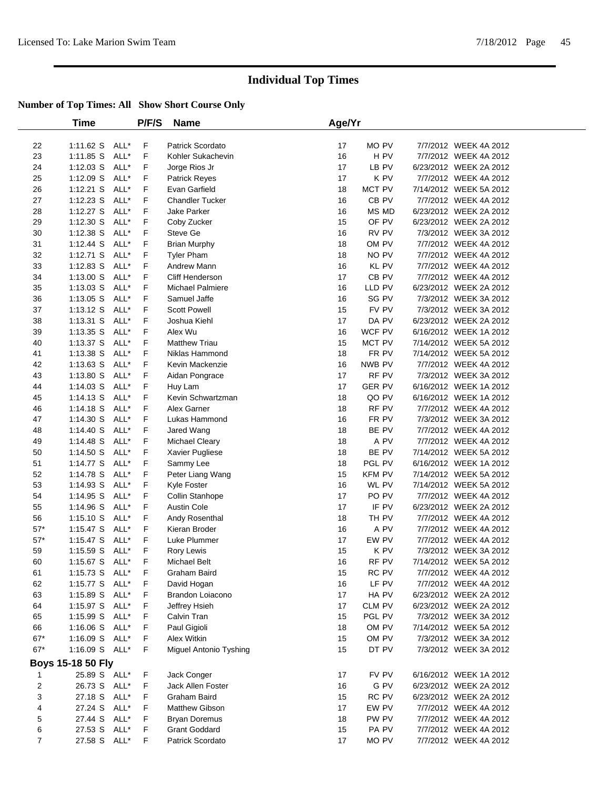|                         | Time              |      | P/F/S | <b>Name</b>             | Age/Yr |               |                        |  |
|-------------------------|-------------------|------|-------|-------------------------|--------|---------------|------------------------|--|
| 22                      | 1:11.62 S         | ALL* | F     | Patrick Scordato        | 17     | MO PV         | 7/7/2012 WEEK 4A 2012  |  |
| 23                      | $1:11.85$ S       | ALL* | F     | Kohler Sukachevin       | 16     | H PV          | 7/7/2012 WEEK 4A 2012  |  |
| 24                      | 1:12.03 S         | ALL* | F     | Jorge Rios Jr           | 17     | LB PV         | 6/23/2012 WEEK 2A 2012 |  |
| 25                      | 1:12.09 S         | ALL* | F     | <b>Patrick Reyes</b>    | 17     | K PV          | 7/7/2012 WEEK 4A 2012  |  |
| 26                      | $1:12.21$ S       | ALL* | F     | Evan Garfield           | 18     | MCT PV        | 7/14/2012 WEEK 5A 2012 |  |
| 27                      | $1:12.23$ S       | ALL* | F     | <b>Chandler Tucker</b>  | 16     | CB PV         | 7/7/2012 WEEK 4A 2012  |  |
| 28                      | $1:12.27$ S       | ALL* | F     | Jake Parker             | 16     | MS MD         | 6/23/2012 WEEK 2A 2012 |  |
| 29                      | 1:12.30 S         | ALL* | F     | Coby Zucker             | 15     | OF PV         | 6/23/2012 WEEK 2A 2012 |  |
| $30\,$                  | 1:12.38 S         | ALL* | F     | Steve Ge                | 16     | RV PV         | 7/3/2012 WEEK 3A 2012  |  |
| 31                      | 1:12.44 S         | ALL* | F     | <b>Brian Murphy</b>     | 18     | OM PV         | 7/7/2012 WEEK 4A 2012  |  |
| 32                      | 1:12.71 S         | ALL* | F     | <b>Tyler Pham</b>       | 18     | NO PV         | 7/7/2012 WEEK 4A 2012  |  |
| 33                      | 1:12.83 S         | ALL* | F     | Andrew Mann             | 16     | KL PV         | 7/7/2012 WEEK 4A 2012  |  |
| 34                      | 1:13.00 S         | ALL* | F     | Cliff Henderson         | 17     | CB PV         | 7/7/2012 WEEK 4A 2012  |  |
| 35                      | $1:13.03$ S       | ALL* | F     | <b>Michael Palmiere</b> | 16     | LLD PV        | 6/23/2012 WEEK 2A 2012 |  |
| 36                      | 1:13.05 S         | ALL* | F     | Samuel Jaffe            | 16     | SG PV         | 7/3/2012 WEEK 3A 2012  |  |
| 37                      | 1:13.12 S         | ALL* | F     | <b>Scott Powell</b>     | 15     | FV PV         | 7/3/2012 WEEK 3A 2012  |  |
| 38                      | $1:13.31$ S       | ALL* | F     | Joshua Kiehl            | 17     | DA PV         | 6/23/2012 WEEK 2A 2012 |  |
| 39                      | 1:13.35 S         | ALL* | F     | Alex Wu                 | 16     | WCF PV        | 6/16/2012 WEEK 1A 2012 |  |
| 40                      | 1:13.37 S         | ALL* | F     | <b>Matthew Triau</b>    | 15     | MCT PV        | 7/14/2012 WEEK 5A 2012 |  |
| 41                      | 1:13.38 S         | ALL* | F     | Niklas Hammond          | 18     | FR PV         | 7/14/2012 WEEK 5A 2012 |  |
| 42                      | $1:13.63$ S       | ALL* | F     | Kevin Mackenzie         | 16     | NWB PV        | 7/7/2012 WEEK 4A 2012  |  |
| 43                      | 1:13.80 S         | ALL* | F     | Aidan Pongrace          | 17     | RF PV         | 7/3/2012 WEEK 3A 2012  |  |
| 44                      | 1:14.03 S         | ALL* | F     | Huy Lam                 | 17     | <b>GER PV</b> | 6/16/2012 WEEK 1A 2012 |  |
| 45                      | 1:14.13 S         | ALL* | F     | Kevin Schwartzman       | 18     | QO PV         | 6/16/2012 WEEK 1A 2012 |  |
| 46                      | $1:14.18$ S       | ALL* | F     | Alex Garner             | 18     | RF PV         | 7/7/2012 WEEK 4A 2012  |  |
| 47                      | 1:14.30 S         | ALL* | F     | Lukas Hammond           | 16     | FR PV         | 7/3/2012 WEEK 3A 2012  |  |
| 48                      | 1:14.40 S         | ALL* | F     | Jared Wang              | 18     | BE PV         | 7/7/2012 WEEK 4A 2012  |  |
| 49                      | 1:14.48 S         | ALL* | F     | <b>Michael Cleary</b>   | 18     | A PV          | 7/7/2012 WEEK 4A 2012  |  |
| 50                      | 1:14.50 S         | ALL* | F     | Xavier Pugliese         | 18     | BE PV         | 7/14/2012 WEEK 5A 2012 |  |
| 51                      | 1:14.77 S         | ALL* | F     | Sammy Lee               | 18     | PGL PV        | 6/16/2012 WEEK 1A 2012 |  |
| 52                      | 1:14.78 S         | ALL* | F     | Peter Liang Wang        | 15     | <b>KFM PV</b> | 7/14/2012 WEEK 5A 2012 |  |
| 53                      | 1:14.93 S         | ALL* | F     | Kyle Foster             | 16     | WL PV         | 7/14/2012 WEEK 5A 2012 |  |
| 54                      | 1:14.95 S         | ALL* | F     | Collin Stanhope         | 17     | PO PV         | 7/7/2012 WEEK 4A 2012  |  |
| 55                      | 1:14.96 S         | ALL* | F     | <b>Austin Cole</b>      | 17     | IF PV         | 6/23/2012 WEEK 2A 2012 |  |
| 56                      | 1:15.10 S         | ALL* | F     | Andy Rosenthal          | 18     | TH PV         | 7/7/2012 WEEK 4A 2012  |  |
| $57^{\star}$            | 1:15.47 S         | ALL* | F     | Kieran Broder           | 16     | A PV          | 7/7/2012 WEEK 4A 2012  |  |
| $57^{\ast}$             | $1:15.47$ S       | ALL* | F     | Luke Plummer            | 17     | EW PV         | 7/7/2012 WEEK 4A 2012  |  |
| 59                      | 1:15.59 S         | ALL* | F     | Rory Lewis              | 15     | K PV          | 7/3/2012 WEEK 3A 2012  |  |
| 60                      | 1:15.67 S         | ALL* | F     | Michael Belt            | 16     | RF PV         | 7/14/2012 WEEK 5A 2012 |  |
| 61                      | 1:15.73 S ALL*    |      | F     | Graham Baird            | 15     | RC PV         | 7/7/2012 WEEK 4A 2012  |  |
| 62                      | 1:15.77 S         | ALL* | F     | David Hogan             | 16     | LF PV         | 7/7/2012 WEEK 4A 2012  |  |
| 63                      | 1:15.89 S         | ALL* | F     | Brandon Loiacono        | 17     | HA PV         | 6/23/2012 WEEK 2A 2012 |  |
| 64                      | 1:15.97 S ALL*    |      | F     | Jeffrey Hsieh           | 17     | CLM PV        | 6/23/2012 WEEK 2A 2012 |  |
| 65                      | 1:15.99 S         | ALL* | F     | Calvin Tran             | 15     | PGL PV        | 7/3/2012 WEEK 3A 2012  |  |
| 66                      | $1:16.06$ S       | ALL* | F     | Paul Gigioli            | 18     | OM PV         | 7/14/2012 WEEK 5A 2012 |  |
| $67*$                   | 1:16.09 S ALL*    |      | F     | Alex Witkin             | 15     | OM PV         | 7/3/2012 WEEK 3A 2012  |  |
| $67*$                   | 1:16.09 S ALL*    |      | F     | Miguel Antonio Tyshing  | 15     | DT PV         | 7/3/2012 WEEK 3A 2012  |  |
|                         | Boys 15-18 50 Fly |      |       |                         |        |               |                        |  |
| 1                       | 25.89 S ALL*      |      | F     | Jack Conger             | 17     | FV PV         | 6/16/2012 WEEK 1A 2012 |  |
| $\overline{\mathbf{c}}$ | 26.73 S ALL*      |      | F     | Jack Allen Foster       | 16     | G PV          | 6/23/2012 WEEK 2A 2012 |  |
| 3                       | 27.18 S ALL*      |      | F     | Graham Baird            | 15     | RC PV         | 6/23/2012 WEEK 2A 2012 |  |
| 4                       | 27.24 S ALL*      |      | F     | <b>Matthew Gibson</b>   | 17     | EW PV         | 7/7/2012 WEEK 4A 2012  |  |
| 5                       | 27.44 S           | ALL* | F     | <b>Bryan Doremus</b>    | 18     | PW PV         | 7/7/2012 WEEK 4A 2012  |  |
| 6                       | 27.53 S           | ALL* | F     | <b>Grant Goddard</b>    | 15     | PA PV         | 7/7/2012 WEEK 4A 2012  |  |
| $\overline{7}$          | 27.58 S ALL*      |      | F     | Patrick Scordato        | 17     | MO PV         | 7/7/2012 WEEK 4A 2012  |  |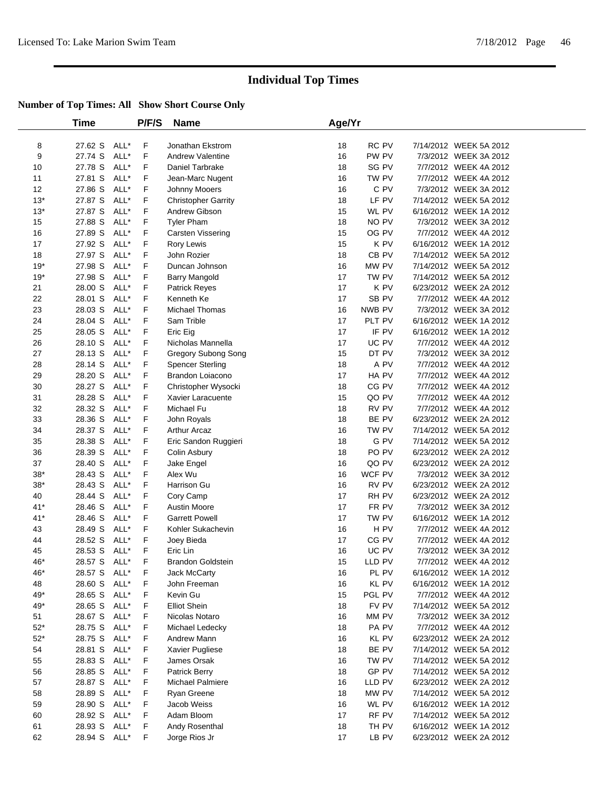|              | Time               |              | <b>P/F/S</b> | <b>Name</b>                       | Age/Yr   |                  |                                                  |  |
|--------------|--------------------|--------------|--------------|-----------------------------------|----------|------------------|--------------------------------------------------|--|
| 8            | 27.62 S            | ALL*         | F            | Jonathan Ekstrom                  | 18       | RC PV            | 7/14/2012 WEEK 5A 2012                           |  |
| 9            | 27.74 S            | ALL*         | F            | <b>Andrew Valentine</b>           | 16       | PW PV            | 7/3/2012 WEEK 3A 2012                            |  |
| 10           | 27.78 S            | ALL*         | F            | Daniel Tarbrake                   | 18       | SG PV            | 7/7/2012 WEEK 4A 2012                            |  |
| 11           | 27.81 S            | ALL*         | F            | Jean-Marc Nugent                  | 16       | TW PV            | 7/7/2012 WEEK 4A 2012                            |  |
| 12           | 27.86 S            | ALL*         | F            | Johnny Mooers                     | 16       | C PV             | 7/3/2012 WEEK 3A 2012                            |  |
| $13*$        | 27.87 S            | ALL*         | F            | <b>Christopher Garrity</b>        | 18       | LF PV            | 7/14/2012 WEEK 5A 2012                           |  |
| $13*$        | 27.87 S            | ALL*         | F            | Andrew Gibson                     | 15       | WL PV            | 6/16/2012 WEEK 1A 2012                           |  |
| 15           | 27.88 S            | ALL*         | F            | <b>Tyler Pham</b>                 | 18       | NO PV            | 7/3/2012 WEEK 3A 2012                            |  |
| 16           | 27.89 S            | ALL*         | F            | Carsten Vissering                 | 15       | OG PV            | 7/7/2012 WEEK 4A 2012                            |  |
| 17           | 27.92 S            | ALL*         | F            | Rory Lewis                        | 15       | K PV             | 6/16/2012 WEEK 1A 2012                           |  |
| 18           | 27.97 S            | ALL*         | F            | John Rozier                       | 18       | CB <sub>PV</sub> | 7/14/2012 WEEK 5A 2012                           |  |
| $19*$        | 27.98 S            | ALL*         | F            | Duncan Johnson                    | 16       | MW PV            | 7/14/2012 WEEK 5A 2012                           |  |
| $19*$        | 27.98 S            | ALL*         | F            | <b>Barry Mangold</b>              | 17       | TW PV            | 7/14/2012 WEEK 5A 2012                           |  |
| 21           | 28.00 S            | ALL*         | F            | Patrick Reyes                     | 17       | K PV             | 6/23/2012 WEEK 2A 2012                           |  |
| 22           | 28.01 S            | ALL*         | F            | Kenneth Ke                        | 17       | SB PV            | 7/7/2012 WEEK 4A 2012                            |  |
| 23           | 28.03 S            | ALL*         | F            | <b>Michael Thomas</b>             | 16       | NWB PV           | 7/3/2012 WEEK 3A 2012                            |  |
| 24           | 28.04 S            | ALL*         | F            | Sam Trible                        | 17       | PLT PV           | 6/16/2012 WEEK 1A 2012                           |  |
| 25           | 28.05 S            | ALL*         | F            | Eric Eig                          | 17       | IF PV            | 6/16/2012 WEEK 1A 2012                           |  |
| 26           | 28.10 S            | ALL*         | F            | Nicholas Mannella                 | 17       | UC PV            | 7/7/2012 WEEK 4A 2012                            |  |
| 27           | 28.13 S            | ALL*         | F            | Gregory Subong Song               | 15       | DT PV            | 7/3/2012 WEEK 3A 2012                            |  |
| 28           | 28.14 S            | ALL*         | F            | <b>Spencer Sterling</b>           | 18       | A PV             | 7/7/2012 WEEK 4A 2012                            |  |
| 29           | 28.20 S            | ALL*         | F            | Brandon Loiacono                  | 17       | HA PV            | 7/7/2012 WEEK 4A 2012                            |  |
| 30           | 28.27 S            | ALL*         | F            | Christopher Wysocki               | 18       | CG PV            | 7/7/2012 WEEK 4A 2012                            |  |
| 31           | 28.28 S            | ALL*         | F            | Xavier Laracuente                 | 15       | QO PV            | 7/7/2012 WEEK 4A 2012                            |  |
| 32           | 28.32 S            | ALL*         | F            | Michael Fu                        | 18       | RV PV            | 7/7/2012 WEEK 4A 2012                            |  |
| 33           | 28.36 S            | ALL*         | F            | John Royals                       | 18       | BE PV            | 6/23/2012 WEEK 2A 2012                           |  |
| 34           | 28.37 S            | ALL*         | F            | <b>Arthur Arcaz</b>               | 16       | TW PV            | 7/14/2012 WEEK 5A 2012                           |  |
| 35           | 28.38 S            | ALL*         | F            | Eric Sandon Ruggieri              | 18       | G PV             | 7/14/2012 WEEK 5A 2012                           |  |
| 36           | 28.39 S            | ALL*         | F            | Colin Asbury                      | 18       | PO PV            | 6/23/2012 WEEK 2A 2012                           |  |
| 37           | 28.40 S            | ALL*         | F            | Jake Engel                        | 16       | QO PV            | 6/23/2012 WEEK 2A 2012                           |  |
| $38*$        | 28.43 S            | ALL*         | F            | Alex Wu                           | 16       | WCF PV           | 7/3/2012 WEEK 3A 2012                            |  |
| $38*$        | 28.43 S            | ALL*         | F            | Harrison Gu                       | 16       | RV PV            | 6/23/2012 WEEK 2A 2012                           |  |
| 40           | 28.44 S            | ALL*         | F            | Cory Camp                         | 17       | RH PV            | 6/23/2012 WEEK 2A 2012                           |  |
| $41*$        | 28.46 S            | ALL*         | F            | Austin Moore                      | 17       | FR PV            | 7/3/2012 WEEK 3A 2012                            |  |
| $41*$        | 28.46 S            | ALL*         | F            | <b>Garrett Powell</b>             | 17       | TW PV            | 6/16/2012 WEEK 1A 2012                           |  |
| 43           | 28.49 S            | ALL*         | F            | Kohler Sukachevin                 | 16       | H <sub>PV</sub>  | 7/7/2012 WEEK 4A 2012                            |  |
| 44           | 28.52 S            | ALL*         | F            | Joey Bieda                        | 17       | CG PV            | 7/7/2012 WEEK 4A 2012                            |  |
| 45           | 28.53 S            | ALL*         | F            | Eric Lin                          | 16       | UC PV            | 7/3/2012 WEEK 3A 2012                            |  |
| 46*          | 28.57 S            | ALL*         | F            | <b>Brandon Goldstein</b>          | 15       | LLD PV           | 7/7/2012 WEEK 4A 2012                            |  |
| 46*          | 28.57 S ALL*       |              | F            | Jack McCarty                      | 16       | PL PV            | 6/16/2012 WEEK 1A 2012                           |  |
| 48           | 28.60 S            | ALL*         | F            | John Freeman                      | 16       | KL PV            | 6/16/2012 WEEK 1A 2012                           |  |
| 49*          | 28.65 S            | ALL*         | F            | Kevin Gu                          | 15       | PGL PV           | 7/7/2012 WEEK 4A 2012                            |  |
| 49*          | 28.65 S            | ALL*         | F            | <b>Elliot Shein</b>               | 18       | FV PV            | 7/14/2012 WEEK 5A 2012                           |  |
| 51           | 28.67 S            | ALL*         | F            | Nicolas Notaro                    | 16       | MM PV            | 7/3/2012 WEEK 3A 2012                            |  |
| $52^{\star}$ | 28.75 S            | ALL*         | F            | Michael Ledecky                   | 18       | PA PV            | 7/7/2012 WEEK 4A 2012                            |  |
| $52^{\star}$ | 28.75 S            | ALL*         | F            | Andrew Mann                       | 16       | KL PV            | 6/23/2012 WEEK 2A 2012                           |  |
| 54           | 28.81 S            | ALL*         | F            | Xavier Pugliese                   | 18       | BE PV            | 7/14/2012 WEEK 5A 2012<br>7/14/2012 WEEK 5A 2012 |  |
| 55           | 28.83 S            | ALL*         | F            | James Orsak                       | 16       | TW PV            |                                                  |  |
| 56<br>57     | 28.85 S<br>28.87 S | ALL*<br>ALL* | F<br>F       | Patrick Berry<br>Michael Palmiere | 18<br>16 | GP PV<br>LLD PV  | 7/14/2012 WEEK 5A 2012<br>6/23/2012 WEEK 2A 2012 |  |
| 58           | 28.89 S            | ALL*         | F            | Ryan Greene                       | 18       | MW PV            | 7/14/2012 WEEK 5A 2012                           |  |
| 59           | 28.90 S            | ALL*         | F            | Jacob Weiss                       | 16       | WL PV            | 6/16/2012 WEEK 1A 2012                           |  |
| 60           | 28.92 S            | ALL*         | F            | Adam Bloom                        | 17       | RF PV            | 7/14/2012 WEEK 5A 2012                           |  |
| 61           | 28.93 S            | ALL*         | F            | Andy Rosenthal                    | 18       | TH PV            | 6/16/2012 WEEK 1A 2012                           |  |
| 62           | 28.94 S            | ALL*         | F            | Jorge Rios Jr                     | 17       | LB PV            | 6/23/2012 WEEK 2A 2012                           |  |
|              |                    |              |              |                                   |          |                  |                                                  |  |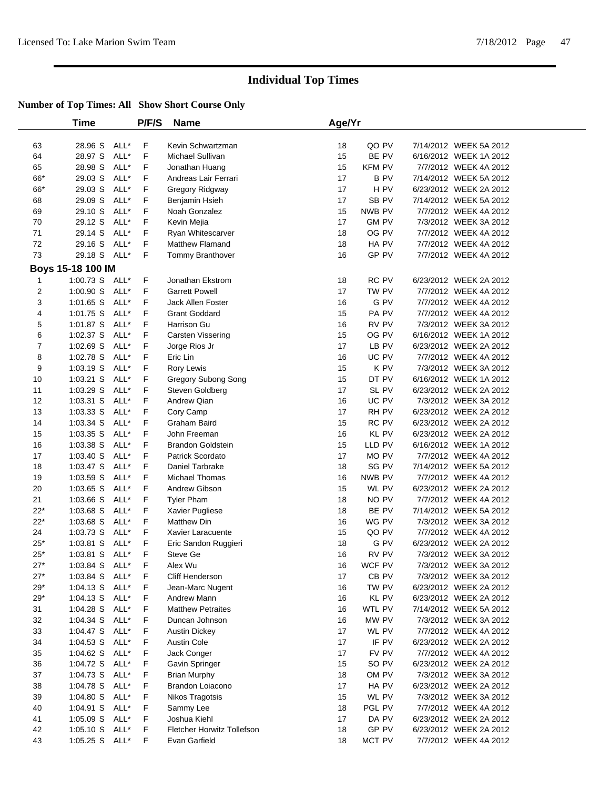|                     | Time                   |              | P/F/S  | <b>Name</b>                               | Age/Yr   |                  |                                                 |
|---------------------|------------------------|--------------|--------|-------------------------------------------|----------|------------------|-------------------------------------------------|
| 63                  | 28.96 S                | ALL*         | F      | Kevin Schwartzman                         | 18       | QO PV            | 7/14/2012 WEEK 5A 2012                          |
| 64                  | 28.97 S                | ALL*         | F      | Michael Sullivan                          | 15       | BE PV            | 6/16/2012 WEEK 1A 2012                          |
| 65                  | 28.98 S                | ALL*         | F      | Jonathan Huang                            | 15       | <b>KFM PV</b>    | 7/7/2012 WEEK 4A 2012                           |
| 66*                 | 29.03 S                | ALL*         | F      | Andreas Lair Ferrari                      | 17       | <b>BPV</b>       | 7/14/2012 WEEK 5A 2012                          |
| 66*                 | 29.03 S                | ALL*         | F      | Gregory Ridgway                           | 17       | H PV             | 6/23/2012 WEEK 2A 2012                          |
| 68                  | 29.09 S                | ALL*         | F      | Benjamin Hsieh                            | 17       | SB <sub>PV</sub> | 7/14/2012 WEEK 5A 2012                          |
| 69                  | 29.10 S                | ALL*         | F      | Noah Gonzalez                             | 15       | NWB PV           | 7/7/2012 WEEK 4A 2012                           |
| 70                  | 29.12 S                | ALL*         | F      | Kevin Mejia                               | 17       | <b>GM PV</b>     | 7/3/2012 WEEK 3A 2012                           |
| 71                  | 29.14 S                | ALL*         | F      | Ryan Whitescarver                         | 18       | OG PV            | 7/7/2012 WEEK 4A 2012                           |
| 72                  | 29.16 S                | ALL*         | F      | Matthew Flamand                           | 18       | HA PV            | 7/7/2012 WEEK 4A 2012                           |
| 73                  | 29.18 S                | ALL*         | F      | Tommy Branthover                          | 16       | GP PV            | 7/7/2012 WEEK 4A 2012                           |
|                     |                        |              |        |                                           |          |                  |                                                 |
|                     | Boys 15-18 100 IM      |              |        |                                           |          |                  |                                                 |
| 1                   | 1:00.73 S<br>1:00.90 S | ALL*<br>ALL* | F<br>F | Jonathan Ekstrom<br><b>Garrett Powell</b> | 18<br>17 | RC PV<br>TW PV   | 6/23/2012 WEEK 2A 2012<br>7/7/2012 WEEK 4A 2012 |
| $\overline{2}$<br>3 |                        | ALL*         | F      |                                           |          | G PV             |                                                 |
|                     | 1:01.65 S              |              |        | Jack Allen Foster                         | 16       |                  | 7/7/2012 WEEK 4A 2012                           |
| 4                   | 1:01.75 S              | ALL*         | F      | <b>Grant Goddard</b>                      | 15       | PA PV            | 7/7/2012 WEEK 4A 2012                           |
| 5                   | 1:01.87 S              | ALL*         | F      | Harrison Gu                               | 16       | RV PV            | 7/3/2012 WEEK 3A 2012                           |
| 6                   | 1:02.37 S              | ALL*         | F      | <b>Carsten Vissering</b>                  | 15       | OG PV            | 6/16/2012 WEEK 1A 2012                          |
| $\overline{7}$      | 1:02.69 S              | ALL*<br>ALL* | F<br>F | Jorge Rios Jr                             | 17       | LB PV<br>UC PV   | 6/23/2012 WEEK 2A 2012                          |
| 8                   | 1:02.78 S              | ALL*         | F      | Eric Lin                                  | 16       | K PV             | 7/7/2012 WEEK 4A 2012<br>7/3/2012 WEEK 3A 2012  |
| 9                   | 1:03.19 S              |              |        | Rory Lewis                                | 15       |                  |                                                 |
| 10                  | 1:03.21 S              | ALL*         | F      | <b>Gregory Subong Song</b>                | 15       | DT PV            | 6/16/2012 WEEK 1A 2012                          |
| 11                  | 1:03.29 S              | ALL*         | F      | Steven Goldberg                           | 17       | SL PV            | 6/23/2012 WEEK 2A 2012                          |
| 12                  | 1:03.31 S              | ALL*         | F      | Andrew Qian                               | 16       | UC PV            | 7/3/2012 WEEK 3A 2012                           |
| 13                  | 1:03.33 S              | ALL*         | F      | Cory Camp                                 | 17       | RH PV            | 6/23/2012 WEEK 2A 2012                          |
| 14                  | 1:03.34 S              | ALL*         | F      | Graham Baird                              | 15       | RC PV            | 6/23/2012 WEEK 2A 2012                          |
| 15                  | 1:03.35 S              | ALL*         | F      | John Freeman                              | 16       | KL PV            | 6/23/2012 WEEK 2A 2012                          |
| 16                  | 1:03.38 S              | ALL*         | F      | <b>Brandon Goldstein</b>                  | 15       | LLD PV           | 6/16/2012 WEEK 1A 2012                          |
| 17                  | 1:03.40 S              | ALL*         | F      | Patrick Scordato                          | 17       | MO PV            | 7/7/2012 WEEK 4A 2012                           |
| 18                  | 1:03.47 S              | ALL*         | F      | Daniel Tarbrake                           | 18       | SG PV            | 7/14/2012 WEEK 5A 2012                          |
| 19                  | 1:03.59 S              | ALL*         | F      | Michael Thomas                            | 16       | NWB PV           | 7/7/2012 WEEK 4A 2012                           |
| 20<br>21            | 1:03.65 S              | ALL*<br>ALL* | F<br>F | Andrew Gibson                             | 15<br>18 | WL PV            | 6/23/2012 WEEK 2A 2012                          |
| $22*$               | 1:03.66 S              |              | F      | <b>Tyler Pham</b>                         |          | NO PV<br>BE PV   | 7/7/2012 WEEK 4A 2012                           |
| $22*$               | 1:03.68 S              | ALL*         | F      | Xavier Pugliese                           | 18       | WG PV            | 7/14/2012 WEEK 5A 2012                          |
| 24                  | 1:03.68 S<br>1:03.73 S | ALL*<br>ALL* | F      | <b>Matthew Din</b><br>Xavier Laracuente   | 16<br>15 | QO PV            | 7/3/2012 WEEK 3A 2012<br>7/7/2012 WEEK 4A 2012  |
| $25*$               |                        | ALL*         | F      | Eric Sandon Ruggieri                      | 18       | G PV             | 6/23/2012 WEEK 2A 2012                          |
| $25*$               | 1:03.81 S<br>1:03.81 S | ALL*         | F      | Steve Ge                                  | 16       | RV PV            | 7/3/2012 WEEK 3A 2012                           |
| $27*$               | 1:03.84 S ALL*         |              | F      | Alex Wu                                   | 16       | WCF PV           | 7/3/2012 WEEK 3A 2012                           |
| 27*                 | 1:03.84 S ALL*         |              | F.     | Cliff Henderson                           | 17       | CB PV            | 7/3/2012 WEEK 3A 2012                           |
| $29^{\star}$        | $1:04.13$ S            | ALL*         | F      | Jean-Marc Nugent                          | 16       | TW PV            | 6/23/2012 WEEK 2A 2012                          |
| $29*$               | $1:04.13$ S            | ALL*         | F      | Andrew Mann                               | 16       | KL PV            | 6/23/2012 WEEK 2A 2012                          |
| 31                  | 1:04.28 S              | ALL*         | F      | <b>Matthew Petraites</b>                  | 16       | WTL PV           | 7/14/2012 WEEK 5A 2012                          |
| 32                  | 1:04.34 S              | ALL*         | F      | Duncan Johnson                            | 16       | MW PV            | 7/3/2012 WEEK 3A 2012                           |
| 33                  | 1:04.47 S              | ALL*         | F      | <b>Austin Dickey</b>                      | 17       | WL PV            | 7/7/2012 WEEK 4A 2012                           |
| 34                  | 1:04.53 S              | ALL*         | F      | <b>Austin Cole</b>                        | 17       | IF PV            | 6/23/2012 WEEK 2A 2012                          |
| 35                  | 1:04.62 S              | ALL*         | F      | Jack Conger                               | 17       | FV PV            | 7/7/2012 WEEK 4A 2012                           |
| 36                  | 1:04.72 S              | ALL*         | F      | Gavin Springer                            | 15       | SO PV            | 6/23/2012 WEEK 2A 2012                          |
| 37                  | 1:04.73 S              | ALL*         | F      | <b>Brian Murphy</b>                       | 18       | OM PV            | 7/3/2012 WEEK 3A 2012                           |
| 38                  | 1:04.78 S              | ALL*         | F      | Brandon Loiacono                          | 17       | HA PV            | 6/23/2012 WEEK 2A 2012                          |
| 39                  | 1:04.80 S              | ALL*         | F      | Nikos Tragotsis                           | 15       | WL PV            | 7/3/2012 WEEK 3A 2012                           |
| 40                  | 1:04.91 S              | ALL*         | F      | Sammy Lee                                 | 18       | PGL PV           | 7/7/2012 WEEK 4A 2012                           |
| 41                  | 1:05.09 S              | ALL*         | F      | Joshua Kiehl                              | 17       | DA PV            | 6/23/2012 WEEK 2A 2012                          |
| 42                  | $1:05.10$ S            | ALL*         | F      | Fletcher Horwitz Tollefson                | 18       | GP PV            | 6/23/2012 WEEK 2A 2012                          |
| 43                  | $1:05.25$ S            | ALL*         | F      | Evan Garfield                             | 18       | MCT PV           | 7/7/2012 WEEK 4A 2012                           |
|                     |                        |              |        |                                           |          |                  |                                                 |